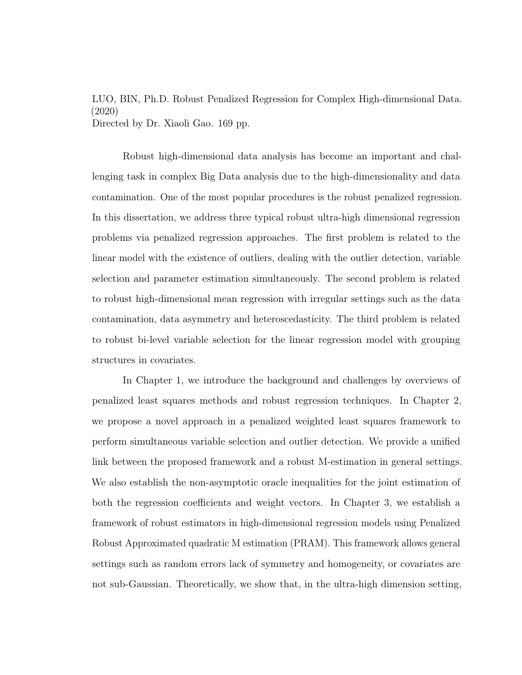LUO, BIN, Ph.D. Robust Penalized Regression for Complex High-dimensional Data. (2020) Directed by Dr. Xiaoli Gao. [169](#page-177-0) pp.

Robust high-dimensional data analysis has become an important and challenging task in complex Big Data analysis due to the high-dimensionality and data contamination. One of the most popular procedures is the robust penalized regression. In this dissertation, we address three typical robust ultra-high dimensional regression problems via penalized regression approaches. The first problem is related to the linear model with the existence of outliers, dealing with the outlier detection, variable selection and parameter estimation simultaneously. The second problem is related to robust high-dimensional mean regression with irregular settings such as the data contamination, data asymmetry and heteroscedasticity. The third problem is related to robust bi-level variable selection for the linear regression model with grouping structures in covariates.

In Chapter 1, we introduce the background and challenges by overviews of penalized least squares methods and robust regression techniques. In Chapter 2, we propose a novel approach in a penalized weighted least squares framework to perform simultaneous variable selection and outlier detection. We provide a unified link between the proposed framework and a robust M-estimation in general settings. We also establish the non-asymptotic oracle inequalities for the joint estimation of both the regression coefficients and weight vectors. In Chapter 3, we establish a framework of robust estimators in high-dimensional regression models using Penalized Robust Approximated quadratic M estimation (PRAM). This framework allows general settings such as random errors lack of symmetry and homogeneity, or covariates are not sub-Gaussian. Theoretically, we show that, in the ultra-high dimension setting,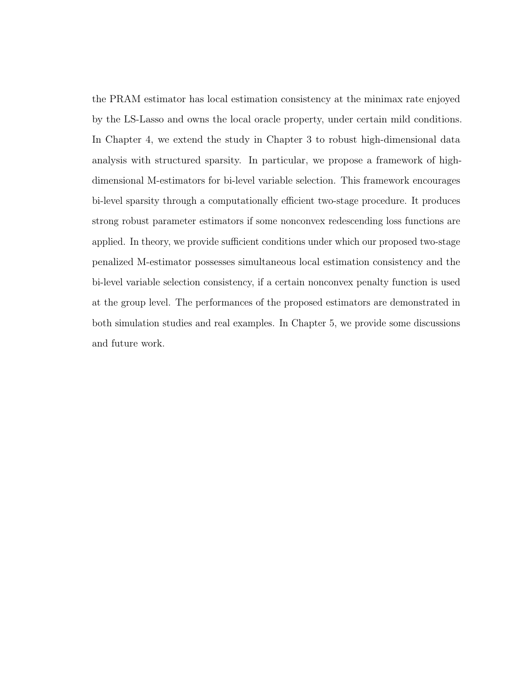the PRAM estimator has local estimation consistency at the minimax rate enjoyed by the LS-Lasso and owns the local oracle property, under certain mild conditions. In Chapter 4, we extend the study in Chapter 3 to robust high-dimensional data analysis with structured sparsity. In particular, we propose a framework of highdimensional M-estimators for bi-level variable selection. This framework encourages bi-level sparsity through a computationally efficient two-stage procedure. It produces strong robust parameter estimators if some nonconvex redescending loss functions are applied. In theory, we provide sufficient conditions under which our proposed two-stage penalized M-estimator possesses simultaneous local estimation consistency and the bi-level variable selection consistency, if a certain nonconvex penalty function is used at the group level. The performances of the proposed estimators are demonstrated in both simulation studies and real examples. In Chapter 5, we provide some discussions and future work.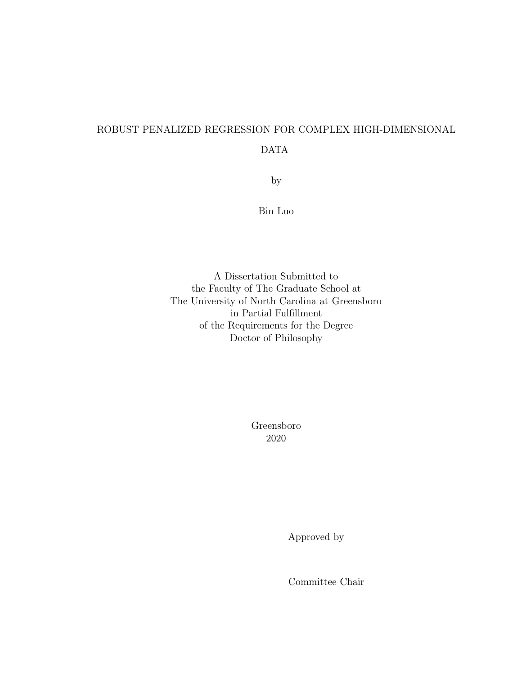# ROBUST PENALIZED REGRESSION FOR COMPLEX HIGH-DIMENSIONAL

# DATA

by

Bin Luo

A Dissertation Submitted to the Faculty of The Graduate School at The University of North Carolina at Greensboro in Partial Fulfillment of the Requirements for the Degree Doctor of Philosophy

> Greensboro 2020

> > Approved by

Committee Chair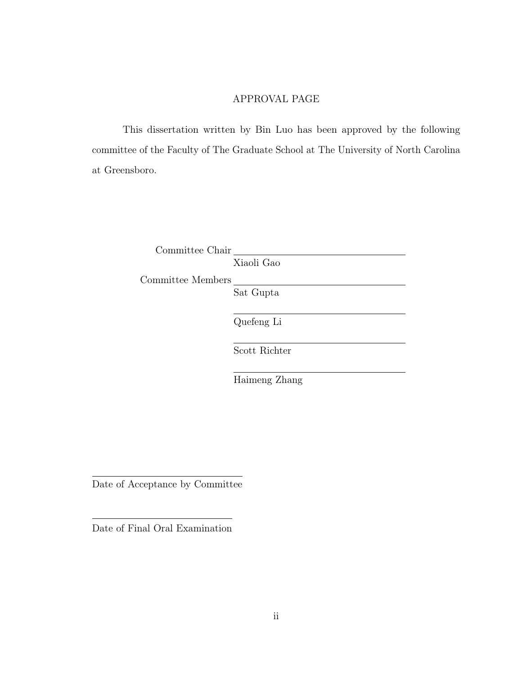#### APPROVAL PAGE

This dissertation written by Bin Luo has been approved by the following committee of the Faculty of The Graduate School at The University of North Carolina at Greensboro.

Committee Chair

Xiaoli Gao

Committee Members

Sat Gupta

Quefeng Li

Scott Richter

Haimeng Zhang

Date of Acceptance by Committee

Date of Final Oral Examination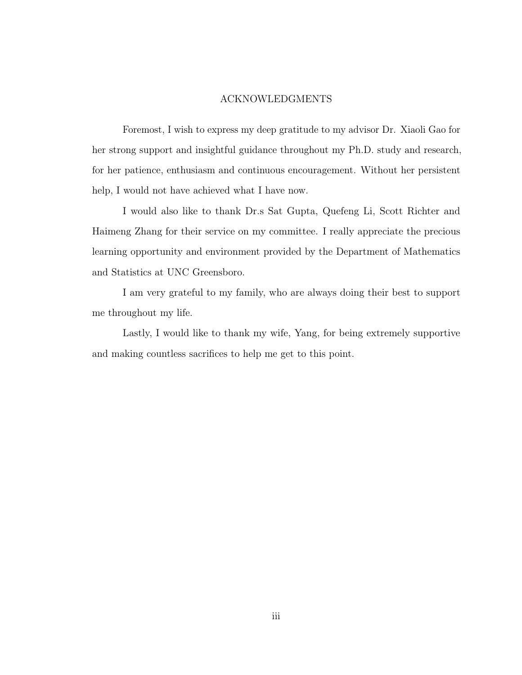#### ACKNOWLEDGMENTS

Foremost, I wish to express my deep gratitude to my advisor Dr. Xiaoli Gao for her strong support and insightful guidance throughout my Ph.D. study and research, for her patience, enthusiasm and continuous encouragement. Without her persistent help, I would not have achieved what I have now.

I would also like to thank Dr.s Sat Gupta, Quefeng Li, Scott Richter and Haimeng Zhang for their service on my committee. I really appreciate the precious learning opportunity and environment provided by the Department of Mathematics and Statistics at UNC Greensboro.

I am very grateful to my family, who are always doing their best to support me throughout my life.

Lastly, I would like to thank my wife, Yang, for being extremely supportive and making countless sacrifices to help me get to this point.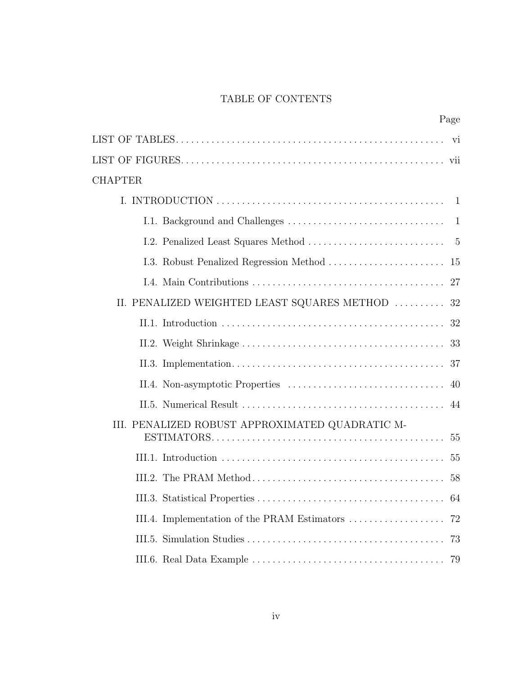# TABLE OF CONTENTS

| Page                                                                  |    |
|-----------------------------------------------------------------------|----|
|                                                                       |    |
|                                                                       |    |
| <b>CHAPTER</b>                                                        |    |
|                                                                       |    |
|                                                                       |    |
|                                                                       |    |
|                                                                       |    |
|                                                                       |    |
| II. PENALIZED WEIGHTED LEAST SQUARES METHOD $\ldots \ldots \ldots$ 32 |    |
|                                                                       |    |
|                                                                       |    |
|                                                                       |    |
|                                                                       | 40 |
|                                                                       | 44 |
| III. PENALIZED ROBUST APPROXIMATED QUADRATIC M-                       |    |
|                                                                       |    |
|                                                                       |    |
|                                                                       |    |
|                                                                       |    |
| III.4. Implementation of the PRAM Estimators                          | 72 |
|                                                                       | 73 |
|                                                                       |    |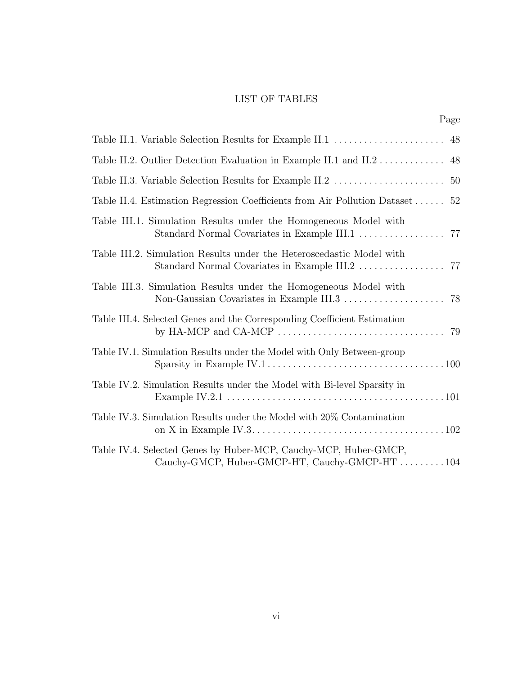### LIST OF TABLES

|--|

<span id="page-7-0"></span>

| Table II.2. Outlier Detection Evaluation in Example II.1 and II.2<br>48                                                                                                                      |
|----------------------------------------------------------------------------------------------------------------------------------------------------------------------------------------------|
| 50                                                                                                                                                                                           |
| Table II.4. Estimation Regression Coefficients from Air Pollution Dataset<br>52                                                                                                              |
| Table III.1. Simulation Results under the Homogeneous Model with                                                                                                                             |
| Table III.2. Simulation Results under the Heteroscedastic Model with<br>Standard Normal Covariates in Example III.2<br>77                                                                    |
| Table III.3. Simulation Results under the Homogeneous Model with<br>Non-Gaussian Covariates in Example III.3<br>78                                                                           |
| Table III.4. Selected Genes and the Corresponding Coefficient Estimation<br>by HA-MCP and CA-MCP $\dots\dots\dots\dots\dots\dots\dots\dots\dots\dots\dots$ 79                                |
| Table IV.1. Simulation Results under the Model with Only Between-group                                                                                                                       |
| Table IV.2. Simulation Results under the Model with Bi-level Sparsity in<br>Example IV.2.1 . $\dots$ . $\dots$ . $\dots$ . $\dots$ . $\dots$ . $\dots$ . $\dots$ . $\dots$ . $\dots$ . $101$ |
| Table IV.3. Simulation Results under the Model with 20% Contamination                                                                                                                        |
| Table IV.4. Selected Genes by Huber-MCP, Cauchy-MCP, Huber-GMCP,<br>Cauchy-GMCP, Huber-GMCP-HT, Cauchy-GMCP-HT104                                                                            |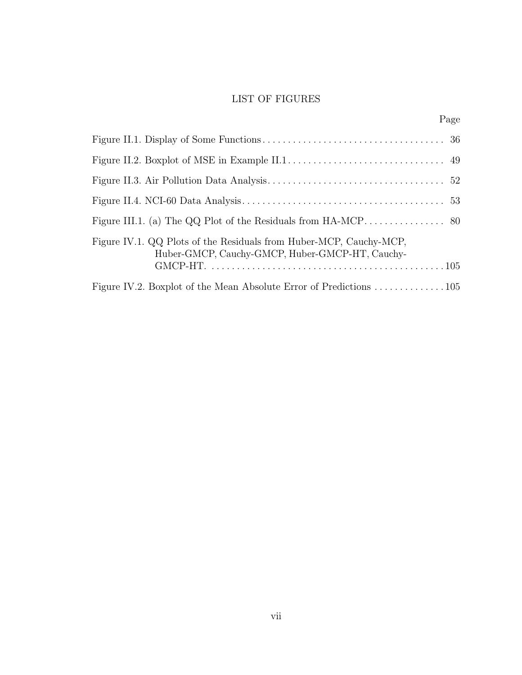## LIST OF FIGURES

<span id="page-8-0"></span>

| Figure IV.1. QQ Plots of the Residuals from Huber-MCP, Cauchy-MCP,<br>Huber-GMCP, Cauchy-GMCP, Huber-GMCP-HT, Cauchy- |  |
|-----------------------------------------------------------------------------------------------------------------------|--|
|                                                                                                                       |  |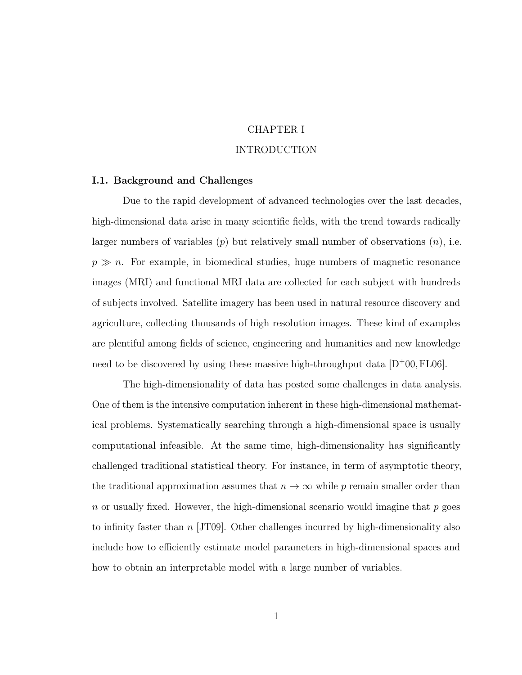### CHAPTER I

#### INTRODUCTION

#### <span id="page-9-1"></span><span id="page-9-0"></span>I.1. Background and Challenges

Due to the rapid development of advanced technologies over the last decades, high-dimensional data arise in many scientific fields, with the trend towards radically larger numbers of variables  $(p)$  but relatively small number of observations  $(n)$ , i.e.  $p \gg n$ . For example, in biomedical studies, huge numbers of magnetic resonance images (MRI) and functional MRI data are collected for each subject with hundreds of subjects involved. Satellite imagery has been used in natural resource discovery and agriculture, collecting thousands of high resolution images. These kind of examples are plentiful among fields of science, engineering and humanities and new knowledge need to be discovered by using these massive high-throughput data  $[D+00, FL06]$  $[D+00, FL06]$  $[D+00, FL06]$  $[D+00, FL06]$ .

The high-dimensionality of data has posted some challenges in data analysis. One of them is the intensive computation inherent in these high-dimensional mathematical problems. Systematically searching through a high-dimensional space is usually computational infeasible. At the same time, high-dimensionality has significantly challenged traditional statistical theory. For instance, in term of asymptotic theory, the traditional approximation assumes that  $n \to \infty$  while p remain smaller order than n or usually fixed. However, the high-dimensional scenario would imagine that  $p$  goes to infinity faster than  $n$  [\[JT09\]](#page-125-0). Other challenges incurred by high-dimensionality also include how to efficiently estimate model parameters in high-dimensional spaces and how to obtain an interpretable model with a large number of variables.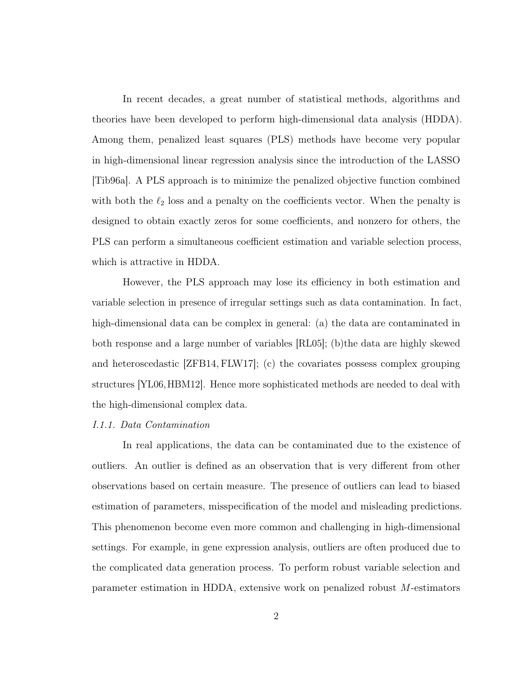In recent decades, a great number of statistical methods, algorithms and theories have been developed to perform high-dimensional data analysis (HDDA). Among them, penalized least squares (PLS) methods have become very popular in high-dimensional linear regression analysis since the introduction of the LASSO [\[Tib96a\]](#page-129-0). A PLS approach is to minimize the penalized objective function combined with both the  $\ell_2$  loss and a penalty on the coefficients vector. When the penalty is designed to obtain exactly zeros for some coefficients, and nonzero for others, the PLS can perform a simultaneous coefficient estimation and variable selection process, which is attractive in HDDA.

However, the PLS approach may lose its efficiency in both estimation and variable selection in presence of irregular settings such as data contamination. In fact, high-dimensional data can be complex in general: (a) the data are contaminated in both response and a large number of variables [\[RL05\]](#page-128-0); (b)the data are highly skewed and heteroscedastic [\[ZFB14,](#page-131-0) [FLW17\]](#page-123-1); (c) the covariates possess complex grouping structures [\[YL06,](#page-131-1)[HBM12\]](#page-124-0). Hence more sophisticated methods are needed to deal with the high-dimensional complex data.

#### I.1.1. Data Contamination

In real applications, the data can be contaminated due to the existence of outliers. An outlier is defined as an observation that is very different from other observations based on certain measure. The presence of outliers can lead to biased estimation of parameters, misspecification of the model and misleading predictions. This phenomenon become even more common and challenging in high-dimensional settings. For example, in gene expression analysis, outliers are often produced due to the complicated data generation process. To perform robust variable selection and parameter estimation in HDDA, extensive work on penalized robust M-estimators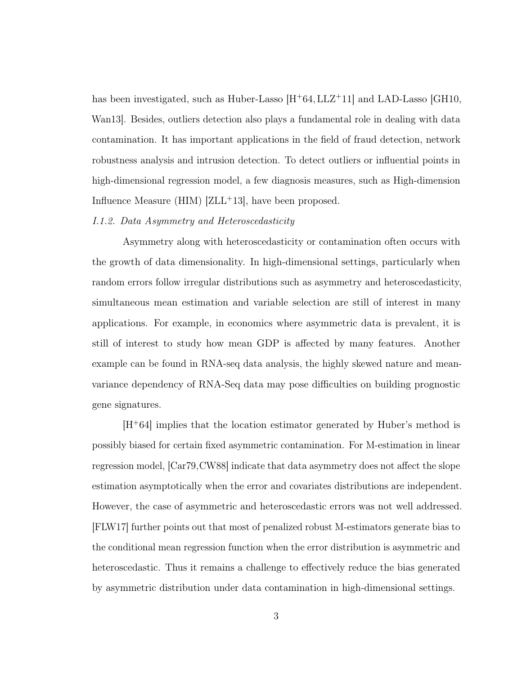has been investigated, such as Huber-Lasso  $[H^+64, LLZ^+11]$  $[H^+64, LLZ^+11]$  $[H^+64, LLZ^+11]$  $[H^+64, LLZ^+11]$  and LAD-Lasso [\[GH10,](#page-124-2) [Wan13\]](#page-130-0). Besides, outliers detection also plays a fundamental role in dealing with data contamination. It has important applications in the field of fraud detection, network robustness analysis and intrusion detection. To detect outliers or influential points in high-dimensional regression model, a few diagnosis measures, such as High-dimension Influence Measure (HIM)  $[ZLL^+13]$  $[ZLL^+13]$ , have been proposed.

#### I.1.2. Data Asymmetry and Heteroscedasticity

Asymmetry along with heteroscedasticity or contamination often occurs with the growth of data dimensionality. In high-dimensional settings, particularly when random errors follow irregular distributions such as asymmetry and heteroscedasticity, simultaneous mean estimation and variable selection are still of interest in many applications. For example, in economics where asymmetric data is prevalent, it is still of interest to study how mean GDP is affected by many features. Another example can be found in RNA-seq data analysis, the highly skewed nature and meanvariance dependency of RNA-Seq data may pose difficulties on building prognostic gene signatures.

 $|H^+64|$  implies that the location estimator generated by Huber's method is possibly biased for certain fixed asymmetric contamination. For M-estimation in linear regression model, [\[Car79,](#page-121-0)[CW88\]](#page-122-1) indicate that data asymmetry does not affect the slope estimation asymptotically when the error and covariates distributions are independent. However, the case of asymmetric and heteroscedastic errors was not well addressed. [\[FLW17\]](#page-123-1) further points out that most of penalized robust M-estimators generate bias to the conditional mean regression function when the error distribution is asymmetric and heteroscedastic. Thus it remains a challenge to effectively reduce the bias generated by asymmetric distribution under data contamination in high-dimensional settings.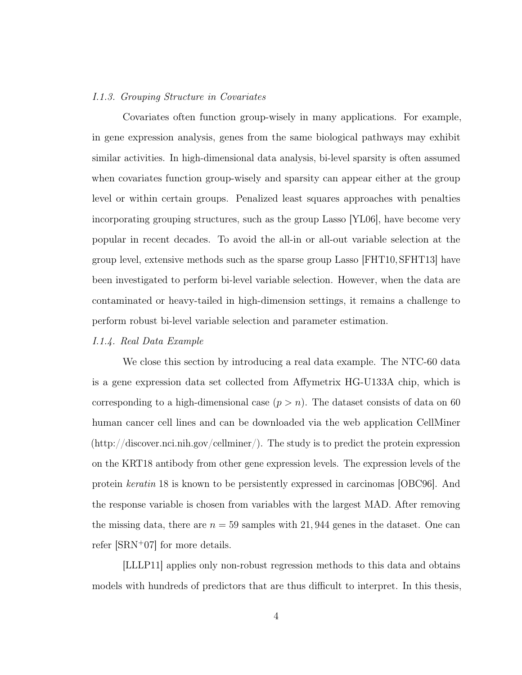#### I.1.3. Grouping Structure in Covariates

Covariates often function group-wisely in many applications. For example, in gene expression analysis, genes from the same biological pathways may exhibit similar activities. In high-dimensional data analysis, bi-level sparsity is often assumed when covariates function group-wisely and sparsity can appear either at the group level or within certain groups. Penalized least squares approaches with penalties incorporating grouping structures, such as the group Lasso [\[YL06\]](#page-131-1), have become very popular in recent decades. To avoid the all-in or all-out variable selection at the group level, extensive methods such as the sparse group Lasso [\[FHT10,](#page-123-2) [SFHT13\]](#page-129-1) have been investigated to perform bi-level variable selection. However, when the data are contaminated or heavy-tailed in high-dimension settings, it remains a challenge to perform robust bi-level variable selection and parameter estimation.

#### I.1.4. Real Data Example

We close this section by introducing a real data example. The NTC-60 data is a gene expression data set collected from Affymetrix HG-U133A chip, which is corresponding to a high-dimensional case  $(p > n)$ . The dataset consists of data on 60 human cancer cell lines and can be downloaded via the web application CellMiner (http://discover.nci.nih.gov/cellminer/). The study is to predict the protein expression on the KRT18 antibody from other gene expression levels. The expression levels of the protein keratin 18 is known to be persistently expressed in carcinomas [\[OBC96\]](#page-128-1). And the response variable is chosen from variables with the largest MAD. After removing the missing data, there are  $n = 59$  samples with 21, 944 genes in the dataset. One can refer [\[SRN](#page-129-2)<sup>+</sup>07] for more details.

[\[LLLP11\]](#page-126-1) applies only non-robust regression methods to this data and obtains models with hundreds of predictors that are thus difficult to interpret. In this thesis,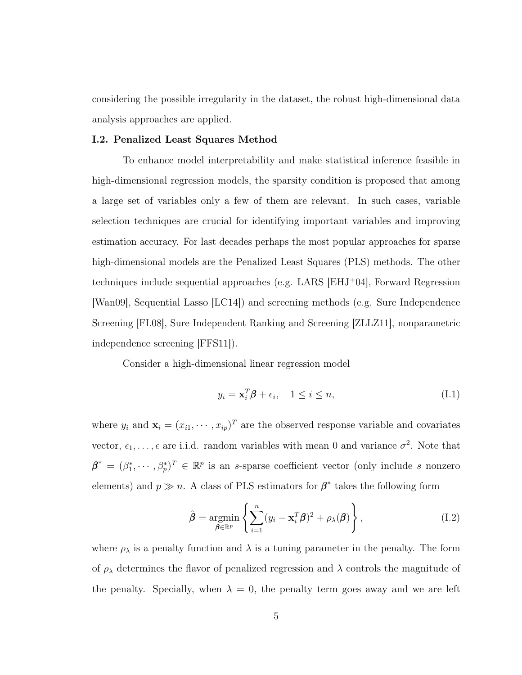considering the possible irregularity in the dataset, the robust high-dimensional data analysis approaches are applied.

#### <span id="page-13-0"></span>I.2. Penalized Least Squares Method

To enhance model interpretability and make statistical inference feasible in high-dimensional regression models, the sparsity condition is proposed that among a large set of variables only a few of them are relevant. In such cases, variable selection techniques are crucial for identifying important variables and improving estimation accuracy. For last decades perhaps the most popular approaches for sparse high-dimensional models are the Penalized Least Squares (PLS) methods. The other techniques include sequential approaches (e.g. LARS [\[EHJ](#page-122-2)<sup>+</sup>04], Forward Regression [\[Wan09\]](#page-130-1), Sequential Lasso [\[LC14\]](#page-126-2)) and screening methods (e.g. Sure Independence Screening [\[FL08\]](#page-123-3), Sure Independent Ranking and Screening [\[ZLLZ11\]](#page-132-1), nonparametric independence screening [\[FFS11\]](#page-123-4)).

Consider a high-dimensional linear regression model

<span id="page-13-2"></span>
$$
y_i = \mathbf{x}_i^T \boldsymbol{\beta} + \epsilon_i, \quad 1 \le i \le n,
$$
\n(I.1)

where  $y_i$  and  $\mathbf{x}_i = (x_{i1}, \dots, x_{ip})^T$  are the observed response variable and covariates vector,  $\epsilon_1, \ldots, \epsilon$  are i.i.d. random variables with mean 0 and variance  $\sigma^2$ . Note that  $\boldsymbol{\beta}^* = (\beta_1^*, \cdots, \beta_p^*)^T \in \mathbb{R}^p$  is an s-sparse coefficient vector (only include s nonzero elements) and  $p \gg n$ . A class of PLS estimators for  $\beta^*$  takes the following form

<span id="page-13-1"></span>
$$
\hat{\boldsymbol{\beta}} = \underset{\boldsymbol{\beta} \in \mathbb{R}^p}{\text{argmin}} \left\{ \sum_{i=1}^n (y_i - \mathbf{x}_i^T \boldsymbol{\beta})^2 + \rho_{\lambda}(\boldsymbol{\beta}) \right\},\tag{I.2}
$$

where  $\rho_{\lambda}$  is a penalty function and  $\lambda$  is a tuning parameter in the penalty. The form of  $\rho_{\lambda}$  determines the flavor of penalized regression and  $\lambda$  controls the magnitude of the penalty. Specially, when  $\lambda = 0$ , the penalty term goes away and we are left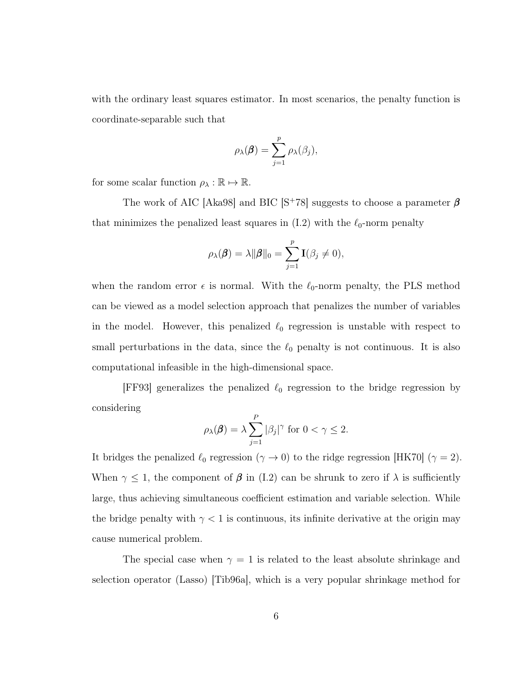with the ordinary least squares estimator. In most scenarios, the penalty function is coordinate-separable such that

$$
\rho_{\lambda}(\boldsymbol{\beta}) = \sum_{j=1}^{p} \rho_{\lambda}(\beta_j),
$$

for some scalar function  $\rho_{\lambda}: \mathbb{R} \mapsto \mathbb{R}$ .

The work of AIC [\[Aka98\]](#page-120-1) and BIC [S<sup>+</sup>[78\]](#page-129-3) suggests to choose a parameter  $\beta$ that minimizes the penalized least squares in  $(1.2)$  with the  $\ell_0$ -norm penalty

$$
\rho_{\lambda}(\boldsymbol{\beta}) = \lambda \|\boldsymbol{\beta}\|_{0} = \sum_{j=1}^{p} \mathbf{I}(\beta_{j} \neq 0),
$$

when the random error  $\epsilon$  is normal. With the  $\ell_0$ -norm penalty, the PLS method can be viewed as a model selection approach that penalizes the number of variables in the model. However, this penalized  $\ell_0$  regression is unstable with respect to small perturbations in the data, since the  $\ell_0$  penalty is not continuous. It is also computational infeasible in the high-dimensional space.

[\[FF93\]](#page-122-3) generalizes the penalized  $\ell_0$  regression to the bridge regression by considering

$$
\rho_{\lambda}(\boldsymbol{\beta}) = \lambda \sum_{j=1}^{P} |\beta_j|^{\gamma} \text{ for } 0 < \gamma \le 2.
$$

It bridges the penalized  $\ell_0$  regression  $(\gamma \to 0)$  to the ridge regression [\[HK70\]](#page-125-1)  $(\gamma = 2)$ . When  $\gamma \leq 1$ , the component of  $\beta$  in [\(I.2\)](#page-13-1) can be shrunk to zero if  $\lambda$  is sufficiently large, thus achieving simultaneous coefficient estimation and variable selection. While the bridge penalty with  $\gamma < 1$  is continuous, its infinite derivative at the origin may cause numerical problem.

The special case when  $\gamma = 1$  is related to the least absolute shrinkage and selection operator (Lasso) [\[Tib96a\]](#page-129-0), which is a very popular shrinkage method for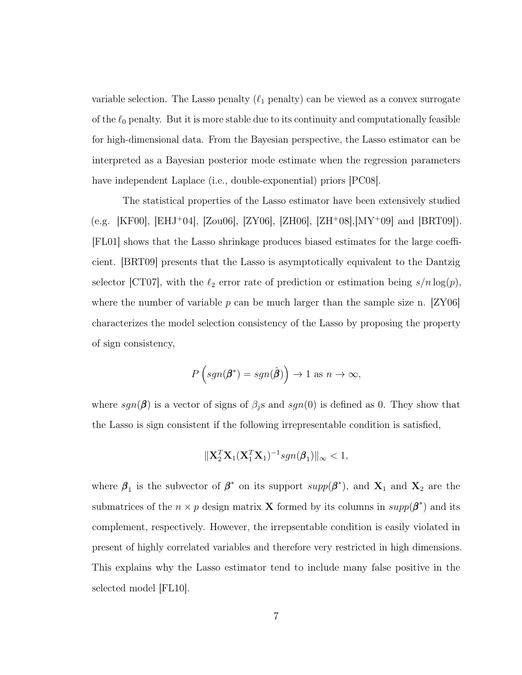variable selection. The Lasso penalty  $(\ell_1$  penalty) can be viewed as a convex surrogate of the  $\ell_0$  penalty. But it is more stable due to its continuity and computationally feasible for high-dimensional data. From the Bayesian perspective, the Lasso estimator can be interpreted as a Bayesian posterior mode estimate when the regression parameters have independent Laplace (i.e., double-exponential) priors [\[PC08\]](#page-128-2).

The statistical properties of the Lasso estimator have been extensively studied (e.g. [\[KF00\]](#page-126-3), [\[EHJ](#page-122-2)+04], [\[Zou06\]](#page-132-2), [\[ZY06\]](#page-132-3), [\[ZH06\]](#page-132-4), [\[ZH](#page-132-5)+08],[\[MY](#page-127-0)+09] and [\[BRT09\]](#page-121-1)). [\[FL01\]](#page-123-5) shows that the Lasso shrinkage produces biased estimates for the large coefficient. [\[BRT09\]](#page-121-1) presents that the Lasso is asymptotically equivalent to the Dantzig selector [\[CT07\]](#page-122-4), with the  $\ell_2$  error rate of prediction or estimation being  $s/n \log(p)$ , where the number of variable p can be much larger than the sample size n.  $ZY06$ characterizes the model selection consistency of the Lasso by proposing the property of sign consistency,

$$
P\left(\operatorname{sgn}(\boldsymbol{\beta}^*) = \operatorname{sgn}(\hat{\boldsymbol{\beta}})\right) \to 1 \text{ as } n \to \infty,
$$

where  $sgn(\beta)$  is a vector of signs of  $\beta_j$ s and  $sgn(0)$  is defined as 0. They show that the Lasso is sign consistent if the following irrepresentable condition is satisfied,

$$
\|\mathbf{X}_2^T\mathbf{X}_1(\mathbf{X}_1^T\mathbf{X}_1)^{-1}sgn(\boldsymbol{\beta}_1)\|_{\infty} < 1,
$$

where  $\beta_1$  is the subvector of  $\beta^*$  on its support  $supp(\beta^*)$ , and  $X_1$  and  $X_2$  are the submatrices of the  $n \times p$  design matrix **X** formed by its columns in  $supp(\beta^*)$  and its complement, respectively. However, the irrepsentable condition is easily violated in present of highly correlated variables and therefore very restricted in high dimensions. This explains why the Lasso estimator tend to include many false positive in the selected model [\[FL10\]](#page-123-6).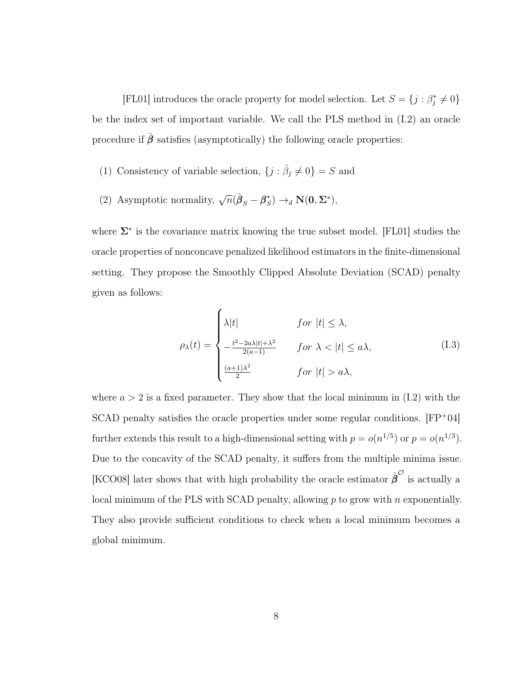[\[FL01\]](#page-123-5) introduces the oracle property for model selection. Let  $S = \{j : \beta_j^* \neq 0\}$ be the index set of important variable. We call the PLS method in [\(I.2\)](#page-13-1) an oracle procedure if  $\hat{\beta}$  satisfies (asymptotically) the following oracle properties:

- (1) Consistency of variable selection,  $\{j : \hat{\beta}_j \neq 0\} = S$  and
- (2) Asymptotic normality,  $\sqrt{n}(\hat{\beta}_S \beta_S^*)$  $S^{\ast}_{S}) \rightarrow_{d} \mathbf{N}(\mathbf{0},\mathbf{\Sigma}^{\ast}),$

where  $\Sigma^*$  is the covariance matrix knowing the true subset model. [\[FL01\]](#page-123-5) studies the oracle properties of nonconcave penalized likelihood estimators in the finite-dimensional setting. They propose the Smoothly Clipped Absolute Deviation (SCAD) penalty given as follows:

<span id="page-16-0"></span>
$$
\rho_{\lambda}(t) = \begin{cases}\n\lambda|t| & \text{for } |t| \leq \lambda, \\
-\frac{t^2 - 2a\lambda|t| + \lambda^2}{2(a-1)} & \text{for } \lambda < |t| \leq a\lambda, \\
\frac{(a+1)\lambda^2}{2} & \text{for } |t| > a\lambda,\n\end{cases}
$$
\n(I.3)

where  $a > 2$  is a fixed parameter. They show that the local minimum in [\(I.2\)](#page-13-1) with the SCAD penalty satisfies the oracle properties under some regular conditions.  $[FP+04]$  $[FP+04]$ further extends this result to a high-dimensional setting with  $p = o(n^{1/5})$  or  $p = o(n^{1/3})$ . Due to the concavity of the SCAD penalty, it suffers from the multiple minima issue. [\[KCO08\]](#page-126-4) later shows that with high probability the oracle estimator  $\hat{\beta}^{\mathcal{O}}$  is actually a local minimum of the PLS with SCAD penalty, allowing  $p$  to grow with  $n$  exponentially. They also provide sufficient conditions to check when a local minimum becomes a global minimum.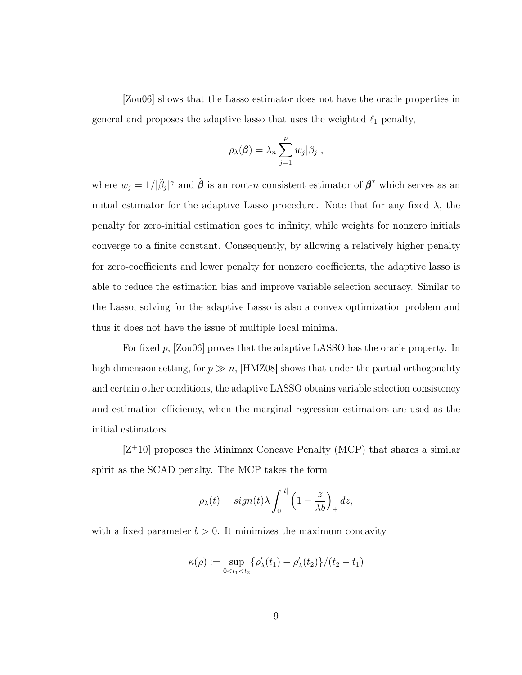[\[Zou06\]](#page-132-2) shows that the Lasso estimator does not have the oracle properties in general and proposes the adaptive lasso that uses the weighted  $\ell_1$  penalty,

$$
\rho_{\lambda}(\boldsymbol{\beta}) = \lambda_n \sum_{j=1}^p w_j |\beta_j|,
$$

where  $w_j = 1/|\tilde{\beta}_j|^\gamma$  and  $\tilde{\beta}$  is an root-n consistent estimator of  $\beta^*$  which serves as an initial estimator for the adaptive Lasso procedure. Note that for any fixed  $\lambda$ , the penalty for zero-initial estimation goes to infinity, while weights for nonzero initials converge to a finite constant. Consequently, by allowing a relatively higher penalty for zero-coefficients and lower penalty for nonzero coefficients, the adaptive lasso is able to reduce the estimation bias and improve variable selection accuracy. Similar to the Lasso, solving for the adaptive Lasso is also a convex optimization problem and thus it does not have the issue of multiple local minima.

For fixed p, [\[Zou06\]](#page-132-2) proves that the adaptive LASSO has the oracle property. In high dimension setting, for  $p \gg n$ , [\[HMZ08\]](#page-125-2) shows that under the partial orthogonality and certain other conditions, the adaptive LASSO obtains variable selection consistency and estimation efficiency, when the marginal regression estimators are used as the initial estimators.

 $[Z^+10]$  $[Z^+10]$  proposes the Minimax Concave Penalty (MCP) that shares a similar spirit as the SCAD penalty. The MCP takes the form

$$
\rho_{\lambda}(t) = sign(t)\lambda \int_0^{|t|} \left(1 - \frac{z}{\lambda b}\right)_+ dz,
$$

with a fixed parameter  $b > 0$ . It minimizes the maximum concavity

$$
\kappa(\rho) := \sup_{0 < t_1 < t_2} {\{\rho_{\lambda}'(t_1) - \rho_{\lambda}'(t_2)\}} / (t_2 - t_1)
$$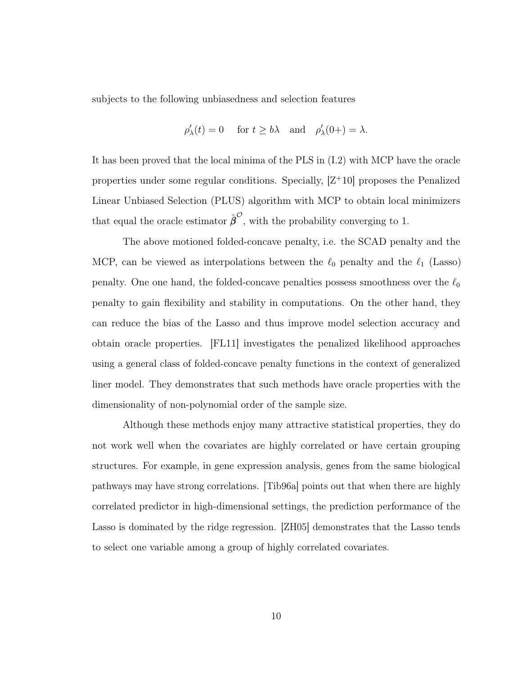subjects to the following unbiasedness and selection features

$$
\rho'_{\lambda}(t) = 0
$$
 for  $t \ge b\lambda$  and  $\rho'_{\lambda}(0+) = \lambda$ .

It has been proved that the local minima of the PLS in [\(I.2\)](#page-13-1) with MCP have the oracle properties under some regular conditions. Specially,  $|Z^+10|$  proposes the Penalized Linear Unbiased Selection (PLUS) algorithm with MCP to obtain local minimizers that equal the oracle estimator  $\hat{\boldsymbol{\beta}}^{\mathcal{O}}$ , with the probability converging to 1.

The above motioned folded-concave penalty, i.e. the SCAD penalty and the MCP, can be viewed as interpolations between the  $\ell_0$  penalty and the  $\ell_1$  (Lasso) penalty. One one hand, the folded-concave penalties possess smoothness over the  $\ell_0$ penalty to gain flexibility and stability in computations. On the other hand, they can reduce the bias of the Lasso and thus improve model selection accuracy and obtain oracle properties. [\[FL11\]](#page-123-8) investigates the penalized likelihood approaches using a general class of folded-concave penalty functions in the context of generalized liner model. They demonstrates that such methods have oracle properties with the dimensionality of non-polynomial order of the sample size.

Although these methods enjoy many attractive statistical properties, they do not work well when the covariates are highly correlated or have certain grouping structures. For example, in gene expression analysis, genes from the same biological pathways may have strong correlations. [\[Tib96a\]](#page-129-0) points out that when there are highly correlated predictor in high-dimensional settings, the prediction performance of the Lasso is dominated by the ridge regression. [\[ZH05\]](#page-131-3) demonstrates that the Lasso tends to select one variable among a group of highly correlated covariates.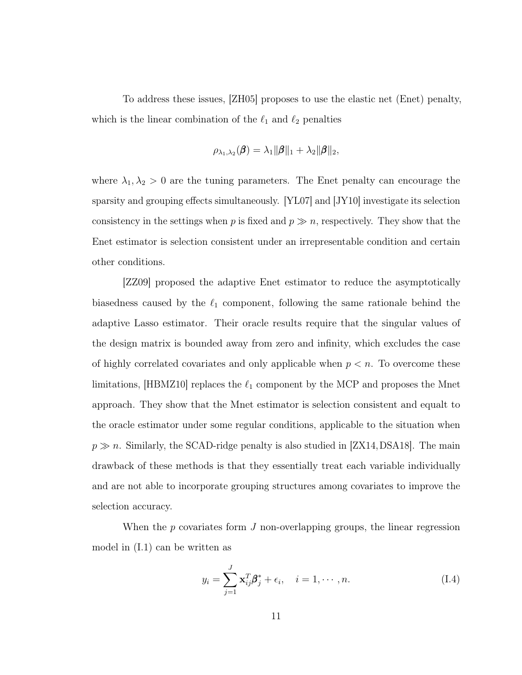To address these issues, [\[ZH05\]](#page-131-3) proposes to use the elastic net (Enet) penalty, which is the linear combination of the  $\ell_1$  and  $\ell_2$  penalties

$$
\rho_{\lambda_1,\lambda_2}(\boldsymbol{\beta}) = \lambda_1\|\boldsymbol{\beta}\|_1 + \lambda_2\|\boldsymbol{\beta}\|_2,
$$

where  $\lambda_1, \lambda_2 > 0$  are the tuning parameters. The Enet penalty can encourage the sparsity and grouping effects simultaneously. [\[YL07\]](#page-131-4) and [\[JY10\]](#page-125-3) investigate its selection consistency in the settings when p is fixed and  $p \gg n$ , respectively. They show that the Enet estimator is selection consistent under an irrepresentable condition and certain other conditions.

[\[ZZ09\]](#page-132-6) proposed the adaptive Enet estimator to reduce the asymptotically biasedness caused by the  $\ell_1$  component, following the same rationale behind the adaptive Lasso estimator. Their oracle results require that the singular values of the design matrix is bounded away from zero and infinity, which excludes the case of highly correlated covariates and only applicable when  $p < n$ . To overcome these limitations, [\[HBMZ10\]](#page-124-3) replaces the  $\ell_1$  component by the MCP and proposes the Mnet approach. They show that the Mnet estimator is selection consistent and equalt to the oracle estimator under some regular conditions, applicable to the situation when  $p \gg n$ . Similarly, the SCAD-ridge penalty is also studied in [\[ZX14,](#page-132-7)[DSA18\]](#page-122-5). The main drawback of these methods is that they essentially treat each variable individually and are not able to incorporate grouping structures among covariates to improve the selection accuracy.

When the  $p$  covariates form  $J$  non-overlapping groups, the linear regression model in [\(I.1\)](#page-13-2) can be written as

<span id="page-19-0"></span>
$$
y_i = \sum_{j=1}^{J} \mathbf{x}_{ij}^T \boldsymbol{\beta}_j^* + \epsilon_i, \quad i = 1, \cdots, n. \tag{I.4}
$$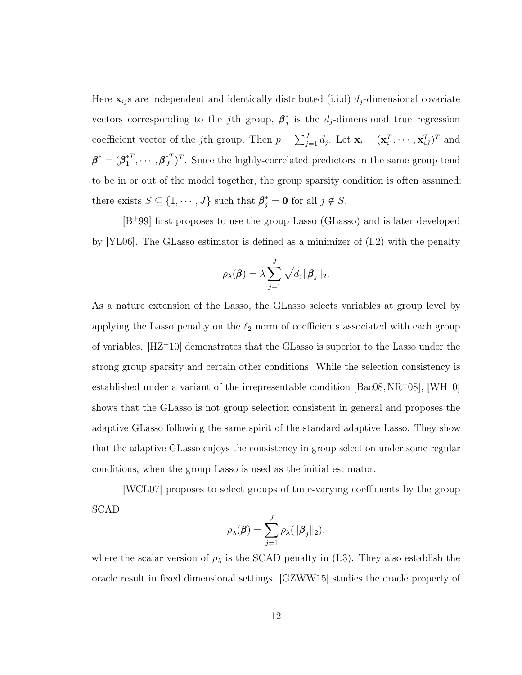Here  $\mathbf{x}_{ij}$  are independent and identically distributed (i.i.d)  $d_j$ -dimensional covariate vectors corresponding to the *j*th group,  $\beta_i^*$  $j$  is the  $d_j$ -dimensional true regression coefficient vector of the *j*th group. Then  $p = \sum_{j=1}^{J} d_j$ . Let  $\mathbf{x}_i = (\mathbf{x}_{i1}^T, \cdots, \mathbf{x}_{iJ}^T)^T$  and  $\boldsymbol{\beta}^*=(\boldsymbol{\beta}_1^{*T}% -\boldsymbol{\beta}_1^{*T})^T+\boldsymbol{\beta}_2^{*T}\boldsymbol{\beta}_2^{*T})$  $\mathbf{A}_1^{*T}, \cdots, \boldsymbol{\beta}_J^{*T}$ . Since the highly-correlated predictors in the same group tend to be in or out of the model together, the group sparsity condition is often assumed: there exists  $S \subseteq \{1, \dots, J\}$  such that  $\boldsymbol{\beta}_j^* = \mathbf{0}$  for all  $j \notin S$ .

[B<sup>+</sup>[99\]](#page-120-2) first proposes to use the group Lasso (GLasso) and is later developed by [\[YL06\]](#page-131-1). The GLasso estimator is defined as a minimizer of [\(I.2\)](#page-13-1) with the penalty

$$
\rho_{\lambda}(\boldsymbol{\beta}) = \lambda \sum_{j=1}^{J} \sqrt{d_j} ||\boldsymbol{\beta}_j||_2.
$$

As a nature extension of the Lasso, the GLasso selects variables at group level by applying the Lasso penalty on the  $\ell_2$  norm of coefficients associated with each group of variables. [\[HZ](#page-125-4)<sup>+</sup>10] demonstrates that the GLasso is superior to the Lasso under the strong group sparsity and certain other conditions. While the selection consistency is established under a variant of the irrepresentable condition  $[Bac08, NR+08]$  $[Bac08, NR+08]$  $[Bac08, NR+08]$ , [\[WH10\]](#page-130-2) shows that the GLasso is not group selection consistent in general and proposes the adaptive GLasso following the same spirit of the standard adaptive Lasso. They show that the adaptive GLasso enjoys the consistency in group selection under some regular conditions, when the group Lasso is used as the initial estimator.

[\[WCL07\]](#page-130-3) proposes to select groups of time-varying coefficients by the group SCAD

$$
\rho_{\lambda}(\boldsymbol{\beta}) = \sum_{j=1}^{J} \rho_{\lambda}(\|\boldsymbol{\beta}_j\|_2),
$$

where the scalar version of  $\rho_{\lambda}$  is the SCAD penalty in [\(I.3\)](#page-16-0). They also establish the oracle result in fixed dimensional settings. [\[GZWW15\]](#page-124-4) studies the oracle property of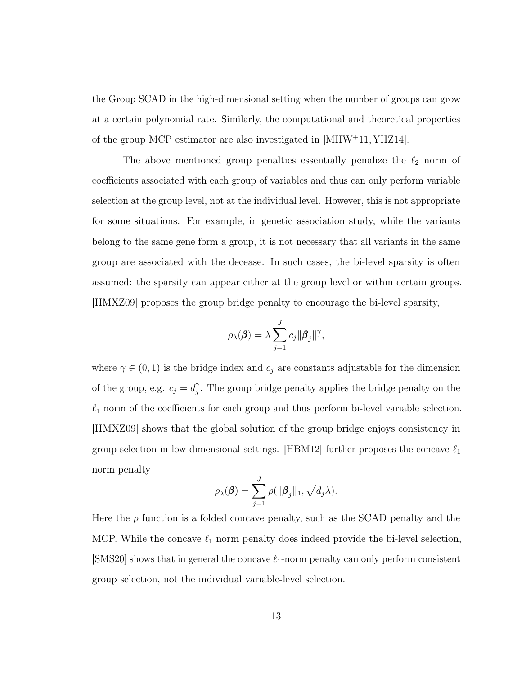the Group SCAD in the high-dimensional setting when the number of groups can grow at a certain polynomial rate. Similarly, the computational and theoretical properties of the group MCP estimator are also investigated in [\[MHW](#page-127-2)<sup>+</sup>11, [YHZ14\]](#page-131-5).

The above mentioned group penalties essentially penalize the  $\ell_2$  norm of coefficients associated with each group of variables and thus can only perform variable selection at the group level, not at the individual level. However, this is not appropriate for some situations. For example, in genetic association study, while the variants belong to the same gene form a group, it is not necessary that all variants in the same group are associated with the decease. In such cases, the bi-level sparsity is often assumed: the sparsity can appear either at the group level or within certain groups. [\[HMXZ09\]](#page-125-5) proposes the group bridge penalty to encourage the bi-level sparsity,

$$
\rho_{\lambda}(\boldsymbol{\beta}) = \lambda \sum_{j=1}^{J} c_j \|\boldsymbol{\beta}_j\|_1^{\gamma},
$$

where  $\gamma \in (0,1)$  is the bridge index and  $c_j$  are constants adjustable for the dimension of the group, e.g.  $c_j = d_i^{\gamma}$  $\gamma$ . The group bridge penalty applies the bridge penalty on the  $\ell_1$  norm of the coefficients for each group and thus perform bi-level variable selection. [\[HMXZ09\]](#page-125-5) shows that the global solution of the group bridge enjoys consistency in group selection in low dimensional settings. [\[HBM12\]](#page-124-0) further proposes the concave  $\ell_1$ norm penalty

$$
\rho_{\lambda}(\boldsymbol{\beta}) = \sum_{j=1}^{J} \rho(||\boldsymbol{\beta}_j||_1, \sqrt{d_j}\lambda).
$$

Here the  $\rho$  function is a folded concave penalty, such as the SCAD penalty and the MCP. While the concave  $\ell_1$  norm penalty does indeed provide the bi-level selection, [\[SMS20\]](#page-129-4) shows that in general the concave  $\ell_1$ -norm penalty can only perform consistent group selection, not the individual variable-level selection.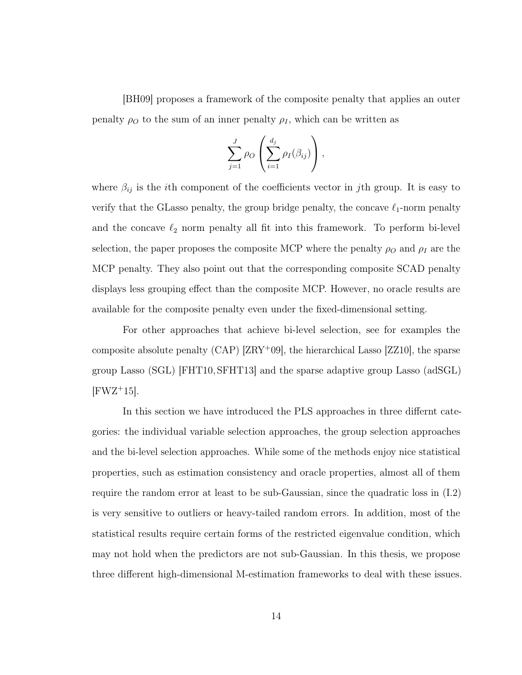[\[BH09\]](#page-121-2) proposes a framework of the composite penalty that applies an outer penalty  $\rho_0$  to the sum of an inner penalty  $\rho_I$ , which can be written as

$$
\sum_{j=1}^J \rho_O\left(\sum_{i=1}^{d_j} \rho_I(\beta_{ij})\right),\,
$$

where  $\beta_{ij}$  is the *i*th component of the coefficients vector in *j*th group. It is easy to verify that the GLasso penalty, the group bridge penalty, the concave  $\ell_1$ -norm penalty and the concave  $\ell_2$  norm penalty all fit into this framework. To perform bi-level selection, the paper proposes the composite MCP where the penalty  $\rho_0$  and  $\rho_I$  are the MCP penalty. They also point out that the corresponding composite SCAD penalty displays less grouping effect than the composite MCP. However, no oracle results are available for the composite penalty even under the fixed-dimensional setting.

For other approaches that achieve bi-level selection, see for examples the composite absolute penalty (CAP) [\[ZRY](#page-132-8)<sup>+</sup>09], the hierarchical Lasso [\[ZZ10\]](#page-133-0), the sparse group Lasso (SGL) [\[FHT10,](#page-123-2) [SFHT13\]](#page-129-1) and the sparse adaptive group Lasso (adSGL)  $[FWZ+15]$  $[FWZ+15]$ .

In this section we have introduced the PLS approaches in three differnt categories: the individual variable selection approaches, the group selection approaches and the bi-level selection approaches. While some of the methods enjoy nice statistical properties, such as estimation consistency and oracle properties, almost all of them require the random error at least to be sub-Gaussian, since the quadratic loss in [\(I.2\)](#page-13-1) is very sensitive to outliers or heavy-tailed random errors. In addition, most of the statistical results require certain forms of the restricted eigenvalue condition, which may not hold when the predictors are not sub-Gaussian. In this thesis, we propose three different high-dimensional M-estimation frameworks to deal with these issues.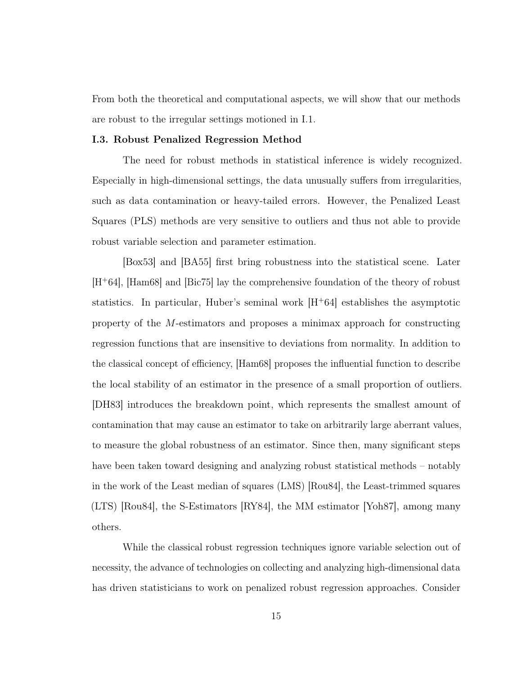From both the theoretical and computational aspects, we will show that our methods are robust to the irregular settings motioned in [I.1.](#page-9-1)

#### <span id="page-23-0"></span>I.3. Robust Penalized Regression Method

The need for robust methods in statistical inference is widely recognized. Especially in high-dimensional settings, the data unusually suffers from irregularities, such as data contamination or heavy-tailed errors. However, the Penalized Least Squares (PLS) methods are very sensitive to outliers and thus not able to provide robust variable selection and parameter estimation.

[\[Box53\]](#page-121-3) and [\[BA55\]](#page-120-4) first bring robustness into the statistical scene. Later [H<sup>+</sup>[64\]](#page-124-1), [\[Ham68\]](#page-124-5) and [\[Bic75\]](#page-121-4) lay the comprehensive foundation of the theory of robust statistics. In particular, Huber's seminal work  $|H^+64|$  establishes the asymptotic property of the M-estimators and proposes a minimax approach for constructing regression functions that are insensitive to deviations from normality. In addition to the classical concept of efficiency, [\[Ham68\]](#page-124-5) proposes the influential function to describe the local stability of an estimator in the presence of a small proportion of outliers. [\[DH83\]](#page-122-6) introduces the breakdown point, which represents the smallest amount of contamination that may cause an estimator to take on arbitrarily large aberrant values, to measure the global robustness of an estimator. Since then, many significant steps have been taken toward designing and analyzing robust statistical methods – notably in the work of the Least median of squares (LMS) [\[Rou84\]](#page-128-3), the Least-trimmed squares (LTS) [\[Rou84\]](#page-128-3), the S-Estimators [\[RY84\]](#page-128-4), the MM estimator [\[Yoh87\]](#page-131-6), among many others.

While the classical robust regression techniques ignore variable selection out of necessity, the advance of technologies on collecting and analyzing high-dimensional data has driven statisticians to work on penalized robust regression approaches. Consider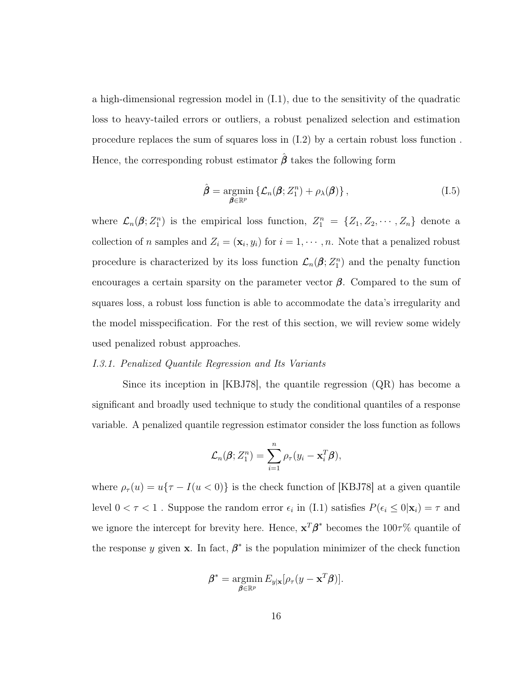a high-dimensional regression model in [\(I.1\)](#page-13-2), due to the sensitivity of the quadratic loss to heavy-tailed errors or outliers, a robust penalized selection and estimation procedure replaces the sum of squares loss in [\(I.2\)](#page-13-1) by a certain robust loss function . Hence, the corresponding robust estimator  $\hat{\boldsymbol{\beta}}$  takes the following form

$$
\hat{\boldsymbol{\beta}} = \underset{\boldsymbol{\beta} \in \mathbb{R}^p}{\operatorname{argmin}} \left\{ \mathcal{L}_n(\boldsymbol{\beta}; Z_1^n) + \rho_{\lambda}(\boldsymbol{\beta}) \right\},\tag{I.5}
$$

where  $\mathcal{L}_n(\boldsymbol{\beta}; Z_1^n)$  is the empirical loss function,  $Z_1^n = \{Z_1, Z_2, \cdots, Z_n\}$  denote a collection of *n* samples and  $Z_i = (\mathbf{x}_i, y_i)$  for  $i = 1, \dots, n$ . Note that a penalized robust procedure is characterized by its loss function  $\mathcal{L}_n(\beta; Z_1^n)$  and the penalty function encourages a certain sparsity on the parameter vector  $\beta$ . Compared to the sum of squares loss, a robust loss function is able to accommodate the data's irregularity and the model misspecification. For the rest of this section, we will review some widely used penalized robust approaches.

#### I.3.1. Penalized Quantile Regression and Its Variants

Since its inception in [\[KBJ78\]](#page-125-6), the quantile regression (QR) has become a significant and broadly used technique to study the conditional quantiles of a response variable. A penalized quantile regression estimator consider the loss function as follows

$$
\mathcal{L}_n(\boldsymbol{\beta}; Z_1^n) = \sum_{i=1}^n \rho_{\tau}(y_i - \mathbf{x}_i^T \boldsymbol{\beta}),
$$

where  $\rho_{\tau}(u) = u\{\tau - I(u < 0)\}\)$  is the check function of [\[KBJ78\]](#page-125-6) at a given quantile level  $0 < \tau < 1$ . Suppose the random error  $\epsilon_i$  in [\(I.1\)](#page-13-2) satisfies  $P(\epsilon_i \le 0|\mathbf{x}_i) = \tau$  and we ignore the intercept for brevity here. Hence,  $x^T\beta^*$  becomes the 100 $\tau$ % quantile of the response y given **x**. In fact,  $\beta^*$  is the population minimizer of the check function

$$
\boldsymbol{\beta}^* = \operatorname*{argmin}_{\boldsymbol{\beta} \in \mathbb{R}^p} E_{y|\mathbf{x}}[\rho_\tau(y - \mathbf{x}^T \boldsymbol{\beta})].
$$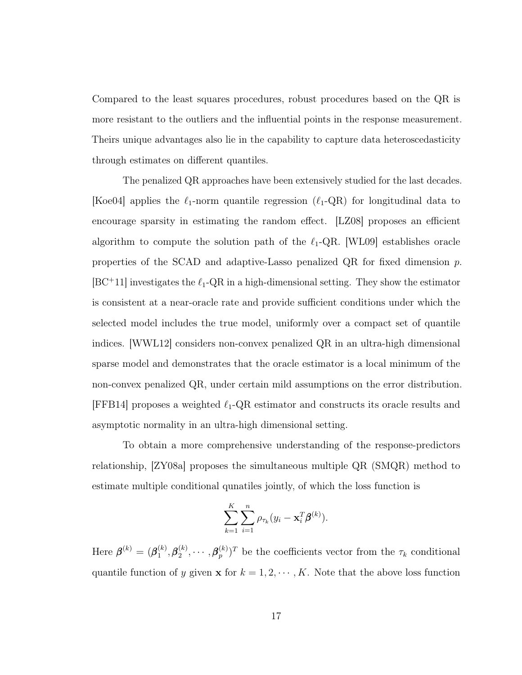Compared to the least squares procedures, robust procedures based on the QR is more resistant to the outliers and the influential points in the response measurement. Theirs unique advantages also lie in the capability to capture data heteroscedasticity through estimates on different quantiles.

The penalized QR approaches have been extensively studied for the last decades. [\[Koe04\]](#page-126-5) applies the  $\ell_1$ -norm quantile regression ( $\ell_1$ -QR) for longitudinal data to encourage sparsity in estimating the random effect. [\[LZ08\]](#page-127-3) proposes an efficient algorithm to compute the solution path of the  $\ell_1$ -QR. [\[WL09\]](#page-130-4) establishes oracle properties of the SCAD and adaptive-Lasso penalized QR for fixed dimension p.  $|BC^+11|$  investigates the  $\ell_1$ -QR in a high-dimensional setting. They show the estimator is consistent at a near-oracle rate and provide sufficient conditions under which the selected model includes the true model, uniformly over a compact set of quantile indices. [\[WWL12\]](#page-131-7) considers non-convex penalized QR in an ultra-high dimensional sparse model and demonstrates that the oracle estimator is a local minimum of the non-convex penalized QR, under certain mild assumptions on the error distribution. [\[FFB14\]](#page-122-7) proposes a weighted  $\ell_1$ -QR estimator and constructs its oracle results and asymptotic normality in an ultra-high dimensional setting.

To obtain a more comprehensive understanding of the response-predictors relationship, [\[ZY08a\]](#page-132-9) proposes the simultaneous multiple QR (SMQR) method to estimate multiple conditional qunatiles jointly, of which the loss function is

$$
\sum_{k=1}^K \sum_{i=1}^n \rho_{\tau_k}(y_i - \mathbf{x}_i^T \boldsymbol{\beta}^{(k)}).
$$

Here  $\boldsymbol{\beta}^{(k)}=(\boldsymbol{\beta}_1^{(k)})$  $\mathcal{L}_1^{(k)}, \beta_2^{(k)}, \cdots, \beta_p^{(k)})^T$  be the coefficients vector from the  $\tau_k$  conditional quantile function of y given **x** for  $k = 1, 2, \dots, K$ . Note that the above loss function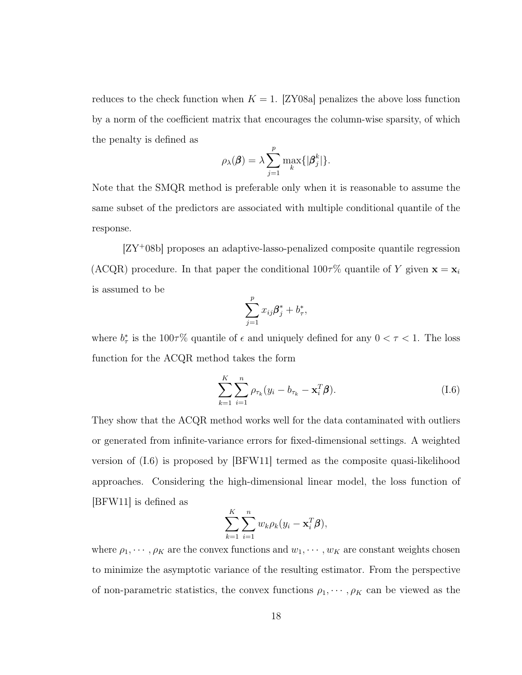reduces to the check function when  $K = 1$ . [\[ZY08a\]](#page-132-9) penalizes the above loss function by a norm of the coefficient matrix that encourages the column-wise sparsity, of which the penalty is defined as

$$
\rho_{\lambda}(\boldsymbol{\beta}) = \lambda \sum_{j=1}^{p} \max_{k} \{|\boldsymbol{\beta}_{j}^{k}|\}.
$$

Note that the SMQR method is preferable only when it is reasonable to assume the same subset of the predictors are associated with multiple conditional quantile of the response.

[ZY<sup>+</sup>[08b\]](#page-132-10) proposes an adaptive-lasso-penalized composite quantile regression (ACQR) procedure. In that paper the conditional  $100\tau\%$  quantile of Y given  $\mathbf{x} = \mathbf{x}_i$ is assumed to be

$$
\sum_{j=1}^p x_{ij}\boldsymbol{\beta}_j^* + b_{\tau}^*,
$$

where  $b^*_{\tau}$  is the 100 $\tau$ % quantile of  $\epsilon$  and uniquely defined for any  $0 < \tau < 1$ . The loss function for the ACQR method takes the form

<span id="page-26-0"></span>
$$
\sum_{k=1}^{K} \sum_{i=1}^{n} \rho_{\tau_k} (y_i - b_{\tau_k} - \mathbf{x}_i^T \boldsymbol{\beta}).
$$
 (I.6)

They show that the ACQR method works well for the data contaminated with outliers or generated from infinite-variance errors for fixed-dimensional settings. A weighted version of [\(I.6\)](#page-26-0) is proposed by [\[BFW11\]](#page-121-6) termed as the composite quasi-likelihood approaches. Considering the high-dimensional linear model, the loss function of [\[BFW11\]](#page-121-6) is defined as

$$
\sum_{k=1}^K \sum_{i=1}^n w_k \rho_k (y_i - \mathbf{x}_i^T \boldsymbol{\beta}),
$$

where  $\rho_1, \dots, \rho_K$  are the convex functions and  $w_1, \dots, w_K$  are constant weights chosen to minimize the asymptotic variance of the resulting estimator. From the perspective of non-parametric statistics, the convex functions  $\rho_1, \dots, \rho_K$  can be viewed as the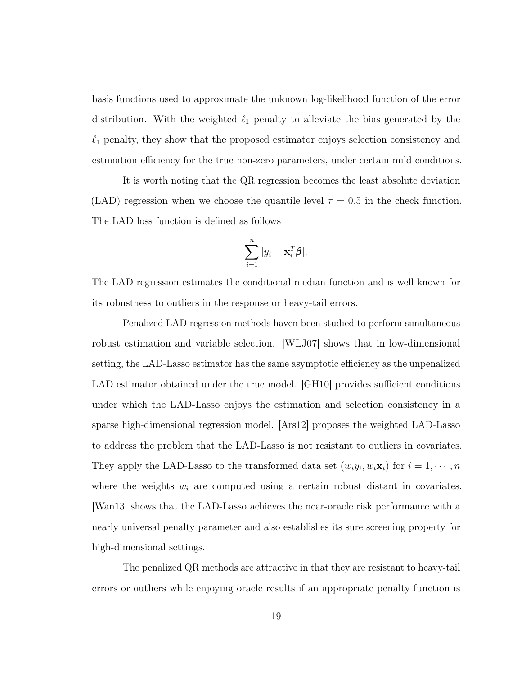basis functions used to approximate the unknown log-likelihood function of the error distribution. With the weighted  $\ell_1$  penalty to alleviate the bias generated by the  $\ell_1$  penalty, they show that the proposed estimator enjoys selection consistency and estimation efficiency for the true non-zero parameters, under certain mild conditions.

It is worth noting that the QR regression becomes the least absolute deviation (LAD) regression when we choose the quantile level  $\tau = 0.5$  in the check function. The LAD loss function is defined as follows

$$
\sum_{i=1}^n |y_i - \mathbf{x}_i^T \boldsymbol{\beta}|.
$$

The LAD regression estimates the conditional median function and is well known for its robustness to outliers in the response or heavy-tail errors.

Penalized LAD regression methods haven been studied to perform simultaneous robust estimation and variable selection. [\[WLJ07\]](#page-130-5) shows that in low-dimensional setting, the LAD-Lasso estimator has the same asymptotic efficiency as the unpenalized LAD estimator obtained under the true model. GH10 provides sufficient conditions under which the LAD-Lasso enjoys the estimation and selection consistency in a sparse high-dimensional regression model. [\[Ars12\]](#page-120-5) proposes the weighted LAD-Lasso to address the problem that the LAD-Lasso is not resistant to outliers in covariates. They apply the LAD-Lasso to the transformed data set  $(w_i y_i, w_i \mathbf{x}_i)$  for  $i = 1, \dots, n$ where the weights  $w_i$  are computed using a certain robust distant in covariates. [\[Wan13\]](#page-130-0) shows that the LAD-Lasso achieves the near-oracle risk performance with a nearly universal penalty parameter and also establishes its sure screening property for high-dimensional settings.

The penalized QR methods are attractive in that they are resistant to heavy-tail errors or outliers while enjoying oracle results if an appropriate penalty function is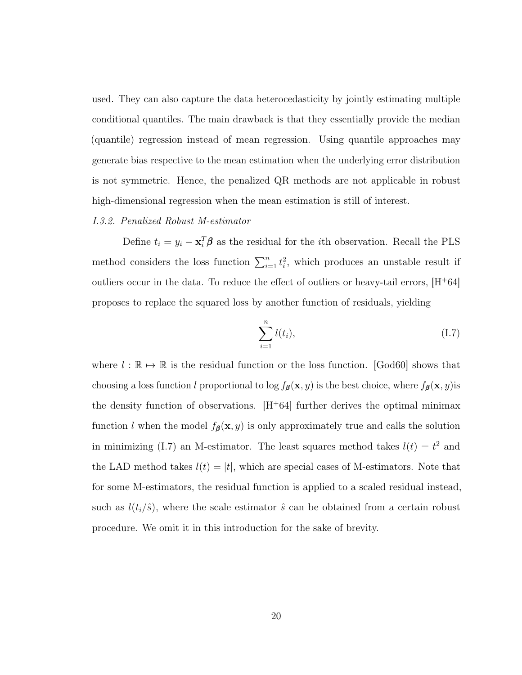used. They can also capture the data heterocedasticity by jointly estimating multiple conditional quantiles. The main drawback is that they essentially provide the median (quantile) regression instead of mean regression. Using quantile approaches may generate bias respective to the mean estimation when the underlying error distribution is not symmetric. Hence, the penalized QR methods are not applicable in robust high-dimensional regression when the mean estimation is still of interest.

#### I.3.2. Penalized Robust M-estimator

Define  $t_i = y_i - \mathbf{x}_i^T \boldsymbol{\beta}$  as the residual for the *i*th observation. Recall the PLS method considers the loss function  $\sum_{i=1}^{n} t_i^2$ , which produces an unstable result if outliers occur in the data. To reduce the effect of outliers or heavy-tail errors,  $[H<sup>+</sup>64]$  $[H<sup>+</sup>64]$ proposes to replace the squared loss by another function of residuals, yielding

<span id="page-28-0"></span>
$$
\sum_{i=1}^{n} l(t_i),
$$
 (I.7)

where  $l : \mathbb{R} \to \mathbb{R}$  is the residual function or the loss function. [\[God60\]](#page-124-6) shows that choosing a loss function l proportional to log  $f_{\beta}(\mathbf{x}, y)$  is the best choice, where  $f_{\beta}(\mathbf{x}, y)$  is the density function of observations.  $|H^+64|$  further derives the optimal minimax function l when the model  $f_{\beta}(\mathbf{x}, y)$  is only approximately true and calls the solution in minimizing [\(I.7\)](#page-28-0) an M-estimator. The least squares method takes  $l(t) = t^2$  and the LAD method takes  $l(t) = |t|$ , which are special cases of M-estimators. Note that for some M-estimators, the residual function is applied to a scaled residual instead, such as  $l(t_i/\hat{s})$ , where the scale estimator  $\hat{s}$  can be obtained from a certain robust procedure. We omit it in this introduction for the sake of brevity.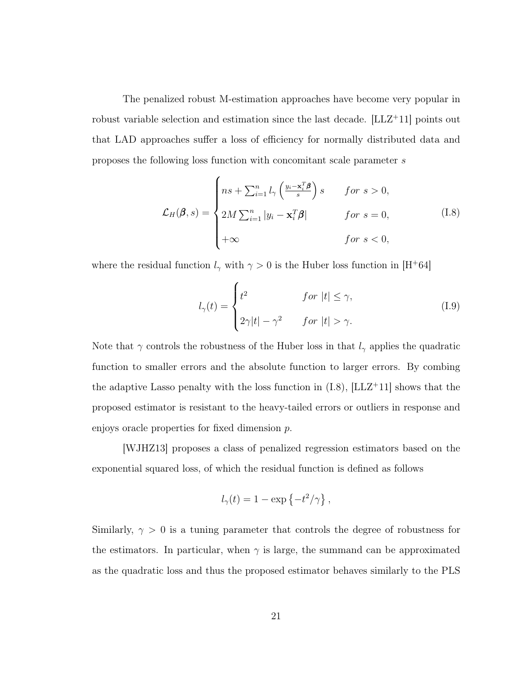The penalized robust M-estimation approaches have become very popular in robust variable selection and estimation since the last decade. [\[LLZ](#page-126-0)<sup>+</sup>11] points out that LAD approaches suffer a loss of efficiency for normally distributed data and proposes the following loss function with concomitant scale parameter s

<span id="page-29-0"></span>
$$
\mathcal{L}_H(\beta, s) = \begin{cases} ns + \sum_{i=1}^n l_\gamma \left( \frac{y_i - \mathbf{x}_i^T \beta}{s} \right) s & \text{for } s > 0, \\ 2M \sum_{i=1}^n |y_i - \mathbf{x}_i^T \beta| & \text{for } s = 0, \\ +\infty & \text{for } s < 0, \end{cases}
$$
(I.8)

where the residual function  $l_{\gamma}$  with  $\gamma > 0$  is the Huber loss function in [H<sup>+</sup>[64\]](#page-124-1)

<span id="page-29-1"></span>
$$
l_{\gamma}(t) = \begin{cases} t^2 & \text{for } |t| \le \gamma, \\ 2\gamma|t| - \gamma^2 & \text{for } |t| > \gamma. \end{cases}
$$
 (I.9)

Note that  $\gamma$  controls the robustness of the Huber loss in that  $l_{\gamma}$  applies the quadratic function to smaller errors and the absolute function to larger errors. By combing the adaptive Lasso penalty with the loss function in  $(I.8)$ ,  $|LLZ+11|$  shows that the proposed estimator is resistant to the heavy-tailed errors or outliers in response and enjoys oracle properties for fixed dimension p.

[\[WJHZ13\]](#page-130-6) proposes a class of penalized regression estimators based on the exponential squared loss, of which the residual function is defined as follows

$$
l_{\gamma}(t) = 1 - \exp\left\{-t^2/\gamma\right\},\,
$$

Similarly,  $\gamma > 0$  is a tuning parameter that controls the degree of robustness for the estimators. In particular, when  $\gamma$  is large, the summand can be approximated as the quadratic loss and thus the proposed estimator behaves similarly to the PLS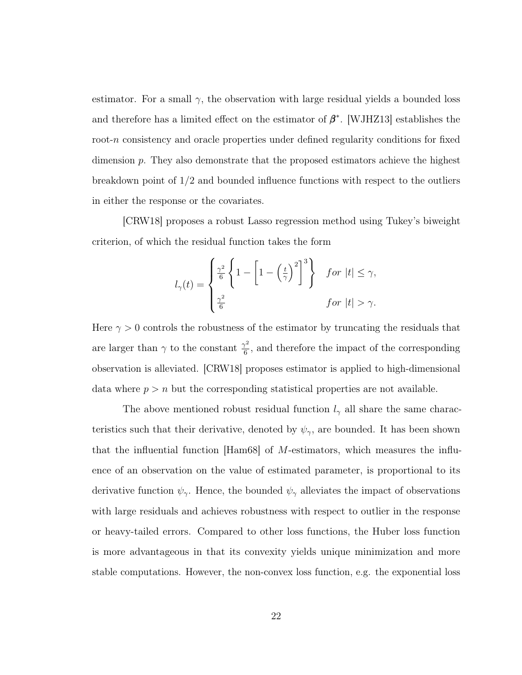estimator. For a small  $\gamma$ , the observation with large residual yields a bounded loss and therefore has a limited effect on the estimator of  $\beta^*$ . [\[WJHZ13\]](#page-130-6) establishes the root-n consistency and oracle properties under defined regularity conditions for fixed dimension p. They also demonstrate that the proposed estimators achieve the highest breakdown point of 1/2 and bounded influence functions with respect to the outliers in either the response or the covariates.

[\[CRW18\]](#page-122-8) proposes a robust Lasso regression method using Tukey's biweight criterion, of which the residual function takes the form

$$
l_{\gamma}(t) = \begin{cases} \frac{\gamma^2}{6} \left\{ 1 - \left[ 1 - \left(\frac{t}{\gamma}\right)^2 \right]^3 \right\} & \text{for } |t| \leq \gamma, \\ \frac{\gamma^2}{6} & \text{for } |t| > \gamma. \end{cases}
$$

Here  $\gamma > 0$  controls the robustness of the estimator by truncating the residuals that are larger than  $\gamma$  to the constant  $\frac{\gamma^2}{6}$  $\frac{\gamma^2}{6}$ , and therefore the impact of the corresponding observation is alleviated. [\[CRW18\]](#page-122-8) proposes estimator is applied to high-dimensional data where  $p > n$  but the corresponding statistical properties are not available.

The above mentioned robust residual function  $l_{\gamma}$  all share the same characteristics such that their derivative, denoted by  $\psi_{\gamma}$ , are bounded. It has been shown that the influential function [\[Ham68\]](#page-124-5) of M-estimators, which measures the influence of an observation on the value of estimated parameter, is proportional to its derivative function  $\psi_{\gamma}$ . Hence, the bounded  $\psi_{\gamma}$  alleviates the impact of observations with large residuals and achieves robustness with respect to outlier in the response or heavy-tailed errors. Compared to other loss functions, the Huber loss function is more advantageous in that its convexity yields unique minimization and more stable computations. However, the non-convex loss function, e.g. the exponential loss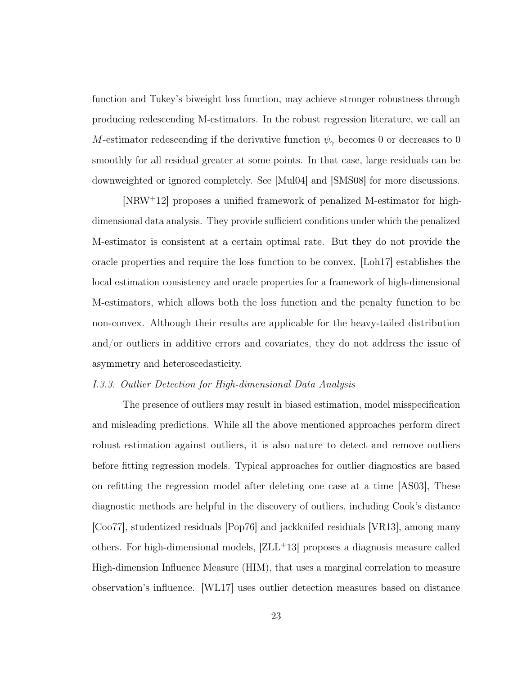function and Tukey's biweight loss function, may achieve stronger robustness through producing redescending M-estimators. In the robust regression literature, we call an M-estimator redescending if the derivative function  $\psi_{\gamma}$  becomes 0 or decreases to 0 smoothly for all residual greater at some points. In that case, large residuals can be downweighted or ignored completely. See [\[Mul04\]](#page-127-4) and [\[SMS08\]](#page-129-5) for more discussions.

[\[NRW](#page-128-5)+12] proposes a unified framework of penalized M-estimator for highdimensional data analysis. They provide sufficient conditions under which the penalized M-estimator is consistent at a certain optimal rate. But they do not provide the oracle properties and require the loss function to be convex. [\[Loh17\]](#page-126-6) establishes the local estimation consistency and oracle properties for a framework of high-dimensional M-estimators, which allows both the loss function and the penalty function to be non-convex. Although their results are applicable for the heavy-tailed distribution and/or outliers in additive errors and covariates, they do not address the issue of asymmetry and heteroscedasticity.

#### I.3.3. Outlier Detection for High-dimensional Data Analysis

The presence of outliers may result in biased estimation, model misspecification and misleading predictions. While all the above mentioned approaches perform direct robust estimation against outliers, it is also nature to detect and remove outliers before fitting regression models. Typical approaches for outlier diagnostics are based on refitting the regression model after deleting one case at a time [\[AS03\]](#page-120-6), These diagnostic methods are helpful in the discovery of outliers, including Cook's distance [\[Coo77\]](#page-122-9), studentized residuals [\[Pop76\]](#page-128-6) and jackknifed residuals [\[VR13\]](#page-129-6), among many others. For high-dimensional models, [\[ZLL](#page-132-0)<sup>+</sup>13] proposes a diagnosis measure called High-dimension Influence Measure (HIM), that uses a marginal correlation to measure observation's influence. [\[WL17\]](#page-130-7) uses outlier detection measures based on distance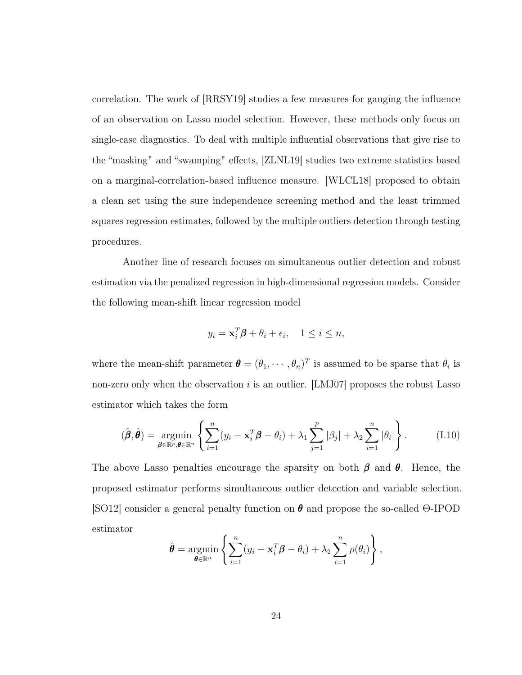correlation. The work of [\[RRSY19\]](#page-128-7) studies a few measures for gauging the influence of an observation on Lasso model selection. However, these methods only focus on single-case diagnostics. To deal with multiple influential observations that give rise to the "masking" and "swamping" effects, [\[ZLNL19\]](#page-132-11) studies two extreme statistics based on a marginal-correlation-based influence measure. [\[WLCL18\]](#page-130-8) proposed to obtain a clean set using the sure independence screening method and the least trimmed squares regression estimates, followed by the multiple outliers detection through testing procedures.

Another line of research focuses on simultaneous outlier detection and robust estimation via the penalized regression in high-dimensional regression models. Consider the following mean-shift linear regression model

$$
y_i = \mathbf{x}_i^T \boldsymbol{\beta} + \theta_i + \epsilon_i, \quad 1 \leq i \leq n,
$$

where the mean-shift parameter  $\boldsymbol{\theta} = (\theta_1, \dots, \theta_n)^T$  is assumed to be sparse that  $\theta_i$  is non-zero only when the observation  $i$  is an outlier. [\[LMJ07\]](#page-126-7) proposes the robust Lasso estimator which takes the form

<span id="page-32-0"></span>
$$
(\hat{\boldsymbol{\beta}}, \hat{\boldsymbol{\theta}}) = \underset{\boldsymbol{\beta} \in \mathbb{R}^p, \boldsymbol{\theta} \in \mathbb{R}^n}{\operatorname{argmin}} \left\{ \sum_{i=1}^n (y_i - \mathbf{x}_i^T \boldsymbol{\beta} - \theta_i) + \lambda_1 \sum_{j=1}^p |\beta_j| + \lambda_2 \sum_{i=1}^n |\theta_i| \right\}.
$$
 (I.10)

The above Lasso penalties encourage the sparsity on both  $\beta$  and  $\theta$ . Hence, the proposed estimator performs simultaneous outlier detection and variable selection. [\[SO12\]](#page-129-7) consider a general penalty function on  $\theta$  and propose the so-called Θ-IPOD estimator

$$
\hat{\boldsymbol{\theta}} = \underset{\boldsymbol{\theta} \in \mathbb{R}^n}{\text{argmin}} \left\{ \sum_{i=1}^n (y_i - \mathbf{x}_i^T \boldsymbol{\beta} - \theta_i) + \lambda_2 \sum_{i=1}^n \rho(\theta_i) \right\},\,
$$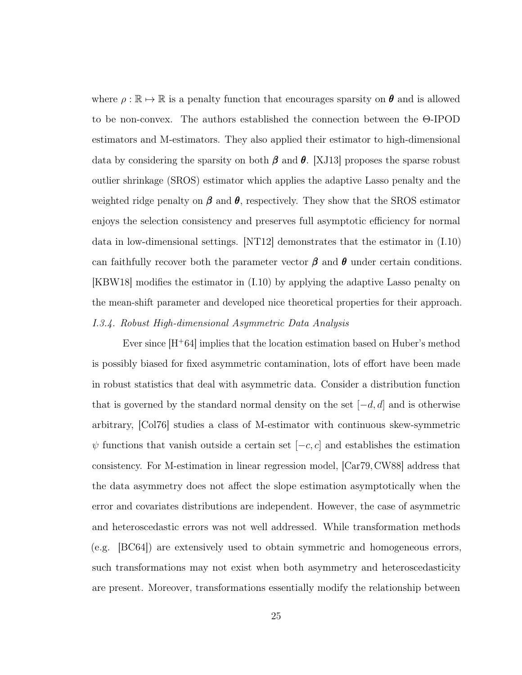where  $\rho : \mathbb{R} \to \mathbb{R}$  is a penalty function that encourages sparsity on  $\theta$  and is allowed to be non-convex. The authors established the connection between the Θ-IPOD estimators and M-estimators. They also applied their estimator to high-dimensional data by considering the sparsity on both  $\beta$  and  $\theta$ . [\[XJ13\]](#page-131-8) proposes the sparse robust outlier shrinkage (SROS) estimator which applies the adaptive Lasso penalty and the weighted ridge penalty on  $\beta$  and  $\theta$ , respectively. They show that the SROS estimator enjoys the selection consistency and preserves full asymptotic efficiency for normal data in low-dimensional settings. [\[NT12\]](#page-128-8) demonstrates that the estimator in [\(I.10\)](#page-32-0) can faithfully recover both the parameter vector  $\beta$  and  $\theta$  under certain conditions. [\[KBW18\]](#page-126-8) modifies the estimator in [\(I.10\)](#page-32-0) by applying the adaptive Lasso penalty on the mean-shift parameter and developed nice theoretical properties for their approach. I.3.4. Robust High-dimensional Asymmetric Data Analysis

Ever since  $|H^+64|$  implies that the location estimation based on Huber's method is possibly biased for fixed asymmetric contamination, lots of effort have been made in robust statistics that deal with asymmetric data. Consider a distribution function that is governed by the standard normal density on the set  $[-d, d]$  and is otherwise arbitrary, [\[Col76\]](#page-121-7) studies a class of M-estimator with continuous skew-symmetric  $\psi$  functions that vanish outside a certain set  $[-c, c]$  and establishes the estimation consistency. For M-estimation in linear regression model, [\[Car79,](#page-121-0) [CW88\]](#page-122-1) address that the data asymmetry does not affect the slope estimation asymptotically when the error and covariates distributions are independent. However, the case of asymmetric and heteroscedastic errors was not well addressed. While transformation methods (e.g. [\[BC64\]](#page-121-8)) are extensively used to obtain symmetric and homogeneous errors, such transformations may not exist when both asymmetry and heteroscedasticity are present. Moreover, transformations essentially modify the relationship between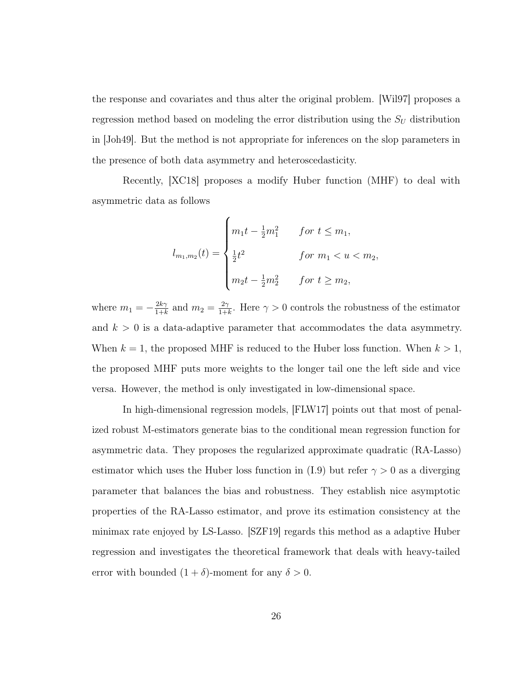the response and covariates and thus alter the original problem. [\[Wil97\]](#page-130-9) proposes a regression method based on modeling the error distribution using the  $S_U$  distribution in [\[Joh49\]](#page-125-7). But the method is not appropriate for inferences on the slop parameters in the presence of both data asymmetry and heteroscedasticity.

Recently, [\[XC18\]](#page-131-9) proposes a modify Huber function (MHF) to deal with asymmetric data as follows

$$
l_{m_1,m_2}(t) = \begin{cases} m_1 t - \frac{1}{2} m_1^2 & \text{for } t \le m_1, \\ \frac{1}{2} t^2 & \text{for } m_1 < u < m_2, \\ m_2 t - \frac{1}{2} m_2^2 & \text{for } t \ge m_2, \end{cases}
$$

where  $m_1 = -\frac{2k\gamma}{1+k}$  $\frac{2k\gamma}{1+k}$  and  $m_2 = \frac{2\gamma}{1+k}$  $\frac{2\gamma}{1+k}$ . Here  $\gamma > 0$  controls the robustness of the estimator and  $k > 0$  is a data-adaptive parameter that accommodates the data asymmetry. When  $k = 1$ , the proposed MHF is reduced to the Huber loss function. When  $k > 1$ , the proposed MHF puts more weights to the longer tail one the left side and vice versa. However, the method is only investigated in low-dimensional space.

In high-dimensional regression models, [\[FLW17\]](#page-123-1) points out that most of penalized robust M-estimators generate bias to the conditional mean regression function for asymmetric data. They proposes the regularized approximate quadratic (RA-Lasso) estimator which uses the Huber loss function in [\(I.9\)](#page-29-1) but refer  $\gamma > 0$  as a diverging parameter that balances the bias and robustness. They establish nice asymptotic properties of the RA-Lasso estimator, and prove its estimation consistency at the minimax rate enjoyed by LS-Lasso. [\[SZF19\]](#page-129-8) regards this method as a adaptive Huber regression and investigates the theoretical framework that deals with heavy-tailed error with bounded  $(1 + \delta)$ -moment for any  $\delta > 0$ .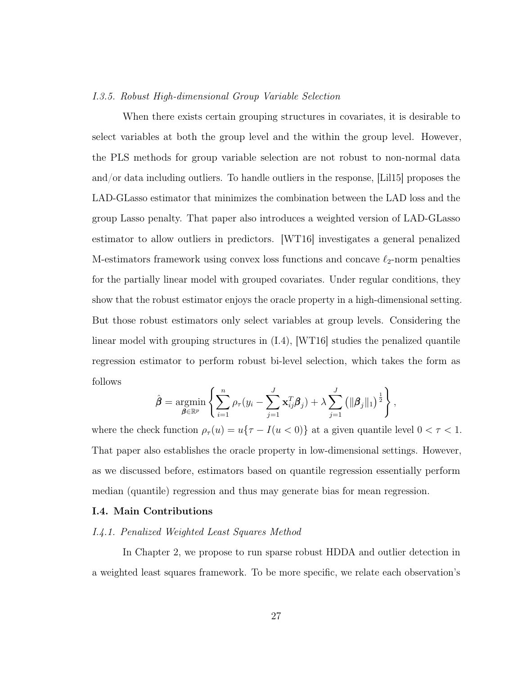#### I.3.5. Robust High-dimensional Group Variable Selection

When there exists certain grouping structures in covariates, it is desirable to select variables at both the group level and the within the group level. However, the PLS methods for group variable selection are not robust to non-normal data and/or data including outliers. To handle outliers in the response, [\[Lil15\]](#page-126-9) proposes the LAD-GLasso estimator that minimizes the combination between the LAD loss and the group Lasso penalty. That paper also introduces a weighted version of LAD-GLasso estimator to allow outliers in predictors. [\[WT16\]](#page-131-10) investigates a general penalized M-estimators framework using convex loss functions and concave  $\ell_2$ -norm penalties for the partially linear model with grouped covariates. Under regular conditions, they show that the robust estimator enjoys the oracle property in a high-dimensional setting. But those robust estimators only select variables at group levels. Considering the linear model with grouping structures in [\(I.4\)](#page-19-0), [\[WT16\]](#page-131-10) studies the penalized quantile regression estimator to perform robust bi-level selection, which takes the form as follows

$$
\hat{\boldsymbol{\beta}} = \operatorname*{argmin}_{\boldsymbol{\beta} \in \mathbb{R}^p} \left\{ \sum_{i=1}^n \rho_{\tau}(y_i - \sum_{j=1}^J \mathbf{x}_{ij}^T \boldsymbol{\beta}_j) + \lambda \sum_{j=1}^J \left( \|\boldsymbol{\beta}_j\|_1 \right)^{\frac{1}{2}} \right\},\,
$$

where the check function  $\rho_{\tau}(u) = u\{\tau - I(u < 0)\}\)$  at a given quantile level  $0 < \tau < 1$ . That paper also establishes the oracle property in low-dimensional settings. However, as we discussed before, estimators based on quantile regression essentially perform median (quantile) regression and thus may generate bias for mean regression.

#### <span id="page-35-0"></span>I.4. Main Contributions

#### I.4.1. Penalized Weighted Least Squares Method

In Chapter 2, we propose to run sparse robust HDDA and outlier detection in a weighted least squares framework. To be more specific, we relate each observation's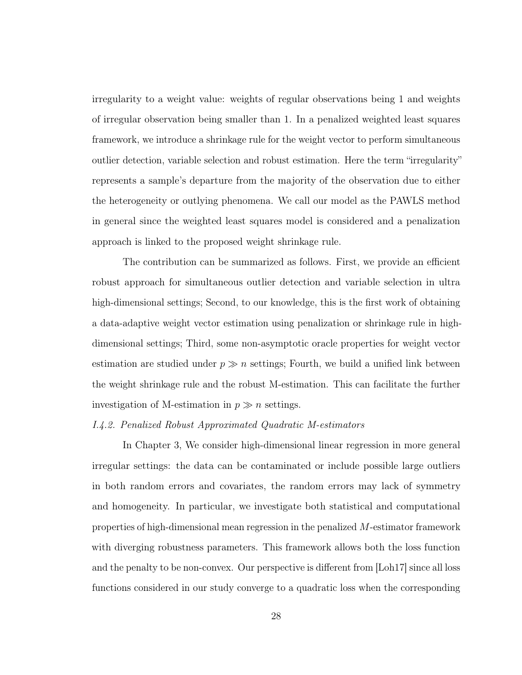irregularity to a weight value: weights of regular observations being 1 and weights of irregular observation being smaller than 1. In a penalized weighted least squares framework, we introduce a shrinkage rule for the weight vector to perform simultaneous outlier detection, variable selection and robust estimation. Here the term "irregularity" represents a sample's departure from the majority of the observation due to either the heterogeneity or outlying phenomena. We call our model as the PAWLS method in general since the weighted least squares model is considered and a penalization approach is linked to the proposed weight shrinkage rule.

The contribution can be summarized as follows. First, we provide an efficient robust approach for simultaneous outlier detection and variable selection in ultra high-dimensional settings; Second, to our knowledge, this is the first work of obtaining a data-adaptive weight vector estimation using penalization or shrinkage rule in highdimensional settings; Third, some non-asymptotic oracle properties for weight vector estimation are studied under  $p \gg n$  settings; Fourth, we build a unified link between the weight shrinkage rule and the robust M-estimation. This can facilitate the further investigation of M-estimation in  $p \gg n$  settings.

### I.4.2. Penalized Robust Approximated Quadratic M-estimators

In Chapter 3, We consider high-dimensional linear regression in more general irregular settings: the data can be contaminated or include possible large outliers in both random errors and covariates, the random errors may lack of symmetry and homogeneity. In particular, we investigate both statistical and computational properties of high-dimensional mean regression in the penalized M-estimator framework with diverging robustness parameters. This framework allows both the loss function and the penalty to be non-convex. Our perspective is different from [\[Loh17\]](#page-126-0) since all loss functions considered in our study converge to a quadratic loss when the corresponding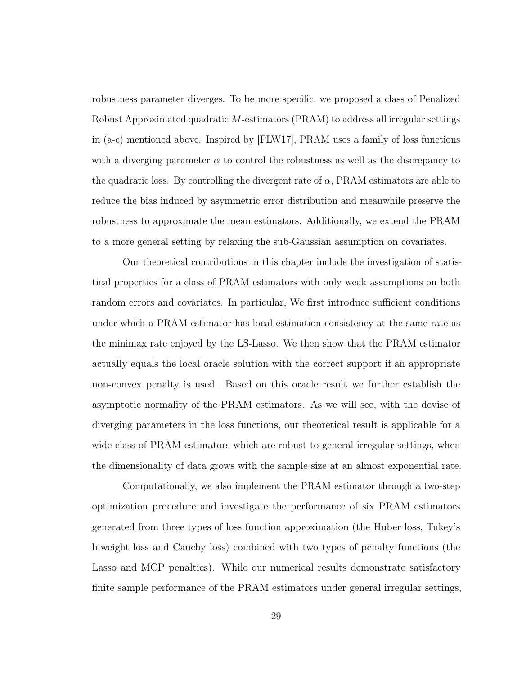robustness parameter diverges. To be more specific, we proposed a class of Penalized Robust Approximated quadratic M-estimators (PRAM) to address all irregular settings in (a-c) mentioned above. Inspired by [\[FLW17\]](#page-123-0), PRAM uses a family of loss functions with a diverging parameter  $\alpha$  to control the robustness as well as the discrepancy to the quadratic loss. By controlling the divergent rate of  $\alpha$ , PRAM estimators are able to reduce the bias induced by asymmetric error distribution and meanwhile preserve the robustness to approximate the mean estimators. Additionally, we extend the PRAM to a more general setting by relaxing the sub-Gaussian assumption on covariates.

Our theoretical contributions in this chapter include the investigation of statistical properties for a class of PRAM estimators with only weak assumptions on both random errors and covariates. In particular, We first introduce sufficient conditions under which a PRAM estimator has local estimation consistency at the same rate as the minimax rate enjoyed by the LS-Lasso. We then show that the PRAM estimator actually equals the local oracle solution with the correct support if an appropriate non-convex penalty is used. Based on this oracle result we further establish the asymptotic normality of the PRAM estimators. As we will see, with the devise of diverging parameters in the loss functions, our theoretical result is applicable for a wide class of PRAM estimators which are robust to general irregular settings, when the dimensionality of data grows with the sample size at an almost exponential rate.

Computationally, we also implement the PRAM estimator through a two-step optimization procedure and investigate the performance of six PRAM estimators generated from three types of loss function approximation (the Huber loss, Tukey's biweight loss and Cauchy loss) combined with two types of penalty functions (the Lasso and MCP penalties). While our numerical results demonstrate satisfactory finite sample performance of the PRAM estimators under general irregular settings,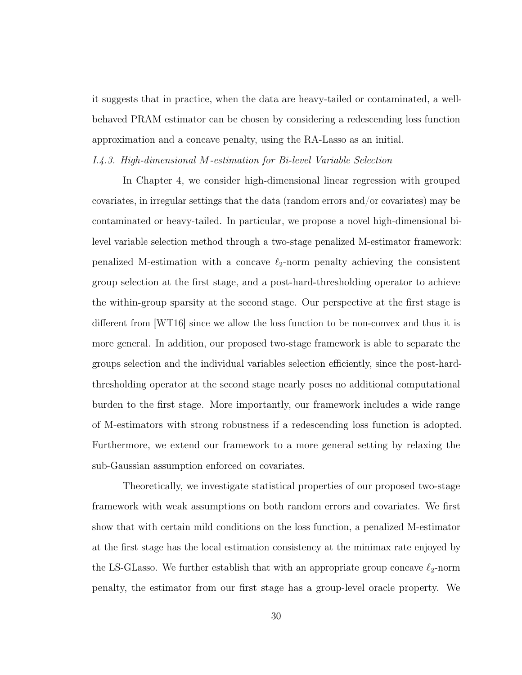it suggests that in practice, when the data are heavy-tailed or contaminated, a wellbehaved PRAM estimator can be chosen by considering a redescending loss function approximation and a concave penalty, using the RA-Lasso as an initial.

## I.4.3. High-dimensional M-estimation for Bi-level Variable Selection

In Chapter 4, we consider high-dimensional linear regression with grouped covariates, in irregular settings that the data (random errors and/or covariates) may be contaminated or heavy-tailed. In particular, we propose a novel high-dimensional bilevel variable selection method through a two-stage penalized M-estimator framework: penalized M-estimation with a concave  $\ell_2$ -norm penalty achieving the consistent group selection at the first stage, and a post-hard-thresholding operator to achieve the within-group sparsity at the second stage. Our perspective at the first stage is different from [\[WT16\]](#page-131-0) since we allow the loss function to be non-convex and thus it is more general. In addition, our proposed two-stage framework is able to separate the groups selection and the individual variables selection efficiently, since the post-hardthresholding operator at the second stage nearly poses no additional computational burden to the first stage. More importantly, our framework includes a wide range of M-estimators with strong robustness if a redescending loss function is adopted. Furthermore, we extend our framework to a more general setting by relaxing the sub-Gaussian assumption enforced on covariates.

Theoretically, we investigate statistical properties of our proposed two-stage framework with weak assumptions on both random errors and covariates. We first show that with certain mild conditions on the loss function, a penalized M-estimator at the first stage has the local estimation consistency at the minimax rate enjoyed by the LS-GLasso. We further establish that with an appropriate group concave  $\ell_2$ -norm penalty, the estimator from our first stage has a group-level oracle property. We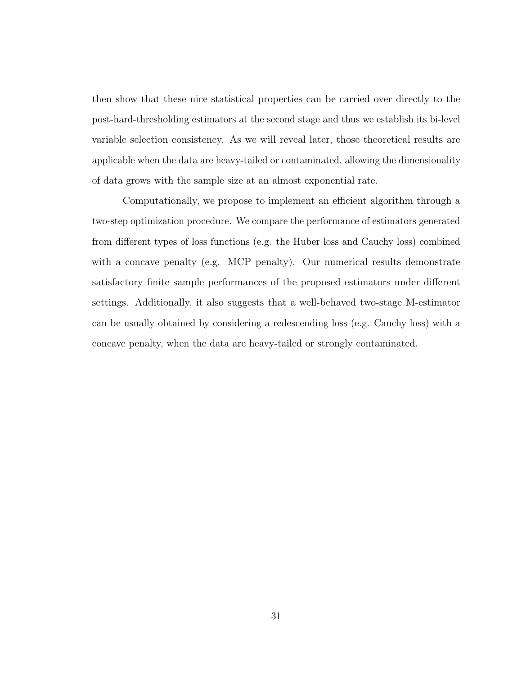then show that these nice statistical properties can be carried over directly to the post-hard-thresholding estimators at the second stage and thus we establish its bi-level variable selection consistency. As we will reveal later, those theoretical results are applicable when the data are heavy-tailed or contaminated, allowing the dimensionality of data grows with the sample size at an almost exponential rate.

Computationally, we propose to implement an efficient algorithm through a two-step optimization procedure. We compare the performance of estimators generated from different types of loss functions (e.g. the Huber loss and Cauchy loss) combined with a concave penalty (e.g. MCP penalty). Our numerical results demonstrate satisfactory finite sample performances of the proposed estimators under different settings. Additionally, it also suggests that a well-behaved two-stage M-estimator can be usually obtained by considering a redescending loss (e.g. Cauchy loss) with a concave penalty, when the data are heavy-tailed or strongly contaminated.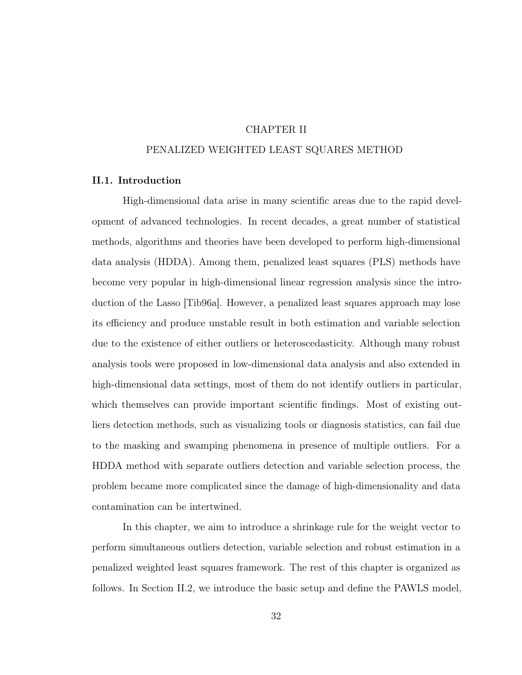# CHAPTER II

### PENALIZED WEIGHTED LEAST SQUARES METHOD

## II.1. Introduction

High-dimensional data arise in many scientific areas due to the rapid development of advanced technologies. In recent decades, a great number of statistical methods, algorithms and theories have been developed to perform high-dimensional data analysis (HDDA). Among them, penalized least squares (PLS) methods have become very popular in high-dimensional linear regression analysis since the introduction of the Lasso [\[Tib96a\]](#page-129-0). However, a penalized least squares approach may lose its efficiency and produce unstable result in both estimation and variable selection due to the existence of either outliers or heteroscedasticity. Although many robust analysis tools were proposed in low-dimensional data analysis and also extended in high-dimensional data settings, most of them do not identify outliers in particular, which themselves can provide important scientific findings. Most of existing outliers detection methods, such as visualizing tools or diagnosis statistics, can fail due to the masking and swamping phenomena in presence of multiple outliers. For a HDDA method with separate outliers detection and variable selection process, the problem became more complicated since the damage of high-dimensionality and data contamination can be intertwined.

In this chapter, we aim to introduce a shrinkage rule for the weight vector to perform simultaneous outliers detection, variable selection and robust estimation in a penalized weighted least squares framework. The rest of this chapter is organized as follows. In Section [II.2,](#page-41-0) we introduce the basic setup and define the PAWLS model,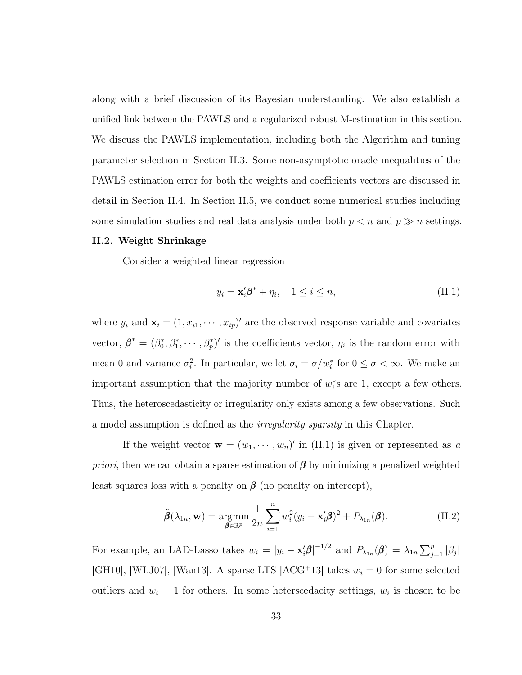along with a brief discussion of its Bayesian understanding. We also establish a unified link between the PAWLS and a regularized robust M-estimation in this section. We discuss the PAWLS implementation, including both the Algorithm and tuning parameter selection in Section [II.3.](#page-45-0) Some non-asymptotic oracle inequalities of the PAWLS estimation error for both the weights and coefficients vectors are discussed in detail in Section [II.4.](#page-48-0) In Section [II.5,](#page-52-0) we conduct some numerical studies including some simulation studies and real data analysis under both  $p < n$  and  $p \gg n$  settings.

## <span id="page-41-0"></span>II.2. Weight Shrinkage

Consider a weighted linear regression

<span id="page-41-1"></span>
$$
y_i = \mathbf{x}_i' \boldsymbol{\beta}^* + \eta_i, \quad 1 \le i \le n,
$$
\n(II.1)

where  $y_i$  and  $\mathbf{x}_i = (1, x_{i1}, \dots, x_{ip})'$  are the observed response variable and covariates vector,  $\beta^* = (\beta_0^*, \beta_1^*, \cdots, \beta_p^*)'$  is the coefficients vector,  $\eta_i$  is the random error with mean 0 and variance  $\sigma_i^2$ . In particular, we let  $\sigma_i = \sigma/w_i^*$  for  $0 \le \sigma < \infty$ . We make an important assumption that the majority number of  $w_i^*$ s are 1, except a few others. Thus, the heteroscedasticity or irregularity only exists among a few observations. Such a model assumption is defined as the *irregularity sparsity* in this Chapter.

If the weight vector  $\mathbf{w} = (w_1, \dots, w_n)'$  in [\(II.1\)](#page-41-1) is given or represented as a *priori*, then we can obtain a sparse estimation of  $\beta$  by minimizing a penalized weighted least squares loss with a penalty on  $\beta$  (no penalty on intercept),

<span id="page-41-2"></span>
$$
\tilde{\boldsymbol{\beta}}(\lambda_{1n}, \mathbf{w}) = \underset{\boldsymbol{\beta} \in \mathbb{R}^p}{\text{argmin}} \frac{1}{2n} \sum_{i=1}^n w_i^2 (y_i - \mathbf{x}_i' \boldsymbol{\beta})^2 + P_{\lambda_{1n}}(\boldsymbol{\beta}). \tag{II.2}
$$

For example, an LAD-Lasso takes  $w_i = |y_i - \mathbf{x}_i' \boldsymbol{\beta}|^{-1/2}$  and  $P_{\lambda_{1n}}(\boldsymbol{\beta}) = \lambda_{1n} \sum_{j=1}^p |\beta_j|$ [\[GH10\]](#page-124-0), [\[WLJ07\]](#page-130-0), [\[Wan13\]](#page-130-1). A sparse LTS [\[ACG](#page-120-0)<sup>+</sup>13] takes  $w_i = 0$  for some selected outliers and  $w_i = 1$  for others. In some heterscedacity settings,  $w_i$  is chosen to be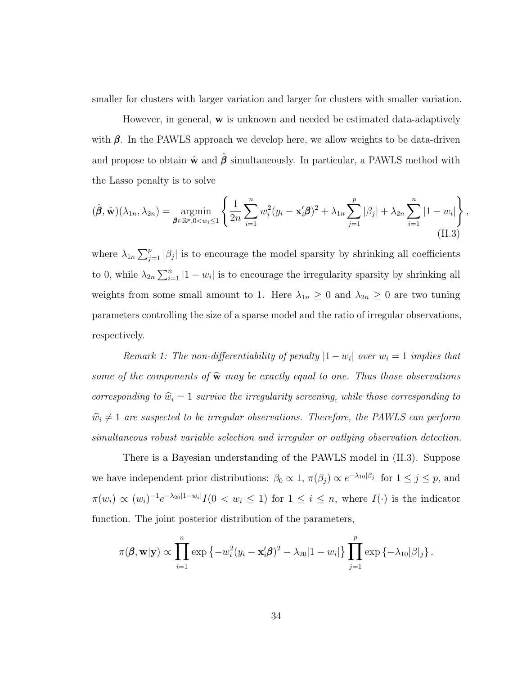smaller for clusters with larger variation and larger for clusters with smaller variation.

However, in general, w is unknown and needed be estimated data-adaptively with  $\beta$ . In the PAWLS approach we develop here, we allow weights to be data-driven and propose to obtain  $\hat{\mathbf{w}}$  and  $\hat{\boldsymbol{\beta}}$  simultaneously. In particular, a PAWLS method with the Lasso penalty is to solve

<span id="page-42-0"></span>
$$
(\hat{\boldsymbol{\beta}}, \hat{\mathbf{w}})(\lambda_{1n}, \lambda_{2n}) = \underset{\boldsymbol{\beta} \in \mathbb{R}^p, 0 < w_i \le 1}{\text{argmin}} \left\{ \frac{1}{2n} \sum_{i=1}^n w_i^2 (y_i - \mathbf{x}_i' \boldsymbol{\beta})^2 + \lambda_{1n} \sum_{j=1}^p |\beta_j| + \lambda_{2n} \sum_{i=1}^n |1 - w_i| \right\},\tag{II.3}
$$

where  $\lambda_{1n} \sum_{j=1}^p |\beta_j|$  is to encourage the model sparsity by shrinking all coefficients to 0, while  $\lambda_{2n} \sum_{i=1}^{n} |1 - w_i|$  is to encourage the irregularity sparsity by shrinking all weights from some small amount to 1. Here  $\lambda_{1n} \geq 0$  and  $\lambda_{2n} \geq 0$  are two tuning parameters controlling the size of a sparse model and the ratio of irregular observations, respectively.

Remark 1: The non-differentiability of penalty  $|1-w_i|$  over  $w_i = 1$  implies that some of the components of  $\hat{w}$  may be exactly equal to one. Thus those observations corresponding to  $\hat{w}_i = 1$  survive the irregularity screening, while those corresponding to  $\hat{w}_i \neq 1$  are suspected to be irregular observations. Therefore, the PAWLS can perform simultaneous robust variable selection and irregular or outlying observation detection.

There is a Bayesian understanding of the PAWLS model in [\(II.3\)](#page-42-0). Suppose we have independent prior distributions:  $\beta_0 \propto 1$ ,  $\pi(\beta_j) \propto e^{-\lambda_{10}|\beta_j|}$  for  $1 \leq j \leq p$ , and  $\pi(w_i) \propto (w_i)^{-1} e^{-\lambda_{20}|1-w_i|} I(0 \lt w_i \leq 1)$  for  $1 \leq i \leq n$ , where  $I(\cdot)$  is the indicator function. The joint posterior distribution of the parameters,

$$
\pi(\boldsymbol{\beta}, \mathbf{w}|\mathbf{y}) \propto \prod_{i=1}^n \exp \left\{-w_i^2 (y_i - \mathbf{x}_i' \boldsymbol{\beta})^2 - \lambda_{20} |1 - w_i| \right\} \prod_{j=1}^p \exp \left\{-\lambda_{10} |\beta|_j \right\}.
$$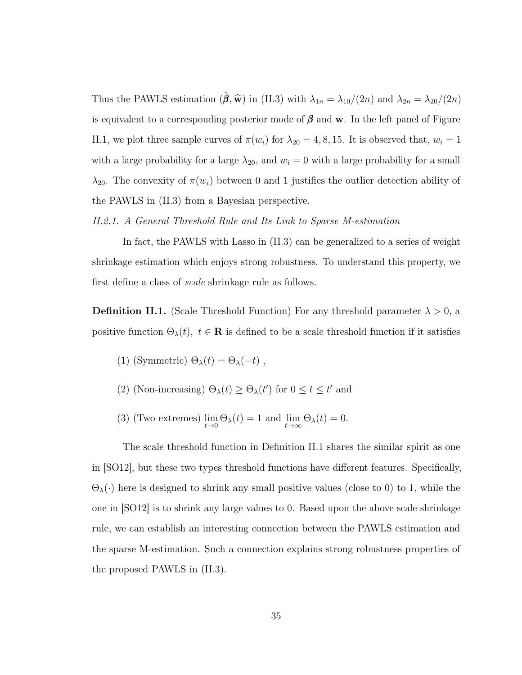Thus the PAWLS estimation  $(\hat{\boldsymbol{\beta}}, \hat{\mathbf{w}})$  in [\(II.3\)](#page-42-0) with  $\lambda_{1n} = \lambda_{10}/(2n)$  and  $\lambda_{2n} = \lambda_{20}/(2n)$ is equivalent to a corresponding posterior mode of  $\beta$  and w. In the left panel of Figure [II.1,](#page-44-0) we plot three sample curves of  $\pi(w_i)$  for  $\lambda_{20} = 4, 8, 15$ . It is observed that,  $w_i = 1$ with a large probability for a large  $\lambda_{20}$ , and  $w_i = 0$  with a large probability for a small  $\lambda_{20}$ . The convexity of  $\pi(w_i)$  between 0 and 1 justifies the outlier detection ability of the PAWLS in [\(II.3\)](#page-42-0) from a Bayesian perspective.

<span id="page-43-1"></span>II.2.1. A General Threshold Rule and Its Link to Sparse M-estimation

In fact, the PAWLS with Lasso in [\(II.3\)](#page-42-0) can be generalized to a series of weight shrinkage estimation which enjoys strong robustness. To understand this property, we first define a class of *scale* shrinkage rule as follows.

<span id="page-43-0"></span>**Definition II.1.** (Scale Threshold Function) For any threshold parameter  $\lambda > 0$ , a positive function  $\Theta_{\lambda}(t)$ ,  $t \in \mathbf{R}$  is defined to be a scale threshold function if it satisfies

- (1) (Symmetric)  $\Theta_{\lambda}(t) = \Theta_{\lambda}(-t)$ ,
- (2) (Non-increasing)  $\Theta_{\lambda}(t) \geq \Theta_{\lambda}(t')$  for  $0 \leq t \leq t'$  and
- (3) (Two extremes)  $\lim_{t\to 0} \Theta_{\lambda}(t) = 1$  and  $\lim_{t\to \infty} \Theta_{\lambda}(t) = 0$ .

The scale threshold function in Definition [II.1](#page-43-0) shares the similar spirit as one in [\[SO12\]](#page-129-1), but these two types threshold functions have different features. Specifically,  $\Theta_{\lambda}(\cdot)$  here is designed to shrink any small positive values (close to 0) to 1, while the one in [\[SO12\]](#page-129-1) is to shrink any large values to 0. Based upon the above scale shrinkage rule, we can establish an interesting connection between the PAWLS estimation and the sparse M-estimation. Such a connection explains strong robustness properties of the proposed PAWLS in [\(II.3\)](#page-42-0).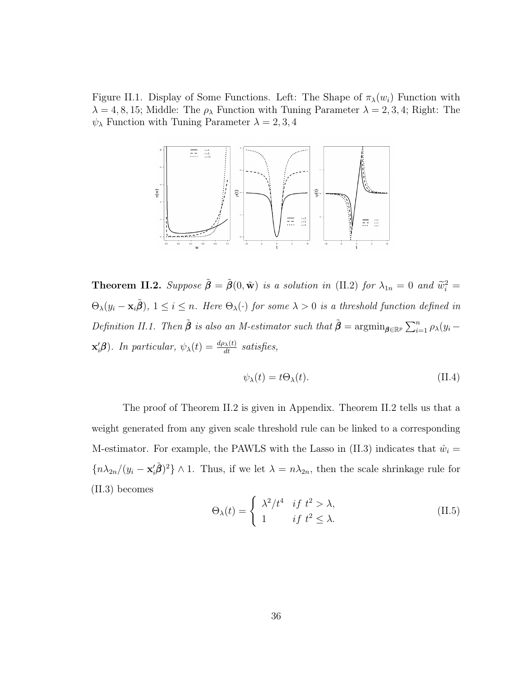<span id="page-44-0"></span>Figure II.1. Display of Some Functions. Left: The Shape of  $\pi_{\lambda}(w_i)$  Function with  $\lambda = 4, 8, 15$ ; Middle: The  $\rho_{\lambda}$  Function with Tuning Parameter  $\lambda = 2, 3, 4$ ; Right: The  $\psi_{\lambda}$  Function with Tuning Parameter  $\lambda = 2, 3, 4$ 



<span id="page-44-1"></span>**Theorem II.2.** Suppose  $\tilde{\boldsymbol{\beta}} = \tilde{\boldsymbol{\beta}}(0, \tilde{\mathbf{w}})$  is a solution in [\(II.2\)](#page-41-2) for  $\lambda_{1n} = 0$  and  $\tilde{w}_i^2 =$  $\Theta_{\lambda}(y_i - \mathbf{x}_i \tilde{\boldsymbol{\beta}}), 1 \leq i \leq n$ . Here  $\Theta_{\lambda}(\cdot)$  for some  $\lambda > 0$  is a threshold function defined in Definition [II.1.](#page-43-0) Then  $\tilde{\beta}$  is also an M-estimator such that  $\tilde{\beta} = \operatorname{argmin}_{\beta \in \mathbb{R}^p} \sum_{i=1}^n \rho_\lambda(y_i - \beta_i)$  $\mathbf{x}'_i$  $\boldsymbol{\beta}$ ). In particular,  $\psi_{\lambda}(t) = \frac{d\rho_{\lambda}(t)}{dt}$  satisfies,

$$
\psi_{\lambda}(t) = t\Theta_{\lambda}(t). \tag{II.4}
$$

The proof of Theorem [II.2](#page-44-1) is given in Appendix. Theorem [II.2](#page-44-1) tells us that a weight generated from any given scale threshold rule can be linked to a corresponding M-estimator. For example, the PAWLS with the Lasso in [\(II.3\)](#page-42-0) indicates that  $\hat{w}_i =$  ${n \lambda_{2n}}/(y_i - \mathbf{x}_i^2 \hat{\boldsymbol{\beta}})^2$  \at 1. Thus, if we let  $\lambda = n \lambda_{2n}$ , then the scale shrinkage rule for [\(II.3\)](#page-42-0) becomes

$$
\Theta_{\lambda}(t) = \begin{cases} \lambda^2/t^4 & \text{if } t^2 > \lambda, \\ 1 & \text{if } t^2 \le \lambda. \end{cases}
$$
 (II.5)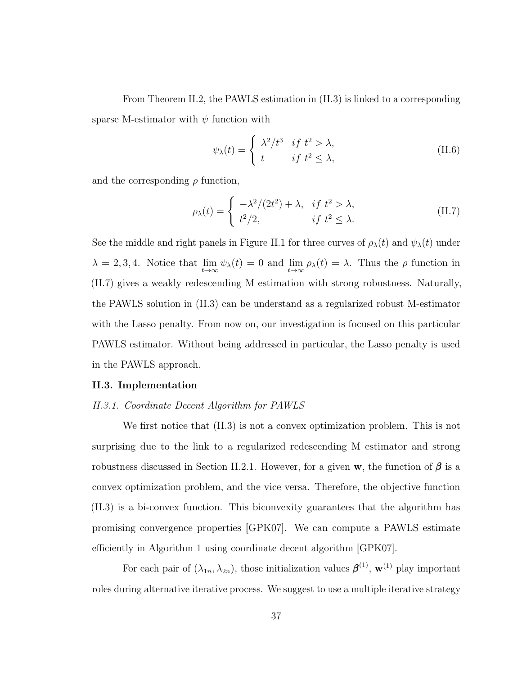From Theorem [II.2,](#page-44-1) the PAWLS estimation in [\(II.3\)](#page-42-0) is linked to a corresponding sparse M-estimator with  $\psi$  function with

$$
\psi_{\lambda}(t) = \begin{cases} \lambda^2/t^3 & \text{if } t^2 > \lambda, \\ t & \text{if } t^2 \le \lambda, \end{cases}
$$
 (II.6)

and the corresponding  $\rho$  function,

<span id="page-45-1"></span>
$$
\rho_{\lambda}(t) = \begin{cases}\n-\lambda^2/(2t^2) + \lambda, & \text{if } t^2 > \lambda, \\
t^2/2, & \text{if } t^2 \le \lambda.\n\end{cases}
$$
\n(II.7)

See the middle and right panels in Figure [II.1](#page-44-0) for three curves of  $\rho_{\lambda}(t)$  and  $\psi_{\lambda}(t)$  under  $\lambda = 2, 3, 4$ . Notice that  $\lim_{t \to \infty} \psi_{\lambda}(t) = 0$  and  $\lim_{t \to \infty} \rho_{\lambda}(t) = \lambda$ . Thus the  $\rho$  function in [\(II.7\)](#page-45-1) gives a weakly redescending M estimation with strong robustness. Naturally, the PAWLS solution in [\(II.3\)](#page-42-0) can be understand as a regularized robust M-estimator with the Lasso penalty. From now on, our investigation is focused on this particular PAWLS estimator. Without being addressed in particular, the Lasso penalty is used in the PAWLS approach.

### <span id="page-45-0"></span>II.3. Implementation

## II.3.1. Coordinate Decent Algorithm for PAWLS

We first notice that [\(II.3\)](#page-42-0) is not a convex optimization problem. This is not surprising due to the link to a regularized redescending M estimator and strong robustness discussed in Section [II.2.1.](#page-43-1) However, for a given w, the function of  $\beta$  is a convex optimization problem, and the vice versa. Therefore, the objective function [\(II.3\)](#page-42-0) is a bi-convex function. This biconvexity guarantees that the algorithm has promising convergence properties [\[GPK07\]](#page-124-1). We can compute a PAWLS estimate efficiently in Algorithm 1 using coordinate decent algorithm [\[GPK07\]](#page-124-1).

For each pair of  $(\lambda_{1n}, \lambda_{2n})$ , those initialization values  $\boldsymbol{\beta}^{(1)}$ ,  $\mathbf{w}^{(1)}$  play important roles during alternative iterative process. We suggest to use a multiple iterative strategy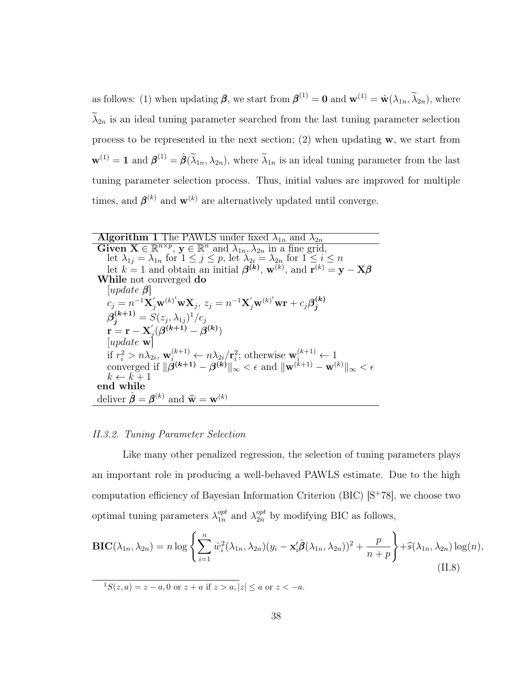as follows: (1) when updating  $\beta$ , we start from  $\beta^{(1)} = 0$  and  $\mathbf{w}^{(1)} = \hat{\mathbf{w}}(\lambda_{1n}, \tilde{\lambda}_{2n})$ , where  $\lambda_{2n}$  is an ideal tuning parameter searched from the last tuning parameter selection process to be represented in the next section; (2) when updating  $w$ , we start from  $\mathbf{w}^{(1)} = \mathbf{1}$  and  $\boldsymbol{\beta}^{(1)} = \hat{\boldsymbol{\beta}}(\tilde{\lambda}_{1n}, \lambda_{2n})$ , where  $\tilde{\lambda}_{1n}$  is an ideal tuning parameter from the last tuning parameter selection process. Thus, initial values are improved for multiple times, and  $\boldsymbol{\beta}^{(k)}$  and  $\mathbf{w}^{(k)}$  are alternatively updated until converge.

| <b>Algorithm 1</b> The PAWLS under fixed $\lambda_{1n}$ and $\lambda_{2n}$                                                                                                                                                                                                                                      |
|-----------------------------------------------------------------------------------------------------------------------------------------------------------------------------------------------------------------------------------------------------------------------------------------------------------------|
| Given $\mathbf{X} \in \mathbb{R}^{n \times p}$ , $\mathbf{y} \in \mathbb{R}^n$ and $\lambda_{1n}, \lambda_{2n}$ in a fine grid,                                                                                                                                                                                 |
| let $\lambda_{1i} = \lambda_{1n}$ for $1 \leq j \leq p$ , let $\lambda_{2i} = \lambda_{2n}$ for $1 \leq i \leq n$                                                                                                                                                                                               |
| let $k = 1$ and obtain an initial $\beta^{(k)}$ , $\mathbf{w}^{(k)}$ , and $\mathbf{r}^{(k)} = \mathbf{y} - \mathbf{X}\beta$                                                                                                                                                                                    |
| While not converged do                                                                                                                                                                                                                                                                                          |
| update $\beta$                                                                                                                                                                                                                                                                                                  |
| $c_j = n^{-1} \mathbf{X}_j' \mathbf{w}^{(k)'} \mathbf{w} \mathbf{X}_j, z_j = n^{-1} \mathbf{X}_j' \mathbf{w}^{(k)'} \mathbf{w} \mathbf{r} + c_j \beta_i^{(k)}$                                                                                                                                                  |
| $\beta_i^{(k+1)} = S(z_i, \lambda_{1i})^1/c_i$                                                                                                                                                                                                                                                                  |
| $\mathbf{r} = \mathbf{r} - \mathbf{X}'_j(\mathbf{\beta}^{(k+1)} - \mathbf{\beta}^{(k)})$ [update w]                                                                                                                                                                                                             |
|                                                                                                                                                                                                                                                                                                                 |
| if $r_i^2 > n\lambda_{2i}$ , $\mathbf{w}_i^{(k+1)} \leftarrow n\lambda_{2i}/\mathbf{r}_i^2$ ; otherwise $\mathbf{w}_i^{(k+1)} \leftarrow 1$<br>converged if $\ \boldsymbol{\beta}^{(k+1)} - \boldsymbol{\beta}^{(k)}\ _{\infty} < \epsilon$ and $\ \mathbf{w}^{(k+1)} - \mathbf{w}^{(k)}\ _{\infty} < \epsilon$ |
|                                                                                                                                                                                                                                                                                                                 |
| $k \leftarrow k+1$                                                                                                                                                                                                                                                                                              |
| end while                                                                                                                                                                                                                                                                                                       |
| deliver $\hat{\boldsymbol{\beta}} = \boldsymbol{\beta}^{(k)}$ and $\hat{\mathbf{w}} = \mathbf{w}^{(k)}$                                                                                                                                                                                                         |
|                                                                                                                                                                                                                                                                                                                 |

#### II.3.2. Tuning Parameter Selection

Like many other penalized regression, the selection of tuning parameters plays an important role in producing a well-behaved PAWLS estimate. Due to the high computation efficiency of Bayesian Information Criterion (BIC) [S<sup>+</sup>[78\]](#page-129-2), we choose two optimal tuning parameters  $\lambda_{1n}^{opt}$  $_{1n}^{opt}$  and  $\lambda_{2n}^{opt}$  by modifying BIC as follows,

<span id="page-46-0"></span>
$$
\mathbf{BIC}(\lambda_{1n}, \lambda_{2n}) = n \log \left\{ \sum_{i=1}^{n} \hat{w}_i^2 (\lambda_{1n}, \lambda_{2n}) (y_i - \mathbf{x}_i' \hat{\boldsymbol{\beta}}(\lambda_{1n}, \lambda_{2n}))^2 + \frac{p}{n+p} \right\} + \hat{s}(\lambda_{1n}, \lambda_{2n}) \log(n),
$$
\n(II.8)

 $1S(z, a) = z - a, 0 \text{ or } z + a \text{ if } z > a, |z| \le a \text{ or } z < -a.$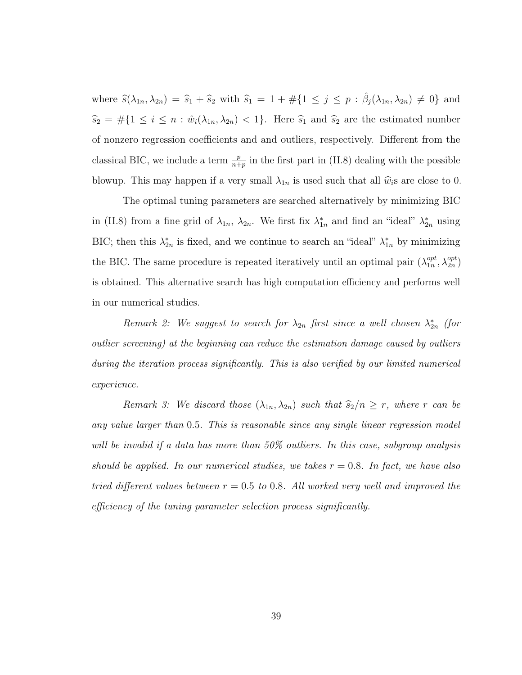where  $\widehat{s}(\lambda_{1n}, \lambda_{2n}) = \widehat{s}_1 + \widehat{s}_2$  with  $\widehat{s}_1 = 1 + \#\{1 \leq j \leq p : \widehat{\beta}_j(\lambda_{1n}, \lambda_{2n}) \neq 0\}$  and  $\widehat{s}_2 = #{1 \le i \le n : \hat{w}_i(\lambda_{1n}, \lambda_{2n}) < 1}.$  Here  $\widehat{s}_1$  and  $\widehat{s}_2$  are the estimated number of nonzero regression coefficients and and outliers, respectively. Different from the classical BIC, we include a term  $\frac{p}{n+p}$  in the first part in [\(II.8\)](#page-46-0) dealing with the possible blowup. This may happen if a very small  $\lambda_{1n}$  is used such that all  $\hat{w}_i$ s are close to 0.

The optimal tuning parameters are searched alternatively by minimizing BIC in [\(II.8\)](#page-46-0) from a fine grid of  $\lambda_{1n}$ ,  $\lambda_{2n}$ . We first fix  $\lambda_{1n}^*$  and find an "ideal"  $\lambda_{2n}^*$  using BIC; then this  $\lambda_{2n}^*$  is fixed, and we continue to search an "ideal"  $\lambda_{1n}^*$  by minimizing the BIC. The same procedure is repeated iteratively until an optimal pair  $(\lambda_{1n}^{opt})$  $_{1n}^{opt}, \lambda_{2n}^{opt}$ is obtained. This alternative search has high computation efficiency and performs well in our numerical studies.

Remark 2: We suggest to search for  $\lambda_{2n}$  first since a well chosen  $\lambda_{2n}^*$  (for outlier screening) at the beginning can reduce the estimation damage caused by outliers during the iteration process significantly. This is also verified by our limited numerical experience.

Remark 3: We discard those  $(\lambda_{1n}, \lambda_{2n})$  such that  $\widehat{s}_2/n \ge r$ , where r can be any value larger than 0.5. This is reasonable since any single linear regression model will be invalid if a data has more than 50% outliers. In this case, subgroup analysis should be applied. In our numerical studies, we takes  $r = 0.8$ . In fact, we have also tried different values between  $r = 0.5$  to 0.8. All worked very well and improved the efficiency of the tuning parameter selection process significantly.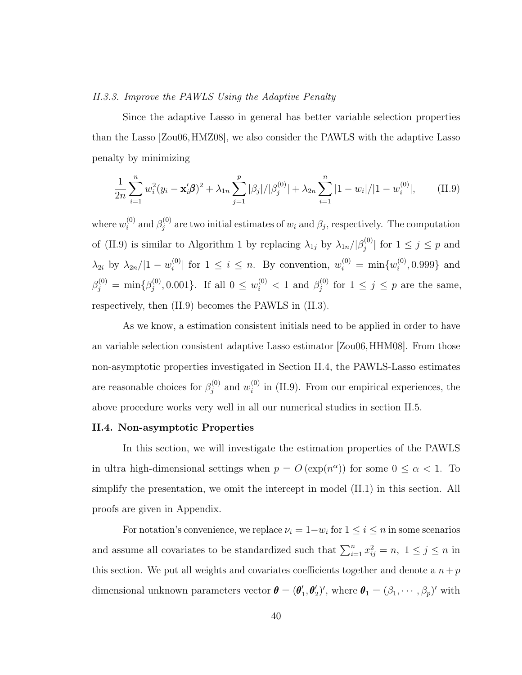### II.3.3. Improve the PAWLS Using the Adaptive Penalty

Since the adaptive Lasso in general has better variable selection properties than the Lasso [\[Zou06,](#page-132-0) [HMZ08\]](#page-125-0), we also consider the PAWLS with the adaptive Lasso penalty by minimizing

<span id="page-48-1"></span>
$$
\frac{1}{2n}\sum_{i=1}^{n} w_i^2 (y_i - \mathbf{x}_i' \boldsymbol{\beta})^2 + \lambda_{1n} \sum_{j=1}^{p} |\beta_j|/|\beta_j^{(0)}| + \lambda_{2n} \sum_{i=1}^{n} |1 - w_i|/|1 - w_i^{(0)}|,
$$
 (II.9)

where  $w_i^{(0)}$  $_{i}^{\left( 0\right) }$  and  $\beta _{j}^{\left( 0\right) }$  $j^{(0)}$  are two initial estimates of  $w_i$  and  $\beta_j$ , respectively. The computation of [\(II.9\)](#page-48-1) is similar to Algorithm 1 by replacing  $\lambda_{1j}$  by  $\lambda_{1n}/\beta_j^{(0)}$  $|j^{(0)}|$  for  $1 \leq j \leq p$  and  $\lambda_{2i}$  by  $\lambda_{2n}/|1-w_i^{(0)}|$  $\binom{[0]}{i}$  for  $1 \leq i \leq n$ . By convention,  $w_i^{(0)} = \min\{w_i^{(0)}\}$  $i^{(0)}$ , 0.999} and  $\beta_j^{(0)} \, = \, \min \{ \beta_j^{(0)}$  $y_j^{(0)}, 0.001\}$ . If all  $0 \leq w_i^{(0)} < 1$  and  $\beta_j^{(0)}$  $j_j^{(0)}$  for  $1 \leq j \leq p$  are the same, respectively, then [\(II.9\)](#page-48-1) becomes the PAWLS in [\(II.3\)](#page-42-0).

As we know, a estimation consistent initials need to be applied in order to have an variable selection consistent adaptive Lasso estimator [\[Zou06,](#page-132-0)[HHM08\]](#page-124-2). From those non-asymptotic properties investigated in Section [II.4,](#page-48-0) the PAWLS-Lasso estimates are reasonable choices for  $\beta_i^{(0)}$  $y_j^{(0)}$  and  $w_i^{(0)}$  $i<sup>(0)</sup>$  in [\(II.9\)](#page-48-1). From our empirical experiences, the above procedure works very well in all our numerical studies in section [II.5.](#page-52-0)

## <span id="page-48-0"></span>II.4. Non-asymptotic Properties

In this section, we will investigate the estimation properties of the PAWLS in ultra high-dimensional settings when  $p = O(\exp(n^{\alpha}))$  for some  $0 \leq \alpha < 1$ . To simplify the presentation, we omit the intercept in model [\(II.1\)](#page-41-1) in this section. All proofs are given in Appendix.

For notation's convenience, we replace  $\nu_i = 1 - w_i$  for  $1 \le i \le n$  in some scenarios and assume all covariates to be standardized such that  $\sum_{i=1}^{n} x_{ij}^2 = n$ ,  $1 \le j \le n$  in this section. We put all weights and covariates coefficients together and denote a  $n + p$ dimensional unknown parameters vector  $\boldsymbol{\theta} = (\boldsymbol{\theta}'_1)$  $\mathbf{1}', \mathbf{\theta}_2')'$ , where  $\mathbf{\theta}_1 = (\beta_1, \cdots, \beta_p)'$  with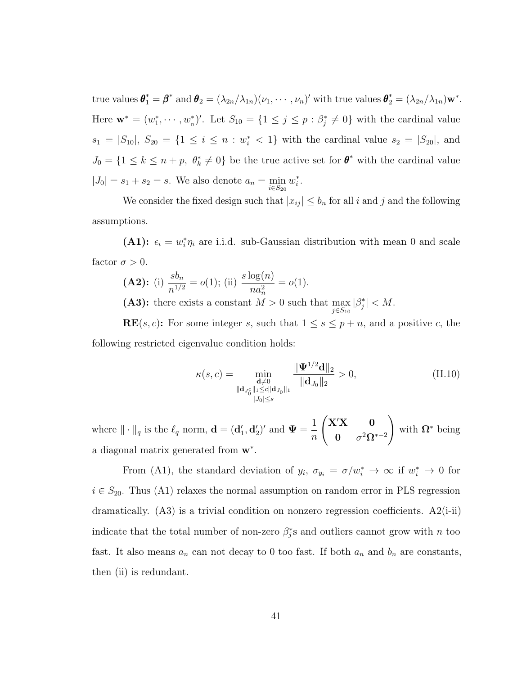true values  $\boldsymbol{\theta}_1^* = \boldsymbol{\beta}^*$  and  $\boldsymbol{\theta}_2 = (\lambda_{2n}/\lambda_{1n})(\nu_1, \cdots, \nu_n)'$  with true values  $\boldsymbol{\theta}_2^* = (\lambda_{2n}/\lambda_{1n})\mathbf{w}^*$ . Here  $\mathbf{w}^* = (w_1^*, \dots, w_n^*)'$ . Let  $S_{10} = \{1 \leq j \leq p : \beta_j^* \neq 0\}$  with the cardinal value  $s_1 = |S_{10}|$ ,  $S_{20} = \{1 \le i \le n : w_i^* < 1\}$  with the cardinal value  $s_2 = |S_{20}|$ , and  $J_0 = \{1 \leq k \leq n + p, \ \theta_k^* \neq 0\}$  be the true active set for  $\theta^*$  with the cardinal value  $|J_0| = s_1 + s_2 = s$ . We also denote  $a_n = \min_{i \in S_{20}} w_i^*$ .

We consider the fixed design such that  $|x_{ij}| \leq b_n$  for all i and j and the following assumptions.

(A1):  $\epsilon_i = w_i^* \eta_i$  are i.i.d. sub-Gaussian distribution with mean 0 and scale factor  $\sigma > 0$ .

**(A2):** (i) 
$$
\frac{sb_n}{n^{1/2}} = o(1)
$$
; (ii)  $\frac{s \log(n)}{na_n^2} = o(1)$ .

(A3): there exists a constant  $M > 0$  such that  $\max_{j \in S_{10}} |\beta_j^*| < M$ .

**RE** $(s, c)$ : For some integer s, such that  $1 \leq s \leq p + n$ , and a positive c, the following restricted eigenvalue condition holds:

$$
\kappa(s,c) = \min_{\substack{\mathbf{d} \neq 0 \\ \|\mathbf{d}_{J_0^c}\|_1 \le c \|\mathbf{d}_{J_0}\|_1}} \frac{\|\mathbf{\Psi}^{1/2}\mathbf{d}\|_2}{\|\mathbf{d}_{J_0}\|_2} > 0,
$$
\n(II.10)

where  $\|\cdot\|_q$  is the  $\ell_q$  norm,  $\mathbf{d} = (\mathbf{d}'_1, \mathbf{d}'_2)'$  and  $\Psi = \frac{1}{q}$ n  $\int$ X'X 0  $\boldsymbol{0}$   $\sigma^2 \boldsymbol{\Omega}^{*-2}$  $\setminus$ with  $\Omega^*$  being a diagonal matrix generated from  $w^*$ .

From (A1), the standard deviation of  $y_i$ ,  $\sigma_{y_i} = \sigma/w_i^* \to \infty$  if  $w_i^* \to 0$  for  $i \in S_{20}$ . Thus (A1) relaxes the normal assumption on random error in PLS regression dramatically.  $(A3)$  is a trivial condition on nonzero regression coefficients.  $A2(i-ii)$ indicate that the total number of non-zero  $\beta_j^*$ s and outliers cannot grow with n too fast. It also means  $a_n$  can not decay to 0 too fast. If both  $a_n$  and  $b_n$  are constants, then (ii) is redundant.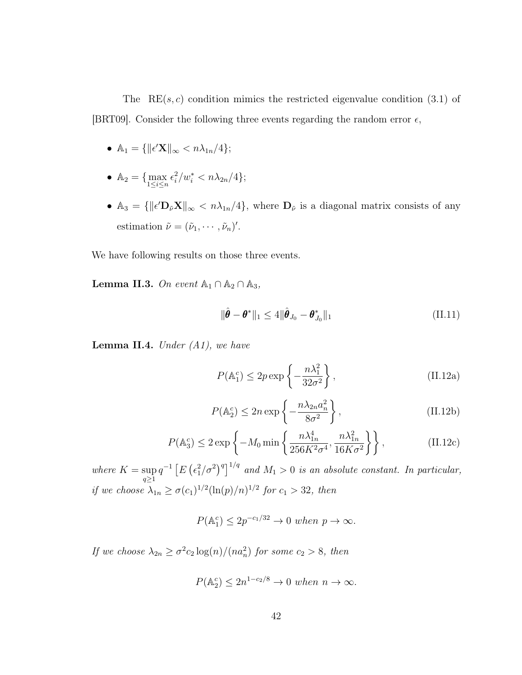The  $RE(s, c)$  condition mimics the restricted eigenvalue condition (3.1) of [\[BRT09\]](#page-121-0). Consider the following three events regarding the random error  $\epsilon$ ,

- $\mathbb{A}_1 = \{ ||\epsilon' \mathbf{X}||_{\infty} < n \lambda_{1n}/4 \};$
- $\mathbb{A}_2 = \{ \max_{1 \le i \le n} \epsilon_i^2 / w_i^* < n \lambda_{2n} / 4 \};$
- $\mathbb{A}_3 = {\|\epsilon' \mathbf{D}_{\tilde{\nu}} \mathbf{X}\|_{\infty} < n\lambda_{1n}/4},$  where  $\mathbf{D}_{\tilde{\nu}}$  is a diagonal matrix consists of any estimation  $\tilde{\nu} = (\tilde{\nu}_1, \cdots, \tilde{\nu}_n)'$ .

We have following results on those three events.

<span id="page-50-0"></span>**Lemma II.3.** On event  $\mathbb{A}_1 \cap \mathbb{A}_2 \cap \mathbb{A}_3$ ,

$$
\|\hat{\boldsymbol{\theta}} - \boldsymbol{\theta}^*\|_1 \le 4 \|\hat{\boldsymbol{\theta}}_{J_0} - \boldsymbol{\theta}_{J_0}^*\|_1 \tag{II.11}
$$

<span id="page-50-1"></span>**Lemma II.4.** Under  $(A1)$ , we have

$$
P(\mathbb{A}_1^c) \le 2p \exp\left\{-\frac{n\lambda_1^2}{32\sigma^2}\right\},\tag{II.12a}
$$

$$
P(\mathbb{A}_2^c) \le 2n \exp\left\{-\frac{n\lambda_{2n}a_n^2}{8\sigma^2}\right\},\tag{II.12b}
$$

$$
P(\mathbb{A}_3^c) \le 2 \exp\left\{-M_0 \min\left\{\frac{n\lambda_{1n}^4}{256K^2\sigma^4}, \frac{n\lambda_{1n}^2}{16K\sigma^2}\right\}\right\},\tag{II.12c}
$$

where  $K = \sup$  $q\geq1$  $q^{-1} \left[ E \left( \frac{\epsilon_1^2}{\sigma^2} \right)^q \right]^{1/q}$  and  $M_1 > 0$  is an absolute constant. In particular, if we choose  $\lambda_{1n} \ge \sigma(c_1)^{1/2}(\ln(p)/n)^{1/2}$  for  $c_1 > 32$ , then

$$
P(\mathbb{A}_1^c) \le 2p^{-c_1/32} \to 0 \text{ when } p \to \infty.
$$

If we choose  $\lambda_{2n} \ge \sigma^2 c_2 \log(n) / (n a_n^2)$  for some  $c_2 > 8$ , then

$$
P(\mathbb{A}_2^c) \le 2n^{1-c_2/8} \to 0 \text{ when } n \to \infty.
$$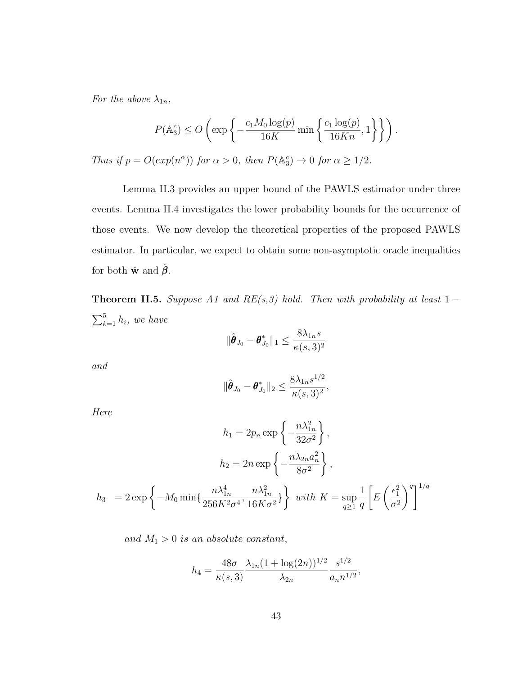For the above  $\lambda_{1n}$ ,

$$
P(\mathbb{A}_3^c) \le O\left(\exp\left\{-\frac{c_1 M_0 \log(p)}{16K} \min\left\{\frac{c_1 \log(p)}{16Kn}, 1\right\}\right\}\right).
$$
  
Thus if  $p = O(\exp(n^{\alpha}))$  for  $\alpha > 0$ , then  $P(\mathbb{A}_3^c) \to 0$  for  $\alpha \ge 1/2$ .

Lemma [II.3](#page-50-0) provides an upper bound of the PAWLS estimator under three events. Lemma [II.4](#page-50-1) investigates the lower probability bounds for the occurrence of those events. We now develop the theoretical properties of the proposed PAWLS estimator. In particular, we expect to obtain some non-asymptotic oracle inequalities for both  $\hat{\mathbf{w}}$  and  $\beta$ .

<span id="page-51-0"></span>Theorem II.5. Suppose A1 and RE(s,3) hold. Then with probability at least  $1 \sum_{k=1}^{5} h_i$ , we have

$$
\|\hat{\boldsymbol{\theta}}_{J_0}-\boldsymbol{\theta}_{J_0}^*\|_1 \leq \frac{8\lambda_{1n}s}{\kappa(s,3)^2}
$$

and

$$
\|\hat{\boldsymbol{\theta}}_{J_0}-\boldsymbol{\theta}_{J_0}^*\|_2\leq \frac{8\lambda_{1n}s^{1/2}}{\kappa(s,3)^2},
$$

Here

$$
h_1 = 2p_n \exp\left\{-\frac{n\lambda_{1n}^2}{32\sigma^2}\right\},
$$

$$
h_2 = 2n \exp\left\{-\frac{n\lambda_{2n}a_n^2}{8\sigma^2}\right\},
$$

$$
h_3 = 2 \exp\left\{-M_0 \min\left\{\frac{n\lambda_{1n}^4}{256K^2\sigma^4}, \frac{n\lambda_{1n}^2}{16K\sigma^2}\right\}\right\} \text{ with } K = \sup_{q \ge 1} \frac{1}{q} \left[E\left(\frac{\epsilon_1^2}{\sigma^2}\right)^q\right]^{1/q}
$$

and  $M_1 > 0$  is an absolute constant,

$$
h_4 = \frac{48\sigma}{\kappa(s,3)} \frac{\lambda_{1n} (1 + \log(2n))^{1/2}}{\lambda_{2n}} \frac{s^{1/2}}{a_n n^{1/2}},
$$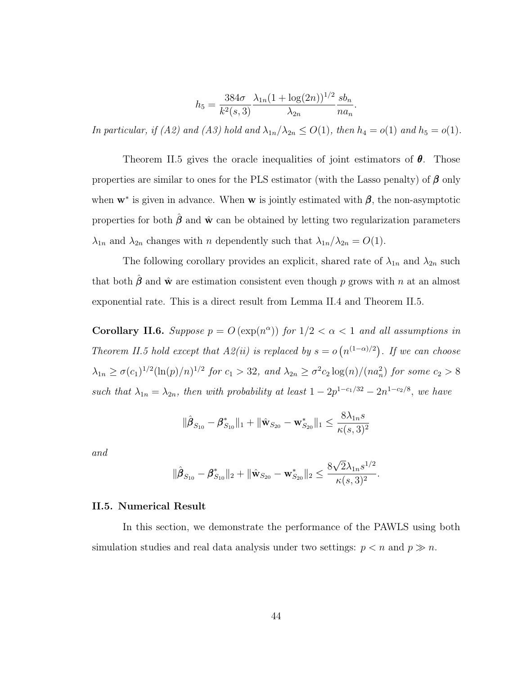$$
h_5 = \frac{384\sigma}{k^2(s,3)} \frac{\lambda_{1n}(1+\log(2n))^{1/2}}{\lambda_{2n}} \frac{sb_n}{na_n}.
$$

In particular, if (A2) and (A3) hold and  $\lambda_{1n}/\lambda_{2n} \leq O(1)$ , then  $h_4 = o(1)$  and  $h_5 = o(1)$ .

Theorem [II.5](#page-51-0) gives the oracle inequalities of joint estimators of  $\theta$ . Those properties are similar to ones for the PLS estimator (with the Lasso penalty) of  $\beta$  only when  $w^*$  is given in advance. When w is jointly estimated with  $\beta$ , the non-asymptotic properties for both  $\hat{\boldsymbol{\beta}}$  and  $\hat{\mathbf{w}}$  can be obtained by letting two regularization parameters  $\lambda_{1n}$  and  $\lambda_{2n}$  changes with *n* dependently such that  $\lambda_{1n}/\lambda_{2n} = O(1)$ .

The following corollary provides an explicit, shared rate of  $\lambda_{1n}$  and  $\lambda_{2n}$  such that both  $\hat{\boldsymbol{\beta}}$  and  $\hat{\mathbf{w}}$  are estimation consistent even though p grows with n at an almost exponential rate. This is a direct result from Lemma [II.4](#page-50-1) and Theorem [II.5.](#page-51-0)

Corollary II.6. Suppose  $p = O(\exp(n^{\alpha}))$  for  $1/2 < \alpha < 1$  and all assumptions in Theorem [II.5](#page-51-0) hold except that  $A2(ii)$  is replaced by  $s = o(n^{(1-\alpha)/2})$ . If we can choose  $\lambda_{1n} \geq \sigma(c_1)^{1/2}(\ln(p)/n)^{1/2}$  for  $c_1 > 32$ , and  $\lambda_{2n} \geq \sigma^2 c_2 \log(n)/(na_n^2)$  for some  $c_2 > 8$ such that  $\lambda_{1n} = \lambda_{2n}$ , then with probability at least  $1 - 2p^{1-c_1/32} - 2n^{1-c_2/8}$ , we have

$$
\|\hat{\pmb{\beta}}_{S_{10}} - \pmb{\beta}^*_{S_{10}}\|_1 + \|\hat{\mathbf{w}}_{S_{20}} - \mathbf{w}^*_{S_{20}}\|_1 \leq \frac{8\lambda_{1n}s}{\kappa(s,3)^2}
$$

and

$$
\|\hat{\pmb \beta}_{S_{10}}-\pmb \beta^*_{S_{10}}\|_2+\|\hat{\mathbf w}_{S_{20}}-\mathbf w^*_{S_{20}}\|_2\leq \frac{8\sqrt{2}\lambda_{1n}s^{1/2}}{\kappa(s,3)^2}.
$$

### <span id="page-52-0"></span>II.5. Numerical Result

In this section, we demonstrate the performance of the PAWLS using both simulation studies and real data analysis under two settings:  $p < n$  and  $p \gg n$ .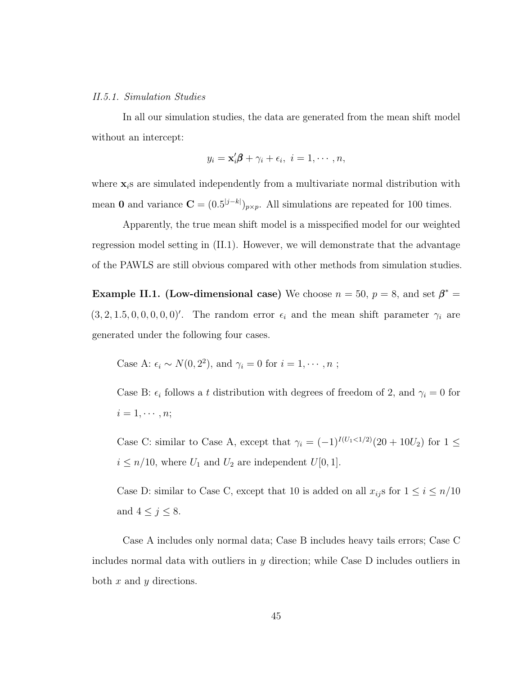### II.5.1. Simulation Studies

In all our simulation studies, the data are generated from the mean shift model without an intercept:

$$
y_i = \mathbf{x}'_i \boldsymbol{\beta} + \gamma_i + \epsilon_i, \ i = 1, \cdots, n,
$$

where  $x_i$  are simulated independently from a multivariate normal distribution with mean 0 and variance  $\mathbf{C} = (0.5^{|j-k|})_{p \times p}$ . All simulations are repeated for 100 times.

Apparently, the true mean shift model is a misspecified model for our weighted regression model setting in [\(II.1\)](#page-41-1). However, we will demonstrate that the advantage of the PAWLS are still obvious compared with other methods from simulation studies.

<span id="page-53-0"></span>**Example II.1. (Low-dimensional case)** We choose  $n = 50$ ,  $p = 8$ , and set  $\beta^* =$  $(3, 2, 1.5, 0, 0, 0, 0, 0)'$ . The random error  $\epsilon_i$  and the mean shift parameter  $\gamma_i$  are generated under the following four cases.

Case A: 
$$
\epsilon_i \sim N(0, 2^2)
$$
, and  $\gamma_i = 0$  for  $i = 1, \dots, n$ ;

Case B:  $\epsilon_i$  follows a t distribution with degrees of freedom of 2, and  $\gamma_i = 0$  for  $i = 1, \cdots, n;$ 

Case C: similar to Case A, except that  $\gamma_i = (-1)^{I(U_1 \le 1/2)}(20 + 10U_2)$  for  $1 \le$  $i \leq n/10$ , where  $U_1$  and  $U_2$  are independent  $U[0, 1]$ .

Case D: similar to Case C, except that 10 is added on all  $x_{ij}$ s for  $1 \le i \le n/10$ and  $4 \leq j \leq 8$ .

Case A includes only normal data; Case B includes heavy tails errors; Case C includes normal data with outliers in y direction; while Case D includes outliers in both  $x$  and  $y$  directions.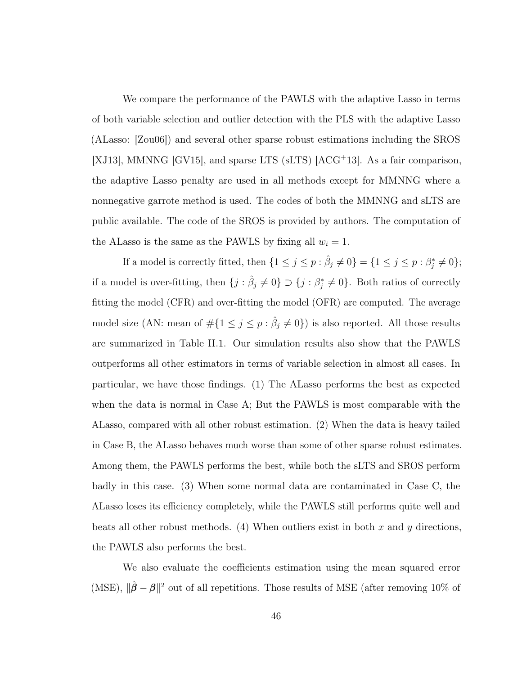We compare the performance of the PAWLS with the adaptive Lasso in terms of both variable selection and outlier detection with the PLS with the adaptive Lasso (ALasso: [\[Zou06\]](#page-132-0)) and several other sparse robust estimations including the SROS [\[XJ13\]](#page-131-1), MMNNG [\[GV15\]](#page-124-3), and sparse LTS (sLTS) [\[ACG](#page-120-0)<sup>+</sup>13]. As a fair comparison, the adaptive Lasso penalty are used in all methods except for MMNNG where a nonnegative garrote method is used. The codes of both the MMNNG and sLTS are public available. The code of the SROS is provided by authors. The computation of the ALasso is the same as the PAWLS by fixing all  $w_i = 1$ .

If a model is correctly fitted, then  $\{1 \leq j \leq p : \hat{\beta}_j \neq 0\} = \{1 \leq j \leq p : \beta_j^* \neq 0\};$ if a model is over-fitting, then  $\{j : \hat{\beta}_j \neq 0\} \supset \{j : \beta_j^* \neq 0\}$ . Both ratios of correctly fitting the model (CFR) and over-fitting the model (OFR) are computed. The average model size (AN: mean of  $\#\{1 \leq j \leq p : \hat{\beta}_j \neq 0\}$ ) is also reported. All those results are summarized in Table [II.1.](#page-56-0) Our simulation results also show that the PAWLS outperforms all other estimators in terms of variable selection in almost all cases. In particular, we have those findings. (1) The ALasso performs the best as expected when the data is normal in Case A; But the PAWLS is most comparable with the ALasso, compared with all other robust estimation. (2) When the data is heavy tailed in Case B, the ALasso behaves much worse than some of other sparse robust estimates. Among them, the PAWLS performs the best, while both the sLTS and SROS perform badly in this case. (3) When some normal data are contaminated in Case C, the ALasso loses its efficiency completely, while the PAWLS still performs quite well and beats all other robust methods. (4) When outliers exist in both x and y directions, the PAWLS also performs the best.

We also evaluate the coefficients estimation using the mean squared error (MSE),  $\|\hat{\boldsymbol{\beta}} - \boldsymbol{\beta}\|^2$  out of all repetitions. Those results of MSE (after removing 10% of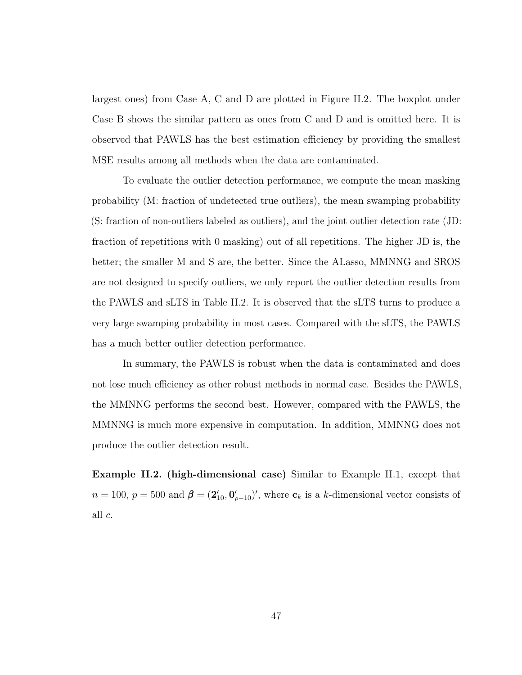largest ones) from Case A, C and D are plotted in Figure [II.2.](#page-57-0) The boxplot under Case B shows the similar pattern as ones from C and D and is omitted here. It is observed that PAWLS has the best estimation efficiency by providing the smallest MSE results among all methods when the data are contaminated.

To evaluate the outlier detection performance, we compute the mean masking probability (M: fraction of undetected true outliers), the mean swamping probability (S: fraction of non-outliers labeled as outliers), and the joint outlier detection rate (JD: fraction of repetitions with 0 masking) out of all repetitions. The higher JD is, the better; the smaller M and S are, the better. Since the ALasso, MMNNG and SROS are not designed to specify outliers, we only report the outlier detection results from the PAWLS and sLTS in Table [II.2.](#page-56-1) It is observed that the sLTS turns to produce a very large swamping probability in most cases. Compared with the sLTS, the PAWLS has a much better outlier detection performance.

In summary, the PAWLS is robust when the data is contaminated and does not lose much efficiency as other robust methods in normal case. Besides the PAWLS, the MMNNG performs the second best. However, compared with the PAWLS, the MMNNG is much more expensive in computation. In addition, MMNNG does not produce the outlier detection result.

<span id="page-55-0"></span>Example II.2. (high-dimensional case) Similar to Example [II.1,](#page-53-0) except that  $n = 100, p = 500$  and  $\boldsymbol{\beta} = (2'_{10}, 0'_{p-10})'$ , where  $\mathbf{c}_k$  is a k-dimensional vector consists of all c.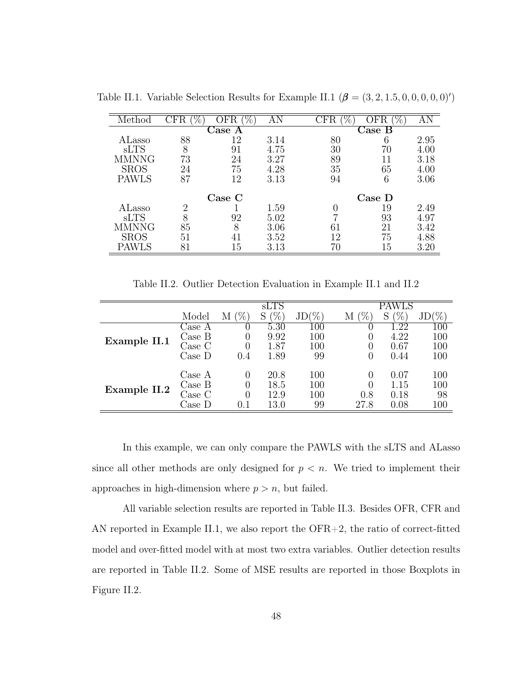| Method       | $\%$ ,<br>$\rm CFR$ | ОF        | ĀN   | $\rm CFR$<br>70                             | 'Z,<br>OFR | AN   |  |
|--------------|---------------------|-----------|------|---------------------------------------------|------------|------|--|
|              |                     | Jase<br>A |      | $\mathop{\mathsf{Case}}\nolimits\mathbf{B}$ |            |      |  |
| ALasso       | 88                  | 12        | 3.14 | 80                                          | 6          | 2.95 |  |
| <b>sLTS</b>  | 8                   | 91        | 4.75 | 30                                          | 70         | 4.00 |  |
| <b>MMNNG</b> | 73                  | 24        | 3.27 | 89                                          |            | 3.18 |  |
| <b>SROS</b>  | 24                  | 75        | 4.28 | 35                                          | 65         | 4.00 |  |
| <b>PAWLS</b> | 87                  | 12        | 3.13 | 94                                          | 6          | 3.06 |  |
|              |                     | Case C    |      | $\text{Case } D$                            |            |      |  |
| ALasso       | 2                   |           | 1.59 | 0                                           | 19         | 2.49 |  |
| <b>sLTS</b>  | 8                   | 92        | 5.02 | ⇁                                           | 93         | 4.97 |  |
| <b>MMNNG</b> | 85                  | 8         | 3.06 | 61                                          | 21         | 3.42 |  |
| <b>SROS</b>  | 51                  | 41        | 3.52 | 12                                          | 75         | 4.88 |  |
| PAWLS        | 81                  | 15        | 3.13 | 70                                          | 15         | 3.20 |  |

<span id="page-56-0"></span>Table [II.1](#page-53-0). Variable Selection Results for Example II.1  $(\beta = (3, 2, 1.5, 0, 0, 0, 0, 0)')$ 

Table II.2. Outlier Detection Evaluation in Example [II.1](#page-53-0) and [II.2](#page-55-0)

<span id="page-56-1"></span>

|              |                           | sLTS        |             |         |        |                 |         |  |  |
|--------------|---------------------------|-------------|-------------|---------|--------|-----------------|---------|--|--|
|              | Model                     | $\%$ ,<br>М | $\%$ ,<br>S | $JD(\%$ | %<br>М | $\%$ .<br>S     | $(\%$   |  |  |
|              | $\bigcup$ ase A           |             | 5.30        | $100\,$ |        | $\overline{22}$ | $100\,$ |  |  |
| Example II.1 | Case B                    |             | 9.92        | 100     |        | 4.22            | 100     |  |  |
|              | $\text{Case} \; \text{C}$ |             | 1.87        | 100     |        | 0.67            | 100     |  |  |
|              | $\text{Case } D$          | 0.4         | 1.89        | 99      | 0      | 0.44            | 100     |  |  |
|              | Case A                    |             | 20.8        | 100     |        | 0.07            | 100     |  |  |
| Example II.2 | Case B                    |             | 18.5        | 100     |        | 1.15            | 100     |  |  |
|              | Case C                    |             | 12.9        | 100     | 0.8    | 0.18            | 98      |  |  |
|              | Case D                    |             | 13.0        | 99      | 27.8   | 0.08            | 100     |  |  |

In this example, we can only compare the PAWLS with the sLTS and ALasso since all other methods are only designed for  $p < n$ . We tried to implement their approaches in high-dimension where  $p > n$ , but failed.

All variable selection results are reported in Table [II.3.](#page-58-0) Besides OFR, CFR and AN reported in Example [II.1,](#page-53-0) we also report the OFR+2, the ratio of correct-fitted model and over-fitted model with at most two extra variables. Outlier detection results are reported in Table [II.2.](#page-56-1) Some of MSE results are reported in those Boxplots in Figure [II.2.](#page-57-0)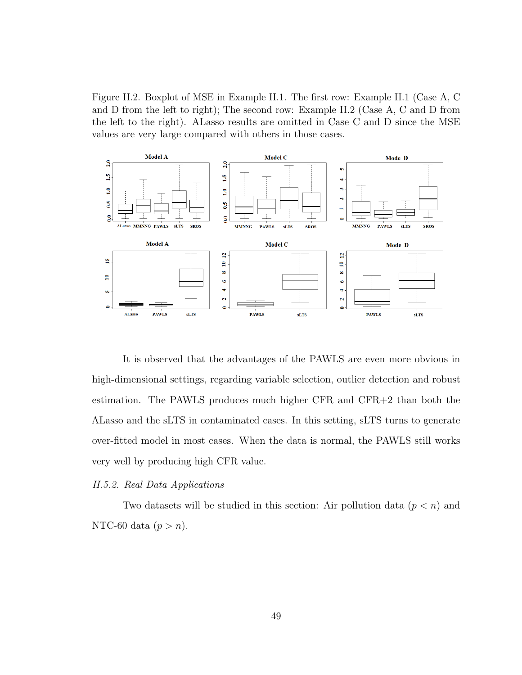<span id="page-57-0"></span>Figure II.2. Boxplot of MSE in Example [II.1.](#page-53-0) The first row: Example [II.1](#page-53-0) (Case A, C and D from the left to right); The second row: Example [II.2](#page-55-0) (Case A, C and D from the left to the right). ALasso results are omitted in Case C and D since the MSE values are very large compared with others in those cases.



It is observed that the advantages of the PAWLS are even more obvious in high-dimensional settings, regarding variable selection, outlier detection and robust estimation. The PAWLS produces much higher CFR and CFR+2 than both the ALasso and the sLTS in contaminated cases. In this setting, sLTS turns to generate over-fitted model in most cases. When the data is normal, the PAWLS still works very well by producing high CFR value.

#### II.5.2. Real Data Applications

Two datasets will be studied in this section: Air pollution data  $(p < n)$  and NTC-60 data  $(p > n)$ .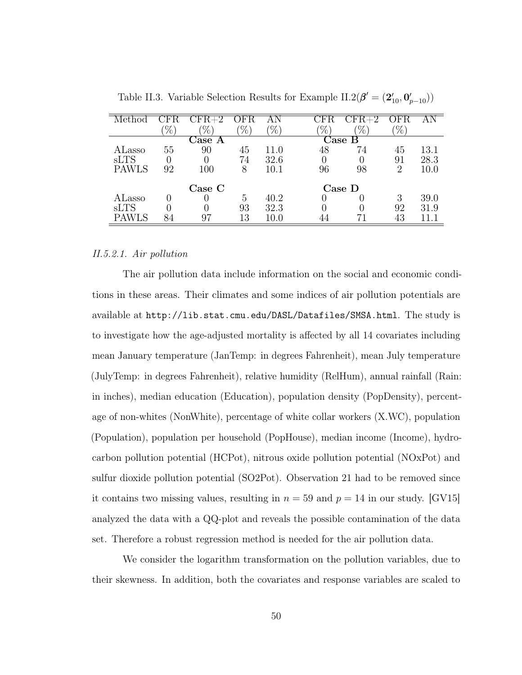| ethod        |      |        | н,     |          | $E_{\rm F}$ | $FA+2$                                                                         | FR     |          |
|--------------|------|--------|--------|----------|-------------|--------------------------------------------------------------------------------|--------|----------|
|              | $\%$ | $\%$ , | $\%$ , | $\%$ ,   | $\%$ ,      | $\%$ ,                                                                         | $\%$ , |          |
|              |      | Jase   |        |          |             | $\mathop{\mathcal{C}^{\scriptscriptstyle\mathrm{B}}}\nolimits$ ase $\mathrm B$ |        |          |
| ALasso       | 55   | 90     | 45     | 11.0     | 48          | 74                                                                             | 45     | 13.1     |
| <b>sLTS</b>  |      |        | 74     | 32.6     | $\theta$    |                                                                                | 91     | 28.3     |
| <b>PAWLS</b> | 92   | 100    | 8      | $10.1\,$ | 96          | 98                                                                             | 2      | $10.0\,$ |
|              |      |        |        |          |             |                                                                                |        |          |
|              |      | Case C |        |          |             | Case D                                                                         |        |          |
| ALasso       |      |        | 5      | 40.2     |             |                                                                                | 3      | 39.0     |
| sLTS         |      |        | 93     | 32.3     |             |                                                                                | 92     | 31.9     |
| <b>PAWLS</b> |      | 97     | 13     | 10.0     |             |                                                                                | 43     |          |
|              |      |        |        |          |             |                                                                                |        |          |

<span id="page-58-0"></span>Table II.3. Variable Selection Results for Example [II.2\(](#page-55-0) $\beta' = (2'_{10}, 0'_{p-10})$ )

### II.5.2.1. Air pollution

The air pollution data include information on the social and economic conditions in these areas. Their climates and some indices of air pollution potentials are available at <http://lib.stat.cmu.edu/DASL/Datafiles/SMSA.html>. The study is to investigate how the age-adjusted mortality is affected by all 14 covariates including mean January temperature (JanTemp: in degrees Fahrenheit), mean July temperature (JulyTemp: in degrees Fahrenheit), relative humidity (RelHum), annual rainfall (Rain: in inches), median education (Education), population density (PopDensity), percentage of non-whites (NonWhite), percentage of white collar workers (X.WC), population (Population), population per household (PopHouse), median income (Income), hydrocarbon pollution potential (HCPot), nitrous oxide pollution potential (NOxPot) and sulfur dioxide pollution potential (SO2Pot). Observation 21 had to be removed since it contains two missing values, resulting in  $n = 59$  and  $p = 14$  in our study. [\[GV15\]](#page-124-3) analyzed the data with a QQ-plot and reveals the possible contamination of the data set. Therefore a robust regression method is needed for the air pollution data.

We consider the logarithm transformation on the pollution variables, due to their skewness. In addition, both the covariates and response variables are scaled to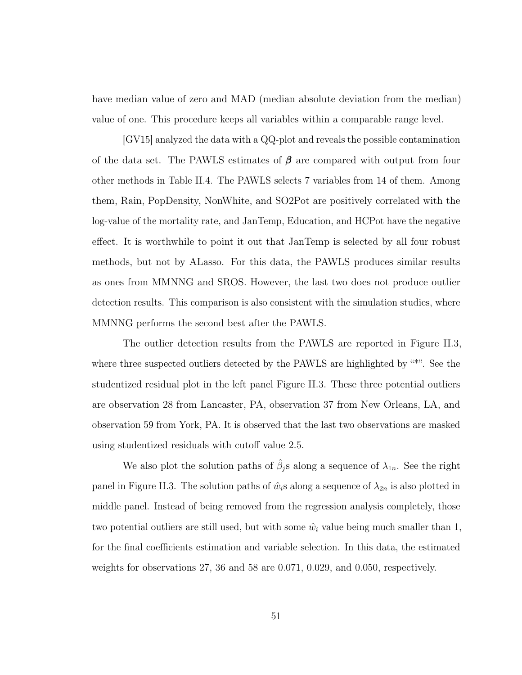have median value of zero and MAD (median absolute deviation from the median) value of one. This procedure keeps all variables within a comparable range level.

[\[GV15\]](#page-124-3) analyzed the data with a QQ-plot and reveals the possible contamination of the data set. The PAWLS estimates of  $\beta$  are compared with output from four other methods in Table [II.4.](#page-60-0) The PAWLS selects 7 variables from 14 of them. Among them, Rain, PopDensity, NonWhite, and SO2Pot are positively correlated with the log-value of the mortality rate, and JanTemp, Education, and HCPot have the negative effect. It is worthwhile to point it out that JanTemp is selected by all four robust methods, but not by ALasso. For this data, the PAWLS produces similar results as ones from MMNNG and SROS. However, the last two does not produce outlier detection results. This comparison is also consistent with the simulation studies, where MMNNG performs the second best after the PAWLS.

The outlier detection results from the PAWLS are reported in Figure [II.3,](#page-60-1) where three suspected outliers detected by the PAWLS are highlighted by "\*". See the studentized residual plot in the left panel Figure [II.3.](#page-60-1) These three potential outliers are observation 28 from Lancaster, PA, observation 37 from New Orleans, LA, and observation 59 from York, PA. It is observed that the last two observations are masked using studentized residuals with cutoff value 2.5.

We also plot the solution paths of  $\hat{\beta}_j$ s along a sequence of  $\lambda_{1n}$ . See the right panel in Figure [II.3.](#page-60-1) The solution paths of  $\hat{w}_i$ s along a sequence of  $\lambda_{2n}$  is also plotted in middle panel. Instead of being removed from the regression analysis completely, those two potential outliers are still used, but with some  $\hat{w}_i$  value being much smaller than 1, for the final coefficients estimation and variable selection. In this data, the estimated weights for observations 27, 36 and 58 are 0.071, 0.029, and 0.050, respectively.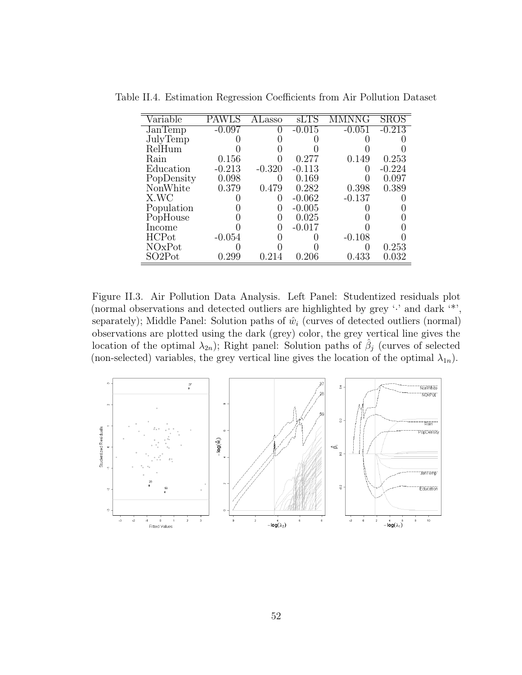| Variable                        |           | Lasso    | sLTS     |          |        |
|---------------------------------|-----------|----------|----------|----------|--------|
| $\overline{\text{JanTemp}}$     | -0.097    |          | $-0.015$ | -0.051   | -0.213 |
| JulyTemp                        |           |          |          |          |        |
| RelHum                          |           |          |          |          |        |
| Rain                            | 0.156     |          | 0.277    | 0.149    | 0.253  |
| Education                       | $-0.213$  | $-0.320$ | $-0.113$ |          | -0.224 |
| PopDensity                      | 0.098     |          | 0.169    |          | 0.097  |
| NonWhite                        | 0.379     | 0.479    | 0.282    | 0.398    | 0.389  |
| X.WC                            |           |          | $-0.062$ | $-0.137$ |        |
| Population                      |           |          | $-0.005$ |          |        |
| PopHouse                        |           |          | 0.025    |          |        |
| Income                          |           |          | $-0.017$ |          |        |
| <b>HCP</b> ot                   | $-0.054$  |          |          | $-0.108$ |        |
| NOxPot                          |           |          |          |          | 0.253  |
| SO <sub>2</sub> P <sub>ot</sub> | ${0.299}$ |          | 0.206    | 0.433    | 0.032  |

<span id="page-60-0"></span>Table II.4. Estimation Regression Coefficients from Air Pollution Dataset

<span id="page-60-1"></span>Figure II.3. Air Pollution Data Analysis. Left Panel: Studentized residuals plot (normal observations and detected outliers are highlighted by grey '·' and dark '\*', separately); Middle Panel: Solution paths of  $\hat{w}_i$  (curves of detected outliers (normal) observations are plotted using the dark (grey) color, the grey vertical line gives the location of the optimal  $\lambda_{2n}$ ); Right panel: Solution paths of  $\hat{\beta}_j$  (curves of selected (non-selected) variables, the grey vertical line gives the location of the optimal  $\lambda_{1n}$ ).

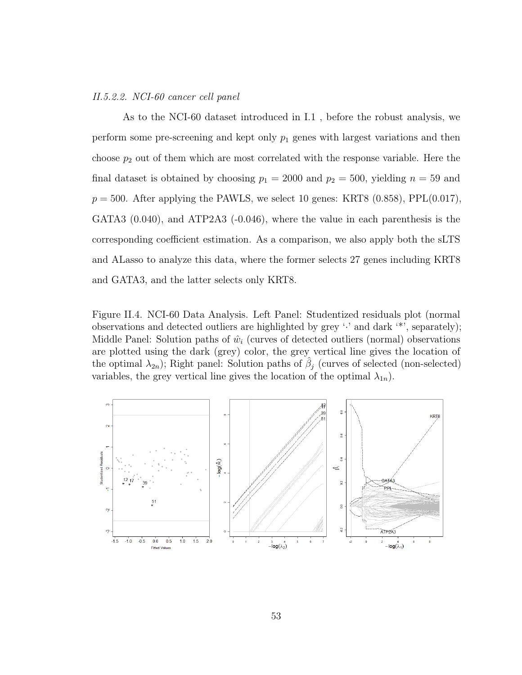### II.5.2.2. NCI-60 cancer cell panel

As to the NCI-60 dataset introduced in [I.1](#page-9-0) , before the robust analysis, we perform some pre-screening and kept only  $p_1$  genes with largest variations and then choose  $p_2$  out of them which are most correlated with the response variable. Here the final dataset is obtained by choosing  $p_1 = 2000$  and  $p_2 = 500$ , yielding  $n = 59$  and  $p = 500$ . After applying the PAWLS, we select 10 genes: KRT8 (0.858), PPL(0.017), GATA3 (0.040), and ATP2A3 (-0.046), where the value in each parenthesis is the corresponding coefficient estimation. As a comparison, we also apply both the sLTS and ALasso to analyze this data, where the former selects 27 genes including KRT8 and GATA3, and the latter selects only KRT8.

<span id="page-61-0"></span>Figure II.4. NCI-60 Data Analysis. Left Panel: Studentized residuals plot (normal observations and detected outliers are highlighted by grey  $\cdot$  and dark  $\cdot$ , separately); Middle Panel: Solution paths of  $\hat{w}_i$  (curves of detected outliers (normal) observations are plotted using the dark (grey) color, the grey vertical line gives the location of the optimal  $\lambda_{2n}$ ); Right panel: Solution paths of  $\hat{\beta}_j$  (curves of selected (non-selected) variables, the grey vertical line gives the location of the optimal  $\lambda_{1n}$ ).

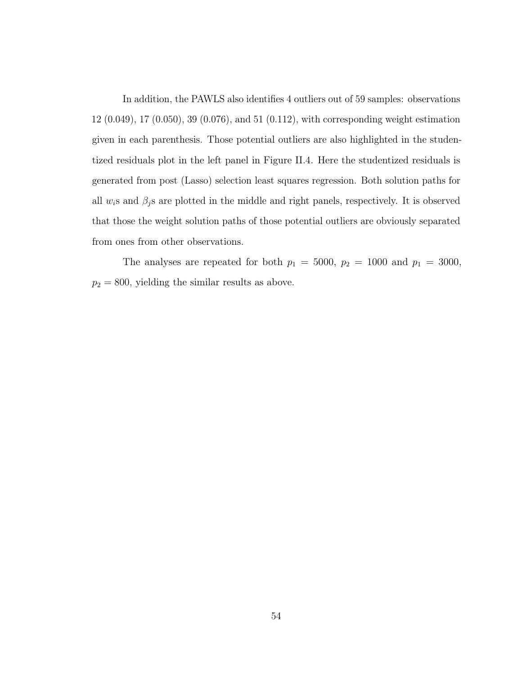In addition, the PAWLS also identifies 4 outliers out of 59 samples: observations 12 (0.049), 17 (0.050), 39 (0.076), and 51 (0.112), with corresponding weight estimation given in each parenthesis. Those potential outliers are also highlighted in the studentized residuals plot in the left panel in Figure [II.4.](#page-61-0) Here the studentized residuals is generated from post (Lasso) selection least squares regression. Both solution paths for all  $w_i$ s and  $\beta_j$ s are plotted in the middle and right panels, respectively. It is observed that those the weight solution paths of those potential outliers are obviously separated from ones from other observations.

The analyses are repeated for both  $p_1 = 5000$ ,  $p_2 = 1000$  and  $p_1 = 3000$ ,  $p_2 = 800$ , yielding the similar results as above.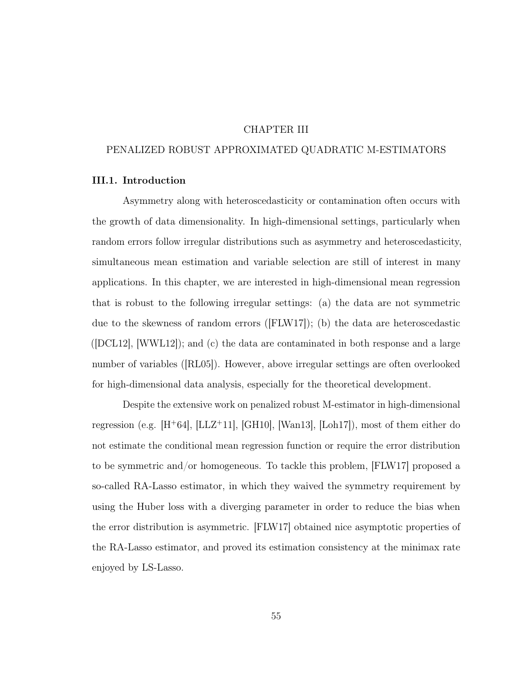## CHAPTER III

## PENALIZED ROBUST APPROXIMATED QUADRATIC M-ESTIMATORS

## <span id="page-63-0"></span>III.1. Introduction

Asymmetry along with heteroscedasticity or contamination often occurs with the growth of data dimensionality. In high-dimensional settings, particularly when random errors follow irregular distributions such as asymmetry and heteroscedasticity, simultaneous mean estimation and variable selection are still of interest in many applications. In this chapter, we are interested in high-dimensional mean regression that is robust to the following irregular settings: (a) the data are not symmetric due to the skewness of random errors ([\[FLW17\]](#page-123-0)); (b) the data are heteroscedastic  $(|DCL12|, |WWL12|);$  and (c) the data are contaminated in both response and a large number of variables ([\[RL05\]](#page-128-0)). However, above irregular settings are often overlooked for high-dimensional data analysis, especially for the theoretical development.

Despite the extensive work on penalized robust M-estimator in high-dimensional regression (e.g.  $[H^+64]$  $[H^+64]$ ,  $[LLZ^+11]$  $[LLZ^+11]$ ,  $[GH10]$ ,  $[Wan13]$ ,  $[Loh17]$ ), most of them either do not estimate the conditional mean regression function or require the error distribution to be symmetric and/or homogeneous. To tackle this problem, [\[FLW17\]](#page-123-0) proposed a so-called RA-Lasso estimator, in which they waived the symmetry requirement by using the Huber loss with a diverging parameter in order to reduce the bias when the error distribution is asymmetric. [\[FLW17\]](#page-123-0) obtained nice asymptotic properties of the RA-Lasso estimator, and proved its estimation consistency at the minimax rate enjoyed by LS-Lasso.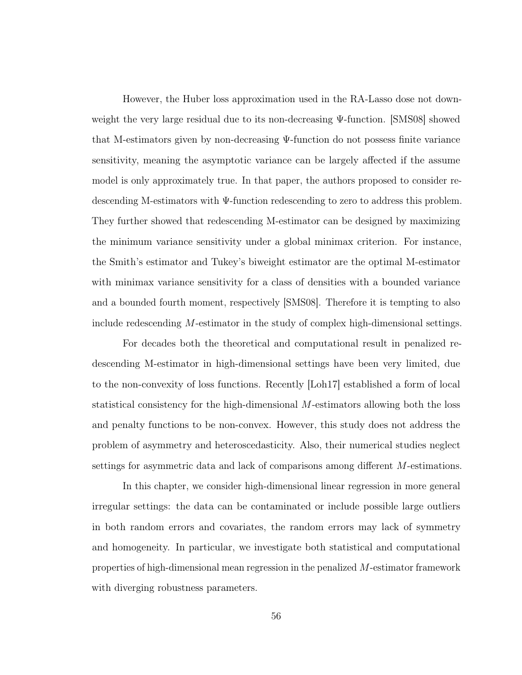However, the Huber loss approximation used in the RA-Lasso dose not downweight the very large residual due to its non-decreasing Ψ-function. [\[SMS08\]](#page-129-3) showed that M-estimators given by non-decreasing Ψ-function do not possess finite variance sensitivity, meaning the asymptotic variance can be largely affected if the assume model is only approximately true. In that paper, the authors proposed to consider redescending M-estimators with Ψ-function redescending to zero to address this problem. They further showed that redescending M-estimator can be designed by maximizing the minimum variance sensitivity under a global minimax criterion. For instance, the Smith's estimator and Tukey's biweight estimator are the optimal M-estimator with minimax variance sensitivity for a class of densities with a bounded variance and a bounded fourth moment, respectively [\[SMS08\]](#page-129-3). Therefore it is tempting to also include redescending M-estimator in the study of complex high-dimensional settings.

For decades both the theoretical and computational result in penalized redescending M-estimator in high-dimensional settings have been very limited, due to the non-convexity of loss functions. Recently [\[Loh17\]](#page-126-0) established a form of local statistical consistency for the high-dimensional M-estimators allowing both the loss and penalty functions to be non-convex. However, this study does not address the problem of asymmetry and heteroscedasticity. Also, their numerical studies neglect settings for asymmetric data and lack of comparisons among different M-estimations.

In this chapter, we consider high-dimensional linear regression in more general irregular settings: the data can be contaminated or include possible large outliers in both random errors and covariates, the random errors may lack of symmetry and homogeneity. In particular, we investigate both statistical and computational properties of high-dimensional mean regression in the penalized M-estimator framework with diverging robustness parameters.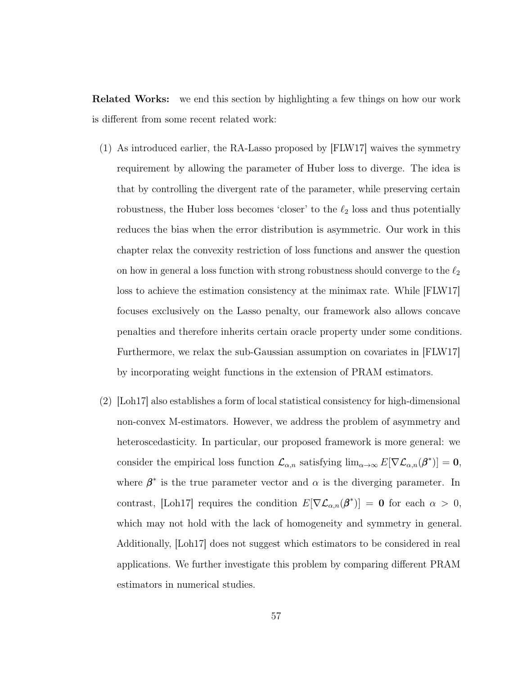Related Works: we end this section by highlighting a few things on how our work is different from some recent related work:

- (1) As introduced earlier, the RA-Lasso proposed by [\[FLW17\]](#page-123-0) waives the symmetry requirement by allowing the parameter of Huber loss to diverge. The idea is that by controlling the divergent rate of the parameter, while preserving certain robustness, the Huber loss becomes 'closer' to the  $\ell_2$  loss and thus potentially reduces the bias when the error distribution is asymmetric. Our work in this chapter relax the convexity restriction of loss functions and answer the question on how in general a loss function with strong robustness should converge to the  $\ell_2$ loss to achieve the estimation consistency at the minimax rate. While [\[FLW17\]](#page-123-0) focuses exclusively on the Lasso penalty, our framework also allows concave penalties and therefore inherits certain oracle property under some conditions. Furthermore, we relax the sub-Gaussian assumption on covariates in [\[FLW17\]](#page-123-0) by incorporating weight functions in the extension of PRAM estimators.
- (2) [\[Loh17\]](#page-126-0) also establishes a form of local statistical consistency for high-dimensional non-convex M-estimators. However, we address the problem of asymmetry and heteroscedasticity. In particular, our proposed framework is more general: we consider the empirical loss function  $\mathcal{L}_{\alpha,n}$  satisfying  $\lim_{\alpha\to\infty} E[\nabla \mathcal{L}_{\alpha,n}(\beta^*)]=\mathbf{0}$ , where  $\beta^*$  is the true parameter vector and  $\alpha$  is the diverging parameter. In contrast, [\[Loh17\]](#page-126-0) requires the condition  $E[\nabla \mathcal{L}_{\alpha,n}(\beta^*)] = \mathbf{0}$  for each  $\alpha > 0$ , which may not hold with the lack of homogeneity and symmetry in general. Additionally, [\[Loh17\]](#page-126-0) does not suggest which estimators to be considered in real applications. We further investigate this problem by comparing different PRAM estimators in numerical studies.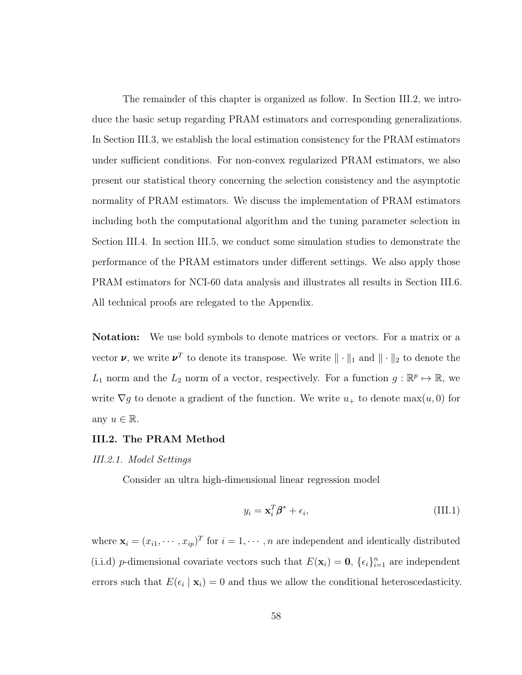The remainder of this chapter is organized as follow. In Section [III.2,](#page-66-0) we introduce the basic setup regarding PRAM estimators and corresponding generalizations. In Section [III.3,](#page-72-0) we establish the local estimation consistency for the PRAM estimators under sufficient conditions. For non-convex regularized PRAM estimators, we also present our statistical theory concerning the selection consistency and the asymptotic normality of PRAM estimators. We discuss the implementation of PRAM estimators including both the computational algorithm and the tuning parameter selection in Section [III.4.](#page-80-0) In section [III.5,](#page-81-0) we conduct some simulation studies to demonstrate the performance of the PRAM estimators under different settings. We also apply those PRAM estimators for NCI-60 data analysis and illustrates all results in Section [III.6.](#page-87-0) All technical proofs are relegated to the Appendix.

Notation: We use bold symbols to denote matrices or vectors. For a matrix or a vector  $\nu$ , we write  $\nu^T$  to denote its transpose. We write  $\|\cdot\|_1$  and  $\|\cdot\|_2$  to denote the  $L_1$  norm and the  $L_2$  norm of a vector, respectively. For a function  $g: \mathbb{R}^p \mapsto \mathbb{R}$ , we write  $\nabla g$  to denote a gradient of the function. We write  $u_+$  to denote max $(u, 0)$  for any  $u \in \mathbb{R}$ .

# <span id="page-66-0"></span>III.2. The PRAM Method

## <span id="page-66-2"></span>III.2.1. Model Settings

Consider an ultra high-dimensional linear regression model

<span id="page-66-1"></span>
$$
y_i = \mathbf{x}_i^T \boldsymbol{\beta}^* + \epsilon_i, \tag{III.1}
$$

where  $\mathbf{x}_i = (x_{i1}, \dots, x_{ip})^T$  for  $i = 1, \dots, n$  are independent and identically distributed (i.i.d) p-dimensional covariate vectors such that  $E(\mathbf{x}_i) = \mathbf{0}$ ,  $\{\epsilon_i\}_{i=1}^n$  are independent errors such that  $E(\epsilon_i | \mathbf{x}_i) = 0$  and thus we allow the conditional heteroscedasticity.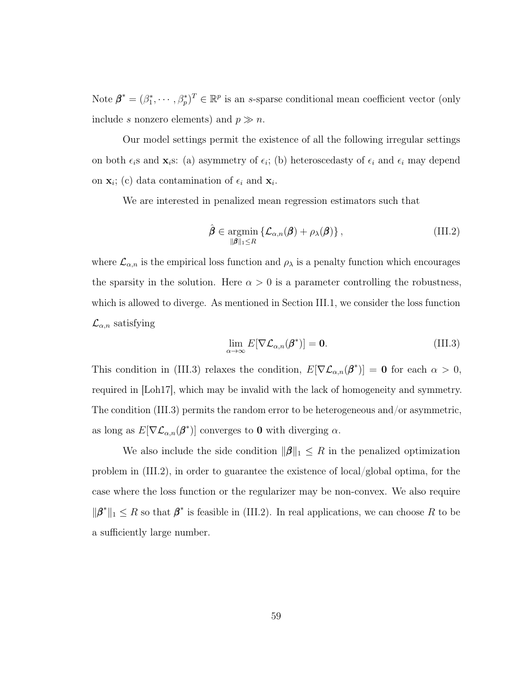Note  $\boldsymbol{\beta}^* = (\beta_1^*, \cdots, \beta_p^*)^T \in \mathbb{R}^p$  is an s-sparse conditional mean coefficient vector (only include s nonzero elements) and  $p \gg n$ .

Our model settings permit the existence of all the following irregular settings on both  $\epsilon_i$ s and  $\mathbf{x}_i$ s: (a) asymmetry of  $\epsilon_i$ ; (b) heteroscedasty of  $\epsilon_i$  and  $\epsilon_i$  may depend on  $\mathbf{x}_i$ ; (c) data contamination of  $\epsilon_i$  and  $\mathbf{x}_i$ .

We are interested in penalized mean regression estimators such that

<span id="page-67-1"></span>
$$
\hat{\boldsymbol{\beta}} \in \underset{\|\boldsymbol{\beta}\|_1 \leq R}{\operatorname{argmin}} \left\{ \mathcal{L}_{\alpha,n}(\boldsymbol{\beta}) + \rho_{\lambda}(\boldsymbol{\beta}) \right\},\tag{III.2}
$$

where  $\mathcal{L}_{\alpha,n}$  is the empirical loss function and  $\rho_{\lambda}$  is a penalty function which encourages the sparsity in the solution. Here  $\alpha > 0$  is a parameter controlling the robustness, which is allowed to diverge. As mentioned in Section [III.1,](#page-63-0) we consider the loss function  $\mathcal{L}_{\alpha,n}$  satisfying

<span id="page-67-0"></span>
$$
\lim_{\alpha \to \infty} E[\nabla \mathcal{L}_{\alpha,n}(\beta^*)] = \mathbf{0}.
$$
\n(III.3)

This condition in [\(III.3\)](#page-67-0) relaxes the condition,  $E[\nabla \mathcal{L}_{\alpha,n}(\beta^*)] = \mathbf{0}$  for each  $\alpha > 0$ , required in [\[Loh17\]](#page-126-0), which may be invalid with the lack of homogeneity and symmetry. The condition [\(III.3\)](#page-67-0) permits the random error to be heterogeneous and/or asymmetric, as long as  $E[\nabla \mathcal{L}_{\alpha,n}(\boldsymbol{\beta}^*)]$  converges to **0** with diverging  $\alpha$ .

We also include the side condition  $\|\boldsymbol{\beta}\|_1 \leq R$  in the penalized optimization problem in  $(III.2)$ , in order to guarantee the existence of local/global optima, for the case where the loss function or the regularizer may be non-convex. We also require  $\|\boldsymbol{\beta}^*\|_1 \leq R$  so that  $\boldsymbol{\beta}^*$  is feasible in [\(III.2\)](#page-67-1). In real applications, we can choose R to be a sufficiently large number.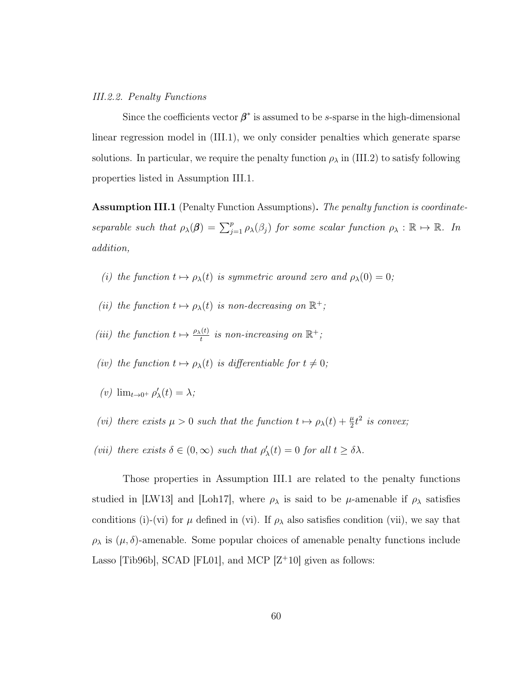### III.2.2. Penalty Functions

Since the coefficients vector  $\beta^*$  is assumed to be s-sparse in the high-dimensional linear regression model in [\(III.1\)](#page-66-1), we only consider penalties which generate sparse solutions. In particular, we require the penalty function  $\rho_{\lambda}$  in [\(III.2\)](#page-67-1) to satisfy following properties listed in Assumption [III.1.](#page-68-0)

<span id="page-68-0"></span>Assumption III.1 (Penalty Function Assumptions). The penalty function is coordinateseparable such that  $\rho_{\lambda}(\boldsymbol{\beta}) = \sum_{j=1}^{p} \rho_{\lambda}(\beta_j)$  for some scalar function  $\rho_{\lambda}: \mathbb{R} \mapsto \mathbb{R}$ . In addition,

- (i) the function  $t \mapsto \rho_{\lambda}(t)$  is symmetric around zero and  $\rho_{\lambda}(0) = 0$ ;
- (ii) the function  $t \mapsto \rho_{\lambda}(t)$  is non-decreasing on  $\mathbb{R}^+$ ;
- (iii) the function  $t \mapsto \frac{\rho_{\lambda}(t)}{t}$  is non-increasing on  $\mathbb{R}^+$ ;
- (iv) the function  $t \mapsto \rho_{\lambda}(t)$  is differentiable for  $t \neq 0$ ;
- (v)  $\lim_{t\to 0^+} \rho'_{\lambda}(t) = \lambda;$
- (vi) there exists  $\mu > 0$  such that the function  $t \mapsto \rho_{\lambda}(t) + \frac{\mu}{2}t^2$  is convex;
- (vii) there exists  $\delta \in (0,\infty)$  such that  $\rho'_{\lambda}(t) = 0$  for all  $t \geq \delta \lambda$ .

Those properties in Assumption [III.1](#page-68-0) are related to the penalty functions studied in [\[LW13\]](#page-126-2) and [\[Loh17\]](#page-126-0), where  $\rho_{\lambda}$  is said to be  $\mu$ -amenable if  $\rho_{\lambda}$  satisfies conditions (i)-(vi) for  $\mu$  defined in (vi). If  $\rho_{\lambda}$  also satisfies condition (vii), we say that  $\rho_{\lambda}$  is  $(\mu, \delta)$ -amenable. Some popular choices of amenable penalty functions include Lasso [\[Tib96b\]](#page-129-4), SCAD [\[FL01\]](#page-123-1), and MCP  $[Z^+10]$  $[Z^+10]$  given as follows: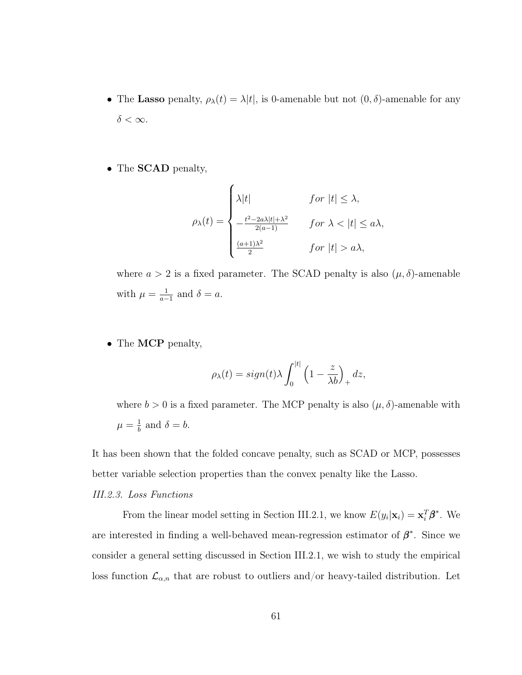- The Lasso penalty,  $\rho_{\lambda}(t) = \lambda |t|$ , is 0-amenable but not  $(0, \delta)$ -amenable for any  $\delta < \infty$ .
- The **SCAD** penalty,

$$
\rho_{\lambda}(t) = \begin{cases}\n\lambda|t| & \text{for } |t| \leq \lambda, \\
-\frac{t^2 - 2a\lambda|t| + \lambda^2}{2(a-1)} & \text{for } \lambda < |t| \leq a\lambda, \\
\frac{(a+1)\lambda^2}{2} & \text{for } |t| > a\lambda,\n\end{cases}
$$

where  $a > 2$  is a fixed parameter. The SCAD penalty is also  $(\mu, \delta)$ -amenable with  $\mu = \frac{1}{a}$  $\frac{1}{a-1}$  and  $\delta = a$ .

• The MCP penalty,

$$
\rho_{\lambda}(t) = sign(t)\lambda \int_0^{|t|} \left(1 - \frac{z}{\lambda b}\right)_+ dz,
$$

where  $b > 0$  is a fixed parameter. The MCP penalty is also  $(\mu, \delta)$ -amenable with  $\mu = \frac{1}{b}$  $\frac{1}{b}$  and  $\delta = b$ .

It has been shown that the folded concave penalty, such as SCAD or MCP, possesses better variable selection properties than the convex penalty like the Lasso.

# III.2.3. Loss Functions

From the linear model setting in Section [III.2.1,](#page-66-2) we know  $E(y_i|\mathbf{x}_i) = \mathbf{x}_i^T \boldsymbol{\beta}^*$ . We are interested in finding a well-behaved mean-regression estimator of  $\beta^*$ . Since we consider a general setting discussed in Section [III.2.1,](#page-66-2) we wish to study the empirical loss function  $\mathcal{L}_{\alpha,n}$  that are robust to outliers and/or heavy-tailed distribution. Let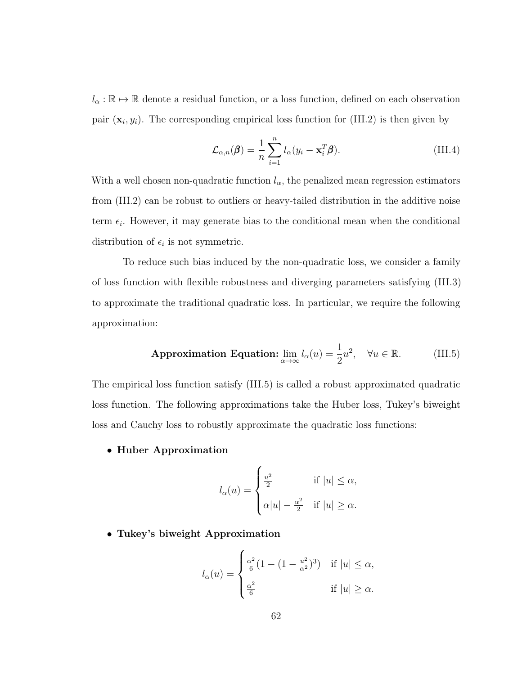$l_{\alpha} : \mathbb{R} \to \mathbb{R}$  denote a residual function, or a loss function, defined on each observation pair  $(\mathbf{x}_i, y_i)$ . The corresponding empirical loss function for [\(III.2\)](#page-67-1) is then given by

$$
\mathcal{L}_{\alpha,n}(\boldsymbol{\beta}) = \frac{1}{n} \sum_{i=1}^{n} l_{\alpha}(y_i - \mathbf{x}_i^T \boldsymbol{\beta}).
$$
\n(III.4)

With a well chosen non-quadratic function  $l_{\alpha}$ , the penalized mean regression estimators from [\(III.2\)](#page-67-1) can be robust to outliers or heavy-tailed distribution in the additive noise term  $\epsilon_i$ . However, it may generate bias to the conditional mean when the conditional distribution of  $\epsilon_i$  is not symmetric.

To reduce such bias induced by the non-quadratic loss, we consider a family of loss function with flexible robustness and diverging parameters satisfying [\(III.3\)](#page-67-0) to approximate the traditional quadratic loss. In particular, we require the following approximation:

<span id="page-70-0"></span>**Approximation Equation:** 
$$
\lim_{\alpha \to \infty} l_{\alpha}(u) = \frac{1}{2}u^2
$$
,  $\forall u \in \mathbb{R}$ . (III.5)

The empirical loss function satisfy [\(III.5\)](#page-70-0) is called a robust approximated quadratic loss function. The following approximations take the Huber loss, Tukey's biweight loss and Cauchy loss to robustly approximate the quadratic loss functions:

• Huber Approximation

$$
l_{\alpha}(u) = \begin{cases} \frac{u^2}{2} & \text{if } |u| \leq \alpha, \\ \alpha|u| - \frac{\alpha^2}{2} & \text{if } |u| \geq \alpha. \end{cases}
$$

• Tukey's biweight Approximation

$$
l_{\alpha}(u) = \begin{cases} \frac{\alpha^2}{6} (1 - (1 - \frac{u^2}{\alpha^2})^3) & \text{if } |u| \le \alpha, \\ \frac{\alpha^2}{6} & \text{if } |u| \ge \alpha. \end{cases}
$$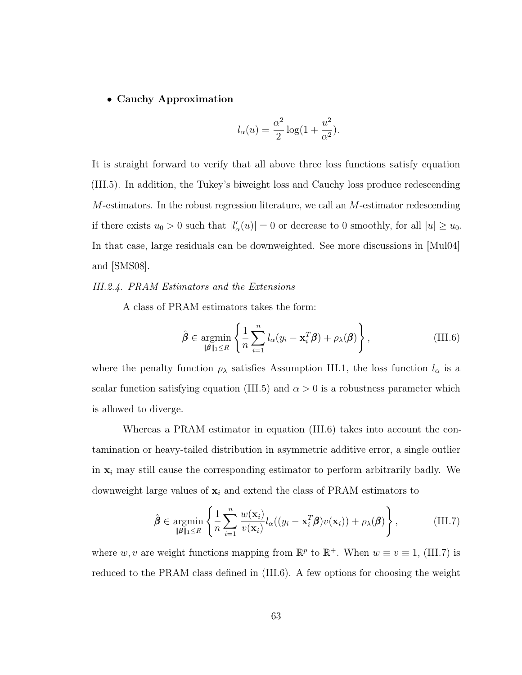## • Cauchy Approximation

$$
l_{\alpha}(u) = \frac{\alpha^2}{2} \log(1 + \frac{u^2}{\alpha^2}).
$$

It is straight forward to verify that all above three loss functions satisfy equation [\(III.5\)](#page-70-0). In addition, the Tukey's biweight loss and Cauchy loss produce redescending M-estimators. In the robust regression literature, we call an M-estimator redescending if there exists  $u_0 > 0$  such that  $|l'_{\alpha}(u)| = 0$  or decrease to 0 smoothly, for all  $|u| \ge u_0$ . In that case, large residuals can be downweighted. See more discussions in [\[Mul04\]](#page-127-0) and [\[SMS08\]](#page-129-3).

## III.2.4. PRAM Estimators and the Extensions

A class of PRAM estimators takes the form:

<span id="page-71-0"></span>
$$
\hat{\boldsymbol{\beta}} \in \underset{\|\boldsymbol{\beta}\|_1 \leq R}{\operatorname{argmin}} \left\{ \frac{1}{n} \sum_{i=1}^n l_\alpha (y_i - \mathbf{x}_i^T \boldsymbol{\beta}) + \rho_\lambda(\boldsymbol{\beta}) \right\},\tag{III.6}
$$

where the penalty function  $\rho_{\lambda}$  satisfies Assumption [III.1,](#page-68-0) the loss function  $l_{\alpha}$  is a scalar function satisfying equation [\(III.5\)](#page-70-0) and  $\alpha > 0$  is a robustness parameter which is allowed to diverge.

Whereas a PRAM estimator in equation [\(III.6\)](#page-71-0) takes into account the contamination or heavy-tailed distribution in asymmetric additive error, a single outlier in  $x_i$  may still cause the corresponding estimator to perform arbitrarily badly. We downweight large values of  $\mathbf{x}_i$  and extend the class of PRAM estimators to

<span id="page-71-1"></span>
$$
\hat{\boldsymbol{\beta}} \in \underset{\|\boldsymbol{\beta}\|_1 \leq R}{\operatorname{argmin}} \left\{ \frac{1}{n} \sum_{i=1}^n \frac{w(\mathbf{x}_i)}{v(\mathbf{x}_i)} l_{\alpha}((y_i - \mathbf{x}_i^T \boldsymbol{\beta}) v(\mathbf{x}_i)) + \rho_{\lambda}(\boldsymbol{\beta}) \right\},
$$
(III.7)

where w, v are weight functions mapping from  $\mathbb{R}^p$  to  $\mathbb{R}^+$ . When  $w \equiv v \equiv 1$ , [\(III.7\)](#page-71-1) is reduced to the PRAM class defined in [\(III.6\)](#page-71-0). A few options for choosing the weight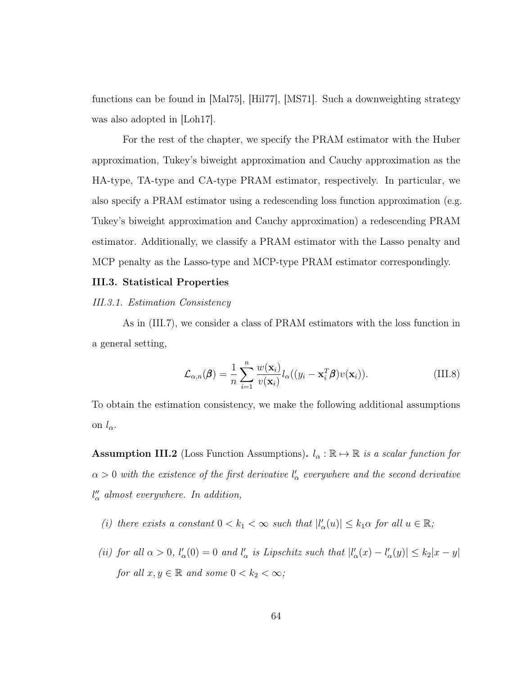functions can be found in [\[Mal75\]](#page-127-0), [\[Hil77\]](#page-125-0), [\[MS71\]](#page-127-1). Such a downweighting strategy was also adopted in [\[Loh17\]](#page-126-0).

For the rest of the chapter, we specify the PRAM estimator with the Huber approximation, Tukey's biweight approximation and Cauchy approximation as the HA-type, TA-type and CA-type PRAM estimator, respectively. In particular, we also specify a PRAM estimator using a redescending loss function approximation (e.g. Tukey's biweight approximation and Cauchy approximation) a redescending PRAM estimator. Additionally, we classify a PRAM estimator with the Lasso penalty and MCP penalty as the Lasso-type and MCP-type PRAM estimator correspondingly.

### III.3. Statistical Properties

#### III.3.1. Estimation Consistency

As in [\(III.7\)](#page-71-0), we consider a class of PRAM estimators with the loss function in a general setting,

<span id="page-72-1"></span>
$$
\mathcal{L}_{\alpha,n}(\boldsymbol{\beta}) = \frac{1}{n} \sum_{i=1}^{n} \frac{w(\mathbf{x}_i)}{v(\mathbf{x}_i)} l_{\alpha}((y_i - \mathbf{x}_i^T \boldsymbol{\beta}) v(\mathbf{x}_i)).
$$
\n(III.8)

To obtain the estimation consistency, we make the following additional assumptions on  $l_{\alpha}$ .

<span id="page-72-0"></span>**Assumption III.2** (Loss Function Assumptions).  $l_{\alpha} : \mathbb{R} \to \mathbb{R}$  is a scalar function for  $\alpha > 0$  with the existence of the first derivative  $l'_{\alpha}$  everywhere and the second derivative  $l''_{\alpha}$  almost everywhere. In addition,

- (i) there exists a constant  $0 < k_1 < \infty$  such that  $|l'_{\alpha}(u)| \leq k_1 \alpha$  for all  $u \in \mathbb{R}$ ;
- (ii) for all  $\alpha > 0$ ,  $l'_{\alpha}(0) = 0$  and  $l'_{\alpha}$  is Lipschitz such that  $|l'_{\alpha}(x) l'_{\alpha}(y)| \leq k_2 |x y|$ for all  $x, y \in \mathbb{R}$  and some  $0 < k_2 < \infty$ ;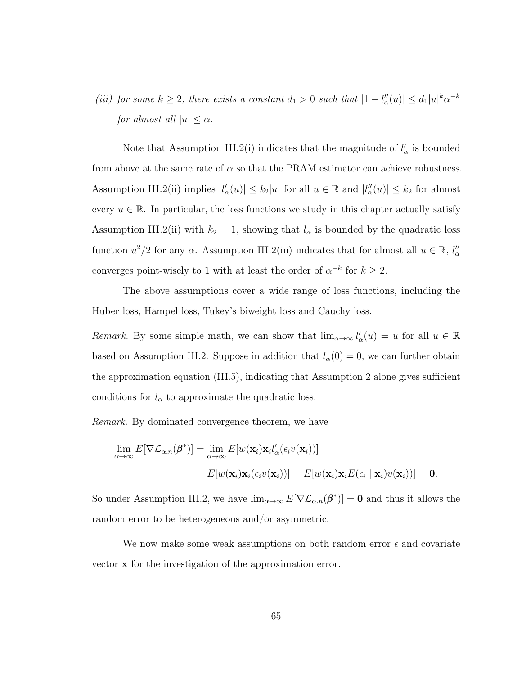(iii) for some  $k \geq 2$ , there exists a constant  $d_1 > 0$  such that  $|1 - l''_{\alpha}(u)| \leq d_1 |u|^k \alpha^{-k}$ for almost all  $|u| \leq \alpha$ .

Note that Assumption [III.2\(](#page-72-0)i) indicates that the magnitude of  $l'_{\alpha}$  is bounded from above at the same rate of  $\alpha$  so that the PRAM estimator can achieve robustness. Assumption [III.2\(](#page-72-0)ii) implies  $|l'_{\alpha}(u)| \leq k_2 |u|$  for all  $u \in \mathbb{R}$  and  $|l''_{\alpha}(u)| \leq k_2$  for almost every  $u \in \mathbb{R}$ . In particular, the loss functions we study in this chapter actually satisfy Assumption [III.2\(](#page-72-0)ii) with  $k_2 = 1$ , showing that  $l_\alpha$  is bounded by the quadratic loss function  $u^2/2$  for any  $\alpha$ . Assumption [III.2\(](#page-72-0)iii) indicates that for almost all  $u \in \mathbb{R}$ ,  $l''_{\alpha}$ converges point-wisely to 1 with at least the order of  $\alpha^{-k}$  for  $k \geq 2$ .

The above assumptions cover a wide range of loss functions, including the Huber loss, Hampel loss, Tukey's biweight loss and Cauchy loss.

Remark. By some simple math, we can show that  $\lim_{\alpha\to\infty} l'_{\alpha}(u) = u$  for all  $u \in \mathbb{R}$ based on Assumption [III.2.](#page-72-0) Suppose in addition that  $l_{\alpha}(0) = 0$ , we can further obtain the approximation equation [\(III.5\)](#page-70-0), indicating that Assumption 2 alone gives sufficient conditions for  $l_{\alpha}$  to approximate the quadratic loss.

Remark. By dominated convergence theorem, we have

$$
\lim_{\alpha \to \infty} E[\nabla \mathcal{L}_{\alpha,n}(\boldsymbol{\beta}^*)] = \lim_{\alpha \to \infty} E[w(\mathbf{x}_i)\mathbf{x}_i l'_{\alpha}(\epsilon_i v(\mathbf{x}_i))]
$$
  
=  $E[w(\mathbf{x}_i)\mathbf{x}_i(\epsilon_i v(\mathbf{x}_i))] = E[w(\mathbf{x}_i)\mathbf{x}_i E(\epsilon_i | \mathbf{x}_i) v(\mathbf{x}_i))] = \mathbf{0}.$ 

So under Assumption [III.2,](#page-72-0) we have  $\lim_{\alpha\to\infty} E[\nabla \mathcal{L}_{\alpha,n}(\beta^*)]=\mathbf{0}$  and thus it allows the random error to be heterogeneous and/or asymmetric.

We now make some weak assumptions on both random error  $\epsilon$  and covariate vector x for the investigation of the approximation error.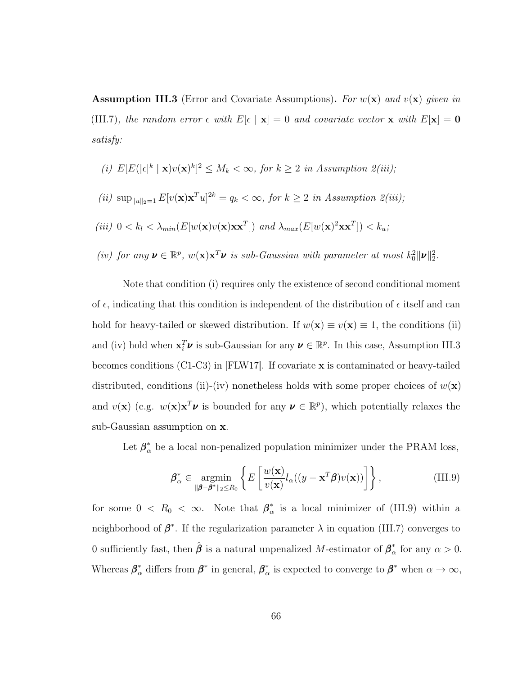<span id="page-74-0"></span>**Assumption III.3** (Error and Covariate Assumptions). For  $w(\mathbf{x})$  and  $v(\mathbf{x})$  given in [\(III.7\)](#page-71-0), the random error  $\epsilon$  with  $E[\epsilon | \mathbf{x}] = 0$  and covariate vector **x** with  $E[\mathbf{x}] = \mathbf{0}$ satisfy:

- (i)  $E[E(|\epsilon|^k \mid \mathbf{x})v(\mathbf{x})^k]^2 \leq M_k < \infty$ , for  $k \geq 2$  in Assumption  $2(iii)$ ;
- (ii)  $\sup_{\|u\|_2=1} E[v(\mathbf{x})\mathbf{x}^T u]^{2k} = q_k < \infty$ , for  $k \geq 2$  in Assumption  $2(iii)$ ;
- (iii)  $0 < k_l < \lambda_{min}(E[w(\mathbf{x})v(\mathbf{x})\mathbf{x}\mathbf{x}^T])$  and  $\lambda_{max}(E[w(\mathbf{x})^2\mathbf{x}\mathbf{x}^T]) < k_u$ ;
- (iv) for any  $v \in \mathbb{R}^p$ ,  $w(\mathbf{x})\mathbf{x}^T v$  is sub-Gaussian with parameter at most  $k_0^2 ||v||_2^2$ .

Note that condition (i) requires only the existence of second conditional moment of  $\epsilon$ , indicating that this condition is independent of the distribution of  $\epsilon$  itself and can hold for heavy-tailed or skewed distribution. If  $w(\mathbf{x}) \equiv v(\mathbf{x}) \equiv 1$ , the conditions (ii) and (iv) hold when  $\mathbf{x}_i^T \boldsymbol{\nu}$  is sub-Gaussian for any  $\boldsymbol{\nu} \in \mathbb{R}^p$ . In this case, Assumption [III.3](#page-74-0) becomes conditions (C1-C3) in [\[FLW17\]](#page-123-0). If covariate x is contaminated or heavy-tailed distributed, conditions (ii)-(iv) nonetheless holds with some proper choices of  $w(\mathbf{x})$ and  $v(\mathbf{x})$  (e.g.  $w(\mathbf{x})\mathbf{x}^T\boldsymbol{\nu}$  is bounded for any  $\boldsymbol{\nu} \in \mathbb{R}^p$ ), which potentially relaxes the sub-Gaussian assumption on x.

Let  $\beta_{\alpha}^*$  be a local non-penalized population minimizer under the PRAM loss,

<span id="page-74-1"></span>
$$
\boldsymbol{\beta}_{\alpha}^{*} \in \underset{\|\boldsymbol{\beta}-\boldsymbol{\beta}^{*}\|_{2} \leq R_{0}}{\operatorname{argmin}} \left\{ E\left[\frac{w(\mathbf{x})}{v(\mathbf{x})} l_{\alpha}((y-\mathbf{x}^{T}\boldsymbol{\beta})v(\mathbf{x}))\right]\right\},
$$
\n(III.9)

for some  $0 \leq R_0 \leq \infty$ . Note that  $\beta_{\alpha}^*$  $\frac{1}{\alpha}$  is a local minimizer of [\(III.9\)](#page-74-1) within a neighborhood of  $\beta^*$ . If the regularization parameter  $\lambda$  in equation [\(III.7\)](#page-71-0) converges to 0 sufficiently fast, then  $\hat{\boldsymbol{\beta}}$  is a natural unpenalized M-estimator of  $\boldsymbol{\beta}_{\alpha}^*$  $_{\alpha}^{*}$  for any  $\alpha > 0$ . Whereas  $\beta^*_{\alpha}$  differs from  $\beta^*$  in general,  $\beta^*_{\alpha}$  $\alpha^*$  is expected to converge to  $\beta^*$  when  $\alpha \to \infty$ ,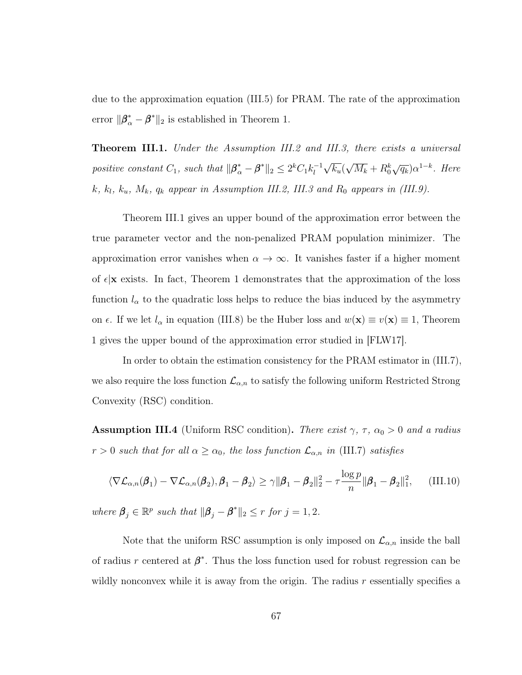due to the approximation equation [\(III.5\)](#page-70-0) for PRAM. The rate of the approximation error  $\|\boldsymbol{\beta}_{\alpha}^* - \boldsymbol{\beta}^*\|_2$  is established in Theorem 1.

<span id="page-75-0"></span>**Theorem III.1.** Under the Assumption [III.2](#page-72-0) and [III.3,](#page-74-0) there exists a universal positive constant  $C_1$ , such that  $\|\boldsymbol{\beta}_{\alpha}^* - \boldsymbol{\beta}^*\|_2 \leq 2^k C_1 k_l^{-1}$ l √  $\overline{k_u} ($ √  $\overline{M_k} + R_0^k \sqrt{q_k} \alpha^{1-k}$ . Here k,  $k_l$ ,  $k_u$ ,  $M_k$ ,  $q_k$  appear in Assumption [III.2,](#page-72-0) [III.3](#page-74-0) and  $R_0$  appears in [\(III.9\)](#page-74-1).

Theorem [III.1](#page-75-0) gives an upper bound of the approximation error between the true parameter vector and the non-penalized PRAM population minimizer. The approximation error vanishes when  $\alpha \to \infty$ . It vanishes faster if a higher moment of  $\epsilon | \mathbf{x} \rangle$  exists. In fact, Theorem 1 demonstrates that the approximation of the loss function  $l_{\alpha}$  to the quadratic loss helps to reduce the bias induced by the asymmetry on  $\epsilon$ . If we let  $l_{\alpha}$  in equation [\(III.8\)](#page-72-1) be the Huber loss and  $w(\mathbf{x}) \equiv v(\mathbf{x}) \equiv 1$ , Theorem 1 gives the upper bound of the approximation error studied in [\[FLW17\]](#page-123-0).

In order to obtain the estimation consistency for the PRAM estimator in [\(III.7\)](#page-71-0), we also require the loss function  $\mathcal{L}_{\alpha,n}$  to satisfy the following uniform Restricted Strong Convexity (RSC) condition.

<span id="page-75-1"></span>**Assumption III.4** (Uniform RSC condition). There exist  $\gamma$ ,  $\tau$ ,  $\alpha_0 > 0$  and a radius  $r > 0$  such that for all  $\alpha \ge \alpha_0$ , the loss function  $\mathcal{L}_{\alpha,n}$  in [\(III.7\)](#page-71-0) satisfies

<span id="page-75-2"></span>
$$
\langle \nabla \mathcal{L}_{\alpha,n}(\boldsymbol{\beta}_1) - \nabla \mathcal{L}_{\alpha,n}(\boldsymbol{\beta}_2), \boldsymbol{\beta}_1 - \boldsymbol{\beta}_2 \rangle \ge \gamma \|\boldsymbol{\beta}_1 - \boldsymbol{\beta}_2\|_2^2 - \tau \frac{\log p}{n} \|\boldsymbol{\beta}_1 - \boldsymbol{\beta}_2\|_1^2, \quad \text{(III.10)}
$$

where  $\beta_j \in \mathbb{R}^p$  such that  $\|\beta_j - \beta^*\|_2 \leq r$  for  $j = 1, 2$ .

Note that the uniform RSC assumption is only imposed on  $\mathcal{L}_{\alpha,n}$  inside the ball of radius r centered at  $\beta^*$ . Thus the loss function used for robust regression can be wildly nonconvex while it is away from the origin. The radius  $r$  essentially specifies a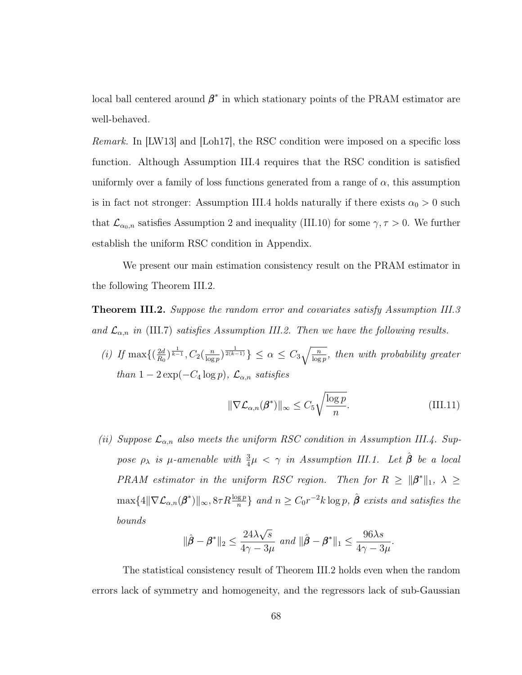local ball centered around  $\beta^*$  in which stationary points of the PRAM estimator are well-behaved.

Remark. In [\[LW13\]](#page-126-1) and [\[Loh17\]](#page-126-0), the RSC condition were imposed on a specific loss function. Although Assumption [III.4](#page-75-1) requires that the RSC condition is satisfied uniformly over a family of loss functions generated from a range of  $\alpha$ , this assumption is in fact not stronger: Assumption [III.4](#page-75-1) holds naturally if there exists  $\alpha_0 > 0$  such that  $\mathcal{L}_{\alpha_0,n}$  satisfies Assumption 2 and inequality [\(III.10\)](#page-75-2) for some  $\gamma, \tau > 0$ . We further establish the uniform RSC condition in Appendix.

We present our main estimation consistency result on the PRAM estimator in the following Theorem [III.2.](#page-76-0)

<span id="page-76-0"></span>**Theorem III.2.** Suppose the random error and covariates satisfy Assumption [III.3](#page-74-0) and  $\mathcal{L}_{\alpha,n}$  in [\(III.7\)](#page-71-0) satisfies Assumption [III.2.](#page-72-0) Then we have the following results.

(*i*) If max $\left\{ \left( \frac{2d}{R_0} \right)$  $\frac{2d}{R_0}\big)^{\frac{1}{k-1}}, C_2\big(\frac{n}{\log n}$  $\frac{n}{\log p}$ )  $\frac{1}{2(k-1)}$   $\leq \alpha \leq C_3 \sqrt{\frac{n}{\log p}}$ , then with probability greater than  $1 - 2 \exp(-C_4 \log p)$ ,  $\mathcal{L}_{\alpha,n}$  satisfies

$$
\|\nabla \mathcal{L}_{\alpha,n}(\boldsymbol{\beta}^*)\|_{\infty} \le C_5 \sqrt{\frac{\log p}{n}}.
$$
\n(III.11)

(ii) Suppose  $\mathcal{L}_{\alpha,n}$  also meets the uniform RSC condition in Assumption [III.4.](#page-75-1) Suppose  $\rho_{\lambda}$  is  $\mu$ -amenable with  $\frac{3}{4}\mu < \gamma$  in Assumption [III.1.](#page-68-0) Let  $\hat{\boldsymbol{\beta}}$  be a local PRAM estimator in the uniform RSC region. Then for  $R \geq ||\boldsymbol{\beta}^*||_1$ ,  $\lambda \geq$  $\max\{4\|\nabla \mathcal{L}_{\alpha,n}(\boldsymbol{\beta}^*)\|_{\infty}, 8\tau R\frac{\log p}{n}\}$  and  $n \geq C_0 r^{-2}k\log p$ ,  $\hat{\boldsymbol{\beta}}$  exists and satisfies the bounds

$$
\|\hat{\boldsymbol{\beta}} - \boldsymbol{\beta}^*\|_2 \le \frac{24\lambda\sqrt{s}}{4\gamma - 3\mu} \text{ and } \|\hat{\boldsymbol{\beta}} - \boldsymbol{\beta}^*\|_1 \le \frac{96\lambda s}{4\gamma - 3\mu}.
$$

The statistical consistency result of Theorem [III.2](#page-76-0) holds even when the random errors lack of symmetry and homogeneity, and the regressors lack of sub-Gaussian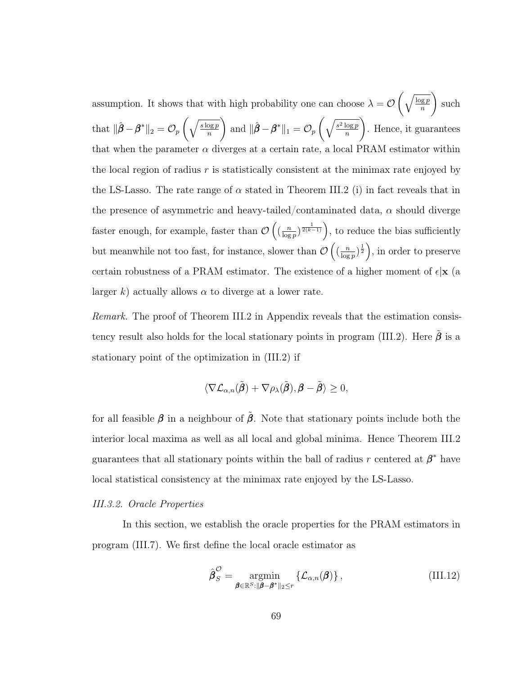assumption. It shows that with high probability one can choose  $\lambda = \mathcal{O}\left(\sqrt{\frac{\log p}{n}}\right)$ n ). such that  $\|\hat{\boldsymbol{\beta}} - \boldsymbol{\beta}^*\|_2 = \mathcal{O}_p\left(\sqrt{\frac{s\log p}{n}}\right)$ n ). and  $\|\hat{\boldsymbol{\beta}} - \boldsymbol{\beta}^*\|_1 = \mathcal{O}_p\left(\sqrt{\frac{s^2\log p}{n}}\right)$ n ). . Hence, it guarantees that when the parameter  $\alpha$  diverges at a certain rate, a local PRAM estimator within the local region of radius  $r$  is statistically consistent at the minimax rate enjoyed by the LS-Lasso. The rate range of  $\alpha$  stated in Theorem [III.2](#page-76-0) (i) in fact reveals that in the presence of asymmetric and heavy-tailed/contaminated data,  $\alpha$  should diverge faster enough, for example, faster than  $\mathcal{O}\left(\frac{n}{\log n}\right)$  $\frac{n}{\log p}$ )  $\frac{1}{2(k-1)}$ , to reduce the bias sufficiently but meanwhile not too fast, for instance, slower than  $\mathcal{O}\left(\frac{n}{\log n}\right)$  $\frac{n}{\log p}$  $\frac{1}{2}$ , in order to preserve certain robustness of a PRAM estimator. The existence of a higher moment of  $\epsilon |x|$  (a larger k) actually allows  $\alpha$  to diverge at a lower rate.

Remark. The proof of Theorem [III.2](#page-76-0) in Appendix reveals that the estimation consis-tency result also holds for the local stationary points in program [\(III.2\)](#page-67-0). Here  $\tilde{\beta}$  is a stationary point of the optimization in [\(III.2\)](#page-67-0) if

$$
\langle\nabla \mathcal{L}_{\alpha,n}(\tilde{\boldsymbol{\beta}}) + \nabla \rho_{\lambda}(\tilde{\boldsymbol{\beta}}), \boldsymbol{\beta} - \tilde{\boldsymbol{\beta}} \rangle \geq 0,
$$

for all feasible  $\beta$  in a neighbour of  $\tilde{\beta}$ . Note that stationary points include both the interior local maxima as well as all local and global minima. Hence Theorem [III.2](#page-76-0) guarantees that all stationary points within the ball of radius r centered at  $\beta^*$  have local statistical consistency at the minimax rate enjoyed by the LS-Lasso.

## III.3.2. Oracle Properties

In this section, we establish the oracle properties for the PRAM estimators in program [\(III.7\)](#page-71-0). We first define the local oracle estimator as

<span id="page-77-0"></span>
$$
\hat{\boldsymbol{\beta}}_S^{\mathcal{O}} = \underset{\boldsymbol{\beta} \in \mathbb{R}^S : ||\boldsymbol{\beta} - \boldsymbol{\beta}^*||_2 \le r}{\operatorname{argmin}} \left\{ \mathcal{L}_{\alpha,n}(\boldsymbol{\beta}) \right\},\tag{III.12}
$$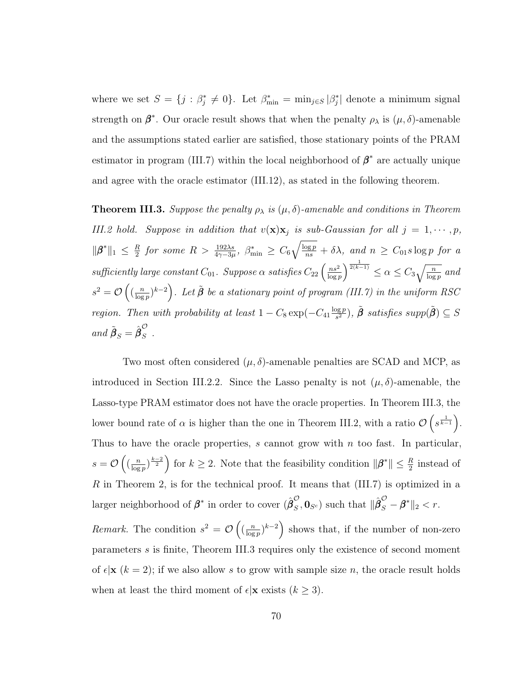where we set  $S = \{j : \beta_j^* \neq 0\}$ . Let  $\beta_{\min}^* = \min_{j \in S} |\beta_j^*|$  denote a minimum signal strength on  $\beta^*$ . Our oracle result shows that when the penalty  $\rho_{\lambda}$  is  $(\mu, \delta)$ -amenable and the assumptions stated earlier are satisfied, those stationary points of the PRAM estimator in program [\(III.7\)](#page-71-0) within the local neighborhood of  $\beta^*$  are actually unique and agree with the oracle estimator [\(III.12\)](#page-77-0), as stated in the following theorem.

<span id="page-78-0"></span>**Theorem III.3.** Suppose the penalty  $\rho_{\lambda}$  is  $(\mu, \delta)$ -amenable and conditions in Theorem [III.2](#page-76-0) hold. Suppose in addition that  $v(\mathbf{x})\mathbf{x}_j$  is sub-Gaussian for all  $j = 1, \dots, p$ ,  $\|\boldsymbol{\beta}^*\|_1 \leq \frac{R}{2}$  $\frac{R}{2}$  for some  $R > \frac{192\lambda s}{4\gamma - 3\mu}$ ,  $\beta_{\min}^* \geq C_6 \sqrt{\frac{\log p}{ns}} + \delta \lambda$ , and  $n \geq C_{01} s \log p$  for a sufficiently large constant  $C_{01}$ . Suppose  $\alpha$  satisfies  $C_{22}$   $\left(\frac{ns^2}{\log n}\right)$  $\frac{ns^2}{\log p}$ ) $\frac{1}{2(k-1)} \leq \alpha \leq C_3 \sqrt{\frac{n}{\log p}}$  and  $s^2 = \mathcal{O}\left(\left(\frac{n}{\log n}\right)\right)$  $\left(\frac{n}{\log p}\right)^{k-2}$ ). Let  $\tilde{\boldsymbol{\beta}}$  be a stationary point of program [\(III.7\)](#page-71-0) in the uniform RSC region. Then with probability at least  $1 - C_8 \exp(-C_{41} \frac{\log p}{s^2})$  $(\tilde{\beta})^{\frac{p}{s^2}}$ ,  $\tilde{\beta}$  satisfies supp $(\tilde{\beta}) \subseteq S$ and  $\tilde{\boldsymbol{\beta}}_S = \hat{\boldsymbol{\beta}}_S^{\mathcal{O}}$  $\frac{3}{S}$ .

Two most often considered  $(\mu, \delta)$ -amenable penalties are SCAD and MCP, as introduced in Section [III.2.2.](#page-68-1) Since the Lasso penalty is not  $(\mu, \delta)$ -amenable, the Lasso-type PRAM estimator does not have the oracle properties. In Theorem [III.3,](#page-78-0) the lower bound rate of  $\alpha$  is higher than the one in Theorem [III.2,](#page-76-0) with a ratio  $\mathcal{O}\left(s^{\frac{1}{k-1}}\right)$ . Thus to have the oracle properties,  $s$  cannot grow with  $n$  too fast. In particular,  $s = \mathcal{O}\left(\left(\frac{n}{\log n}\right)\right)$  $\frac{n}{\log p}$   $\left(\frac{k-2}{2}\right)$  for  $k \geq 2$ . Note that the feasibility condition  $\|\boldsymbol{\beta}^*\| \leq \frac{R}{2}$  instead of  $R$  in Theorem 2, is for the technical proof. It means that  $(III.7)$  is optimized in a larger neighborhood of  $\beta^*$  in order to cover  $({\hat{\beta}}_S^{\mathcal{O}})$  $_{S}^{\mathcal{O}},\mathbf{0}_{S^{c}}$  such that  $\|\hat{\boldsymbol{\beta}}_{S}^{\mathcal{O}} - \boldsymbol{\beta}^{*}\|_{2} < r.$ 

*Remark.* The condition  $s^2 = \mathcal{O}\left(\frac{n}{\log n}\right)$  $\left(\frac{n}{\log p}\right)^{k-2}$  shows that, if the number of non-zero parameters s is finite, Theorem [III.3](#page-78-0) requires only the existence of second moment of  $\epsilon | \mathbf{x} (k = 2)$ ; if we also allow s to grow with sample size n, the oracle result holds when at least the third moment of  $\epsilon | \mathbf{x} \right|$  exists  $(k \geq 3)$ .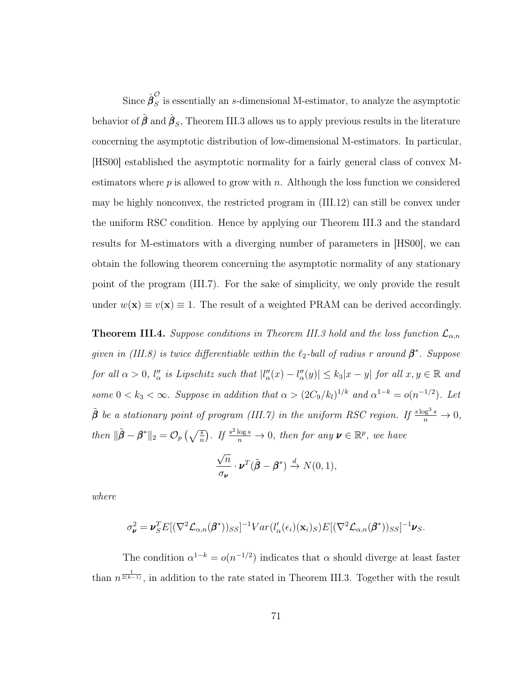Since  $\hat{{\boldsymbol \beta}}_S^{\cal O}$  $\tilde{S}$  is essentially an s-dimensional M-estimator, to analyze the asymptotic behavior of  $\tilde{\bm{\beta}}$  and  $\hat{\bm{\beta}}_S$ , Theorem [III.3](#page-78-0) allows us to apply previous results in the literature concerning the asymptotic distribution of low-dimensional M-estimators. In particular, [\[HS00\]](#page-125-1) established the asymptotic normality for a fairly general class of convex Mestimators where  $p$  is allowed to grow with  $n$ . Although the loss function we considered may be highly nonconvex, the restricted program in [\(III.12\)](#page-77-0) can still be convex under the uniform RSC condition. Hence by applying our Theorem [III.3](#page-78-0) and the standard results for M-estimators with a diverging number of parameters in [\[HS00\]](#page-125-1), we can obtain the following theorem concerning the asymptotic normality of any stationary point of the program [\(III.7\)](#page-71-0). For the sake of simplicity, we only provide the result under  $w(\mathbf{x}) \equiv v(\mathbf{x}) \equiv 1$ . The result of a weighted PRAM can be derived accordingly.

**Theorem III.4.** Suppose conditions in Theorem [III.3](#page-78-0) hold and the loss function  $\mathcal{L}_{\alpha,n}$ given in [\(III.8\)](#page-72-1) is twice differentiable within the  $\ell_2$ -ball of radius r around  $\beta^*$ . Suppose for all  $\alpha > 0$ ,  $l''_{\alpha}$  is Lipschitz such that  $|l''_{\alpha}(x) - l''_{\alpha}(y)| \leq k_3 |x - y|$  for all  $x, y \in \mathbb{R}$  and some  $0 < k_3 < \infty$ . Suppose in addition that  $\alpha > (2C_9/k_l)^{1/k}$  and  $\alpha^{1-k} = o(n^{-1/2})$ . Let  $\tilde{\beta}$  be a stationary point of program [\(III.7\)](#page-71-0) in the uniform RSC region. If  $\frac{s \log^3 s}{n} \to 0$ , then  $\|\tilde{\boldsymbol{\beta}} - \boldsymbol{\beta}^*\|_2 = \mathcal{O}_p\left(\sqrt{\frac{s}{n}}\right)$ . If  $\frac{s^2 \log s}{n} \to 0$ , then for any  $\boldsymbol{\nu} \in \mathbb{R}^p$ , we have

$$
\frac{\sqrt{n}}{\sigma_{\nu}} \cdot \nu^{T}(\tilde{\boldsymbol{\beta}} - \boldsymbol{\beta}^{*}) \stackrel{d}{\rightarrow} N(0, 1),
$$

where

$$
\sigma_{\boldsymbol{\nu}}^2 = \boldsymbol{\nu}_S^T E[(\nabla^2 \mathcal{L}_{\alpha,n}(\boldsymbol{\beta}^*))_{SS}]^{-1} Var(l'_{\alpha}(\epsilon_i)(\mathbf{x}_i)_S)E[(\nabla^2 \mathcal{L}_{\alpha,n}(\boldsymbol{\beta}^*))_{SS}]^{-1} \boldsymbol{\nu}_S.
$$

The condition  $\alpha^{1-k} = o(n^{-1/2})$  indicates that  $\alpha$  should diverge at least faster than  $n^{\frac{1}{2(k-1)}}$ , in addition to the rate stated in Theorem [III.3.](#page-78-0) Together with the result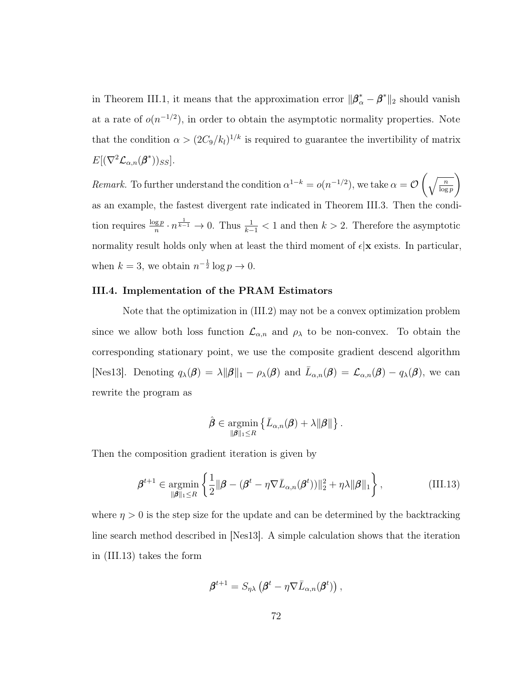in Theorem [III.1,](#page-75-0) it means that the approximation error  $\|\beta^*_{\alpha} - \beta^*\|_2$  should vanish at a rate of  $o(n^{-1/2})$ , in order to obtain the asymptotic normality properties. Note that the condition  $\alpha > (2C_9/k_l)^{1/k}$  is required to guarantee the invertibility of matrix  $E[(\nabla^2 \mathcal{L}_{\alpha,n}(\boldsymbol{\beta}^*))_{SS}].$ 

Remark. To further understand the condition  $\alpha^{1-k} = o(n^{-1/2})$ , we take  $\alpha = \mathcal{O}\left(\sqrt{\frac{n}{\log p}}\right)$  $\setminus$ as an example, the fastest divergent rate indicated in Theorem [III.3.](#page-78-0) Then the condition requires  $\frac{\log p}{n} \cdot n^{\frac{1}{k-1}} \to 0$ . Thus  $\frac{1}{k-1} < 1$  and then  $k > 2$ . Therefore the asymptotic normality result holds only when at least the third moment of  $\epsilon |x|$  exists. In particular, when  $k = 3$ , we obtain  $n^{-\frac{1}{2}} \log p \to 0$ .

# III.4. Implementation of the PRAM Estimators

Note that the optimization in [\(III.2\)](#page-67-0) may not be a convex optimization problem since we allow both loss function  $\mathcal{L}_{\alpha,n}$  and  $\rho_{\lambda}$  to be non-convex. To obtain the corresponding stationary point, we use the composite gradient descend algorithm [\[Nes13\]](#page-127-2). Denoting  $q_{\lambda}(\boldsymbol{\beta}) = \lambda ||\boldsymbol{\beta}||_1 - \rho_{\lambda}(\boldsymbol{\beta})$  and  $\bar{L}_{\alpha,n}(\boldsymbol{\beta}) = \mathcal{L}_{\alpha,n}(\boldsymbol{\beta}) - q_{\lambda}(\boldsymbol{\beta})$ , we can rewrite the program as

$$
\hat{\boldsymbol{\beta}} \in \operatorname*{argmin}_{\|\boldsymbol{\beta}\|_1 \leq R} \left\{ \bar{L}_{\alpha,n}(\boldsymbol{\beta}) + \lambda \|\boldsymbol{\beta}\| \right\}.
$$

Then the composition gradient iteration is given by

<span id="page-80-0"></span>
$$
\boldsymbol{\beta}^{t+1} \in \underset{\|\boldsymbol{\beta}\|_1 \leq R}{\operatorname{argmin}} \left\{ \frac{1}{2} \|\boldsymbol{\beta} - (\boldsymbol{\beta}^t - \eta \nabla \bar{L}_{\alpha,n}(\boldsymbol{\beta}^t))\|_2^2 + \eta \lambda \|\boldsymbol{\beta}\|_1 \right\},\tag{III.13}
$$

where  $\eta > 0$  is the step size for the update and can be determined by the backtracking line search method described in [\[Nes13\]](#page-127-2). A simple calculation shows that the iteration in [\(III.13\)](#page-80-0) takes the form

$$
\boldsymbol{\beta}^{t+1} = S_{\eta\lambda} \left( \boldsymbol{\beta}^t - \eta \nabla \bar{L}_{\alpha,n}(\boldsymbol{\beta}^t) \right),
$$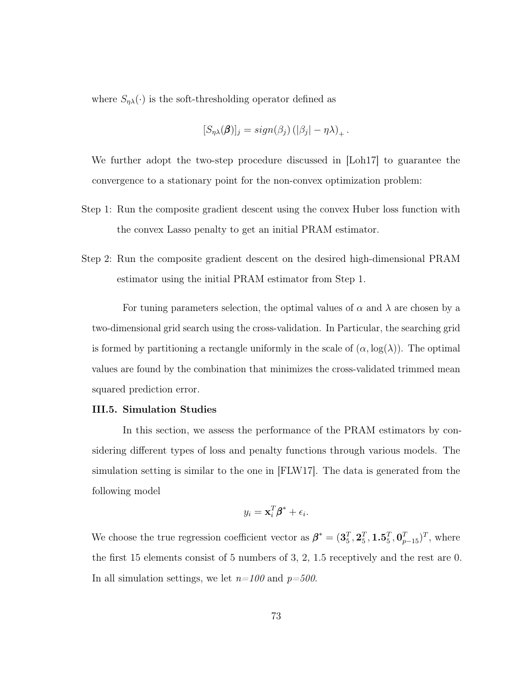where  $S_{\eta\lambda}(\cdot)$  is the soft-thresholding operator defined as

$$
[S_{\eta\lambda}(\boldsymbol{\beta})]_j = sign(\beta_j) (|\beta_j| - \eta\lambda)_+.
$$

We further adopt the two-step procedure discussed in [\[Loh17\]](#page-126-0) to guarantee the convergence to a stationary point for the non-convex optimization problem:

- Step 1: Run the composite gradient descent using the convex Huber loss function with the convex Lasso penalty to get an initial PRAM estimator.
- Step 2: Run the composite gradient descent on the desired high-dimensional PRAM estimator using the initial PRAM estimator from Step 1.

For tuning parameters selection, the optimal values of  $\alpha$  and  $\lambda$  are chosen by a two-dimensional grid search using the cross-validation. In Particular, the searching grid is formed by partitioning a rectangle uniformly in the scale of  $(\alpha, \log(\lambda))$ . The optimal values are found by the combination that minimizes the cross-validated trimmed mean squared prediction error.

## III.5. Simulation Studies

In this section, we assess the performance of the PRAM estimators by considering different types of loss and penalty functions through various models. The simulation setting is similar to the one in [\[FLW17\]](#page-123-0). The data is generated from the following model

$$
y_i = \mathbf{x}_i^T \boldsymbol{\beta}^* + \epsilon_i.
$$

We choose the true regression coefficient vector as  $\beta^* = (\mathbf{3}_5^T, \mathbf{2}_5^T, \mathbf{1} \cdot \mathbf{5}_5^T, \mathbf{0}_{p-15}^T)^T$ , where the first 15 elements consist of 5 numbers of 3, 2, 1.5 receptively and the rest are 0. In all simulation settings, we let  $n=100$  and  $p=500$ .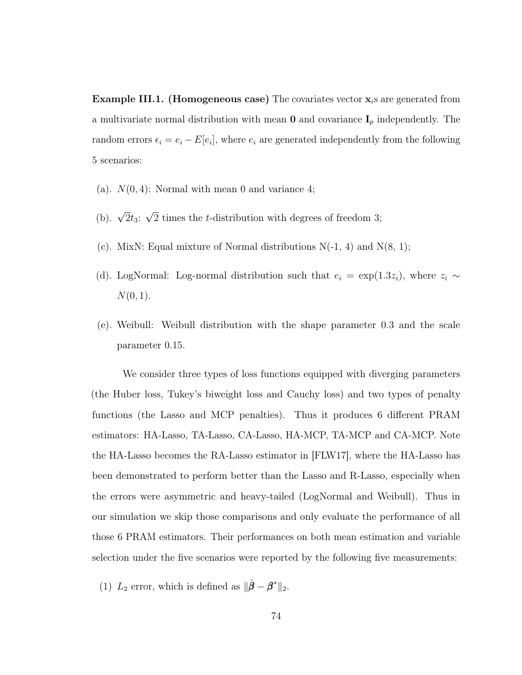<span id="page-82-0"></span>**Example III.1.** (Homogeneous case) The covariates vector  $\mathbf{x}_i$  are generated from a multivariate normal distribution with mean  $\mathbf 0$  and covariance  $\mathbf I_p$  independently. The random errors  $\epsilon_i = e_i - E[e_i]$ , where  $e_i$  are generated independently from the following 5 scenarios:

- (a).  $N(0, 4)$ : Normal with mean 0 and variance 4;
- (b).  $\sqrt{2}t_3$ : √ 2 times the t-distribution with degrees of freedom 3;
- (c). MixN: Equal mixture of Normal distributions  $N(-1, 4)$  and  $N(8, 1)$ ;
- (d). LogNormal: Log-normal distribution such that  $e_i = \exp(1.3z_i)$ , where  $z_i \sim$  $N(0, 1)$ .
- (e). Weibull: Weibull distribution with the shape parameter 0.3 and the scale parameter 0.15.

We consider three types of loss functions equipped with diverging parameters (the Huber loss, Tukey's biweight loss and Cauchy loss) and two types of penalty functions (the Lasso and MCP penalties). Thus it produces 6 different PRAM estimators: HA-Lasso, TA-Lasso, CA-Lasso, HA-MCP, TA-MCP and CA-MCP. Note the HA-Lasso becomes the RA-Lasso estimator in [\[FLW17\]](#page-123-0), where the HA-Lasso has been demonstrated to perform better than the Lasso and R-Lasso, especially when the errors were asymmetric and heavy-tailed (LogNormal and Weibull). Thus in our simulation we skip those comparisons and only evaluate the performance of all those 6 PRAM estimators. Their performances on both mean estimation and variable selection under the five scenarios were reported by the following five measurements:

(1)  $L_2$  error, which is defined as  $\|\hat{\boldsymbol{\beta}} - \boldsymbol{\beta}^*\|_2$ .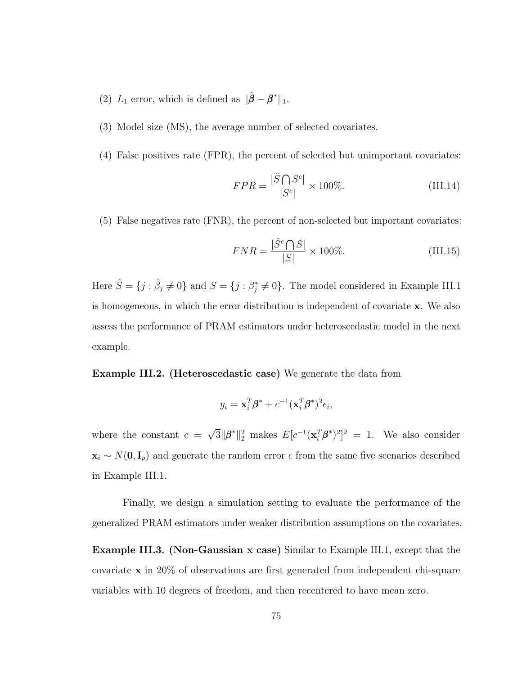- (2)  $L_1$  error, which is defined as  $\|\hat{\boldsymbol{\beta}} \boldsymbol{\beta}^*\|_1$ .
- (3) Model size (MS), the average number of selected covariates.
- (4) False positives rate (FPR), the percent of selected but unimportant covariates:

$$
FPR = \frac{|\hat{S} \bigcap S^c|}{|S^c|} \times 100\%.
$$
 (III.14)

(5) False negatives rate (FNR), the percent of non-selected but important covariates:

$$
FNR = \frac{|\hat{S}^c \bigcap S|}{|S|} \times 100\%.
$$
 (III.15)

Here  $\hat{S} = \{j : \hat{\beta}_j \neq 0\}$  and  $S = \{j : \beta_j^* \neq 0\}$ . The model considered in Example [III.1](#page-82-0) is homogeneous, in which the error distribution is independent of covariate x. We also assess the performance of PRAM estimators under heteroscedastic model in the next example.

<span id="page-83-1"></span>Example III.2. (Heteroscedastic case) We generate the data from

$$
y_i = \mathbf{x}_i^T \boldsymbol{\beta}^* + c^{-1} (\mathbf{x}_i^T \boldsymbol{\beta}^*)^2 \epsilon_i,
$$

where the constant  $c =$ √  $\overline{3} \|\boldsymbol{\beta}^*\|_2^2$  makes  $E[c^{-1}(\mathbf{x}_i^T\boldsymbol{\beta}^*)^2]^2 = 1$ . We also consider  $\mathbf{x}_i \sim N(\mathbf{0}, \mathbf{I}_p)$  and generate the random error  $\epsilon$  from the same five scenarios described in Example [III.1.](#page-82-0)

Finally, we design a simulation setting to evaluate the performance of the generalized PRAM estimators under weaker distribution assumptions on the covariates.

<span id="page-83-0"></span>Example III.3. (Non-Gaussian x case) Similar to Example [III.1,](#page-82-0) except that the covariate x in 20% of observations are first generated from independent chi-square variables with 10 degrees of freedom, and then recentered to have mean zero.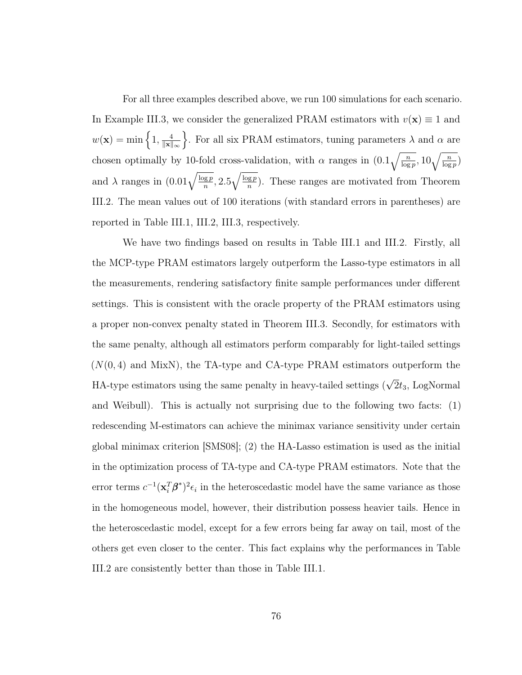For all three examples described above, we run 100 simulations for each scenario. In Example [III.3,](#page-83-0) we consider the generalized PRAM estimators with  $v(\mathbf{x}) \equiv 1$  and  $w(\mathbf{x}) = \min\left\{1, \frac{4}{\|\mathbf{x}\|}\right\}$  $\|\mathbf{x}\|_{\infty}$ For all six PRAM estimators, tuning parameters  $\lambda$  and  $\alpha$  are chosen optimally by 10-fold cross-validation, with  $\alpha$  ranges in  $(0.1\sqrt{\frac{n}{\log p}}, 10\sqrt{\frac{n}{\log p}})$ and  $\lambda$  ranges in  $(0.01\sqrt{\frac{\log p}{n}}, 2.5\sqrt{\frac{\log p}{n}})$  $\frac{sgp}{n}$ ). These ranges are motivated from Theorem [III.2.](#page-76-0) The mean values out of 100 iterations (with standard errors in parentheses) are reported in Table [III.1,](#page-85-0) [III.2,](#page-85-1) [III.3,](#page-86-0) respectively.

We have two findings based on results in Table [III.1](#page-85-0) and [III.2.](#page-85-1) Firstly, all the MCP-type PRAM estimators largely outperform the Lasso-type estimators in all the measurements, rendering satisfactory finite sample performances under different settings. This is consistent with the oracle property of the PRAM estimators using a proper non-convex penalty stated in Theorem [III.3.](#page-78-0) Secondly, for estimators with the same penalty, although all estimators perform comparably for light-tailed settings  $(N(0, 4)$  and MixN), the TA-type and CA-type PRAM estimators outperform the HA-type estimators using the same penalty in heavy-tailed settings ( $\sqrt{2}t_3$ , LogNormal and Weibull). This is actually not surprising due to the following two facts: (1) redescending M-estimators can achieve the minimax variance sensitivity under certain global minimax criterion [\[SMS08\]](#page-129-0); (2) the HA-Lasso estimation is used as the initial in the optimization process of TA-type and CA-type PRAM estimators. Note that the error terms  $c^{-1} (\mathbf{x}_i^T \boldsymbol{\beta}^*)^2 \epsilon_i$  in the heteroscedastic model have the same variance as those in the homogeneous model, however, their distribution possess heavier tails. Hence in the heteroscedastic model, except for a few errors being far away on tail, most of the others get even closer to the center. This fact explains why the performances in Table [III.2](#page-85-1) are consistently better than those in Table [III.1.](#page-85-0)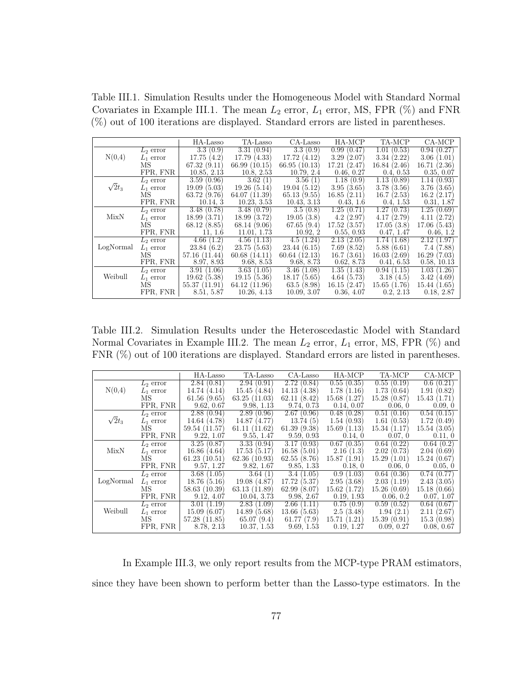<span id="page-85-0"></span>Table III.1. Simulation Results under the Homogeneous Model with Standard Normal Covariates in Example [III.1.](#page-82-0) The mean  $L_2$  error,  $L_1$  error, MS, FPR  $(\%)$  and FNR (%) out of 100 iterations are displayed. Standard errors are listed in parentheses.

|               |             | HA-Lasso        | TA-Lasso      | CA-Lasso        | HA-MCP      | TA-MCP      | CA-MCP             |
|---------------|-------------|-----------------|---------------|-----------------|-------------|-------------|--------------------|
|               | $L_2$ error | 3.3(0.9)        | 3.31(0.94)    | 3.3(0.9)        | 0.99(0.47)  | 1.01(0.53)  | (0.27)<br>$0.94$ ( |
| N(0,4)        | $L_1$ error | 17.75(4.2)      | 17.79 (4.33)  | 17.72 (4.12)    | 3.29(2.07)  | 3.34(2.22)  | 3.06(1.01)         |
|               | MS          | 67.32(9.11)     | 66.99(10.15)  | 66.95 (10.13)   | 17.21(2.47) | 16.84(2.46) | 16.71(2.36)        |
|               | FPR, FNR    | 10.85, 2.13     | 10.8, 2.53    | 10.79, 2.4      | 0.46, 0.27  | 0.4, 0.53   | 0.35, 0.07         |
|               | $L_2$ error | 3.59(0.96)      | 3.62(1)       | 3.56(1)         | 1.18(0.9)   | 1.13(0.89)  | 1.14<br>(0.93)     |
| $\sqrt{2}t_3$ | $L_1$ error | 19.09(5.03)     | 19.26(5.14)   | 19.04(5.12)     | 3.95(3.65)  | 3.78(3.56)  | 3.76(3.65)         |
|               | MS          | 63.72 (9.76)    | 64.07 (11.39) | 65.13(9.55)     | 16.85(2.11) | 16.7(2.53)  | 16.2(2.17)         |
|               | FPR, FNR    | 10.14, 3        | 10.23, 3.53   | 10.43, 3.13     | 0.43, 1.6   | 0.4, 1.53   | 0.31, 1.87         |
|               | $L_2$ error | 3.48(0.78)      | 3.48(0.79)    | 3.5(0.8)        | 1.25(0.71)  | 1.27(0.73)  | 1.25<br>(0.69)     |
| MixN          | $L_1$ error | 18.99<br>(3.71) | 18.99 (3.72)  | 19.05(3.8)      | 4.2(2.97)   | 4.17(2.79)  | 4.11<br>(2.72)     |
|               | MS          | 68.12 (8.85)    | 68.14 (9.06)  | 67.65(9.4)      | 17.52(3.57) | 17.05(3.8)  | 17.06(5.43)        |
|               | FPR, FNR    | 11, 1.6         | 11.01, 1.73   | 10.92, 2        | 0.55, 0.93  | 0.47, 1.47  | 0.46, 1.2          |
|               | $L_2$ error | 4.66(1.2)       | 4.56(1.13)    | 4.5(1.24)       | 2.13(2.05)  | 1.74(1.68)  | 2.12<br>(1.97)     |
| LogNormal     | $L_1$ error | 23.84(6.2)      | 23.75(5.63)   | 23.44(6.15)     | 7.69(8.52)  | 5.88(6.61)  | 7.4<br>(7.88)      |
|               | MS          | 57.16 (11.44)   | 60.68(14.11)  | 60.64(12.13)    | 16.7(3.61)  | 16.03(2.69) | 16.29<br>(7.03)    |
|               | FPR, FNR    | 8.97, 8.93      | 9.68, 8.53    | 9.68, 8.73      | 0.62, 8.73  | 0.41, 6.53  | 0.58, 10.13        |
|               | $L_2$ error | 3.91(1.06)      | 3.63(1.05)    | 3.46(1.08)      | 1.35(1.43)  | 0.94(1.15)  | 1.03<br>(1.26)     |
| Weibull       | $L_1$ error | 19.62(5.38)     | 19.15(5.36)   | 18.17<br>(5.65) | 4.64(5.73)  | 3.18(4.5)   | 3.42<br>(4.69)     |
|               | MS          | 55.37(11.91)    | 64.12 (11.96) | 63.5(8.98)      | 16.15(2.47) | 15.65(1.76) | 15.44 (1.65)       |
|               | FPR, FNR    | 8.51, 5.87      | 10.26, 4.13   | 10.09, 3.07     | 0.36, 4.07  | 0.2, 2.13   | 0.18, 2.87         |

<span id="page-85-1"></span>Table III.2. Simulation Results under the Heteroscedastic Model with Standard Normal Covariates in Example [III.2.](#page-83-1) The mean  $L_2$  error,  $L_1$  error, MS, FPR  $(\%)$  and FNR  $(\%)$  out of 100 iterations are displayed. Standard errors are listed in parentheses.

|               |             | HA-Lasso      | TA-Lasso     | CA-Lasso     | HA-MCP      | TA-MCP      | CA-MCP                      |
|---------------|-------------|---------------|--------------|--------------|-------------|-------------|-----------------------------|
|               | $L_2$ error | 2.84(0.81)    | 2.94(0.91)   | 2.72(0.84)   | 0.55(0.35)  | 0.55(0.19)  | (0.21)<br>0.6 <sub>1</sub>  |
| N(0,4)        | $L_1$ error | 14.74 (4.14)  | 15.45 (4.84) | 14.13(4.38)  | 1.78(1.16)  | 1.73(0.64)  | (0.82)<br>1.91 <sub>0</sub> |
|               | MS          | 61.56(9.65)   | 63.25(11.03) | 62.11(8.42)  | 15.68(1.27) | 15.28(0.87) | 15.43(1.71)                 |
|               | FPR, FNR    | 9.62, 0.67    | 9.98, 1.13   | 9.74, 0.73   | 0.14, 0.07  | 0.06, 0     | 0.09, 0                     |
|               | $L_2$ error | 2.88(0.94)    | 2.89(0.96)   | 2.67(0.96)   | 0.48(0.28)  | 0.51(0.16)  | 0.54<br>(0.15)              |
| $\sqrt{2}t_3$ | $L_1$ error | 14.64 (4.78)  | 14.87 (4.77) | 13.74(5)     | 1.54(0.93)  | 1.61(0.53)  | 1.72<br>(0.49)              |
|               | MS          | 59.54 (11.57) | 61.11(11.62) | 61.39(9.38)  | 15.69(1.13) | 15.34(1.17) | 15.54(3.05)                 |
|               | FPR, FNR    | 9.22, 1.07    | 9.55, 1.47   | 9.59, 0.93   | 0.14, 0     | 0.07, 0     | 0.11, 0                     |
|               | $L_2$ error | 3.25(0.87)    | 3.33(0.94)   | 3.17(0.93)   | 0.67(0.35)  | 0.64(0.22)  | 0.64(0.2)                   |
| MixN          | $L_1$ error | 16.86(4.64)   | 17.53(5.17)  | 16.58(5.01)  | 2.16(1.3)   | 2.02(0.73)  | 2.04(0.69)                  |
|               | MS          | 61.23(10.51)  | 62.36(10.93) | 62.55(8.76)  | 15.87(1.91) | 15.29(1.01) | 15.24(0.67)                 |
|               | FPR, FNR    | 9.57, 1.27    | 9.82, 1.67   | 9.85, 1.33   | 0.18, 0     | 0.06, 0     | 0.05, 0                     |
|               | $L_2$ error | 3.68(1.05)    | 3.64(1)      | 3.4(1.05)    | 0.9(1.03)   | 0.64(0.36)  | 0.74(0.77)                  |
| LogNormal     | $L_1$ error | 18.76(5.16)   | 19.08(4.87)  | 17.72 (5.37) | 2.95(3.68)  | 2.03(1.19)  | 2.43(3.05)                  |
|               | MS          | 58.63(10.39)  | 63.13(11.89) | 62.99(8.07)  | 15.62(1.72) | 15.26(0.69) | 15.18(0.66)                 |
|               | FPR, FNR    | 9.12, 4.07    | 10.04, 3.73  | 9.98, 2.67   | 0.19, 1.93  | 0.06, 0.2   | 0.07, 1.07                  |
|               | $L_2$ error | 3.01(1.19)    | 2.83(1.09)   | 2.66(1.11)   | 0.75(0.9)   | 0.59(0.52)  | 0.64<br>(0.67)              |
| Weibull       | $L_1$ error | 15.09(6.07)   | 14.89 (5.68) | 13.66(5.63)  | 2.5(3.48)   | 1.94(2.1)   | 2.11(2.67)                  |
|               | MS          | 57.28 (11.85) | 65.07(9.4)   | 61.77(7.9)   | 15.71(1.21) | 15.39(0.91) | 15.3(0.98)                  |
|               | FPR, FNR    | 8.78, 2.13    | 10.37, 1.53  | 9.69, 1.53   | 0.19, 1.27  | 0.09, 0.27  | 0.08, 0.67                  |

In Example [III.3,](#page-83-0) we only report results from the MCP-type PRAM estimators, since they have been shown to perform better than the Lasso-type estimators. In the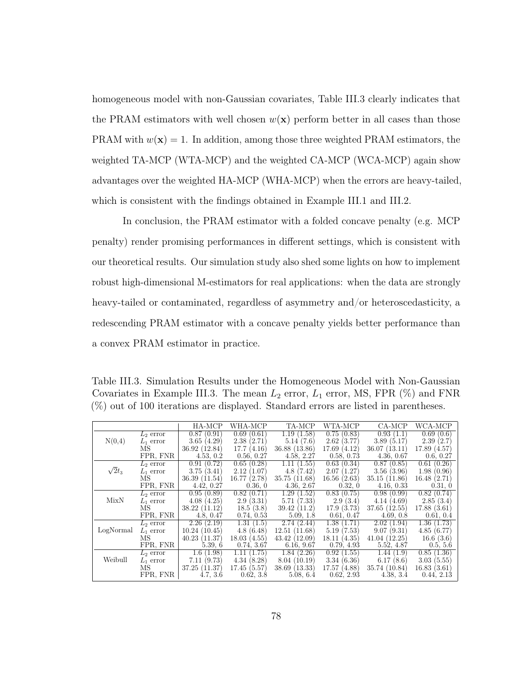homogeneous model with non-Gaussian covariates, Table [III.3](#page-86-0) clearly indicates that the PRAM estimators with well chosen  $w(\mathbf{x})$  perform better in all cases than those PRAM with  $w(\mathbf{x}) = 1$ . In addition, among those three weighted PRAM estimators, the weighted TA-MCP (WTA-MCP) and the weighted CA-MCP (WCA-MCP) again show advantages over the weighted HA-MCP (WHA-MCP) when the errors are heavy-tailed, which is consistent with the findings obtained in Example [III.1](#page-82-0) and [III.2.](#page-83-1)

In conclusion, the PRAM estimator with a folded concave penalty (e.g. MCP penalty) render promising performances in different settings, which is consistent with our theoretical results. Our simulation study also shed some lights on how to implement robust high-dimensional M-estimators for real applications: when the data are strongly heavy-tailed or contaminated, regardless of asymmetry and/or heteroscedasticity, a redescending PRAM estimator with a concave penalty yields better performance than a convex PRAM estimator in practice.

<span id="page-86-0"></span>Table III.3. Simulation Results under the Homogeneous Model with Non-Gaussian Covariates in Example [III.3.](#page-83-0) The mean  $L_2$  error,  $L_1$  error, MS, FPR  $(\%)$  and FNR (%) out of 100 iterations are displayed. Standard errors are listed in parentheses.

|               |             | HA-MCP        | WHA-MCP        | TA-MCP          | WTA-MCP        | CA-MCP        | WCA-MCP        |
|---------------|-------------|---------------|----------------|-----------------|----------------|---------------|----------------|
|               | $L_2$ error | 0.87(0.91)    | 0.69(0.61)     | 1.19(1.58)      | 0.75(0.83)     | 0.93(1.1)     | 0.69<br>(0.6)  |
| N(0,4)        | $L_1$ error | 3.65(4.29)    | 2.38(2.71)     | 5.14(7.6)       | 2.62(3.77)     | 3.89(5.17)    | 2.39(2.7)      |
|               | МS          | 36.92 (12.84) | 17.7(4.16)     | 36.88 (13.86)   | 17.69(4.12)    | 36.07(13.11)  | 17.89 (4.57)   |
|               | FPR, FNR    | 4.53, 0.2     | 0.56, 0.27     | 4.58, 2.27      | 0.58, 0.73     | 4.36, 0.67    | 0.6, 0.27      |
|               | $L_2$ error | 0.91(0.72)    | 0.65<br>(0.28) | 1.11(<br>(1.55) | 0.63(0.34)     | 0.87(0.85)    | 0.61<br>(0.26) |
| $\sqrt{2}t_3$ | $L_1$ error | 3.75(3.41)    | 2.12<br>(1.07) | 4.8(7.42)       | 2.07(1.27)     | 3.56(3.96)    | 1.98(0.96)     |
|               | MS          | 36.39(11.54)  | 16.77 (2.78)   | 35.75(11.68)    | 16.56(2.63)    | 35.15(11.86)  | 16.48(2.71)    |
|               | FPR, FNR    | 4.42, 0.27    | 0.36, 0        | 4.36, 2.67      | 0.32, 0        | 4.16, 0.33    | 0.31, 0        |
|               | $L_2$ error | 0.95(0.89)    | 0.82(0.71)     | 1.29(1.52)      | 0.83(0.75)     | 0.98(0.99)    | 0.82(0.74)     |
| MixN          | $L_1$ error | 4.08(4.25)    | 2.9(3.31)      | 5.71(7.33)      | 2.9(3.4)       | 4.14(4.69)    | 2.85(3.4)      |
|               | MS          | 38.22(11.12)  | 18.5(3.8)      | 39.42 (11.2)    | 17.9(3.73)     | 37.65(12.55)  | 17.88(3.61)    |
|               | FPR, FNR    | 4.8, 0.47     | 0.74, 0.53     | 5.09, 1.8       | 0.61, 0.47     | 4.69, 0.8     | 0.61, 0.4      |
|               | $L_2$ error | 2.26(2.19)    | 1.31(1.5)      | 2.74(2.44)      | 1.38(1.71)     | 2.02(1.94)    | 1.36(1.73)     |
| LogNormal     | $L_1$ error | 10.24(10.45)  | 4.8(6.48)      | 12.51(11.68)    | 5.19(7.53)     | 9.07(9.31)    | 4.85(6.77)     |
|               | МS          | 40.23(11.37)  | 18.03(4.55)    | 43.42(12.09)    | 18.11(4.35)    | 41.04(12.25)  | 16.6(3.6)      |
|               | FPR, FNR    | 5.39, 6       | 0.74, 3.67     | 6.16, 9.67      | 0.79, 4.93     | 5.52, 4.87    | 0.5, 5.6       |
|               | $L_2$ error | 1.6<br>(1.98) | (1.75)<br>1.11 | 1.84(2.26)      | 0.92<br>(1.55) | 1.44(1.9)     | 0.85(1.36)     |
| Weibull       | $L_1$ error | 7.11(9.73)    | 4.34(8.28)     | 8.04(10.19)     | 3.34(6.36)     | 6.17(8.6)     | 3.03(5.55)     |
|               | MS          | 37.25 (11.37) | 17.45(5.57)    | 38.69(13.33)    | 17.57 (4.88)   | 35.74 (10.84) | 16.83(3.61)    |
|               | FPR, FNR    | 4.7, 3.6      | 0.62, 3.8      | 5.08, 6.4       | 0.62, 2.93     | 4.38, 3.4     | 2.13<br>0.44,  |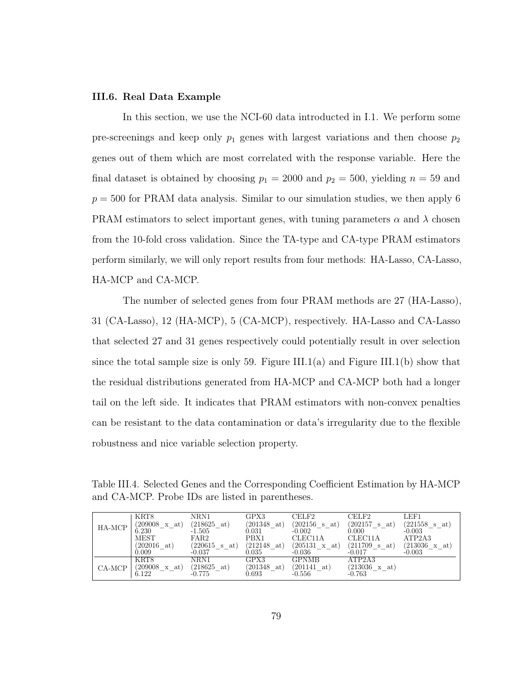### III.6. Real Data Example

In this section, we use the NCI-60 data introducted in [I.1.](#page-9-0) We perform some pre-screenings and keep only  $p_1$  genes with largest variations and then choose  $p_2$ genes out of them which are most correlated with the response variable. Here the final dataset is obtained by choosing  $p_1 = 2000$  and  $p_2 = 500$ , yielding  $n = 59$  and  $p = 500$  for PRAM data analysis. Similar to our simulation studies, we then apply 6 PRAM estimators to select important genes, with tuning parameters  $\alpha$  and  $\lambda$  chosen from the 10-fold cross validation. Since the TA-type and CA-type PRAM estimators perform similarly, we will only report results from four methods: HA-Lasso, CA-Lasso, HA-MCP and CA-MCP.

The number of selected genes from four PRAM methods are 27 (HA-Lasso), 31 (CA-Lasso), 12 (HA-MCP), 5 (CA-MCP), respectively. HA-Lasso and CA-Lasso that selected 27 and 31 genes respectively could potentially result in over selection since the total sample size is only 59. Figure [III.1\(](#page-88-0)a) and Figure III.1(b) show that the residual distributions generated from HA-MCP and CA-MCP both had a longer tail on the left side. It indicates that PRAM estimators with non-convex penalties can be resistant to the data contamination or data's irregularity due to the flexible robustness and nice variable selection property.

<span id="page-87-0"></span>Table III.4. Selected Genes and the Corresponding Coefficient Estimation by HA-MCP and CA-MCP. Probe IDs are listed in parentheses.

|          | KRT8             | NRN1                  | GPX3           | CELF2                | CELF2                | LEF1                    |
|----------|------------------|-----------------------|----------------|----------------------|----------------------|-------------------------|
|          | (209008<br>x at) | $(218625 \text{ at})$ | (201348<br>at) | (202156)<br>s at)    | (202157 s)<br>at)    | $(221558 \text{ s at})$ |
| HA-MCP   | 6.230            | $-1.505$              | $_{0.031}$     | $-0.002$             | 0.000                | $-0.003$                |
|          | <b>MEST</b>      | FAR2                  | PBX1           | CLEC11A              | CLEC11A              | ATP2A3                  |
|          | (202016)<br>at)  | (220615 s)<br>at)     | (212148<br>at) | $(205131 \times at)$ | (211709 s)<br>at)    | (213036)<br>x at        |
|          | 0.009            | $-0.037$              | 0.035          | $-0.036$             | $-0.017$             | $-0.003$                |
|          | KRT8             | NRN1                  | GPX3           | GPNMB                | ATP2A3               |                         |
| $CA-MCP$ | (209008<br>x at) | $(218625 \text{ at})$ | (201348<br>at) | (201141<br>at)       | $(213036 \times at)$ |                         |
|          | 6.122            | -0.775                | 0.693          | $-0.556$             | $-0.763$             |                         |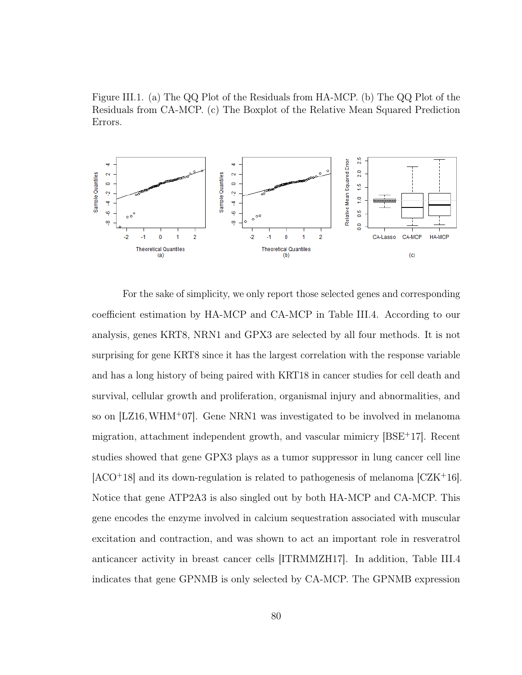<span id="page-88-0"></span>Figure III.1. (a) The QQ Plot of the Residuals from HA-MCP. (b) The QQ Plot of the Residuals from CA-MCP. (c) The Boxplot of the Relative Mean Squared Prediction Errors.



For the sake of simplicity, we only report those selected genes and corresponding coefficient estimation by HA-MCP and CA-MCP in Table [III.4.](#page-87-0) According to our analysis, genes KRT8, NRN1 and GPX3 are selected by all four methods. It is not surprising for gene KRT8 since it has the largest correlation with the response variable and has a long history of being paired with KRT18 in cancer studies for cell death and survival, cellular growth and proliferation, organismal injury and abnormalities, and so on [\[LZ16,](#page-127-3)[WHM](#page-130-0)<sup>+</sup>07]. Gene NRN1 was investigated to be involved in melanoma migration, attachment independent growth, and vascular mimicry  $[BSE^+17]$  $[BSE^+17]$ . Recent studies showed that gene GPX3 plays as a tumor suppressor in lung cancer cell line  $[ACO+18]$  $[ACO+18]$  and its down-regulation is related to pathogenesis of melanoma  $[CZK+16]$  $[CZK+16]$ . Notice that gene ATP2A3 is also singled out by both HA-MCP and CA-MCP. This gene encodes the enzyme involved in calcium sequestration associated with muscular excitation and contraction, and was shown to act an important role in resveratrol anticancer activity in breast cancer cells [\[ITRMMZH17\]](#page-125-2). In addition, Table [III.4](#page-87-0) indicates that gene GPNMB is only selected by CA-MCP. The GPNMB expression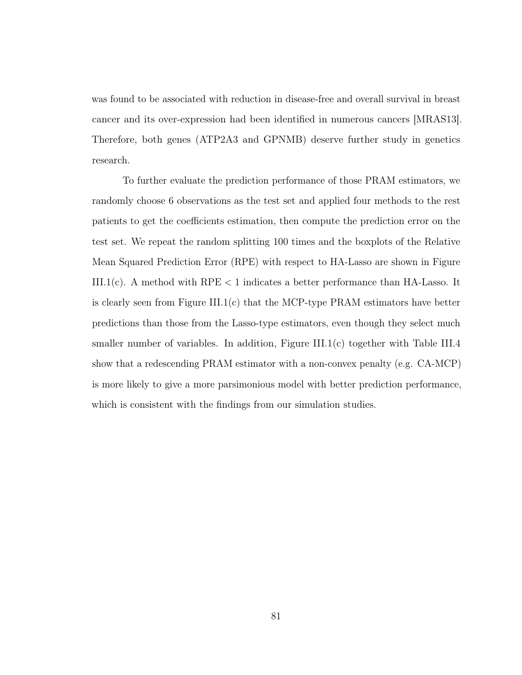was found to be associated with reduction in disease-free and overall survival in breast cancer and its over-expression had been identified in numerous cancers [\[MRAS13\]](#page-127-4). Therefore, both genes (ATP2A3 and GPNMB) deserve further study in genetics research.

To further evaluate the prediction performance of those PRAM estimators, we randomly choose 6 observations as the test set and applied four methods to the rest patients to get the coefficients estimation, then compute the prediction error on the test set. We repeat the random splitting 100 times and the boxplots of the Relative Mean Squared Prediction Error (RPE) with respect to HA-Lasso are shown in Figure [III.1\(](#page-88-0)c). A method with  $RPE < 1$  indicates a better performance than HA-Lasso. It is clearly seen from Figure [III.1\(](#page-88-0)c) that the MCP-type PRAM estimators have better predictions than those from the Lasso-type estimators, even though they select much smaller number of variables. In addition, Figure [III.1\(](#page-88-0)c) together with Table [III.4](#page-87-0) show that a redescending PRAM estimator with a non-convex penalty (e.g. CA-MCP) is more likely to give a more parsimonious model with better prediction performance, which is consistent with the findings from our simulation studies.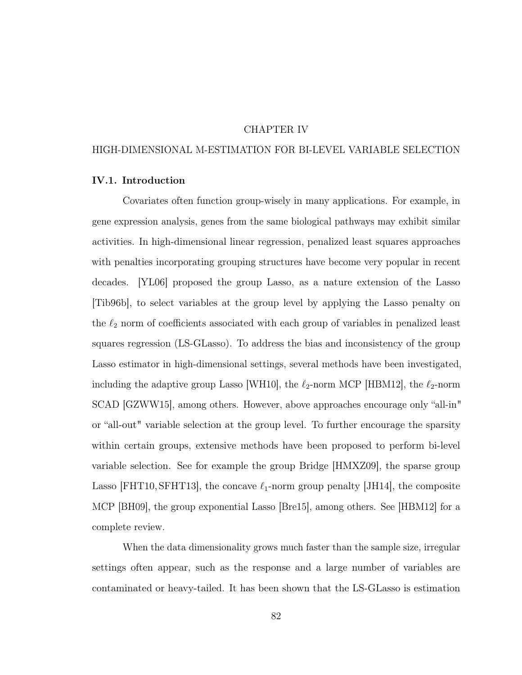## CHAPTER IV

## HIGH-DIMENSIONAL M-ESTIMATION FOR BI-LEVEL VARIABLE SELECTION

## IV.1. Introduction

Covariates often function group-wisely in many applications. For example, in gene expression analysis, genes from the same biological pathways may exhibit similar activities. In high-dimensional linear regression, penalized least squares approaches with penalties incorporating grouping structures have become very popular in recent decades. [\[YL06\]](#page-131-0) proposed the group Lasso, as a nature extension of the Lasso [\[Tib96b\]](#page-129-1), to select variables at the group level by applying the Lasso penalty on the  $\ell_2$  norm of coefficients associated with each group of variables in penalized least squares regression (LS-GLasso). To address the bias and inconsistency of the group Lasso estimator in high-dimensional settings, several methods have been investigated, including the adaptive group Lasso [\[WH10\]](#page-130-1), the  $\ell_2$ -norm MCP [\[HBM12\]](#page-124-0), the  $\ell_2$ -norm SCAD [\[GZWW15\]](#page-124-1), among others. However, above approaches encourage only "all-in" or "all-out" variable selection at the group level. To further encourage the sparsity within certain groups, extensive methods have been proposed to perform bi-level variable selection. See for example the group Bridge [\[HMXZ09\]](#page-125-3), the sparse group Lasso [\[FHT10,](#page-123-1) [SFHT13\]](#page-129-2), the concave  $\ell_1$ -norm group penalty [\[JH14\]](#page-125-4), the composite MCP [\[BH09\]](#page-121-1), the group exponential Lasso [\[Bre15\]](#page-121-2), among others. See [\[HBM12\]](#page-124-0) for a complete review.

When the data dimensionality grows much faster than the sample size, irregular settings often appear, such as the response and a large number of variables are contaminated or heavy-tailed. It has been shown that the LS-GLasso is estimation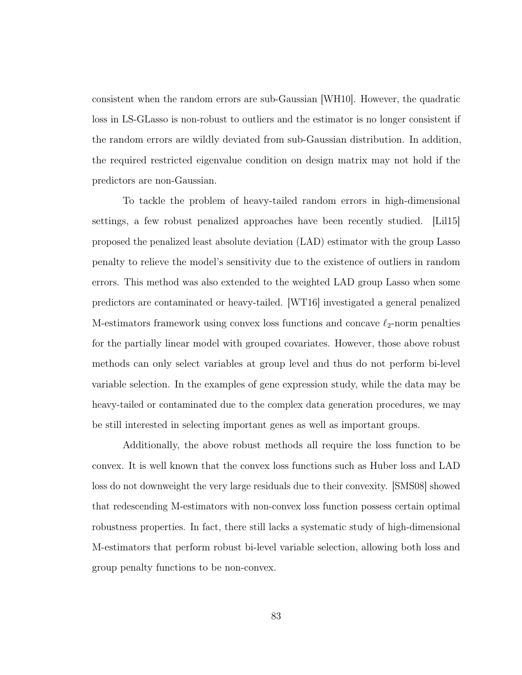consistent when the random errors are sub-Gaussian [\[WH10\]](#page-130-1). However, the quadratic loss in LS-GLasso is non-robust to outliers and the estimator is no longer consistent if the random errors are wildly deviated from sub-Gaussian distribution. In addition, the required restricted eigenvalue condition on design matrix may not hold if the predictors are non-Gaussian.

To tackle the problem of heavy-tailed random errors in high-dimensional settings, a few robust penalized approaches have been recently studied. [\[Lil15\]](#page-126-2) proposed the penalized least absolute deviation (LAD) estimator with the group Lasso penalty to relieve the model's sensitivity due to the existence of outliers in random errors. This method was also extended to the weighted LAD group Lasso when some predictors are contaminated or heavy-tailed. [\[WT16\]](#page-131-1) investigated a general penalized M-estimators framework using convex loss functions and concave  $\ell_2$ -norm penalties for the partially linear model with grouped covariates. However, those above robust methods can only select variables at group level and thus do not perform bi-level variable selection. In the examples of gene expression study, while the data may be heavy-tailed or contaminated due to the complex data generation procedures, we may be still interested in selecting important genes as well as important groups.

Additionally, the above robust methods all require the loss function to be convex. It is well known that the convex loss functions such as Huber loss and LAD loss do not downweight the very large residuals due to their convexity. [\[SMS08\]](#page-129-0) showed that redescending M-estimators with non-convex loss function possess certain optimal robustness properties. In fact, there still lacks a systematic study of high-dimensional M-estimators that perform robust bi-level variable selection, allowing both loss and group penalty functions to be non-convex.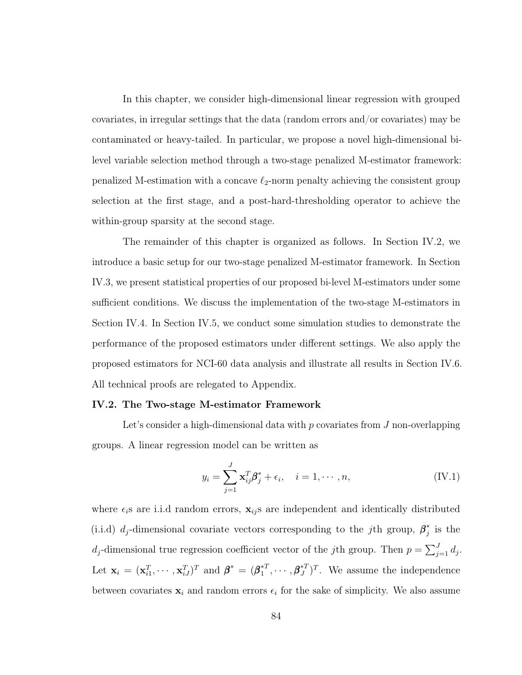In this chapter, we consider high-dimensional linear regression with grouped covariates, in irregular settings that the data (random errors and/or covariates) may be contaminated or heavy-tailed. In particular, we propose a novel high-dimensional bilevel variable selection method through a two-stage penalized M-estimator framework: penalized M-estimation with a concave  $\ell_2$ -norm penalty achieving the consistent group selection at the first stage, and a post-hard-thresholding operator to achieve the within-group sparsity at the second stage.

The remainder of this chapter is organized as follows. In Section [IV.2,](#page-92-0) we introduce a basic setup for our two-stage penalized M-estimator framework. In Section [IV.3,](#page-97-0) we present statistical properties of our proposed bi-level M-estimators under some sufficient conditions. We discuss the implementation of the two-stage M-estimators in Section [IV.4.](#page-103-0) In Section [IV.5,](#page-104-0) we conduct some simulation studies to demonstrate the performance of the proposed estimators under different settings. We also apply the proposed estimators for NCI-60 data analysis and illustrate all results in Section [IV.6.](#page-111-0) All technical proofs are relegated to Appendix.

#### <span id="page-92-0"></span>IV.2. The Two-stage M-estimator Framework

Let's consider a high-dimensional data with  $p$  covariates from  $J$  non-overlapping groups. A linear regression model can be written as

$$
y_i = \sum_{j=1}^{J} \mathbf{x}_{ij}^T \boldsymbol{\beta}_j^* + \epsilon_i, \quad i = 1, \cdots, n,
$$
 (IV.1)

where  $\epsilon_i$ s are i.i.d random errors,  $\mathbf{x}_{ij}$ s are independent and identically distributed (i.i.d)  $d_j$ -dimensional covariate vectors corresponding to the jth group,  $\beta_i^*$  $j$  is the  $d_j$ -dimensional true regression coefficient vector of the jth group. Then  $p = \sum_{j=1}^{J} d_j$ . Let  $\mathbf{x}_i = (\mathbf{x}_{i1}^T, \cdots, \mathbf{x}_{iJ}^T)^T$  and  $\boldsymbol{\beta}^* = (\boldsymbol{\beta}_1^{*T})^T$  $A_1^{*T}, \cdots, \boldsymbol{\beta}_J^{*T}$ . We assume the independence between covariates  $x_i$  and random errors  $\epsilon_i$  for the sake of simplicity. We also assume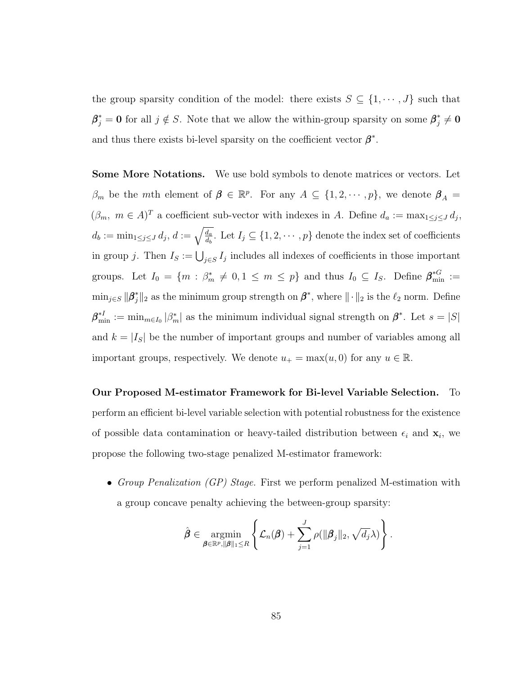the group sparsity condition of the model: there exists  $S \subseteq \{1, \dots, J\}$  such that  $\beta_j^* = 0$  for all  $j \notin S$ . Note that we allow the within-group sparsity on some  $\beta_j^* \neq 0$ and thus there exists bi-level sparsity on the coefficient vector  $\beta^*$ .

Some More Notations. We use bold symbols to denote matrices or vectors. Let  $\beta_m$  be the mth element of  $\beta \in \mathbb{R}^p$ . For any  $A \subseteq \{1, 2, \cdots, p\}$ , we denote  $\beta_A =$  $(\beta_m, m \in A)^T$  a coefficient sub-vector with indexes in A. Define  $d_a := \max_{1 \leq j \leq J} d_j$ ,  $d_b := \min_{1 \leq j \leq J} d_j, d := \sqrt{\frac{d_a}{d_b}}.$  Let  $I_j \subseteq \{1, 2, \cdots, p\}$  denote the index set of coefficients in group j. Then  $I_S := \bigcup_{j \in S} I_j$  includes all indexes of coefficients in those important groups. Let  $I_0 = \{m : \beta_m^* \neq 0, 1 \leq m \leq p\}$  and thus  $I_0 \subseteq I_S$ . Define  $\beta_{\min}^{*G} :=$  $\min_{j \in S} ||\boldsymbol{\beta}^*_j||_2$  as the minimum group strength on  $\boldsymbol{\beta}^*$ , where  $||\cdot||_2$  is the  $\ell_2$  norm. Define  $\boldsymbol{\beta}_{\min}^{*} := \min_{m \in I_0} |\beta_m^*|$  as the minimum individual signal strength on  $\boldsymbol{\beta}^*$ . Let  $s = |S|$ and  $k = |I_{S}|$  be the number of important groups and number of variables among all important groups, respectively. We denote  $u_+ = \max(u, 0)$  for any  $u \in \mathbb{R}$ .

Our Proposed M-estimator Framework for Bi-level Variable Selection. To perform an efficient bi-level variable selection with potential robustness for the existence of possible data contamination or heavy-tailed distribution between  $\epsilon_i$  and  $\mathbf{x}_i$ , we propose the following two-stage penalized M-estimator framework:

• Group Penalization (GP) Stage. First we perform penalized M-estimation with a group concave penalty achieving the between-group sparsity:

$$
\hat{\boldsymbol{\beta}} \in \underset{\boldsymbol{\beta} \in \mathbb{R}^p, \|\boldsymbol{\beta}\|_1 \leq R}{\operatorname{argmin}} \left\{ \mathcal{L}_n(\boldsymbol{\beta}) + \sum_{j=1}^J \rho(\|\boldsymbol{\beta}_j\|_2, \sqrt{d_j} \lambda) \right\}.
$$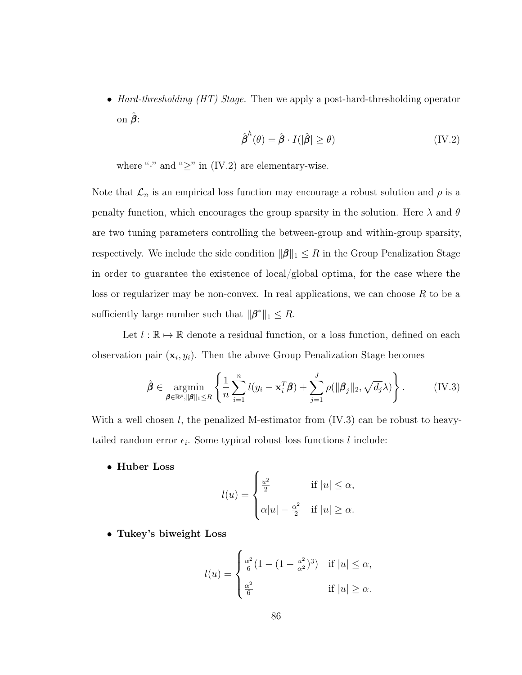• Hard-thresholding (HT) Stage. Then we apply a post-hard-thresholding operator on  $\hat{\boldsymbol{\beta}}$ :

<span id="page-94-0"></span>
$$
\hat{\boldsymbol{\beta}}^{h}(\theta) = \hat{\boldsymbol{\beta}} \cdot I(|\hat{\boldsymbol{\beta}}| \ge \theta)
$$
 (IV.2)

where "·" and " $\geq$ " in [\(IV.2\)](#page-94-0) are elementary-wise.

Note that  $\mathcal{L}_n$  is an empirical loss function may encourage a robust solution and  $\rho$  is a penalty function, which encourages the group sparsity in the solution. Here  $\lambda$  and  $\theta$ are two tuning parameters controlling the between-group and within-group sparsity, respectively. We include the side condition  $\|\boldsymbol{\beta}\|_1 \leq R$  in the Group Penalization Stage in order to guarantee the existence of local/global optima, for the case where the loss or regularizer may be non-convex. In real applications, we can choose  $R$  to be a sufficiently large number such that  $\|\boldsymbol{\beta}^*\|_1 \leq R$ .

Let  $l : \mathbb{R} \to \mathbb{R}$  denote a residual function, or a loss function, defined on each observation pair  $(\mathbf{x}_i, y_i)$ . Then the above Group Penalization Stage becomes

<span id="page-94-1"></span>
$$
\hat{\boldsymbol{\beta}} \in \underset{\boldsymbol{\beta} \in \mathbb{R}^p, \|\boldsymbol{\beta}\|_1 \leq R}{\operatorname{argmin}} \left\{ \frac{1}{n} \sum_{i=1}^n l(y_i - \mathbf{x}_i^T \boldsymbol{\beta}) + \sum_{j=1}^J \rho(\|\boldsymbol{\beta}_j\|_2, \sqrt{d_j} \lambda) \right\}.
$$
 (IV.3)

With a well chosen l, the penalized M-estimator from [\(IV.3\)](#page-94-1) can be robust to heavytailed random error  $\epsilon_i$ . Some typical robust loss functions l include:

• Huber Loss

$$
l(u) = \begin{cases} \frac{u^2}{2} & \text{if } |u| \le \alpha, \\ \alpha |u| - \frac{\alpha^2}{2} & \text{if } |u| \ge \alpha. \end{cases}
$$

• Tukey's biweight Loss

$$
l(u) = \begin{cases} \frac{\alpha^2}{6} (1 - (1 - \frac{u^2}{\alpha^2})^3) & \text{if } |u| \le \alpha, \\ \frac{\alpha^2}{6} & \text{if } |u| \ge \alpha. \end{cases}
$$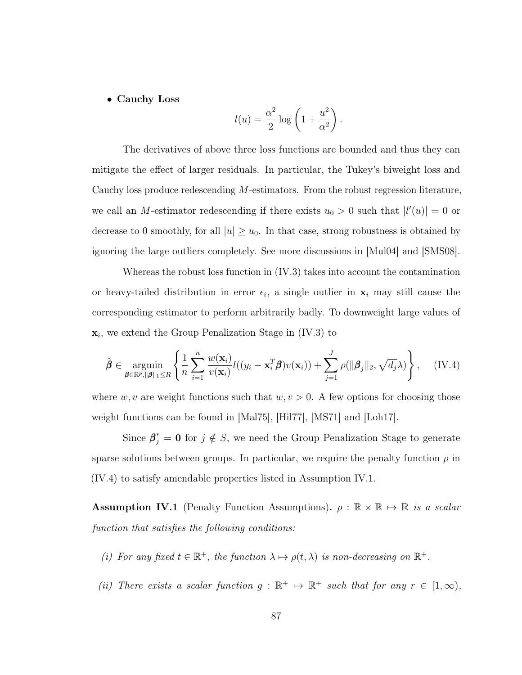## • Cauchy Loss

$$
l(u) = \frac{\alpha^2}{2} \log \left( 1 + \frac{u^2}{\alpha^2} \right).
$$

The derivatives of above three loss functions are bounded and thus they can mitigate the effect of larger residuals. In particular, the Tukey's biweight loss and Cauchy loss produce redescending M-estimators. From the robust regression literature, we call an M-estimator redescending if there exists  $u_0 > 0$  such that  $|l'(u)| = 0$  or decrease to 0 smoothly, for all  $|u| \ge u_0$ . In that case, strong robustness is obtained by ignoring the large outliers completely. See more discussions in [\[Mul04\]](#page-127-5) and [\[SMS08\]](#page-129-0).

Whereas the robust loss function in [\(IV.3\)](#page-94-1) takes into account the contamination or heavy-tailed distribution in error  $\epsilon_i$ , a single outlier in  $\mathbf{x}_i$  may still cause the corresponding estimator to perform arbitrarily badly. To downweight large values of  $\mathbf{x}_i$ , we extend the Group Penalization Stage in [\(IV.3\)](#page-94-1) to

<span id="page-95-0"></span>
$$
\hat{\boldsymbol{\beta}} \in \underset{\boldsymbol{\beta} \in \mathbb{R}^p, \|\boldsymbol{\beta}\|_1 \leq R}{\operatorname{argmin}} \left\{ \frac{1}{n} \sum_{i=1}^n \frac{w(\mathbf{x}_i)}{v(\mathbf{x}_i)} l((y_i - \mathbf{x}_i^T \boldsymbol{\beta}) v(\mathbf{x}_i)) + \sum_{j=1}^J \rho(\|\boldsymbol{\beta}_j\|_2, \sqrt{d_j} \lambda) \right\}, \quad (\text{IV.4})
$$

where w, v are weight functions such that  $w, v > 0$ . A few options for choosing those weight functions can be found in [\[Mal75\]](#page-127-0), [\[Hil77\]](#page-125-0), [\[MS71\]](#page-127-1) and [\[Loh17\]](#page-126-0).

Since  $\beta_j^* = 0$  for  $j \notin S$ , we need the Group Penalization Stage to generate sparse solutions between groups. In particular, we require the penalty function  $\rho$  in [\(IV.4\)](#page-95-0) to satisfy amendable properties listed in Assumption [IV.1.](#page-95-1)

<span id="page-95-1"></span>**Assumption IV.1** (Penalty Function Assumptions).  $\rho : \mathbb{R} \times \mathbb{R} \mapsto \mathbb{R}$  is a scalar function that satisfies the following conditions:

- (i) For any fixed  $t \in \mathbb{R}^+$ , the function  $\lambda \mapsto \rho(t, \lambda)$  is non-decreasing on  $\mathbb{R}^+$ .
- (ii) There exists a scalar function  $g : \mathbb{R}^+ \to \mathbb{R}^+$  such that for any  $r \in [1, \infty)$ ,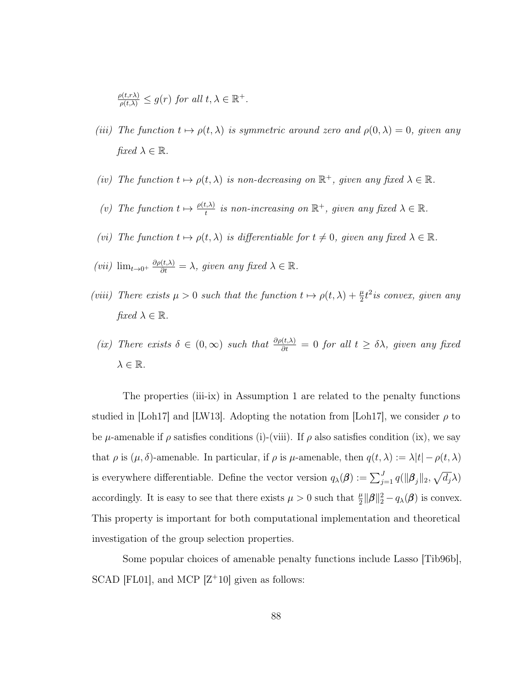$$
\frac{\rho(t,r\lambda)}{\rho(t,\lambda)} \le g(r) \text{ for all } t,\lambda \in \mathbb{R}^+.
$$

- (iii) The function  $t \mapsto \rho(t, \lambda)$  is symmetric around zero and  $\rho(0, \lambda) = 0$ , given any fixed  $\lambda \in \mathbb{R}$ .
- (iv) The function  $t \mapsto \rho(t, \lambda)$  is non-decreasing on  $\mathbb{R}^+$ , given any fixed  $\lambda \in \mathbb{R}$ .
- (v) The function  $t \mapsto \frac{\rho(t,\lambda)}{t}$  is non-increasing on  $\mathbb{R}^+$ , given any fixed  $\lambda \in \mathbb{R}$ .
- (vi) The function  $t \mapsto \rho(t, \lambda)$  is differentiable for  $t \neq 0$ , given any fixed  $\lambda \in \mathbb{R}$ .
- (vii)  $\lim_{t\to 0^+} \frac{\partial \rho(t,\lambda)}{\partial t} = \lambda$ , given any fixed  $\lambda \in \mathbb{R}$ .
- (viii) There exists  $\mu > 0$  such that the function  $t \mapsto \rho(t, \lambda) + \frac{\mu}{2} t^2$  is convex, given any fixed  $\lambda \in \mathbb{R}$ .
- (ix) There exists  $\delta \in (0,\infty)$  such that  $\frac{\partial \rho(t,\lambda)}{\partial t} = 0$  for all  $t \geq \delta \lambda$ , given any fixed  $\lambda \in \mathbb{R}$ .

The properties (iii-ix) in Assumption 1 are related to the penalty functions studied in [\[Loh17\]](#page-126-0) and [\[LW13\]](#page-126-1). Adopting the notation from [Loh17], we consider  $\rho$  to be  $\mu$ -amenable if  $\rho$  satisfies conditions (i)-(viii). If  $\rho$  also satisfies condition (ix), we say that  $\rho$  is  $(\mu, \delta)$ -amenable. In particular, if  $\rho$  is  $\mu$ -amenable, then  $q(t, \lambda) := \lambda |t| - \rho(t, \lambda)$ is everywhere differentiable. Define the vector version  $q_\lambda(\boldsymbol{\beta}) := \sum_{j=1}^J q(\|\boldsymbol{\beta}_j\|_2, \sqrt{d_j}\lambda)$ accordingly. It is easy to see that there exists  $\mu > 0$  such that  $\frac{\mu}{2} ||\beta||_2^2 - q_\lambda(\beta)$  is convex. This property is important for both computational implementation and theoretical investigation of the group selection properties.

Some popular choices of amenable penalty functions include Lasso [\[Tib96b\]](#page-129-1), SCAD [\[FL01\]](#page-123-2), and MCP  $[Z+10]$  $[Z+10]$  given as follows: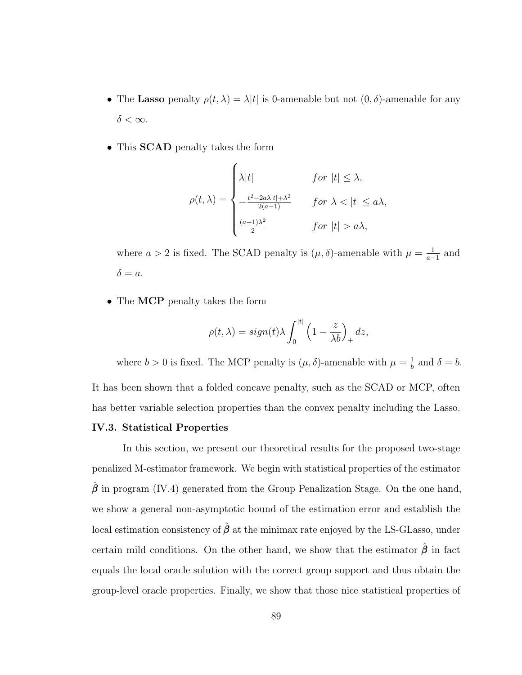- The Lasso penalty  $\rho(t, \lambda) = \lambda |t|$  is 0-amenable but not  $(0, \delta)$ -amenable for any  $\delta<\infty.$
- This SCAD penalty takes the form

$$
\rho(t,\lambda) = \begin{cases}\n\lambda|t| & \text{for } |t| \leq \lambda, \\
-\frac{t^2 - 2a\lambda|t| + \lambda^2}{2(a-1)} & \text{for } \lambda < |t| \leq a\lambda, \\
\frac{(a+1)\lambda^2}{2} & \text{for } |t| > a\lambda,\n\end{cases}
$$

where  $a > 2$  is fixed. The SCAD penalty is  $(\mu, \delta)$ -amenable with  $\mu = \frac{1}{a}$  $\frac{1}{a-1}$  and  $\delta = a.$ 

• The MCP penalty takes the form

$$
\rho(t,\lambda) = sign(t)\lambda \int_0^{|t|} \left(1 - \frac{z}{\lambda b}\right)_+ dz,
$$

where  $b > 0$  is fixed. The MCP penalty is  $(\mu, \delta)$ -amenable with  $\mu = \frac{1}{b}$  $\frac{1}{b}$  and  $\delta = b$ .

It has been shown that a folded concave penalty, such as the SCAD or MCP, often has better variable selection properties than the convex penalty including the Lasso.

### <span id="page-97-0"></span>IV.3. Statistical Properties

In this section, we present our theoretical results for the proposed two-stage penalized M-estimator framework. We begin with statistical properties of the estimator  $\hat{\boldsymbol{\beta}}$  in program [\(IV.4\)](#page-95-0) generated from the Group Penalization Stage. On the one hand, we show a general non-asymptotic bound of the estimation error and establish the local estimation consistency of  $\hat{\beta}$  at the minimax rate enjoyed by the LS-GLasso, under certain mild conditions. On the other hand, we show that the estimator  $\hat{\beta}$  in fact equals the local oracle solution with the correct group support and thus obtain the group-level oracle properties. Finally, we show that those nice statistical properties of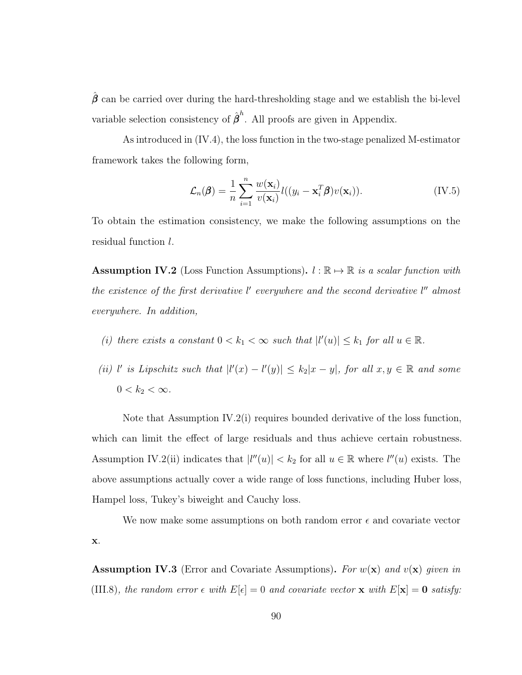$\hat{\boldsymbol{\beta}}$  can be carried over during the hard-thresholding stage and we establish the bi-level variable selection consistency of  $\hat{\boldsymbol{\beta}}^h$ . All proofs are given in Appendix.

As introduced in [\(IV.4\)](#page-95-0), the loss function in the two-stage penalized M-estimator framework takes the following form,

$$
\mathcal{L}_n(\boldsymbol{\beta}) = \frac{1}{n} \sum_{i=1}^n \frac{w(\mathbf{x}_i)}{v(\mathbf{x}_i)} l((y_i - \mathbf{x}_i^T \boldsymbol{\beta}) v(\mathbf{x}_i)).
$$
 (IV.5)

To obtain the estimation consistency, we make the following assumptions on the residual function l.

<span id="page-98-0"></span>**Assumption IV.2** (Loss Function Assumptions).  $l : \mathbb{R} \to \mathbb{R}$  is a scalar function with the existence of the first derivative  $l'$  everywhere and the second derivative  $l''$  almost everywhere. In addition,

- (i) there exists a constant  $0 < k_1 < \infty$  such that  $|l'(u)| \leq k_1$  for all  $u \in \mathbb{R}$ .
- (ii) l' is Lipschitz such that  $|l'(x) l'(y)| \leq k_2 |x y|$ , for all  $x, y \in \mathbb{R}$  and some  $0 < k_2 < \infty$ .

Note that Assumption [IV.2\(](#page-98-0)i) requires bounded derivative of the loss function, which can limit the effect of large residuals and thus achieve certain robustness. Assumption [IV.2\(](#page-98-0)ii) indicates that  $|l''(u)| < k_2$  for all  $u \in \mathbb{R}$  where  $l''(u)$  exists. The above assumptions actually cover a wide range of loss functions, including Huber loss, Hampel loss, Tukey's biweight and Cauchy loss.

We now make some assumptions on both random error  $\epsilon$  and covariate vector x.

<span id="page-98-1"></span>**Assumption IV.3** (Error and Covariate Assumptions). For  $w(\mathbf{x})$  and  $v(\mathbf{x})$  given in [\(III.8\)](#page-72-1), the random error  $\epsilon$  with  $E[\epsilon] = 0$  and covariate vector **x** with  $E[\mathbf{x}] = \mathbf{0}$  satisfy: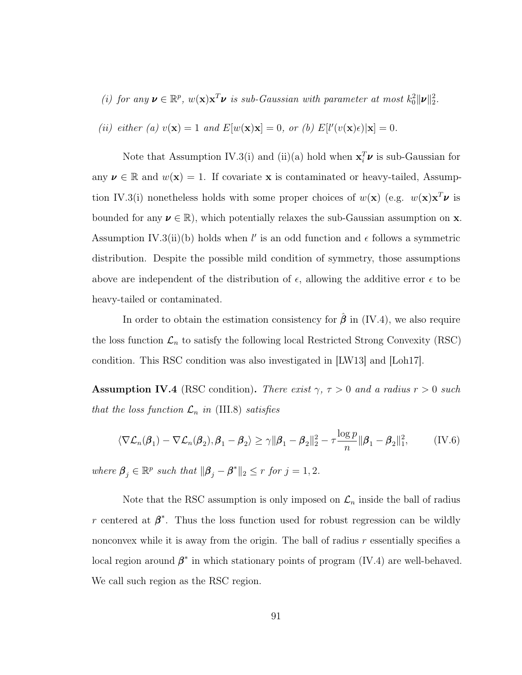(i) for any  $\mathbf{v} \in \mathbb{R}^p$ ,  $w(\mathbf{x})\mathbf{x}^T\mathbf{v}$  is sub-Gaussian with parameter at most  $k_0^2 \|\mathbf{v}\|_2^2$ .

(ii) either (a) 
$$
v(\mathbf{x}) = 1
$$
 and  $E[w(\mathbf{x})\mathbf{x}] = 0$ , or (b)  $E[l'(v(\mathbf{x})\epsilon)|\mathbf{x}] = 0$ .

Note that Assumption [IV.3\(](#page-98-1)i) and (ii)(a) hold when  $\mathbf{x}_i^T \boldsymbol{\nu}$  is sub-Gaussian for any  $\nu \in \mathbb{R}$  and  $w(\mathbf{x}) = 1$ . If covariate x is contaminated or heavy-tailed, Assump-tion [IV.3\(](#page-98-1)i) nonetheless holds with some proper choices of  $w(\mathbf{x})$  (e.g.  $w(\mathbf{x})\mathbf{x}^T\boldsymbol{\nu}$  is bounded for any  $v \in \mathbb{R}$ , which potentially relaxes the sub-Gaussian assumption on **x**. Assumption [IV.3\(](#page-98-1)ii)(b) holds when l' is an odd function and  $\epsilon$  follows a symmetric distribution. Despite the possible mild condition of symmetry, those assumptions above are independent of the distribution of  $\epsilon$ , allowing the additive error  $\epsilon$  to be heavy-tailed or contaminated.

In order to obtain the estimation consistency for  $\hat{\beta}$  in [\(IV.4\)](#page-95-0), we also require the loss function  $\mathcal{L}_n$  to satisfy the following local Restricted Strong Convexity (RSC) condition. This RSC condition was also investigated in [\[LW13\]](#page-126-1) and [\[Loh17\]](#page-126-0).

<span id="page-99-0"></span>Assumption IV.4 (RSC condition). There exist  $\gamma$ ,  $\tau > 0$  and a radius  $r > 0$  such that the loss function  $\mathcal{L}_n$  in [\(III.8\)](#page-72-1) satisfies

$$
\langle \nabla \mathcal{L}_n(\boldsymbol{\beta}_1) - \nabla \mathcal{L}_n(\boldsymbol{\beta}_2), \boldsymbol{\beta}_1 - \boldsymbol{\beta}_2 \rangle \ge \gamma \|\boldsymbol{\beta}_1 - \boldsymbol{\beta}_2\|_2^2 - \tau \frac{\log p}{n} \|\boldsymbol{\beta}_1 - \boldsymbol{\beta}_2\|_1^2, \tag{IV.6}
$$

where  $\beta_j \in \mathbb{R}^p$  such that  $\|\beta_j - \beta^*\|_2 \leq r$  for  $j = 1, 2$ .

Note that the RSC assumption is only imposed on  $\mathcal{L}_n$  inside the ball of radius r centered at  $\beta^*$ . Thus the loss function used for robust regression can be wildly nonconvex while it is away from the origin. The ball of radius  $r$  essentially specifies a local region around  $\beta^*$  in which stationary points of program [\(IV.4\)](#page-95-0) are well-behaved. We call such region as the RSC region.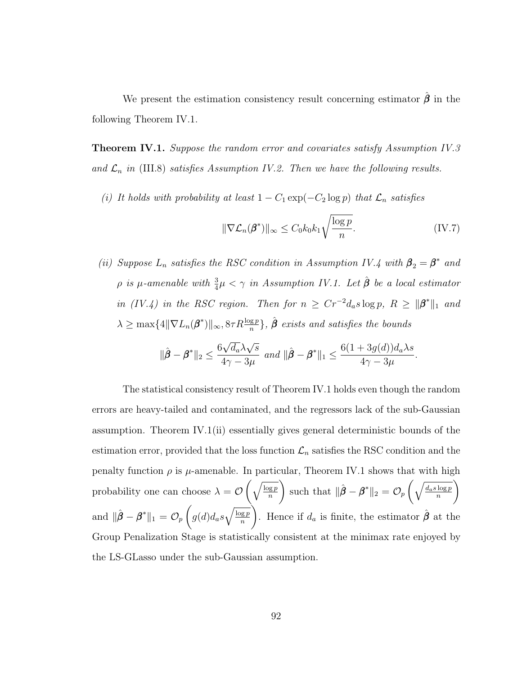We present the estimation consistency result concerning estimator  $\hat{\beta}$  in the following Theorem [IV.1.](#page-100-0)

<span id="page-100-0"></span>**Theorem IV.1.** Suppose the random error and covariates satisfy Assumption [IV.3](#page-98-1) and  $\mathcal{L}_n$  in [\(III.8\)](#page-72-1) satisfies Assumption [IV.2.](#page-98-0) Then we have the following results.

(i) It holds with probability at least  $1 - C_1 \exp(-C_2 \log p)$  that  $\mathcal{L}_n$  satisfies

$$
\|\nabla \mathcal{L}_n(\beta^*)\|_{\infty} \le C_0 k_0 k_1 \sqrt{\frac{\log p}{n}}.\tag{IV.7}
$$

(ii) Suppose  $L_n$  satisfies the RSC condition in Assumption [IV.4](#page-99-0) with  $\beta_2 = \beta^*$  and  $\rho$  is  $\mu$ -amenable with  $\frac{3}{4}\mu < \gamma$  in Assumption [IV.1.](#page-95-1) Let  $\hat{\boldsymbol{\beta}}$  be a local estimator in [\(IV.4\)](#page-95-0) in the RSC region. Then for  $n \geq Cr^{-2}d_a s \log p$ ,  $R \geq ||\boldsymbol{\beta}^*||_1$  and  $\lambda \geq \max\{4\|\nabla L_n(\boldsymbol{\beta}^*)\|_{\infty}, 8\tau R\frac{\log p}{n}\}, \hat{\boldsymbol{\beta}} \text{ exists and satisfies the bounds }$ 

$$
\|\hat{\boldsymbol{\beta}} - \boldsymbol{\beta}^*\|_2 \le \frac{6\sqrt{d_a}\lambda\sqrt{s}}{4\gamma - 3\mu} \text{ and } \|\hat{\boldsymbol{\beta}} - \boldsymbol{\beta}^*\|_1 \le \frac{6(1+3g(d))d_a\lambda s}{4\gamma - 3\mu}.
$$

The statistical consistency result of Theorem [IV.1](#page-100-0) holds even though the random errors are heavy-tailed and contaminated, and the regressors lack of the sub-Gaussian assumption. Theorem [IV.1\(](#page-100-0)ii) essentially gives general deterministic bounds of the estimation error, provided that the loss function  $\mathcal{L}_n$  satisfies the RSC condition and the penalty function  $\rho$  is  $\mu$ -amenable. In particular, Theorem [IV.1](#page-100-0) shows that with high probability one can choose  $\lambda = \mathcal{O}\left(\sqrt{\frac{\log p}{n}}\right)$ n ). such that  $\|\hat{\boldsymbol{\beta}} - \boldsymbol{\beta}^*\|_2 = \mathcal{O}_p\left(\sqrt{\frac{d_a s \log p}{n}}\right)$ n ). and  $\|\hat{\boldsymbol{\beta}} - \boldsymbol{\beta}^*\|_1 = \mathcal{O}_p$  $\sqrt{ }$  $g(d)d_as\sqrt{\frac{\log p}{n}}$ n ). Hence if  $d_a$  is finite, the estimator  $\hat{\boldsymbol{\beta}}$  at the Group Penalization Stage is statistically consistent at the minimax rate enjoyed by the LS-GLasso under the sub-Gaussian assumption.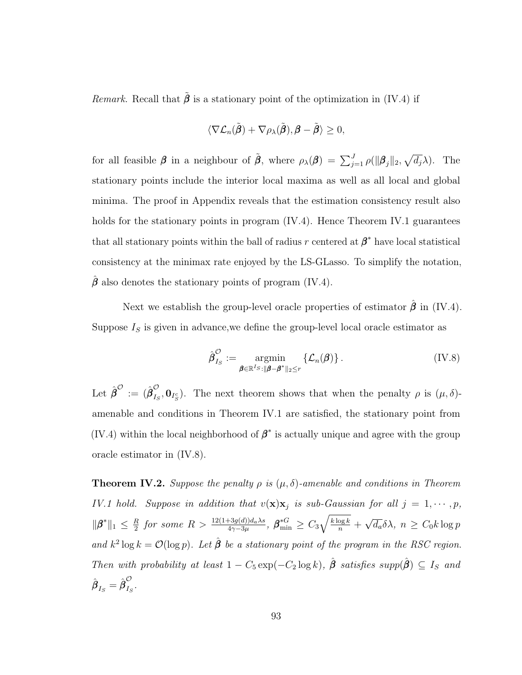*Remark.* Recall that  $\tilde{\beta}$  is a stationary point of the optimization in [\(IV.4\)](#page-95-0) if

$$
\langle \nabla \mathcal{L}_n(\tilde{\boldsymbol{\beta}}) + \nabla \rho_\lambda(\tilde{\boldsymbol{\beta}}), \boldsymbol{\beta} - \tilde{\boldsymbol{\beta}} \rangle \geq 0,
$$

for all feasible  $\beta$  in a neighbour of  $\tilde{\beta}$ , where  $\rho_{\lambda}(\beta) = \sum_{j=1}^{J} \rho(||\beta_j||_2, \sqrt{d_j} \lambda)$ . The stationary points include the interior local maxima as well as all local and global minima. The proof in Appendix reveals that the estimation consistency result also holds for the stationary points in program [\(IV.4\)](#page-95-0). Hence Theorem [IV.1](#page-100-0) guarantees that all stationary points within the ball of radius r centered at  $\beta^*$  have local statistical consistency at the minimax rate enjoyed by the LS-GLasso. To simplify the notation,  $\hat{\boldsymbol{\beta}}$  also denotes the stationary points of program [\(IV.4\)](#page-95-0).

Next we establish the group-level oracle properties of estimator  $\hat{\beta}$  in [\(IV.4\)](#page-95-0). Suppose  $I<sub>S</sub>$  is given in advance, we define the group-level local oracle estimator as

<span id="page-101-0"></span>
$$
\hat{\boldsymbol{\beta}}_{I_S}^{\mathcal{O}} := \underset{\boldsymbol{\beta} \in \mathbb{R}^{I_S}: \|\boldsymbol{\beta} - \boldsymbol{\beta}^*\|_2 \le r}{\operatorname{argmin}} \left\{ \mathcal{L}_n(\boldsymbol{\beta}) \right\}. \tag{IV.8}
$$

Let  $\hat{{\boldsymbol \beta}}^{\mathcal O} := (\hat{{\boldsymbol \beta}}_{I_6}^{\mathcal O})$  $\mathcal{L}_{I_S}, \mathbf{0}_{I_S^c}$ . The next theorem shows that when the penalty  $\rho$  is  $(\mu, \delta)$ amenable and conditions in Theorem [IV.1](#page-100-0) are satisfied, the stationary point from [\(IV.4\)](#page-95-0) within the local neighborhood of  $\beta^*$  is actually unique and agree with the group oracle estimator in [\(IV.8\)](#page-101-0).

<span id="page-101-1"></span>**Theorem IV.2.** Suppose the penalty  $\rho$  is  $(\mu, \delta)$ -amenable and conditions in Theorem [IV.1](#page-100-0) hold. Suppose in addition that  $v(\mathbf{x})\mathbf{x}_j$  is sub-Gaussian for all  $j = 1, \cdots, p$ ,  $\|\boldsymbol{\beta}^*\|_1 \leq \frac{R}{2}$  $\frac{R}{2}$  for some  $R > \frac{12(1+3g(d))d_a\lambda s}{4\gamma-3\mu}, \ \bm{\beta}^{*G}_{\min} \geq C_3\sqrt{\frac{k\log k}{n}} + \frac{1}{2}\epsilon$ √  $\overline{d_a} \delta \lambda$ ,  $n \geq C_0 k \log p$ and  $k^2 \log k = \mathcal{O}(\log p)$ . Let  $\hat{\boldsymbol{\beta}}$  be a stationary point of the program in the RSC region. Then with probability at least  $1 - C_5 \exp(-C_2 \log k)$ ,  $\hat{\boldsymbol{\beta}}$  satisfies supp $(\hat{\boldsymbol{\beta}}) \subseteq I_S$  and  $\hat{\boldsymbol{\beta}}_{I_S}=\hat{\boldsymbol{\beta}}_{I_S}^{\mathcal{O}}$  $I_S$  .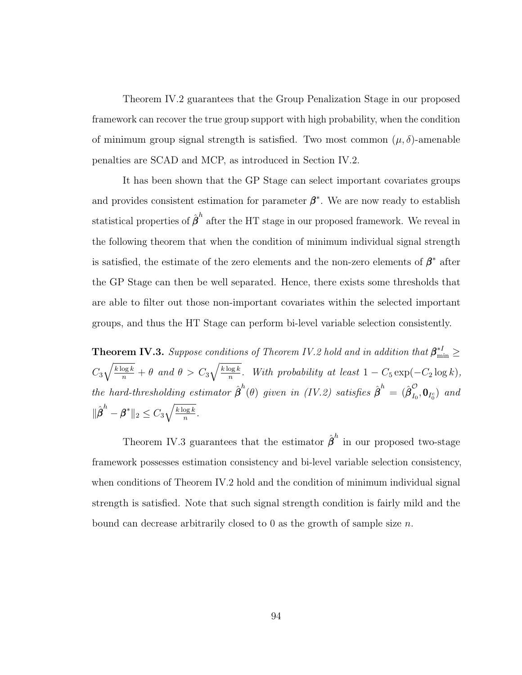Theorem [IV.2](#page-101-1) guarantees that the Group Penalization Stage in our proposed framework can recover the true group support with high probability, when the condition of minimum group signal strength is satisfied. Two most common  $(\mu, \delta)$ -amenable penalties are SCAD and MCP, as introduced in Section [IV.2.](#page-92-0)

It has been shown that the GP Stage can select important covariates groups and provides consistent estimation for parameter  $\beta^*$ . We are now ready to establish statistical properties of  $\hat{\boldsymbol{\beta}}^h$  after the HT stage in our proposed framework. We reveal in the following theorem that when the condition of minimum individual signal strength is satisfied, the estimate of the zero elements and the non-zero elements of  $\beta^*$  after the GP Stage can then be well separated. Hence, there exists some thresholds that are able to filter out those non-important covariates within the selected important groups, and thus the HT Stage can perform bi-level variable selection consistently.

<span id="page-102-0"></span>**Theorem IV.3.** Suppose conditions of Theorem [IV.2](#page-101-1) hold and in addition that  $\beta_{\min}^{*I} \geq$  $C_3\sqrt{\frac{k\log k}{n}} + \theta$  and  $\theta > C_3\sqrt{\frac{k\log k}{n}}$  $\frac{\log k}{n}$ . With probability at least  $1 - C_5 \exp(-C_2 \log k)$ , the hard-thresholding estimator  $\hat{\boldsymbol{\beta}}^h(\theta)$  given in [\(IV.2\)](#page-94-0) satisfies  $\hat{\boldsymbol{\beta}}^h = (\hat{\boldsymbol{\beta}}^{\mathcal{O}}_{I_0})$  $\sum_{I_0}$ ,  $\mathbf{0}_{I_0^c}$ ) and  $\|\hat{\boldsymbol{\beta}}^h - \boldsymbol{\beta}^*\|_2 \leq C_3 \sqrt{\frac{k\log k}{n}}$  $\frac{\log k}{n}$  .

Theorem [IV.3](#page-102-0) guarantees that the estimator  $\hat{\boldsymbol{\beta}}^h$  in our proposed two-stage framework possesses estimation consistency and bi-level variable selection consistency, when conditions of Theorem [IV.2](#page-101-1) hold and the condition of minimum individual signal strength is satisfied. Note that such signal strength condition is fairly mild and the bound can decrease arbitrarily closed to 0 as the growth of sample size  $n$ .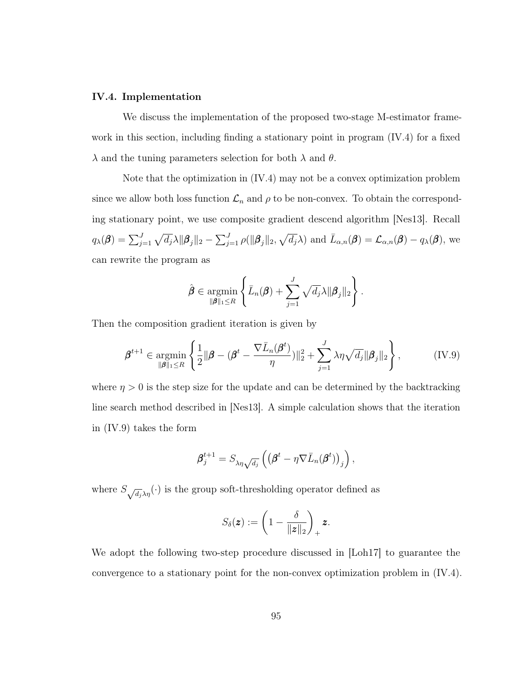### <span id="page-103-0"></span>IV.4. Implementation

We discuss the implementation of the proposed two-stage M-estimator framework in this section, including finding a stationary point in program [\(IV.4\)](#page-95-0) for a fixed  $\lambda$  and the tuning parameters selection for both  $\lambda$  and  $\theta$ .

Note that the optimization in [\(IV.4\)](#page-95-0) may not be a convex optimization problem since we allow both loss function  $\mathcal{L}_n$  and  $\rho$  to be non-convex. To obtain the corresponding stationary point, we use composite gradient descend algorithm [\[Nes13\]](#page-127-2). Recall  $q_{\lambda}(\boldsymbol{\beta}) = \sum_{j=1}^{J} \sqrt{d_j} \lambda ||\boldsymbol{\beta}_j||_2 - \sum_{j=1}^{J} \rho(||\boldsymbol{\beta}_j||_2, \sqrt{d_j} \lambda)$  and  $\bar{L}_{\alpha,n}(\boldsymbol{\beta}) = \mathcal{L}_{\alpha,n}(\boldsymbol{\beta}) - q_{\lambda}(\boldsymbol{\beta}),$  we can rewrite the program as

$$
\hat{\boldsymbol{\beta}} \in \operatorname*{argmin}_{\|\boldsymbol{\beta}\|_1 \leq R} \left\{ \bar{L}_n(\boldsymbol{\beta}) + \sum_{j=1}^J \sqrt{d_j} \lambda \|\boldsymbol{\beta}_j\|_2 \right\}.
$$

Then the composition gradient iteration is given by

<span id="page-103-1"></span>
$$
\boldsymbol{\beta}^{t+1} \in \underset{\|\boldsymbol{\beta}\|_1 \leq R}{\operatorname{argmin}} \left\{ \frac{1}{2} \|\boldsymbol{\beta} - (\boldsymbol{\beta}^t - \frac{\nabla \bar{L}_n(\boldsymbol{\beta}^t)}{\eta})\|_2^2 + \sum_{j=1}^J \lambda \eta \sqrt{d_j} \|\boldsymbol{\beta}_j\|_2 \right\},\tag{IV.9}
$$

where  $\eta > 0$  is the step size for the update and can be determined by the backtracking line search method described in [\[Nes13\]](#page-127-2). A simple calculation shows that the iteration in [\(IV.9\)](#page-103-1) takes the form

$$
\boldsymbol{\beta}_j^{t+1} = S_{\lambda \eta \sqrt{d_j}} \left( \left( \boldsymbol{\beta}^t - \eta \nabla \bar{L}_n(\boldsymbol{\beta}^t) \right)_j \right),
$$

where  $S_{\sqrt{d_j}\lambda\eta}(\cdot)$  is the group soft-thresholding operator defined as

$$
S_{\delta}(\boldsymbol{z}) := \left(1 - \frac{\delta}{\|\boldsymbol{z}\|_2}\right)_+ \boldsymbol{z}.
$$

We adopt the following two-step procedure discussed in [\[Loh17\]](#page-126-0) to guarantee the convergence to a stationary point for the non-convex optimization problem in [\(IV.4\)](#page-95-0).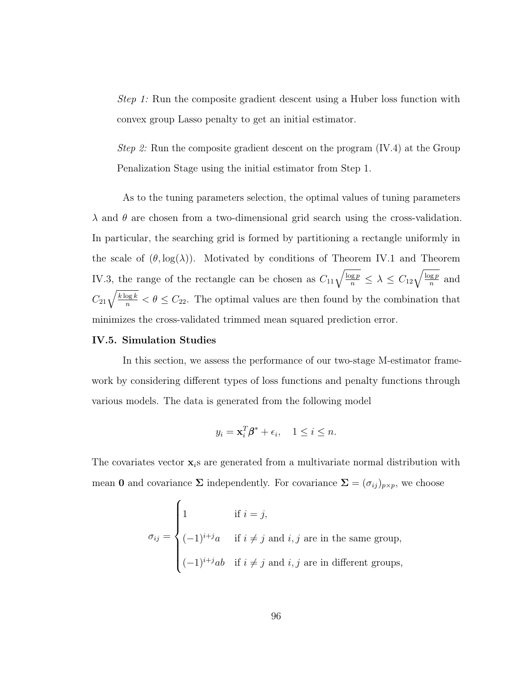Step 1: Run the composite gradient descent using a Huber loss function with convex group Lasso penalty to get an initial estimator.

Step 2: Run the composite gradient descent on the program [\(IV.4\)](#page-95-0) at the Group Penalization Stage using the initial estimator from Step 1.

As to the tuning parameters selection, the optimal values of tuning parameters  $\lambda$  and  $\theta$  are chosen from a two-dimensional grid search using the cross-validation. In particular, the searching grid is formed by partitioning a rectangle uniformly in the scale of  $(\theta, \log(\lambda))$ . Motivated by conditions of Theorem [IV.1](#page-100-0) and Theorem [IV.3,](#page-102-0) the range of the rectangle can be chosen as  $C_{11}\sqrt{\frac{\log p}{n}} \leq \lambda \leq C_{12}\sqrt{\frac{\log p}{n}}$  and  $C_{21}\sqrt{\frac{k\log k}{n}} < \theta \leq C_{22}$ . The optimal values are then found by the combination that minimizes the cross-validated trimmed mean squared prediction error.

### <span id="page-104-0"></span>IV.5. Simulation Studies

In this section, we assess the performance of our two-stage M-estimator framework by considering different types of loss functions and penalty functions through various models. The data is generated from the following model

$$
y_i = \mathbf{x}_i^T \boldsymbol{\beta}^* + \epsilon_i, \quad 1 \le i \le n.
$$

The covariates vector  $\mathbf{x}_i$  are generated from a multivariate normal distribution with mean 0 and covariance  $\Sigma$  independently. For covariance  $\Sigma = (\sigma_{ij})_{p \times p}$ , we choose

$$
\sigma_{ij} = \begin{cases}\n1 & \text{if } i = j, \\
(-1)^{i+j}a & \text{if } i \neq j \text{ and } i, j \text{ are in the same group,} \\
(-1)^{i+j}ab & \text{if } i \neq j \text{ and } i, j \text{ are in different groups,} \n\end{cases}
$$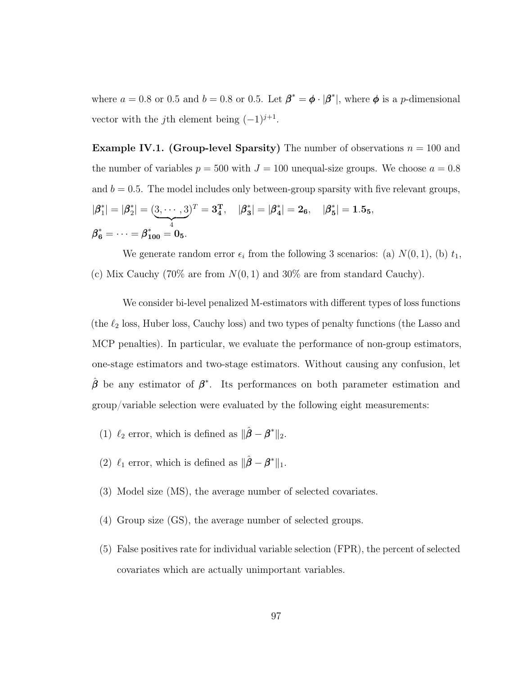where  $a = 0.8$  or 0.5 and  $b = 0.8$  or 0.5. Let  $\beta^* = \phi \cdot |\beta^*|$ , where  $\phi$  is a *p*-dimensional vector with the *j*th element being  $(-1)^{j+1}$ .

<span id="page-105-0"></span>**Example IV.1. (Group-level Sparsity)** The number of observations  $n = 100$  and the number of variables  $p = 500$  with  $J = 100$  unequal-size groups. We choose  $a = 0.8$ and  $b = 0.5$ . The model includes only between-group sparsity with five relevant groups,  $|\beta^*_1$  $|_{1}^{*}|=|\beta_{2}^{*}|$  $\binom{2}{2} = (3, \cdots, 3)$  $\overline{4}$  $)^T=3^{\rm T}_{4},\quad |\beta^*_{3}|$  $\vert \mathbf{3} \vert = \vert \boldsymbol{\beta}^*_4$  $\left| \frac{1}{4} \right| = 2_6, \quad |\beta_5^*|$  $\left|\frac{*}{5}\right|=1.5$ 5,  $\pmb{\beta}^*_\textbf{6} = \cdots = \pmb{\beta}^*_\textbf{100} = \pmb{0}_\textbf{5}.$ 

We generate random error  $\epsilon_i$  from the following 3 scenarios: (a)  $N(0, 1)$ , (b)  $t_1$ , (c) Mix Cauchy (70% are from  $N(0, 1)$  and 30% are from standard Cauchy).

We consider bi-level penalized M-estimators with different types of loss functions (the  $\ell_2$  loss, Huber loss, Cauchy loss) and two types of penalty functions (the Lasso and MCP penalties). In particular, we evaluate the performance of non-group estimators, one-stage estimators and two-stage estimators. Without causing any confusion, let  $\hat{\boldsymbol{\beta}}$  be any estimator of  $\boldsymbol{\beta}^*$ . Its performances on both parameter estimation and group/variable selection were evaluated by the following eight measurements:

- (1)  $\ell_2$  error, which is defined as  $\|\hat{\boldsymbol{\beta}} \boldsymbol{\beta}^*\|_2$ .
- (2)  $\ell_1$  error, which is defined as  $\|\hat{\boldsymbol{\beta}} \boldsymbol{\beta}^*\|_1$ .
- (3) Model size (MS), the average number of selected covariates.
- (4) Group size (GS), the average number of selected groups.
- (5) False positives rate for individual variable selection (FPR), the percent of selected covariates which are actually unimportant variables.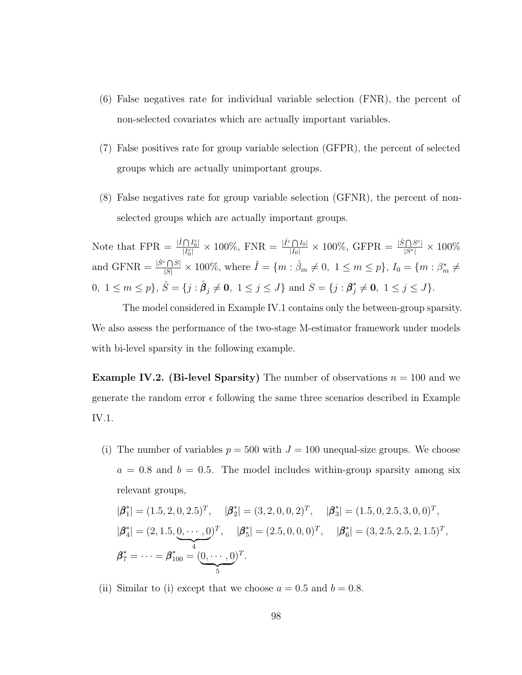- (6) False negatives rate for individual variable selection (FNR), the percent of non-selected covariates which are actually important variables.
- (7) False positives rate for group variable selection (GFPR), the percent of selected groups which are actually unimportant groups.
- (8) False negatives rate for group variable selection (GFNR), the percent of nonselected groups which are actually important groups.

Note that  $FPR = \frac{|\hat{I} \bigcap I_0^c|}{|I^c|}$  $\frac{\bigcap I_0^c}{|I_0^c|} \times 100\%, \text{ FNR} = \frac{|\hat{I}^c \bigcap I_0|}{|I_0|} \times 100\%, \text{ GFPR} = \frac{|\hat{S} \bigcap S^c|}{|S^c|} \times 100\%$ and GFNR  $=\frac{|\hat{S}^c \cap S|}{|S|} \times 100\%$ , where  $\hat{I} = \{m : \hat{\beta}_m \neq 0, 1 \leq m \leq p\}$ ,  $I_0 = \{m : \beta_m^* \neq 0, 1 \leq m \leq p\}$  $0, 1 \leq m \leq p$ ,  $\hat{S} = \{j : \hat{\beta}_j \neq \mathbf{0}, 1 \leq j \leq J\}$  and  $S = \{j : \beta_j^* \neq \mathbf{0}, 1 \leq j \leq J\}$ .

The model considered in Example [IV.1](#page-105-0) contains only the between-group sparsity. We also assess the performance of the two-stage M-estimator framework under models with bi-level sparsity in the following example.

<span id="page-106-0"></span>**Example IV.2.** (Bi-level Sparsity) The number of observations  $n = 100$  and we generate the random error  $\epsilon$  following the same three scenarios described in Example [IV.1.](#page-105-0)

(i) The number of variables  $p = 500$  with  $J = 100$  unequal-size groups. We choose  $a = 0.8$  and  $b = 0.5$ . The model includes within-group sparsity among six relevant groups,

$$
|\boldsymbol{\beta}_1^*| = (1.5, 2, 0, 2.5)^T, \quad |\boldsymbol{\beta}_2^*| = (3, 2, 0, 0, 2)^T, \quad |\boldsymbol{\beta}_3^*| = (1.5, 0, 2.5, 3, 0, 0)^T,
$$
  

$$
|\boldsymbol{\beta}_4^*| = (2, 1.5, 0, \dots, 0)^T, \quad |\boldsymbol{\beta}_5^*| = (2.5, 0, 0, 0)^T, \quad |\boldsymbol{\beta}_6^*| = (3, 2.5, 2.5, 2, 1.5)^T,
$$
  

$$
\boldsymbol{\beta}_7^* = \dots = \boldsymbol{\beta}_{100}^* = (\underbrace{0, \dots, 0}_{5})^T.
$$

(ii) Similar to (i) except that we choose  $a = 0.5$  and  $b = 0.8$ .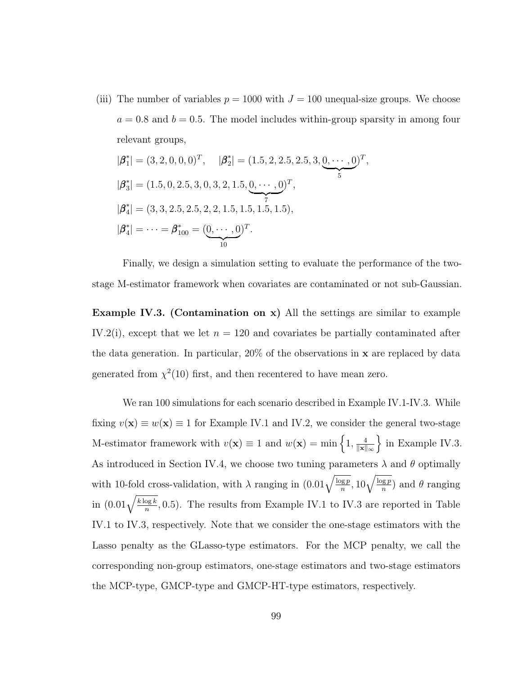(iii) The number of variables  $p = 1000$  with  $J = 100$  unequal-size groups. We choose  $a = 0.8$  and  $b = 0.5$ . The model includes within-group sparsity in among four relevant groups,

$$
|\boldsymbol{\beta}_{1}^{*}| = (3, 2, 0, 0, 0)^{T}, \quad |\boldsymbol{\beta}_{2}^{*}| = (1.5, 2, 2.5, 2.5, 3, 0, \cdots, 0)^{T},
$$
  
\n
$$
|\boldsymbol{\beta}_{3}^{*}| = (1.5, 0, 2.5, 3, 0, 3, 2, 1.5, 0, \cdots, 0)^{T},
$$
  
\n
$$
|\boldsymbol{\beta}_{4}^{*}| = (3, 3, 2.5, 2.5, 2, 2, 1.5, 1.5, 1.5, 1.5),
$$
  
\n
$$
|\boldsymbol{\beta}_{4}^{*}| = \cdots = \boldsymbol{\beta}_{100}^{*} = (\underbrace{0, \cdots, 0}_{10})^{T}.
$$

Finally, we design a simulation setting to evaluate the performance of the twostage M-estimator framework when covariates are contaminated or not sub-Gaussian.

<span id="page-107-0"></span>Example IV.3. (Contamination on x) All the settings are similar to example [IV.2\(](#page-106-0)i), except that we let  $n = 120$  and covariates be partially contaminated after the data generation. In particular,  $20\%$  of the observations in **x** are replaced by data generated from  $\chi^2(10)$  first, and then recentered to have mean zero.

We ran 100 simulations for each scenario described in Example [IV.1-](#page-105-0)[IV.3.](#page-107-0) While fixing  $v(\mathbf{x}) \equiv w(\mathbf{x}) \equiv 1$  for Example [IV.1](#page-105-0) and [IV.2,](#page-106-0) we consider the general two-stage M-estimator framework with  $v(\mathbf{x}) \equiv 1$  and  $w(\mathbf{x}) = \min\left\{1, \frac{4}{\|\mathbf{x}\|}\right\}$  $\|\mathbf{x}\|_{\infty}$  $\}$  in Example [IV.3.](#page-107-0) As introduced in Section [IV.4,](#page-103-0) we choose two tuning parameters  $\lambda$  and  $\theta$  optimally with 10-fold cross-validation, with  $\lambda$  ranging in  $(0.01\sqrt{\frac{\log p}{n}}, 10\sqrt{\frac{\log p}{n}})$  and  $\theta$  ranging in  $(0.01\sqrt{\frac{k \log k}{n}}, 0.5)$ . The results from Example [IV.1](#page-105-0) to [IV.3](#page-107-0) are reported in Table [IV.1](#page-108-0) to [IV.3,](#page-110-0) respectively. Note that we consider the one-stage estimators with the Lasso penalty as the GLasso-type estimators. For the MCP penalty, we call the corresponding non-group estimators, one-stage estimators and two-stage estimators the MCP-type, GMCP-type and GMCP-HT-type estimators, respectively.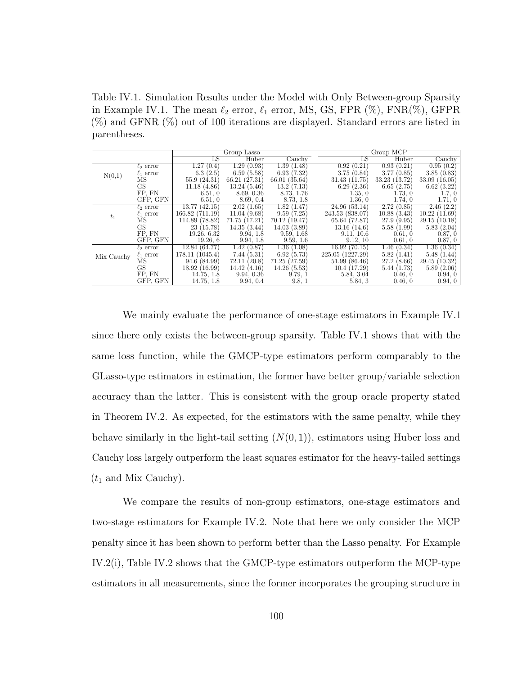<span id="page-108-0"></span>Table IV.1. Simulation Results under the Model with Only Between-group Sparsity in Example [IV.1.](#page-105-0) The mean  $\ell_2$  error,  $\ell_1$  error, MS, GS, FPR  $(\%)$ , FNR $(\%)$ , GFPR (%) and GFNR (%) out of 100 iterations are displayed. Standard errors are listed in parentheses.

|            |                |                 | Group Lasso     |               |                         | Group MCP       |                  |
|------------|----------------|-----------------|-----------------|---------------|-------------------------|-----------------|------------------|
|            |                | LS              | Huber           | Cauchy        | LS                      | Huber           | Cauchy           |
|            | $\ell_2$ error | 1.27<br>(0.4)   | 1.29(0.93)      | 1.39 (1.48)   | $0.92(0.\overline{21})$ | 0.93(0.21)      | 0.95(0.2)        |
| N(0,1)     | $\ell_1$ error | 6.3(2.5)        | 6.59(5.58)      | 6.93(7.32)    | 3.75(0.84)              | 3.77(0.85)      | 3.85(0.83)       |
|            | МS             | 55.9 (24.31)    | 66.21 (27.31)   | 66.01 (35.64) | 31.43(11.75)            | 33.23 (13.72)   | 33.09(16.05)     |
|            | <b>GS</b>      | 11.18(4.86)     | 13.24(5.46)     | 13.2(7.13)    | 6.29(2.36)              | 6.65(2.75)      | 6.62(3.22)       |
|            | FP. FN         | 6.51, 0         | 8.69, 0.36      | 8.73, 1.76    | 1.35, 0                 | 1.73, 0         | 1.7, 0           |
|            | GFP, GFN       | 6.51, 0         | 8.69, 0.4       | 8.73, 1.8     | 1.36, 0                 | 1.74, 0         | 1.71, 0          |
|            | $\ell_2$ error | 13.77(42.15)    | 2.02(1.65)      | 1.82(1.47)    | 24.96 (53.14)           | 2.72(0.85)      | 2.46(2.2)        |
| $t_1$      | $\ell_1$ error | 166.82(711.19)  | 11.04(9.68)     | 9.59(7.25)    | 243.53 (838.07)         | 10.88<br>(3.43) | 10.22(11.69)     |
|            | MS             | 114.89 (78.82)  | 71.75 (17.21)   | 70.12 (19.47) | 65.64 (72.87)           | 27.9<br>(9.95)  | (10.18)<br>29.15 |
|            | GS             | 23 (15.78)      | 14.35(3.44)     | 14.03(3.89)   | 13.16(14.6)             | 5.58(1.99)      | 5.83(2.04)       |
|            | FP. FN         | 19.26, 6.32     | 9.94, 1.8       | 9.59, 1.68    | 9.11, 10.6              | 0.61, 0         | 0.87, 0          |
|            | GFP, GFN       | 19.26, 6        | 9.94, 1.8       | 9.59, 1.6     | 9.12, 10                | 0.61, 0         | 0.87, 0          |
|            | $\ell_2$ error | 12.84 (64.77)   | 1.42<br>(0.87)  | 1.36(1.08)    | 16.92(70.15)            | 1.46(0.34)      | 1.36(0.34)       |
| Mix Cauchy | $\ell_1$ error | 178.11 (1045.4) | 7.44(5.31)      | 6.92(5.73)    | 225.05 (1227.29)        | 5.82(1.41)      | 5.48(1.44)       |
|            | МS             | 94.6(84.99)     | 72.11<br>(20.8) | 71.25 (27.59) | 51.99(86.46)            | 27.2(8.66)      | 29.45(10.32)     |
|            | GS             | 18.92 (16.99)   | 14.42(4.16)     | 14.26(5.53)   | 10.4(17.29)             | 5.44(1.73)      | 5.89(2.06)       |
|            | FP, FN         | 14.75, 1.8      | 9.94, 0.36      | 9.79, 1       | 5.84, 3.04              | 0.46, 0         | 0.94, 0          |
|            | GFP, GFN       | 14.75, 1.8      | 9.94, 0.4       | 9.8, 1        | 5.84, 3                 | 0.46, 0         | 0.94, 0          |

We mainly evaluate the performance of one-stage estimators in Example [IV.1](#page-105-0) since there only exists the between-group sparsity. Table [IV.1](#page-108-0) shows that with the same loss function, while the GMCP-type estimators perform comparably to the GLasso-type estimators in estimation, the former have better group/variable selection accuracy than the latter. This is consistent with the group oracle property stated in Theorem [IV.2.](#page-101-0) As expected, for the estimators with the same penalty, while they behave similarly in the light-tail setting  $(N(0, 1))$ , estimators using Huber loss and Cauchy loss largely outperform the least squares estimator for the heavy-tailed settings  $(t_1$  and Mix Cauchy).

We compare the results of non-group estimators, one-stage estimators and two-stage estimators for Example [IV.2.](#page-106-0) Note that here we only consider the MCP penalty since it has been shown to perform better than the Lasso penalty. For Example [IV.2\(](#page-106-0)i), Table [IV.2](#page-109-0) shows that the GMCP-type estimators outperform the MCP-type estimators in all measurements, since the former incorporates the grouping structure in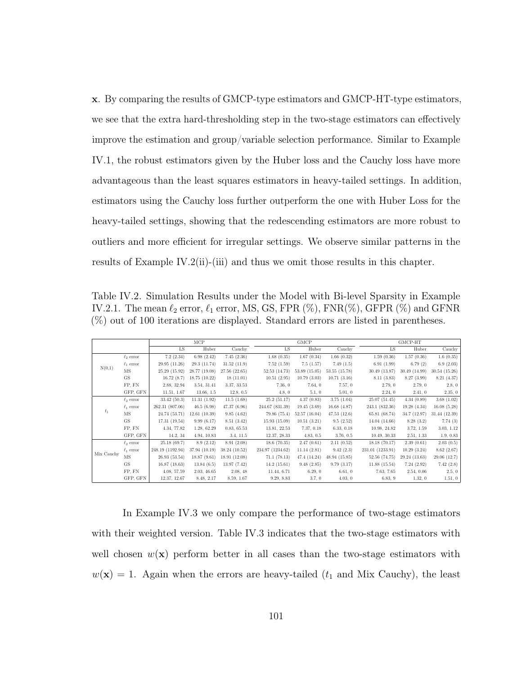x. By comparing the results of GMCP-type estimators and GMCP-HT-type estimators, we see that the extra hard-thresholding step in the two-stage estimators can effectively improve the estimation and group/variable selection performance. Similar to Example [IV.1,](#page-105-0) the robust estimators given by the Huber loss and the Cauchy loss have more advantageous than the least squares estimators in heavy-tailed settings. In addition, estimators using the Cauchy loss further outperform the one with Huber Loss for the heavy-tailed settings, showing that the redescending estimators are more robust to outliers and more efficient for irregular settings. We observe similar patterns in the results of Example [IV.2\(](#page-106-0)ii)-(iii) and thus we omit those results in this chapter.

<span id="page-109-0"></span>Table IV.2. Simulation Results under the Model with Bi-level Sparsity in Example [IV.2.](#page-106-0)1. The mean  $\ell_2$  error,  $\ell_1$  error, MS, GS, FPR  $(\%)$ , FNR $(\%)$ , GFPR  $(\%)$  and GFNR (%) out of 100 iterations are displayed. Standard errors are listed in parentheses.

|            |                     |                  | MCP           |               |                  | <b>GMCP</b>   |               |                  | GMCP-HT       |               |
|------------|---------------------|------------------|---------------|---------------|------------------|---------------|---------------|------------------|---------------|---------------|
|            |                     | LS               | Huber         | Cauchy        | LS.              | Huber         | Cauchy        | LS               | Huber         | Cauchy        |
|            | $\ell_2$ error      | 7.2(2.34)        | 6.98(2.42)    | 7.45(2.36)    | 1.68(0.35)       | 1.67(0.34)    | 1.66(0.32)    | 1.59(0.36)       | 1.57(0.36)    | 1.6(0.35)     |
|            | $\ell_1$ error      | 29.95 (11.26)    | 29.3 (11.74)  | 31.52(11.9)   | 7.52(1.59)       | 7.5(1.57)     | 7.49(1.5)     | 6.91(1.99)       | 6.79(2)       | 6.9(2.03)     |
| N(0,1)     | $\overline{\rm MS}$ | 25.29 (15.92)    | 28.77 (19.08) | 27.56 (22.65) | 52.53 (14.73)    | 53.89 (15.05) | 53.55 (15.78) | 30.49 (13.87)    | 30.49 (14.99) | 30.54(15.26)  |
|            | <b>GS</b>           | 16.72(8.7)       | 18.75 (10.22) | 18(11.01)     | 10.51(2.95)      | 10.79(3.03)   | 10.71(3.16)   | 8.11(3.83)       | 8.27 (3.99)   | 8.21(4.37)    |
|            | FP, FN              | 2.88, 32.94      | 3.54, 31.41   | 3.37, 33.53   | 7.36, 0          | 7.64, 0       | 7.57, 0       | 2.79.0           | 2.79, 0       | 2.8, 0        |
|            | GFP, GFN            | 11.51, 1.67      | 13.66, 1.5    | 12.8, 0.5     | 4.8, 0           | 5.1, 0        | 5.01, 0       | 2.24.0           | 2.41, 0       | 2.35, 0       |
|            | $\ell_2$ error      | 33.42(50.3)      | 11.31(1.92)   | 11.5(1.68)    | 25.2(51.17)      | 4.37(0.83)    | 3.75(1.04)    | 25.07(51.45)     | 4.34(0.89)    | 3.68(1.02)    |
|            | $\ell_1$ error      | 262.31 (807.06)  | 46.5(6.98)    | 47.37 (6.96)  | 244.67 (831.39)  | 19.45(3.69)   | 16.68(4.87)   | 243.1 (832.36)   | 19.28(4.34)   | 16.08(5.28)   |
| $t_1$      | $\overline{\rm MS}$ | 24.74 (53.71)    | 12.61(10.39)  | 9.85(4.62)    | 79.86 (75.4)     | 52.57 (16.04) | 47.53(12.6)   | 65.81 (68.74)    | 34.7 (12.97)  | 31.44 (12.39) |
|            | <b>GS</b>           | 17.31 (19.54)    | 9.99(6.17)    | 8.51(3.42)    | 15.93(15.09)     | 10.51(3.21)   | 9.5(2.52)     | 14.04 (14.66)    | 8.28(3.2)     | 7.74(3)       |
|            | FP, FN              | 4.34, 77.82      | 1.28, 62.29   | 0.83, 65.53   | 13.81, 22.53     | 7.37, 0.18    | 6.33, 0.18    | 10.98, 24.82     | 3.72, 1.59    | 3.03, 1.12    |
|            | GFP, GFN            | 14.2, 34         | 4.94, 10.83   | 3.4, 11.5     | 12.37, 28.33     | 4.83, 0.5     | 3.76, 0.5     | 10.49, 30.33     | 2.51, 1.33    | 1.9, 0.83     |
|            | $\ell_2$ error      | 25.18(69.7)      | 8.9(2.12)     | 8.91(2.08)    | 18.6(70.35)      | 2.47(0.61)    | 2.11(0.52)    | 18.18 (70.17)    | 2.39(0.61)    | 2.03(0.5)     |
|            | $\ell_1$ error      | 248.19 (1192.94) | 37.94 (10.19) | 38.24 (10.52) | 234.97 (1234.62) | 11.14(2.81)   | 9.42(2.3)     | 231.01 (1233.91) | 10.29(3.24)   | 8.62(2.67)    |
| Mix Cauchy | $_{\rm MS}$         | 26.93(53.54)     | 18.87(9.61)   | 18.91 (12.08) | 71.1(78.13)      | 47.4 (14.24)  | 48.94 (15.85) | 52.56 (74.75)    | 29.24 (13.63) | 29.06 (12.7)  |
|            | <b>GS</b>           | 16.87(18.63)     | 13.84(6.5)    | 13.97 (7.42)  | 14.2(15.61)      | 9.48(2.85)    | 9.79(3.17)    | 11.88(15.54)     | 7.24(2.92)    | 7.42(2.8)     |
|            | FP, FN              | 4.08, 57.59      | 2.03, 46.65   | 2.08, 48      | 11.44, 6.71      | 6.29.0        | 6.61, 0       | 7.63, 7.65       | 2.54, 0.06    | 2.5, 0        |
|            | GFP, GFN            | 12.37, 12.67     | 8.48, 2.17    | 8.59, 1.67    | 9.29, 8.83       | 3.7, 0        | 4.03, 0       | 6.83, 9          | 1.32, 0       | 1.51, 0       |

In Example [IV.3](#page-107-0) we only compare the performance of two-stage estimators with their weighted version. Table [IV.3](#page-110-0) indicates that the two-stage estimators with well chosen  $w(\mathbf{x})$  perform better in all cases than the two-stage estimators with  $w(\mathbf{x}) = 1$ . Again when the errors are heavy-tailed ( $t_1$  and Mix Cauchy), the least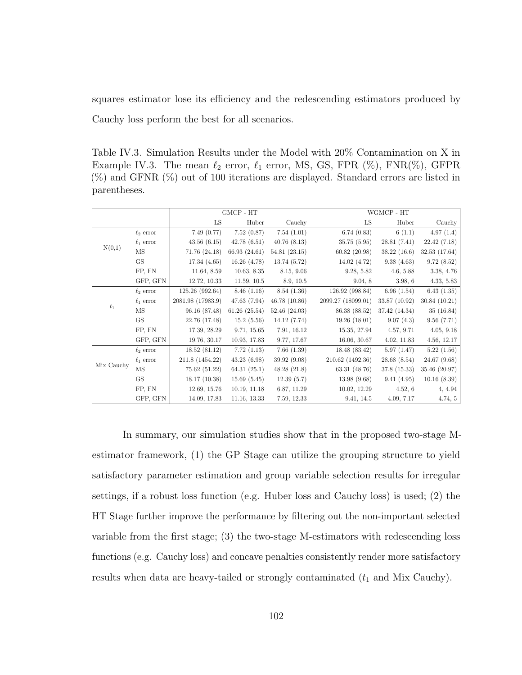squares estimator lose its efficiency and the redescending estimators produced by Cauchy loss perform the best for all scenarios.

<span id="page-110-0"></span>Table IV.3. Simulation Results under the Model with 20% Contamination on X in Example [IV.3.](#page-107-0) The mean  $\ell_2$  error,  $\ell_1$  error, MS, GS, FPR  $(\%)$ , FNR $(\%)$ , GFPR (%) and GFNR (%) out of 100 iterations are displayed. Standard errors are listed in parentheses.

|            |                     |                   | GMCP - HT     |              |                    | WGMCP - HT    |               |
|------------|---------------------|-------------------|---------------|--------------|--------------------|---------------|---------------|
|            |                     | LS                | Huber         | Cauchy       | LS                 | Huber         | Cauchy        |
|            | $\ell_2$ error      | 7.49(0.77)        | 7.52(0.87)    | 7.54(1.01)   | 6.74(0.83)         | 6(1.1)        | 4.97(1.4)     |
|            | $\ell_1$ error      | 43.56(6.15)       | 42.78(6.51)   | 40.76(8.13)  | 35.75 (5.95)       | 28.81(7.41)   | 22.42(7.18)   |
| N(0,1)     | $\overline{\rm MS}$ | 71.76 (24.18)     | 66.93 (24.61) | 54.81(23.15) | 60.82(20.98)       | 38.22(16.6)   | 32.53(17.64)  |
|            | GS                  | 17.34(4.65)       | 16.26(4.78)   | 13.74 (5.72) | 14.02(4.72)        | 9.38(4.63)    | 9.72(8.52)    |
|            | FP, FN              | 11.64, 8.59       | 10.63, 8.35   | 8.15, 9.06   | 9.28, 5.82         | 4.6, 5.88     | 3.38, 4.76    |
|            | GFP, GFN            | 12.72, 10.33      | 11.59, 10.5   | 8.9, 10.5    | 9.04, 8            | 3.98, 6       | 4.33, 5.83    |
|            | $\ell_2$ error      | 125.26 (992.64)   | 8.46(1.16)    | 8.54(1.36)   | 126.92 (998.84)    | 6.96(1.54)    | 6.43(1.35)    |
|            | $\ell_1$ error      | 2081.98 (17983.9) | 47.63 (7.94)  | 46.78(10.86) | 2099.27 (18099.01) | 33.87 (10.92) | 30.84(10.21)  |
| $t_1$      | MS                  | 96.16 (87.48)     | 61.26(25.54)  | 52.46(24.03) | 86.38 (88.52)      | 37.42 (14.34) | 35(16.84)     |
|            | GS                  | 22.76 (17.48)     | 15.2(5.56)    | 14.12 (7.74) | 19.26(18.01)       | 9.07(4.3)     | 9.56(7.71)    |
|            | FP, FN              | 17.39, 28.29      | 9.71, 15.65   | 7.91, 16.12  | 15.35, 27.94       | 4.57, 9.71    | 4.05, 9.18    |
|            | GFP, GFN            | 19.76, 30.17      | 10.93, 17.83  | 9.77, 17.67  | 16.06, 30.67       | 4.02, 11.83   | 4.56, 12.17   |
|            | $\ell_2$ error      | 18.52(81.12)      | 7.72(1.13)    | 7.66(1.39)   | 18.48 (83.42)      | 5.97(1.47)    | 5.22(1.56)    |
|            | $\ell_1$ error      | 211.8 (1454.22)   | 43.23(6.98)   | 39.92 (9.08) | 210.62 (1492.36)   | 28.68 (8.54)  | 24.67(9.68)   |
| Mix Cauchy | MS                  | 75.62 (51.22)     | 64.31(25.1)   | 48.28(21.8)  | 63.31 (48.76)      | 37.8 (15.33)  | 35.46 (20.97) |
|            | <b>GS</b>           | 18.17(10.38)      | 15.69(5.45)   | 12.39(5.7)   | 13.98(9.68)        | 9.41(4.95)    | 10.16(8.39)   |
|            | FP, FN              | 12.69, 15.76      | 10.19, 11.18  | 6.87, 11.29  | 10.02, 12.29       | 4.52, 6       | 4, 4.94       |
|            | GFP, GFN            | 14.09, 17.83      | 11.16, 13.33  | 7.59, 12.33  | 9.41, 14.5         | 4.09, 7.17    | 4.74, 5       |

In summary, our simulation studies show that in the proposed two-stage Mestimator framework, (1) the GP Stage can utilize the grouping structure to yield satisfactory parameter estimation and group variable selection results for irregular settings, if a robust loss function (e.g. Huber loss and Cauchy loss) is used; (2) the HT Stage further improve the performance by filtering out the non-important selected variable from the first stage; (3) the two-stage M-estimators with redescending loss functions (e.g. Cauchy loss) and concave penalties consistently render more satisfactory results when data are heavy-tailed or strongly contaminated  $(t_1$  and Mix Cauchy).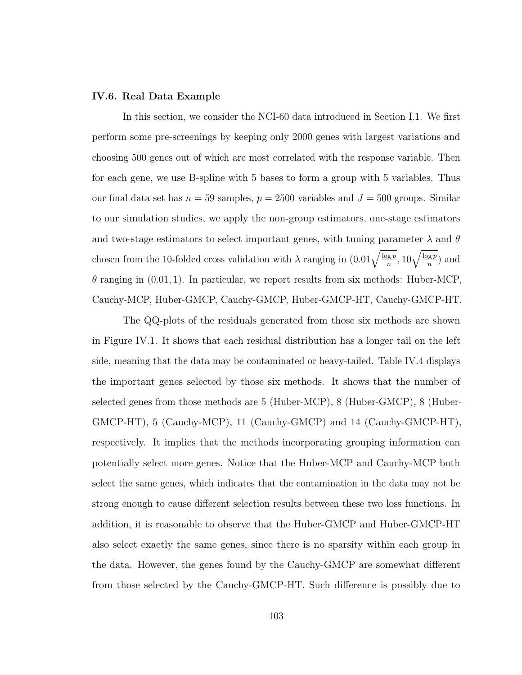#### IV.6. Real Data Example

In this section, we consider the NCI-60 data introduced in Section [I.1.](#page-9-0) We first perform some pre-screenings by keeping only 2000 genes with largest variations and choosing 500 genes out of which are most correlated with the response variable. Then for each gene, we use B-spline with 5 bases to form a group with 5 variables. Thus our final data set has  $n = 59$  samples,  $p = 2500$  variables and  $J = 500$  groups. Similar to our simulation studies, we apply the non-group estimators, one-stage estimators and two-stage estimators to select important genes, with tuning parameter  $\lambda$  and  $\theta$ chosen from the 10-folded cross validation with  $\lambda$  ranging in  $(0.01\sqrt{\frac{\log p}{n}}, 10\sqrt{\frac{\log p}{n}})$  and  $\theta$  ranging in (0.01, 1). In particular, we report results from six methods: Huber-MCP, Cauchy-MCP, Huber-GMCP, Cauchy-GMCP, Huber-GMCP-HT, Cauchy-GMCP-HT.

The QQ-plots of the residuals generated from those six methods are shown in Figure [IV.1.](#page-113-0) It shows that each residual distribution has a longer tail on the left side, meaning that the data may be contaminated or heavy-tailed. Table [IV.4](#page-112-0) displays the important genes selected by those six methods. It shows that the number of selected genes from those methods are 5 (Huber-MCP), 8 (Huber-GMCP), 8 (Huber-GMCP-HT), 5 (Cauchy-MCP), 11 (Cauchy-GMCP) and 14 (Cauchy-GMCP-HT), respectively. It implies that the methods incorporating grouping information can potentially select more genes. Notice that the Huber-MCP and Cauchy-MCP both select the same genes, which indicates that the contamination in the data may not be strong enough to cause different selection results between these two loss functions. In addition, it is reasonable to observe that the Huber-GMCP and Huber-GMCP-HT also select exactly the same genes, since there is no sparsity within each group in the data. However, the genes found by the Cauchy-GMCP are somewhat different from those selected by the Cauchy-GMCP-HT. Such difference is possibly due to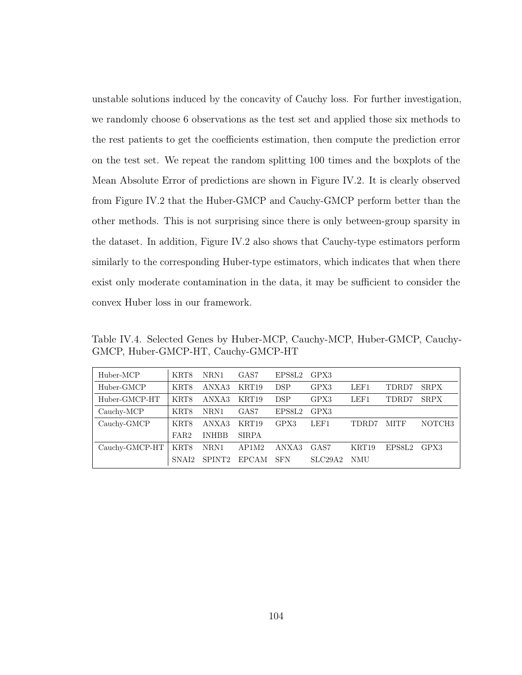unstable solutions induced by the concavity of Cauchy loss. For further investigation, we randomly choose 6 observations as the test set and applied those six methods to the rest patients to get the coefficients estimation, then compute the prediction error on the test set. We repeat the random splitting 100 times and the boxplots of the Mean Absolute Error of predictions are shown in Figure [IV.2.](#page-113-1) It is clearly observed from Figure [IV.2](#page-113-1) that the Huber-GMCP and Cauchy-GMCP perform better than the other methods. This is not surprising since there is only between-group sparsity in the dataset. In addition, Figure [IV.2](#page-113-1) also shows that Cauchy-type estimators perform similarly to the corresponding Huber-type estimators, which indicates that when there exist only moderate contamination in the data, it may be sufficient to consider the convex Huber loss in our framework.

<span id="page-112-0"></span>Table IV.4. Selected Genes by Huber-MCP, Cauchy-MCP, Huber-GMCP, Cauchy-GMCP, Huber-GMCP-HT, Cauchy-GMCP-HT

| Huber-MCP      | KRT8              | NRN1               | GAS7             | EPS8L2     | GPX3    |            |             |                    |
|----------------|-------------------|--------------------|------------------|------------|---------|------------|-------------|--------------------|
| Huber-GMCP     | KRT8              | ANXA3              | KRT19            | <b>DSP</b> | GPX3    | LEF1       | TDRD7       | <b>SRPX</b>        |
| Huber-GMCP-HT  | KRT8              | ANXA3              | KRT19            | <b>DSP</b> | GPX3    | LEF1       | TDRD7       | <b>SRPX</b>        |
| Cauchy-MCP     | KRT8              | NRN1               | GAS <sub>7</sub> | EPS8L2     | GPX3    |            |             |                    |
| Cauchy-GMCP    | KRT8              | ANXA3              | KRT19            | GPX3       | LEF1    | TDRD7      | <b>MITF</b> | NOTCH <sub>3</sub> |
|                | FAR <sub>2</sub>  | <b>INHBB</b>       | <b>SIRPA</b>     |            |         |            |             |                    |
| Cauchy-GMCP-HT | KRT8              | NRN1               | AP1M2            | ANXA3      | GAS7    | KRT19      | EPS8L2      | GPX3               |
|                | SNA <sub>12</sub> | SPINT <sub>2</sub> | <b>EPCAM</b>     | <b>SFN</b> | SLC29A2 | <b>NMU</b> |             |                    |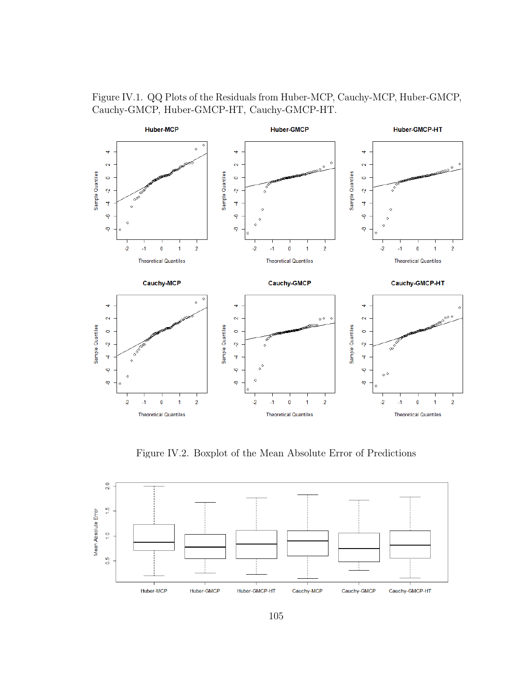<span id="page-113-0"></span>



Figure IV.2. Boxplot of the Mean Absolute Error of Predictions

<span id="page-113-1"></span>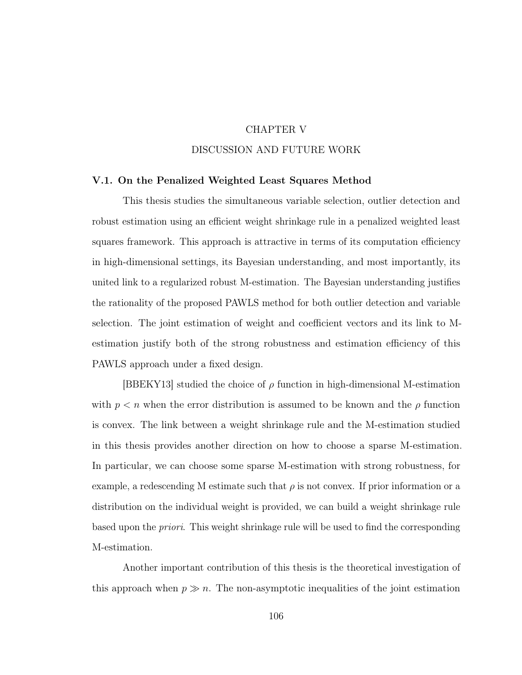### CHAPTER V

# DISCUSSION AND FUTURE WORK

#### V.1. On the Penalized Weighted Least Squares Method

This thesis studies the simultaneous variable selection, outlier detection and robust estimation using an efficient weight shrinkage rule in a penalized weighted least squares framework. This approach is attractive in terms of its computation efficiency in high-dimensional settings, its Bayesian understanding, and most importantly, its united link to a regularized robust M-estimation. The Bayesian understanding justifies the rationality of the proposed PAWLS method for both outlier detection and variable selection. The joint estimation of weight and coefficient vectors and its link to Mestimation justify both of the strong robustness and estimation efficiency of this PAWLS approach under a fixed design.

[\[BBEKY13\]](#page-121-0) studied the choice of  $\rho$  function in high-dimensional M-estimation with  $p < n$  when the error distribution is assumed to be known and the  $\rho$  function is convex. The link between a weight shrinkage rule and the M-estimation studied in this thesis provides another direction on how to choose a sparse M-estimation. In particular, we can choose some sparse M-estimation with strong robustness, for example, a redescending M estimate such that  $\rho$  is not convex. If prior information or a distribution on the individual weight is provided, we can build a weight shrinkage rule based upon the priori. This weight shrinkage rule will be used to find the corresponding M-estimation.

Another important contribution of this thesis is the theoretical investigation of this approach when  $p \gg n$ . The non-asymptotic inequalities of the joint estimation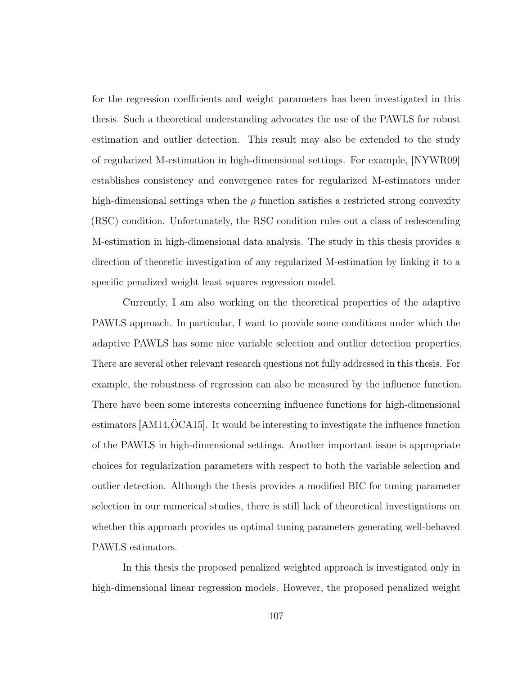for the regression coefficients and weight parameters has been investigated in this thesis. Such a theoretical understanding advocates the use of the PAWLS for robust estimation and outlier detection. This result may also be extended to the study of regularized M-estimation in high-dimensional settings. For example, [\[NYWR09\]](#page-128-0) establishes consistency and convergence rates for regularized M-estimators under high-dimensional settings when the  $\rho$  function satisfies a restricted strong convexity (RSC) condition. Unfortunately, the RSC condition rules out a class of redescending M-estimation in high-dimensional data analysis. The study in this thesis provides a direction of theoretic investigation of any regularized M-estimation by linking it to a specific penalized weight least squares regression model.

Currently, I am also working on the theoretical properties of the adaptive PAWLS approach. In particular, I want to provide some conditions under which the adaptive PAWLS has some nice variable selection and outlier detection properties. There are several other relevant research questions not fully addressed in this thesis. For example, the robustness of regression can also be measured by the influence function. There have been some interests concerning influence functions for high-dimensional estimators [\[AM14,](#page-120-0)[ÖCA15\]](#page-128-1). It would be interesting to investigate the influence function of the PAWLS in high-dimensional settings. Another important issue is appropriate choices for regularization parameters with respect to both the variable selection and outlier detection. Although the thesis provides a modified BIC for tuning parameter selection in our numerical studies, there is still lack of theoretical investigations on whether this approach provides us optimal tuning parameters generating well-behaved PAWLS estimators.

In this thesis the proposed penalized weighted approach is investigated only in high-dimensional linear regression models. However, the proposed penalized weight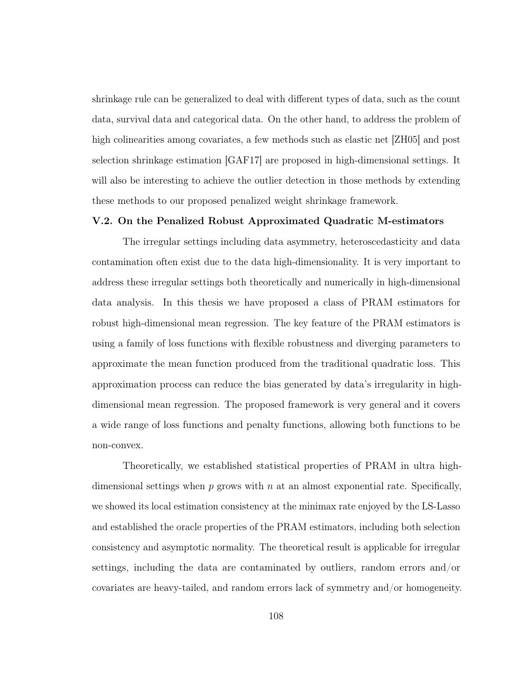shrinkage rule can be generalized to deal with different types of data, such as the count data, survival data and categorical data. On the other hand, to address the problem of high colinearities among covariates, a few methods such as elastic net [\[ZH05\]](#page-131-0) and post selection shrinkage estimation [\[GAF17\]](#page-124-0) are proposed in high-dimensional settings. It will also be interesting to achieve the outlier detection in those methods by extending these methods to our proposed penalized weight shrinkage framework.

#### V.2. On the Penalized Robust Approximated Quadratic M-estimators

The irregular settings including data asymmetry, heteroscedasticity and data contamination often exist due to the data high-dimensionality. It is very important to address these irregular settings both theoretically and numerically in high-dimensional data analysis. In this thesis we have proposed a class of PRAM estimators for robust high-dimensional mean regression. The key feature of the PRAM estimators is using a family of loss functions with flexible robustness and diverging parameters to approximate the mean function produced from the traditional quadratic loss. This approximation process can reduce the bias generated by data's irregularity in highdimensional mean regression. The proposed framework is very general and it covers a wide range of loss functions and penalty functions, allowing both functions to be non-convex.

Theoretically, we established statistical properties of PRAM in ultra highdimensional settings when  $p$  grows with  $n$  at an almost exponential rate. Specifically, we showed its local estimation consistency at the minimax rate enjoyed by the LS-Lasso and established the oracle properties of the PRAM estimators, including both selection consistency and asymptotic normality. The theoretical result is applicable for irregular settings, including the data are contaminated by outliers, random errors and/or covariates are heavy-tailed, and random errors lack of symmetry and/or homogeneity.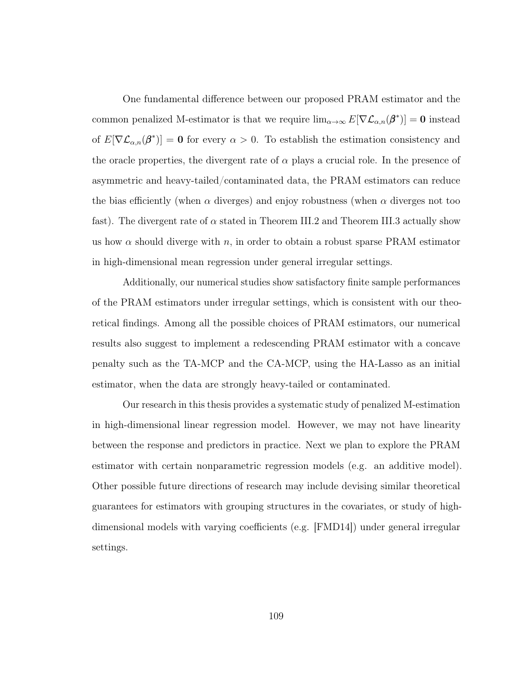One fundamental difference between our proposed PRAM estimator and the common penalized M-estimator is that we require  $\lim_{\alpha\to\infty} E[\nabla \mathcal{L}_{\alpha,n}(\beta^*)]=\mathbf{0}$  instead of  $E[\nabla \mathcal{L}_{\alpha,n}(\beta^*)] = \mathbf{0}$  for every  $\alpha > 0$ . To establish the estimation consistency and the oracle properties, the divergent rate of  $\alpha$  plays a crucial role. In the presence of asymmetric and heavy-tailed/contaminated data, the PRAM estimators can reduce the bias efficiently (when  $\alpha$  diverges) and enjoy robustness (when  $\alpha$  diverges not too fast). The divergent rate of  $\alpha$  stated in Theorem [III.2](#page-76-0) and Theorem [III.3](#page-78-0) actually show us how  $\alpha$  should diverge with n, in order to obtain a robust sparse PRAM estimator in high-dimensional mean regression under general irregular settings.

Additionally, our numerical studies show satisfactory finite sample performances of the PRAM estimators under irregular settings, which is consistent with our theoretical findings. Among all the possible choices of PRAM estimators, our numerical results also suggest to implement a redescending PRAM estimator with a concave penalty such as the TA-MCP and the CA-MCP, using the HA-Lasso as an initial estimator, when the data are strongly heavy-tailed or contaminated.

Our research in this thesis provides a systematic study of penalized M-estimation in high-dimensional linear regression model. However, we may not have linearity between the response and predictors in practice. Next we plan to explore the PRAM estimator with certain nonparametric regression models (e.g. an additive model). Other possible future directions of research may include devising similar theoretical guarantees for estimators with grouping structures in the covariates, or study of highdimensional models with varying coefficients (e.g. [\[FMD14\]](#page-123-0)) under general irregular settings.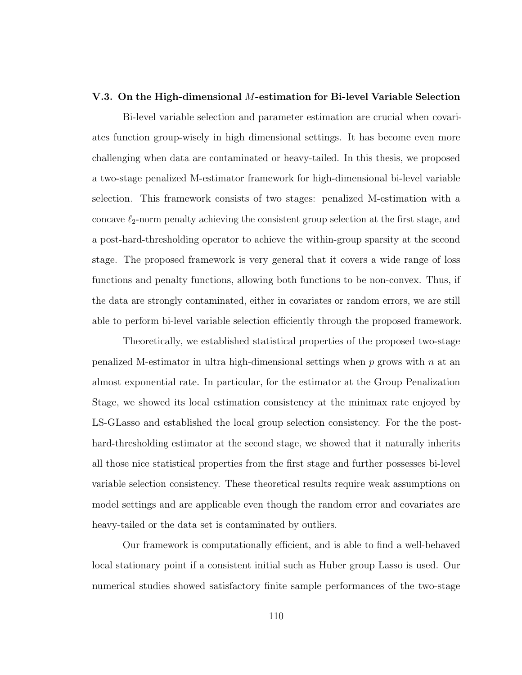#### V.3. On the High-dimensional M-estimation for Bi-level Variable Selection

Bi-level variable selection and parameter estimation are crucial when covariates function group-wisely in high dimensional settings. It has become even more challenging when data are contaminated or heavy-tailed. In this thesis, we proposed a two-stage penalized M-estimator framework for high-dimensional bi-level variable selection. This framework consists of two stages: penalized M-estimation with a concave  $\ell_2$ -norm penalty achieving the consistent group selection at the first stage, and a post-hard-thresholding operator to achieve the within-group sparsity at the second stage. The proposed framework is very general that it covers a wide range of loss functions and penalty functions, allowing both functions to be non-convex. Thus, if the data are strongly contaminated, either in covariates or random errors, we are still able to perform bi-level variable selection efficiently through the proposed framework.

Theoretically, we established statistical properties of the proposed two-stage penalized M-estimator in ultra high-dimensional settings when  $p$  grows with  $n$  at an almost exponential rate. In particular, for the estimator at the Group Penalization Stage, we showed its local estimation consistency at the minimax rate enjoyed by LS-GLasso and established the local group selection consistency. For the the posthard-thresholding estimator at the second stage, we showed that it naturally inherits all those nice statistical properties from the first stage and further possesses bi-level variable selection consistency. These theoretical results require weak assumptions on model settings and are applicable even though the random error and covariates are heavy-tailed or the data set is contaminated by outliers.

Our framework is computationally efficient, and is able to find a well-behaved local stationary point if a consistent initial such as Huber group Lasso is used. Our numerical studies showed satisfactory finite sample performances of the two-stage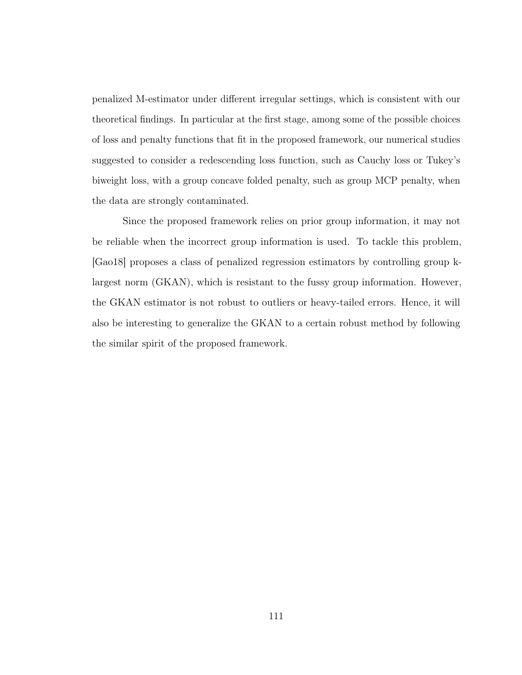penalized M-estimator under different irregular settings, which is consistent with our theoretical findings. In particular at the first stage, among some of the possible choices of loss and penalty functions that fit in the proposed framework, our numerical studies suggested to consider a redescending loss function, such as Cauchy loss or Tukey's biweight loss, with a group concave folded penalty, such as group MCP penalty, when the data are strongly contaminated.

Since the proposed framework relies on prior group information, it may not be reliable when the incorrect group information is used. To tackle this problem, [\[Gao18\]](#page-124-1) proposes a class of penalized regression estimators by controlling group klargest norm (GKAN), which is resistant to the fussy group information. However, the GKAN estimator is not robust to outliers or heavy-tailed errors. Hence, it will also be interesting to generalize the GKAN to a certain robust method by following the similar spirit of the proposed framework.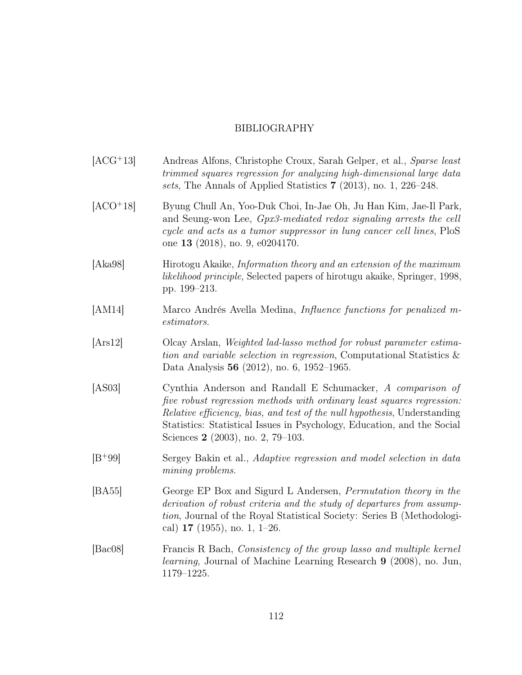## BIBLIOGRAPHY

- [ACG<sup>+</sup>13] Andreas Alfons, Christophe Croux, Sarah Gelper, et al., Sparse least trimmed squares regression for analyzing high-dimensional large data sets, The Annals of Applied Statistics 7 (2013), no. 1, 226–248.
- [ACO<sup>+</sup>18] Byung Chull An, Yoo-Duk Choi, In-Jae Oh, Ju Han Kim, Jae-Il Park, and Seung-won Lee, Gpx3-mediated redox signaling arrests the cell cycle and acts as a tumor suppressor in lung cancer cell lines, PloS one 13 (2018), no. 9, e0204170.
- [Aka98] Hirotogu Akaike, Information theory and an extension of the maximum likelihood principle, Selected papers of hirotugu akaike, Springer, 1998, pp. 199–213.
- <span id="page-120-0"></span>[AM14] Marco Andrés Avella Medina, Influence functions for penalized mestimators.
- [Ars12] Olcay Arslan, Weighted lad-lasso method for robust parameter estimation and variable selection in regression, Computational Statistics & Data Analysis 56 (2012), no. 6, 1952–1965.
- [AS03] Cynthia Anderson and Randall E Schumacker, A comparison of five robust regression methods with ordinary least squares regression: Relative efficiency, bias, and test of the null hypothesis, Understanding Statistics: Statistical Issues in Psychology, Education, and the Social Sciences 2 (2003), no. 2, 79–103.
- [B<sup>+</sup>99] Sergey Bakin et al., Adaptive regression and model selection in data mining problems.
- [BA55] George EP Box and Sigurd L Andersen, Permutation theory in the derivation of robust criteria and the study of departures from assumption, Journal of the Royal Statistical Society: Series B (Methodological)  $17$  (1955), no. 1, 1–26.
- [Bac08] Francis R Bach, Consistency of the group lasso and multiple kernel learning, Journal of Machine Learning Research 9 (2008), no. Jun, 1179–1225.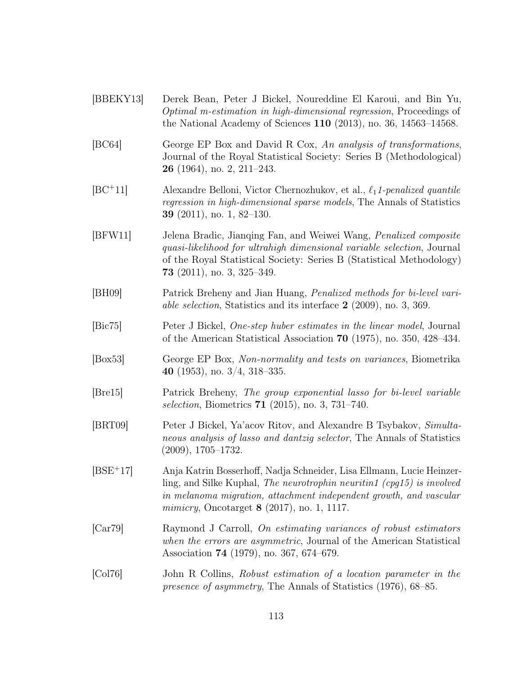- <span id="page-121-0"></span>[BBEKY13] Derek Bean, Peter J Bickel, Noureddine El Karoui, and Bin Yu, Optimal m-estimation in high-dimensional regression, Proceedings of the National Academy of Sciences 110 (2013), no. 36, 14563–14568. [BC64] George EP Box and David R Cox, An analysis of transformations, Journal of the Royal Statistical Society: Series B (Methodological) 26 (1964), no. 2, 211–243. [ $BC+11$ ] Alexandre Belloni, Victor Chernozhukov, et al.,  $\ell_1$ 1-penalized quantile regression in high-dimensional sparse models, The Annals of Statistics 39 (2011), no. 1, 82–130. [BFW11] Jelena Bradic, Jianqing Fan, and Weiwei Wang, Penalized composite quasi-likelihood for ultrahigh dimensional variable selection, Journal of the Royal Statistical Society: Series B (Statistical Methodology) 73 (2011), no. 3, 325–349. [BH09] Patrick Breheny and Jian Huang, Penalized methods for bi-level variable selection, Statistics and its interface 2 (2009), no. 3, 369. [Bic75] Peter J Bickel, One-step huber estimates in the linear model, Journal of the American Statistical Association 70 (1975), no. 350, 428–434. [Box53] George EP Box, Non-normality and tests on variances, Biometrika 40 (1953), no. 3/4, 318–335. [Bre15] Patrick Breheny, The group exponential lasso for bi-level variable selection, Biometrics 71 (2015), no. 3, 731–740. [BRT09] Peter J Bickel, Ya'acov Ritov, and Alexandre B Tsybakov, Simultaneous analysis of lasso and dantzig selector, The Annals of Statistics (2009), 1705–1732. [BSE<sup>+</sup>17] Anja Katrin Bosserhoff, Nadja Schneider, Lisa Ellmann, Lucie Heinzerling, and Silke Kuphal, The neurotrophin neuritin1 (cpq15) is involved in melanoma migration, attachment independent growth, and vascular *mimicry*, Oncotarget  $8(2017)$ , no. 1, 1117. [Car79] Raymond J Carroll, On estimating variances of robust estimators when the errors are asymmetric, Journal of the American Statistical Association 74 (1979), no. 367, 674–679.
- [Col76] John R Collins, Robust estimation of a location parameter in the presence of asymmetry, The Annals of Statistics (1976), 68–85.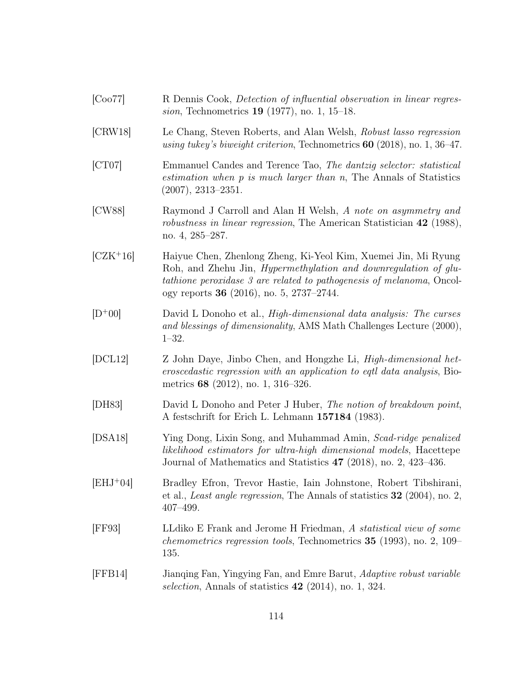[Coo77] R Dennis Cook, Detection of influential observation in linear regression, Technometrics 19 (1977), no. 1, 15–18. [CRW18] Le Chang, Steven Roberts, and Alan Welsh, Robust lasso regression using tukey's biweight criterion, Technometrics 60 (2018), no. 1, 36–47. [CT07] Emmanuel Candes and Terence Tao, The dantzig selector: statistical estimation when p is much larger than n, The Annals of Statistics (2007), 2313–2351. [CW88] Raymond J Carroll and Alan H Welsh, A note on asymmetry and robustness in linear regression, The American Statistician 42 (1988), no. 4, 285–287. [CZK<sup>+</sup>16] Haiyue Chen, Zhenlong Zheng, Ki-Yeol Kim, Xuemei Jin, Mi Ryung Roh, and Zhehu Jin, Hypermethylation and downregulation of glutathione peroxidase 3 are related to pathogenesis of melanoma, Oncology reports 36 (2016), no. 5, 2737–2744.  $[D^+00]$  David L Donoho et al., *High-dimensional data analysis: The curses* and blessings of dimensionality, AMS Math Challenges Lecture (2000), 1–32. [DCL12] Z John Daye, Jinbo Chen, and Hongzhe Li, High-dimensional heteroscedastic regression with an application to eqtl data analysis, Biometrics 68 (2012), no. 1, 316–326. [DH83] David L Donoho and Peter J Huber, The notion of breakdown point, A festschrift for Erich L. Lehmann 157184 (1983). [DSA18] Ying Dong, Lixin Song, and Muhammad Amin, Scad-ridge penalized likelihood estimators for ultra-high dimensional models, Hacettepe Journal of Mathematics and Statistics 47 (2018), no. 2, 423–436. [EHJ<sup>+</sup>04] Bradley Efron, Trevor Hastie, Iain Johnstone, Robert Tibshirani, et al., Least angle regression, The Annals of statistics 32 (2004), no. 2, 407–499. [FF93] LLdiko E Frank and Jerome H Friedman, A statistical view of some chemometrics regression tools, Technometrics 35 (1993), no. 2, 109– 135. [FFB14] Jianqing Fan, Yingying Fan, and Emre Barut, Adaptive robust variable selection, Annals of statistics  $42$  (2014), no. 1, 324.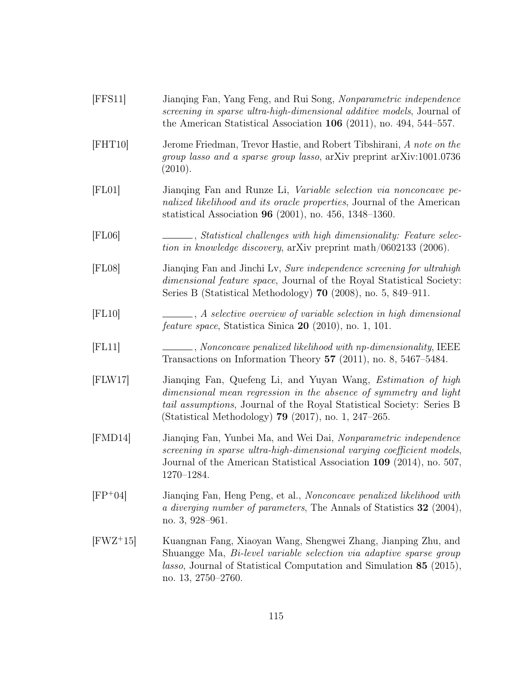<span id="page-123-0"></span>

| [FFS11]     | Jianqing Fan, Yang Feng, and Rui Song, Nonparametric independence<br>screening in sparse ultra-high-dimensional additive models, Journal of<br>the American Statistical Association $106$ (2011), no. 494, 544–557.                                                                |
|-------------|------------------------------------------------------------------------------------------------------------------------------------------------------------------------------------------------------------------------------------------------------------------------------------|
| [FHT10]     | Jerome Friedman, Trevor Hastie, and Robert Tibshirani, A note on the<br>group lasso and a sparse group lasso, arXiv preprint arXiv:1001.0736<br>(2010).                                                                                                                            |
| [FL01]      | Jianqing Fan and Runze Li, Variable selection via nonconcave pe-<br>nalized likelihood and its oracle properties, Journal of the American<br>statistical Association 96 (2001), no. 456, 1348-1360.                                                                                |
| [FL06]      | ____, Statistical challenges with high dimensionality: Feature selec-<br>tion in knowledge discovery, arXiv preprint math/0602133 (2006).                                                                                                                                          |
| [FL08]      | Jianoning Fan and Jinchi Lv, Sure independence screening for ultrahigh<br>dimensional feature space, Journal of the Royal Statistical Society:<br>Series B (Statistical Methodology) $70$ (2008), no. 5, 849–911.                                                                  |
| [FL10]      | A selective overview of variable selection in high dimensional<br><i>feature space</i> , Statistica Sinica 20 (2010), no. 1, 101.                                                                                                                                                  |
| [FL11]      | Nonconcave penalized likelihood with np-dimensionality, IEEE<br>Transactions on Information Theory 57 (2011), no. 8, 5467-5484.                                                                                                                                                    |
| [FLW17]     | Jianqing Fan, Quefeng Li, and Yuyan Wang, <i>Estimation of high</i><br>dimensional mean regression in the absence of symmetry and light<br><i>tail assumptions</i> , Journal of the Royal Statistical Society: Series B<br>(Statistical Methodology) 79 $(2017)$ , no. 1, 247–265. |
| [FMD14]     | Jianqing Fan, Yunbei Ma, and Wei Dai, Nonparametric independence<br>screening in sparse ultra-high-dimensional varying coefficient models,<br>Journal of the American Statistical Association 109 (2014), no. 507,<br>1270-1284.                                                   |
| $[FP+04]$   | Jianqing Fan, Heng Peng, et al., Nonconcave penalized likelihood with<br>a diverging number of parameters, The Annals of Statistics 32 (2004),<br>no. $3,928-961$ .                                                                                                                |
| $[FWZ^+15]$ | Kuangnan Fang, Xiaoyan Wang, Shengwei Zhang, Jianping Zhu, and<br>Shuangge Ma, <i>Bi-level variable selection via adaptive sparse group</i><br><i>lasso</i> , Journal of Statistical Computation and Simulation 85 (2015),<br>no. 13, 2750–2760.                                   |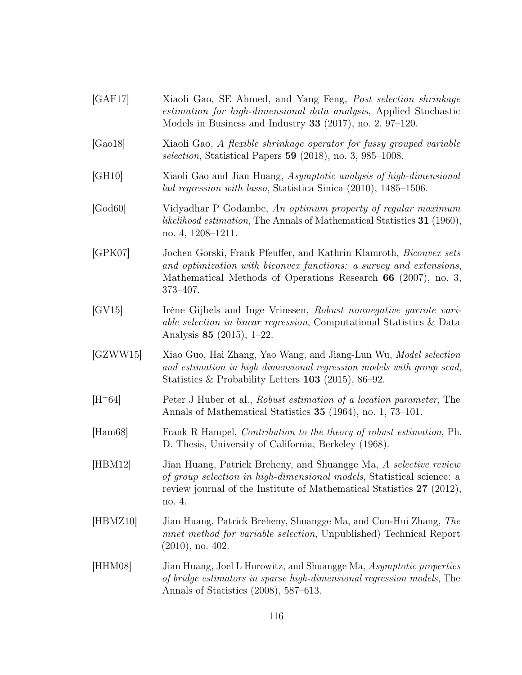<span id="page-124-1"></span><span id="page-124-0"></span>[GAF17] Xiaoli Gao, SE Ahmed, and Yang Feng, Post selection shrinkage estimation for high-dimensional data analysis, Applied Stochastic Models in Business and Industry 33 (2017), no. 2, 97–120. [Gao18] Xiaoli Gao, A flexible shrinkage operator for fussy grouped variable selection, Statistical Papers 59 (2018), no. 3, 985–1008. [GH10] Xiaoli Gao and Jian Huang, Asymptotic analysis of high-dimensional lad regression with lasso, Statistica Sinica (2010), 1485–1506. [God60] Vidyadhar P Godambe, An optimum property of regular maximum likelihood estimation, The Annals of Mathematical Statistics 31 (1960), no. 4, 1208–1211. [GPK07] Jochen Gorski, Frank Pfeuffer, and Kathrin Klamroth, Biconvex sets and optimization with biconvex functions: a survey and extensions, Mathematical Methods of Operations Research 66 (2007), no. 3, 373–407. [GV15] Irène Gijbels and Inge Vrinssen, Robust nonnegative garrote variable selection in linear regression, Computational Statistics & Data Analysis 85 (2015), 1–22. [GZWW15] Xiao Guo, Hai Zhang, Yao Wang, and Jiang-Lun Wu, Model selection and estimation in high dimensional regression models with group scad, Statistics & Probability Letters 103 (2015), 86–92. [H<sup>+</sup>64] Peter J Huber et al., Robust estimation of a location parameter, The Annals of Mathematical Statistics 35 (1964), no. 1, 73–101. [Ham68] Frank R Hampel, Contribution to the theory of robust estimation, Ph. D. Thesis, University of California, Berkeley (1968). [HBM12] Jian Huang, Patrick Breheny, and Shuangge Ma, A selective review of group selection in high-dimensional models, Statistical science: a review journal of the Institute of Mathematical Statistics 27 (2012), no. 4. [HBMZ10] Jian Huang, Patrick Breheny, Shuangge Ma, and Cun-Hui Zhang, The mnet method for variable selection, Unpublished) Technical Report (2010), no. 402. [HHM08] Jian Huang, Joel L Horowitz, and Shuangge Ma, Asymptotic properties of bridge estimators in sparse high-dimensional regression models, The Annals of Statistics (2008), 587–613.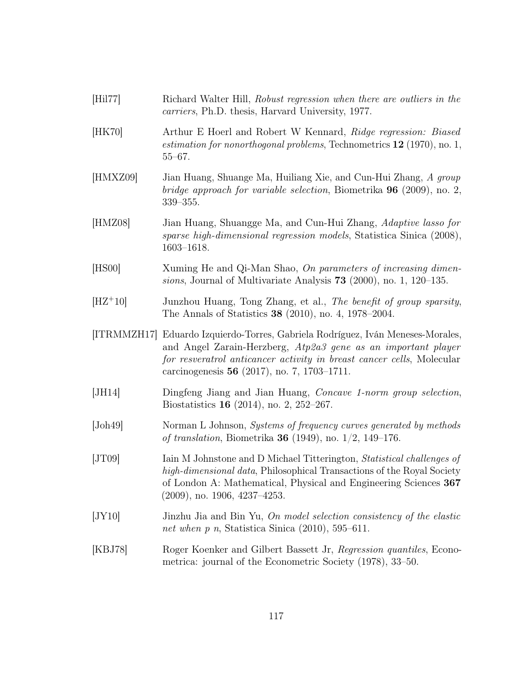| [Hil77]      | Richard Walter Hill, Robust regression when there are outliers in the<br><i>carriers</i> , Ph.D. thesis, Harvard University, 1977.                                                                                                                                          |
|--------------|-----------------------------------------------------------------------------------------------------------------------------------------------------------------------------------------------------------------------------------------------------------------------------|
| [HK70]       | Arthur E Hoerl and Robert W Kennard, Ridge regression: Biased<br><i>estimation for nonorthogonal problems</i> , Technometrics $12$ (1970), no. 1,<br>$55 - 67$ .                                                                                                            |
| [HMXZ09]     | Jian Huang, Shuange Ma, Huiliang Xie, and Cun-Hui Zhang, A group<br><i>bridge approach for variable selection</i> , Biometrika <b>96</b> (2009), no. 2,<br>$339 - 355.$                                                                                                     |
| [HMZ08]      | Jian Huang, Shuangge Ma, and Cun-Hui Zhang, Adaptive lasso for<br>sparse high-dimensional regression models, Statistica Sinica (2008),<br>$1603 - 1618.$                                                                                                                    |
| [HS00]       | Xuming He and Qi-Man Shao, On parameters of increasing dimen-<br>sions, Journal of Multivariate Analysis $73$ (2000), no. 1, 120–135.                                                                                                                                       |
| $[HZ+10]$    | Junzhou Huang, Tong Zhang, et al., The benefit of group sparsity,<br>The Annals of Statistics 38 (2010), no. 4, 1978–2004.                                                                                                                                                  |
|              | [ITRMMZH17] Eduardo Izquierdo-Torres, Gabriela Rodríguez, Iván Meneses-Morales,<br>and Angel Zarain-Herzberg, Atp2a3 gene as an important player<br>for resultrational anticancer activity in breast cancer cells, Molecular<br>carcinogenesis 56 (2017), no. 7, 1703-1711. |
| [JH14]       | Dingfeng Jiang and Jian Huang, <i>Concave 1-norm group selection</i> ,<br>Biostatistics $16$ (2014), no. 2, 252-267.                                                                                                                                                        |
| [John49]     | Norman L Johnson, Systems of frequency curves generated by methods<br><i>of translation</i> , Biometrika <b>36</b> (1949), no. $1/2$ , 149–176.                                                                                                                             |
| [JT09]       | Iain M Johnstone and D Michael Titterington, Statistical challenges of<br>high-dimensional data, Philosophical Transactions of the Royal Society<br>of London A: Mathematical, Physical and Engineering Sciences 367<br>$(2009)$ , no. 1906, 4237-4253.                     |
| JY10         | Jinzhu Jia and Bin Yu, On model selection consistency of the elastic<br>net when $p$ n, Statistica Sinica (2010), 595–611.                                                                                                                                                  |
| <b>KBJ78</b> | Roger Koenker and Gilbert Bassett Jr, Regression quantiles, Econo-<br>metrica: journal of the Econometric Society (1978), 33–50.                                                                                                                                            |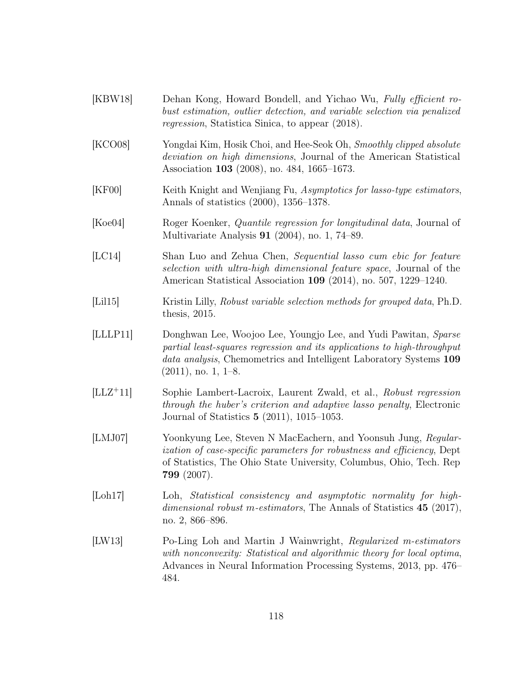- [KBW18] Dehan Kong, Howard Bondell, and Yichao Wu, Fully efficient robust estimation, outlier detection, and variable selection via penalized regression, Statistica Sinica, to appear (2018).
- [KCO08] Yongdai Kim, Hosik Choi, and Hee-Seok Oh, Smoothly clipped absolute deviation on high dimensions, Journal of the American Statistical Association 103 (2008), no. 484, 1665–1673.
- [KF00] Keith Knight and Wenjiang Fu, Asymptotics for lasso-type estimators, Annals of statistics (2000), 1356–1378.
- [Koe04] Roger Koenker, Quantile regression for longitudinal data, Journal of Multivariate Analysis 91 (2004), no. 1, 74–89.
- [LC14] Shan Luo and Zehua Chen, Sequential lasso cum ebic for feature selection with ultra-high dimensional feature space, Journal of the American Statistical Association 109 (2014), no. 507, 1229–1240.
- [Lil15] Kristin Lilly, Robust variable selection methods for grouped data, Ph.D. thesis, 2015.
- [LLLP11] Donghwan Lee, Woojoo Lee, Youngjo Lee, and Yudi Pawitan, Sparse partial least-squares regression and its applications to high-throughput data analysis, Chemometrics and Intelligent Laboratory Systems 109  $(2011)$ , no. 1, 1–8.
- [LLZ<sup>+</sup>11] Sophie Lambert-Lacroix, Laurent Zwald, et al., Robust regression through the huber's criterion and adaptive lasso penalty, Electronic Journal of Statistics 5 (2011), 1015–1053.
- [LMJ07] Yoonkyung Lee, Steven N MacEachern, and Yoonsuh Jung, Regularization of case-specific parameters for robustness and efficiency, Dept of Statistics, The Ohio State University, Columbus, Ohio, Tech. Rep 799 (2007).
- [Loh17] Loh, Statistical consistency and asymptotic normality for highdimensional robust m-estimators, The Annals of Statistics 45 (2017), no. 2, 866–896.
- [LW13] Po-Ling Loh and Martin J Wainwright, Regularized m-estimators with nonconvexity: Statistical and algorithmic theory for local optima, Advances in Neural Information Processing Systems, 2013, pp. 476– 484.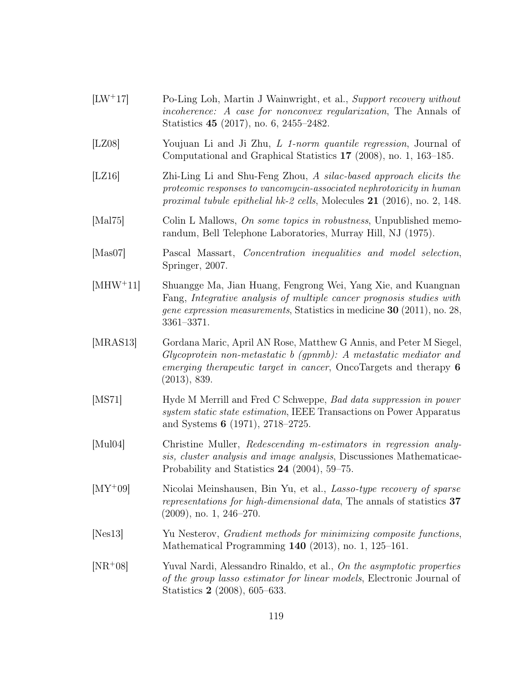- [LW<sup>+</sup>17] Po-Ling Loh, Martin J Wainwright, et al., Support recovery without incoherence: A case for nonconvex regularization, The Annals of Statistics 45 (2017), no. 6, 2455–2482.
- [LZ08] Youjuan Li and Ji Zhu, L 1-norm quantile regression, Journal of Computational and Graphical Statistics 17 (2008), no. 1, 163–185.
- [LZ16] Zhi-Ling Li and Shu-Feng Zhou, A silac-based approach elicits the proteomic responses to vancomycin-associated nephrotoxicity in human proximal tubule epithelial hk-2 cells, Molecules 21 (2016), no. 2, 148.
- [Mal75] Colin L Mallows, *On some topics in robustness*, Unpublished memorandum, Bell Telephone Laboratories, Murray Hill, NJ (1975).
- [Mas07] Pascal Massart, Concentration inequalities and model selection, Springer, 2007.
- [MHW<sup>+</sup>11] Shuangge Ma, Jian Huang, Fengrong Wei, Yang Xie, and Kuangnan Fang, Integrative analysis of multiple cancer prognosis studies with gene expression measurements, Statistics in medicine 30 (2011), no. 28, 3361–3371.
- [MRAS13] Gordana Maric, April AN Rose, Matthew G Annis, and Peter M Siegel, Glycoprotein non-metastatic b (gpnmb): A metastatic mediator and emerging therapeutic target in cancer, OncoTargets and therapy 6 (2013), 839.
- [MS71] Hyde M Merrill and Fred C Schweppe, Bad data suppression in power system static state estimation, IEEE Transactions on Power Apparatus and Systems 6 (1971), 2718–2725.
- [Mul04] Christine Muller, Redescending m-estimators in regression analysis, cluster analysis and image analysis, Discussiones Mathematicae-Probability and Statistics 24 (2004), 59–75.
- [MY<sup>+</sup>09] Nicolai Meinshausen, Bin Yu, et al., Lasso-type recovery of sparse representations for high-dimensional data, The annals of statistics 37 (2009), no. 1, 246–270.
- [Nes13] Yu Nesterov, Gradient methods for minimizing composite functions, Mathematical Programming 140 (2013), no. 1, 125–161.
- [NR<sup>+</sup>08] Yuval Nardi, Alessandro Rinaldo, et al., On the asymptotic properties of the group lasso estimator for linear models, Electronic Journal of Statistics 2 (2008), 605–633.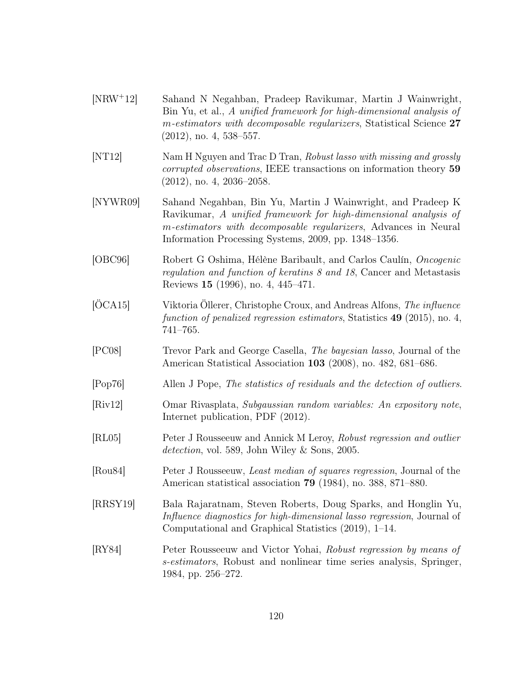- [NRW<sup>+</sup>12] Sahand N Negahban, Pradeep Ravikumar, Martin J Wainwright, Bin Yu, et al., A unified framework for high-dimensional analysis of m-estimators with decomposable regularizers, Statistical Science 27  $(2012)$ , no. 4, 538–557.
- [NT12] Nam H Nguyen and Trac D Tran, Robust lasso with missing and grossly corrupted observations, IEEE transactions on information theory 59 (2012), no. 4, 2036–2058.
- <span id="page-128-0"></span>[NYWR09] Sahand Negahban, Bin Yu, Martin J Wainwright, and Pradeep K Ravikumar, A unified framework for high-dimensional analysis of m-estimators with decomposable regularizers, Advances in Neural Information Processing Systems, 2009, pp. 1348–1356.
- [OBC96] Robert G Oshima, Hélène Baribault, and Carlos Caulín, Oncogenic regulation and function of keratins 8 and 18, Cancer and Metastasis Reviews 15 (1996), no. 4, 445–471.
- <span id="page-128-1"></span>[ÖCA15] Viktoria Öllerer, Christophe Croux, and Andreas Alfons, The influence function of penalized regression estimators, Statistics 49 (2015), no. 4, 741–765.
- [PC08] Trevor Park and George Casella, The bayesian lasso, Journal of the American Statistical Association 103 (2008), no. 482, 681–686.
- [Pop76] Allen J Pope, The statistics of residuals and the detection of outliers.
- [Riv12] Omar Rivasplata, Subgaussian random variables: An expository note, Internet publication, PDF (2012).
- [RL05] Peter J Rousseeuw and Annick M Leroy, Robust regression and outlier detection, vol. 589, John Wiley & Sons, 2005.
- [Rou84] Peter J Rousseeuw, Least median of squares regression, Journal of the American statistical association 79 (1984), no. 388, 871–880.
- [RRSY19] Bala Rajaratnam, Steven Roberts, Doug Sparks, and Honglin Yu, Influence diagnostics for high-dimensional lasso regression, Journal of Computational and Graphical Statistics (2019), 1–14.
- [RY84] Peter Rousseeuw and Victor Yohai, Robust regression by means of s-estimators, Robust and nonlinear time series analysis, Springer, 1984, pp. 256–272.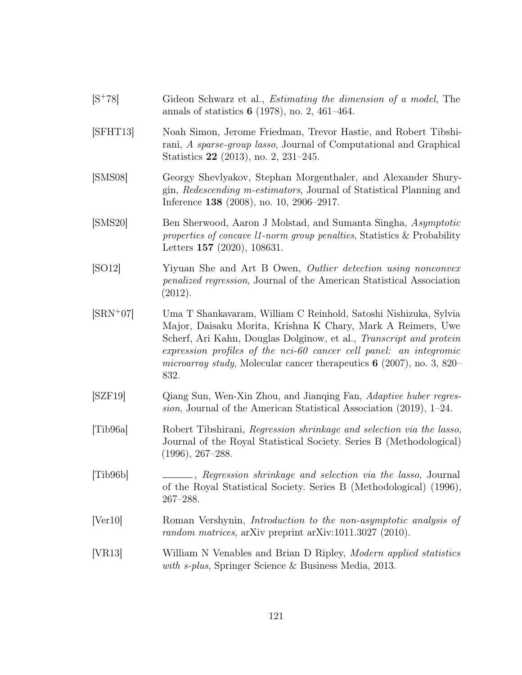- $[S<sup>+</sup>78]$  Gideon Schwarz et al., *Estimating the dimension of a model*, The annals of statistics 6 (1978), no. 2, 461–464. [SFHT13] Noah Simon, Jerome Friedman, Trevor Hastie, and Robert Tibshirani, A sparse-group lasso, Journal of Computational and Graphical Statistics 22 (2013), no. 2, 231–245. [SMS08] Georgy Shevlyakov, Stephan Morgenthaler, and Alexander Shurygin, Redescending m-estimators, Journal of Statistical Planning and Inference 138 (2008), no. 10, 2906–2917. [SMS20] Ben Sherwood, Aaron J Molstad, and Sumanta Singha, Asymptotic properties of concave l1-norm group penalties, Statistics & Probability Letters 157 (2020), 108631. [SO12] Yiyuan She and Art B Owen, Outlier detection using nonconvex penalized regression, Journal of the American Statistical Association (2012). [SRN<sup>+</sup>07] Uma T Shankavaram, William C Reinhold, Satoshi Nishizuka, Sylvia Major, Daisaku Morita, Krishna K Chary, Mark A Reimers, Uwe Scherf, Ari Kahn, Douglas Dolginow, et al., Transcript and protein expression profiles of the nci-60 cancer cell panel: an integromic microarray study, Molecular cancer therapeutics  $6$  (2007), no. 3, 820– 832. [SZF19] Qiang Sun, Wen-Xin Zhou, and Jianqing Fan, Adaptive huber regression, Journal of the American Statistical Association (2019), 1–24. [Tib96a] Robert Tibshirani, Regression shrinkage and selection via the lasso,
- Journal of the Royal Statistical Society. Series B (Methodological) (1996), 267–288. [Tib96b] , Regression shrinkage and selection via the lasso, Journal of the Royal Statistical Society. Series B (Methodological) (1996),
- <span id="page-129-0"></span>[Ver10] Roman Vershynin, Introduction to the non-asymptotic analysis of random matrices, arXiv preprint arXiv:1011.3027 (2010).

267–288.

[VR13] William N Venables and Brian D Ripley, Modern applied statistics with s-plus, Springer Science & Business Media, 2013.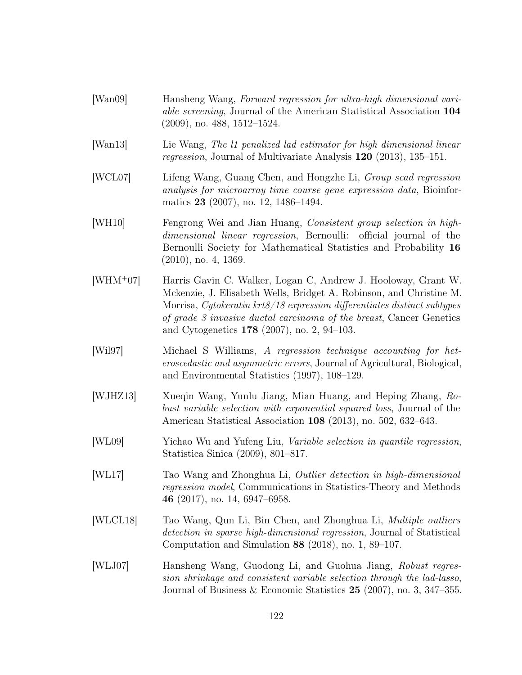- [Wan09] Hansheng Wang, Forward regression for ultra-high dimensional variable screening, Journal of the American Statistical Association 104 (2009), no. 488, 1512–1524.
- [Wan13] Lie Wang, The l1 penalized lad estimator for high dimensional linear regression, Journal of Multivariate Analysis 120 (2013), 135–151.
- [WCL07] Lifeng Wang, Guang Chen, and Hongzhe Li, Group scad regression analysis for microarray time course gene expression data, Bioinformatics 23 (2007), no. 12, 1486–1494.
- [WH10] Fengrong Wei and Jian Huang, Consistent group selection in highdimensional linear regression, Bernoulli: official journal of the Bernoulli Society for Mathematical Statistics and Probability 16 (2010), no. 4, 1369.
- [WHM<sup>+</sup>07] Harris Gavin C. Walker, Logan C, Andrew J. Hooloway, Grant W. Mckenzie, J. Elisabeth Wells, Bridget A. Robinson, and Christine M. Morrisa, Cytokeratin krt8/18 expression differentiates distinct subtypes of grade 3 invasive ductal carcinoma of the breast, Cancer Genetics and Cytogenetics 178 (2007), no. 2, 94–103.
- [Wil97] Michael S Williams, A regression technique accounting for heteroscedastic and asymmetric errors, Journal of Agricultural, Biological, and Environmental Statistics (1997), 108–129.
- [WJHZ13] Xueqin Wang, Yunlu Jiang, Mian Huang, and Heping Zhang, Robust variable selection with exponential squared loss, Journal of the American Statistical Association 108 (2013), no. 502, 632–643.
- [WL09] Yichao Wu and Yufeng Liu, Variable selection in quantile regression, Statistica Sinica (2009), 801–817.
- [WL17] Tao Wang and Zhonghua Li, Outlier detection in high-dimensional regression model, Communications in Statistics-Theory and Methods 46 (2017), no. 14, 6947–6958.
- [WLCL18] Tao Wang, Qun Li, Bin Chen, and Zhonghua Li, Multiple outliers detection in sparse high-dimensional regression, Journal of Statistical Computation and Simulation 88 (2018), no. 1, 89–107.
- [WLJ07] Hansheng Wang, Guodong Li, and Guohua Jiang, Robust regression shrinkage and consistent variable selection through the lad-lasso, Journal of Business & Economic Statistics 25 (2007), no. 3, 347–355.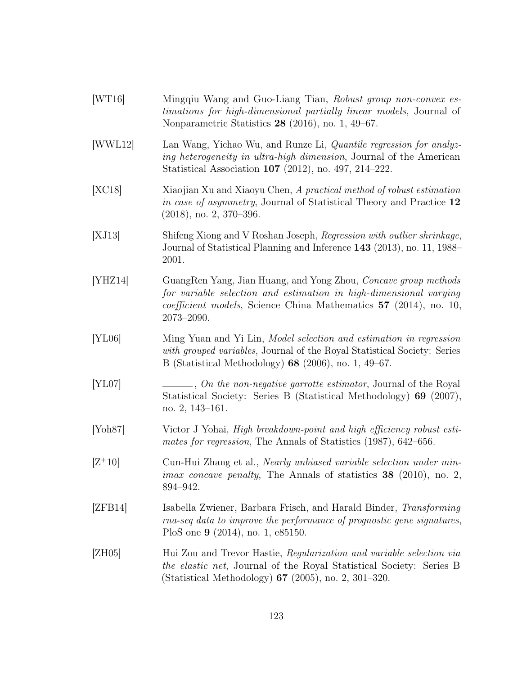<span id="page-131-0"></span>

| [WT16]               | Mingqiu Wang and Guo-Liang Tian, Robust group non-convex es-<br><i>timations for high-dimensional partially linear models, Journal of</i><br>Nonparametric Statistics $28$ (2016), no. 1, 49–67.                                   |
|----------------------|------------------------------------------------------------------------------------------------------------------------------------------------------------------------------------------------------------------------------------|
| [WWL12]              | Lan Wang, Yichao Wu, and Runze Li, <i>Quantile regression for analyz-</i><br><i>ing heterogeneity in ultra-high dimension</i> , Journal of the American<br>Statistical Association 107 (2012), no. 497, 214-222.                   |
| [XC18]               | Xiaojian Xu and Xiaoyu Chen, A practical method of robust estimation<br>in case of asymmetry, Journal of Statistical Theory and Practice 12<br>$(2018)$ , no. 2, 370–396.                                                          |
| [XJ13]               | Shifeng Xiong and V Roshan Joseph, Regression with outlier shrinkage,<br>Journal of Statistical Planning and Inference 143 (2013), no. 11, 1988–<br>2001.                                                                          |
| [YHZ14]              | GuangRen Yang, Jian Huang, and Yong Zhou, Concave group methods<br>for variable selection and estimation in high-dimensional varying<br><i>coefficient models</i> , Science China Mathematics 57 (2014), no. 10,<br>$2073 - 2090.$ |
| [YL06]               | Ming Yuan and Yi Lin, Model selection and estimation in regression<br>with grouped variables, Journal of the Royal Statistical Society: Series<br>B (Statistical Methodology) $68$ (2006), no. 1, 49–67.                           |
| [YL07]               | $\_\_\_\_$ , On the non-negative garrotte estimator, Journal of the Royal<br>Statistical Society: Series B (Statistical Methodology) 69 (2007),<br>no. $2, 143-161.$                                                               |
| [Y <sub>oh87</sub> ] | Victor J Yohai, High breakdown-point and high efficiency robust esti-<br>mates for regression, The Annals of Statistics (1987), 642–656.                                                                                           |
| $[Z+10]$             | Cun-Hui Zhang et al., <i>Nearly unbiased variable selection under min</i> -<br><i>imax concave penalty</i> , The Annals of statistics $38$ (2010), no. 2,<br>894-942.                                                              |
| [ZFB14]              | Isabella Zwiener, Barbara Frisch, and Harald Binder, Transforming<br>rna-seq data to improve the performance of prognostic gene signatures,<br>PloS one $9$ (2014), no. 1, e85150.                                                 |
| [ZH05]               | Hui Zou and Trevor Hastie, Regularization and variable selection via<br>the elastic net, Journal of the Royal Statistical Society: Series B<br>(Statistical Methodology) $67$ (2005), no. 2, 301-320.                              |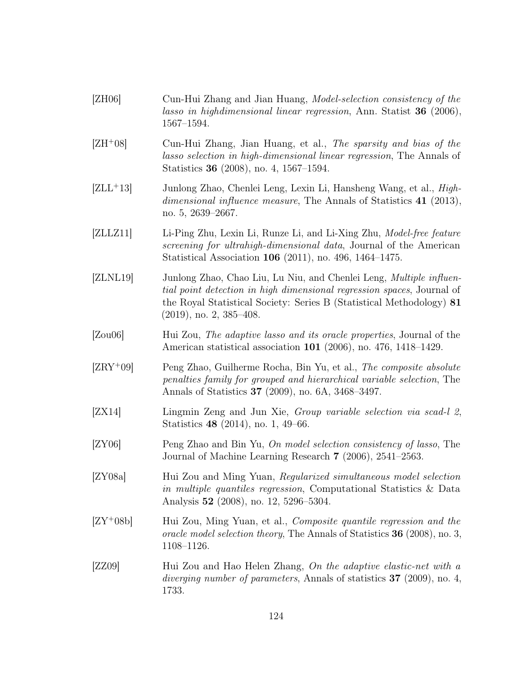- [ZH06] Cun-Hui Zhang and Jian Huang, Model-selection consistency of the lasso in highdimensional linear regression, Ann. Statist 36 (2006), 1567–1594.
- [ZH<sup>+</sup>08] Cun-Hui Zhang, Jian Huang, et al., The sparsity and bias of the lasso selection in high-dimensional linear regression, The Annals of Statistics 36 (2008), no. 4, 1567–1594.
- [ZLL<sup>+</sup>13] Junlong Zhao, Chenlei Leng, Lexin Li, Hansheng Wang, et al., Highdimensional influence measure, The Annals of Statistics 41 (2013), no. 5, 2639–2667.
- [ZLLZ11] Li-Ping Zhu, Lexin Li, Runze Li, and Li-Xing Zhu, Model-free feature screening for ultrahigh-dimensional data, Journal of the American Statistical Association 106 (2011), no. 496, 1464–1475.
- [ZLNL19] Junlong Zhao, Chao Liu, Lu Niu, and Chenlei Leng, *Multiple influen*tial point detection in high dimensional regression spaces, Journal of the Royal Statistical Society: Series B (Statistical Methodology) 81 (2019), no. 2, 385–408.
- [Zou06] Hui Zou, The adaptive lasso and its oracle properties, Journal of the American statistical association 101 (2006), no. 476, 1418–1429.
- [ZRY<sup>+</sup>09] Peng Zhao, Guilherme Rocha, Bin Yu, et al., The composite absolute penalties family for grouped and hierarchical variable selection, The Annals of Statistics 37 (2009), no. 6A, 3468–3497.
- [ZX14] Lingmin Zeng and Jun Xie, Group variable selection via scad-l 2, Statistics 48 (2014), no. 1, 49–66.
- [ZY06] Peng Zhao and Bin Yu, On model selection consistency of lasso, The Journal of Machine Learning Research 7 (2006), 2541–2563.
- [ZY08a] Hui Zou and Ming Yuan, Regularized simultaneous model selection in multiple quantiles regression, Computational Statistics & Data Analysis 52 (2008), no. 12, 5296–5304.
- [ZY<sup>+</sup>08b] Hui Zou, Ming Yuan, et al., Composite quantile regression and the oracle model selection theory, The Annals of Statistics 36 (2008), no. 3, 1108–1126.
- [ZZ09] Hui Zou and Hao Helen Zhang, On the adaptive elastic-net with a diverging number of parameters, Annals of statistics **37** (2009), no. 4, 1733.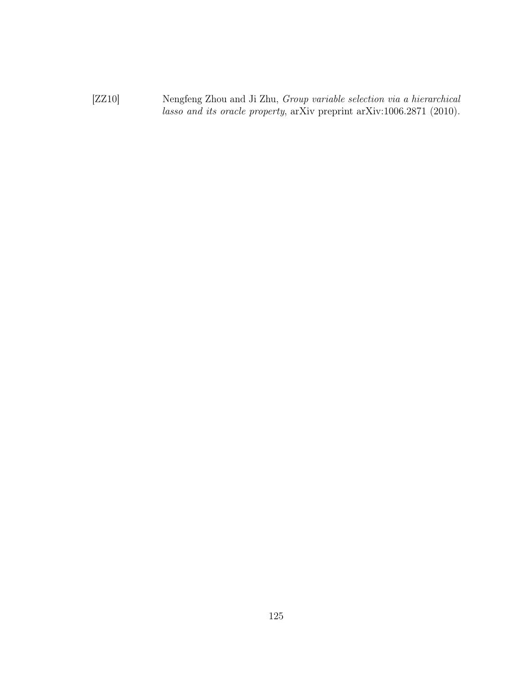[ZZ10] Nengfeng Zhou and Ji Zhu, Group variable selection via a hierarchical lasso and its oracle property, arXiv preprint arXiv:1006.2871 (2010).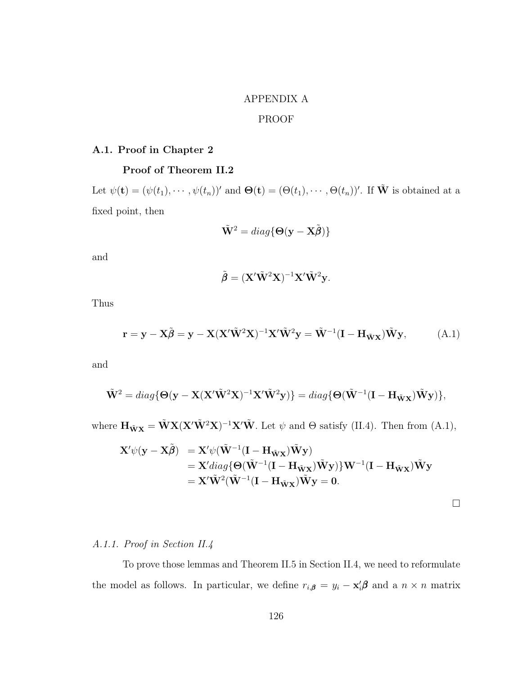# APPENDIX A

# PROOF

## A.1. Proof in Chapter 2

# Proof of Theorem [II.2](#page-44-0)

Let  $\psi(\mathbf{t}) = (\psi(t_1), \cdots, \psi(t_n))'$  and  $\mathbf{\Theta}(\mathbf{t}) = (\Theta(t_1), \cdots, \Theta(t_n))'$ . If  $\tilde{\mathbf{W}}$  is obtained at a fixed point, then

$$
\tilde{\mathbf{W}}^2 = diag\{\mathbf{\Theta}(\mathbf{y} - \mathbf{X}\tilde{\boldsymbol{\beta}})\}
$$

and

$$
\tilde{\boldsymbol{\beta}} = (\mathbf{X}'\tilde{\mathbf{W}}^2\mathbf{X})^{-1}\mathbf{X}'\tilde{\mathbf{W}}^2\mathbf{y}.
$$

Thus

<span id="page-134-0"></span>
$$
\mathbf{r} = \mathbf{y} - \mathbf{X}\tilde{\boldsymbol{\beta}} = \mathbf{y} - \mathbf{X}(\mathbf{X}'\tilde{\mathbf{W}}^2\mathbf{X})^{-1}\mathbf{X}'\tilde{\mathbf{W}}^2\mathbf{y} = \tilde{\mathbf{W}}^{-1}(\mathbf{I} - \mathbf{H}_{\tilde{\mathbf{W}}\mathbf{X}})\tilde{\mathbf{W}}\mathbf{y},
$$
(A.1)

and

$$
\tilde{\mathbf{W}}^2 = diag\{\Theta(\mathbf{y} - \mathbf{X}(\mathbf{X}'\tilde{\mathbf{W}}^2\mathbf{X})^{-1}\mathbf{X}'\tilde{\mathbf{W}}^2\mathbf{y})\} = diag\{\Theta(\tilde{\mathbf{W}}^{-1}(\mathbf{I} - \mathbf{H}_{\tilde{\mathbf{W}}\mathbf{X}})\tilde{\mathbf{W}}\mathbf{y})\},
$$

where  $\mathbf{H}_{\tilde{\mathbf{W}}\mathbf{X}} = \tilde{\mathbf{W}}\mathbf{X}(\mathbf{X}'\tilde{\mathbf{W}}^2\mathbf{X})^{-1}\mathbf{X}'\tilde{\mathbf{W}}$ . Let  $\psi$  and  $\Theta$  satisfy [\(II.4\)](#page-44-1). Then from [\(A.1\)](#page-134-0),

$$
\mathbf{X}'\psi(\mathbf{y} - \mathbf{X}\tilde{\boldsymbol{\beta}}) = \mathbf{X}'\psi(\tilde{\mathbf{W}}^{-1}(\mathbf{I} - \mathbf{H}_{\tilde{\mathbf{W}}\mathbf{X}})\tilde{\mathbf{W}}\mathbf{y})
$$
  
=  $\mathbf{X}'diag{\{\mathbf{\Theta}(\tilde{\mathbf{W}}^{-1}(\mathbf{I} - \mathbf{H}_{\tilde{\mathbf{W}}\mathbf{X}})\tilde{\mathbf{W}}\mathbf{y})\}\mathbf{W}^{-1}(\mathbf{I} - \mathbf{H}_{\tilde{\mathbf{W}}\mathbf{X}})\tilde{\mathbf{W}}\mathbf{y}$   
=  $\mathbf{X}'\tilde{\mathbf{W}}^2(\tilde{\mathbf{W}}^{-1}(\mathbf{I} - \mathbf{H}_{\tilde{\mathbf{W}}\mathbf{X}})\tilde{\mathbf{W}}\mathbf{y} = 0.$ 

# A.1.1. Proof in Section [II.4](#page-48-0)

To prove those lemmas and Theorem [II.5](#page-51-0) in Section [II.4,](#page-48-0) we need to reformulate the model as follows. In particular, we define  $r_{i,\beta} = y_i - \mathbf{x}'_i \beta$  and a  $n \times n$  matrix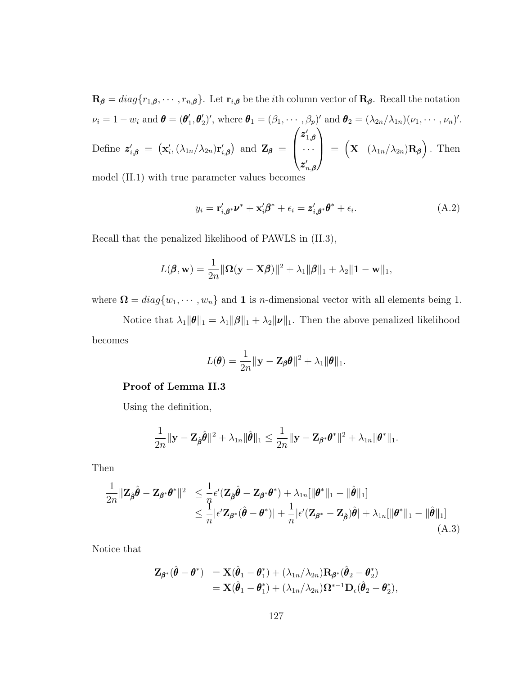$\mathbf{R}_{\beta} = diag\{r_{1,\beta}, \cdots, r_{n,\beta}\}\.$  Let  $\mathbf{r}_{i,\beta}$  be the *i*th column vector of  $\mathbf{R}_{\beta}$ . Recall the notation  $\nu_i = 1 - w_i$  and  $\boldsymbol{\theta} = (\boldsymbol{\theta}_1^{\prime})$  $\mathbf{1}'_1, \mathbf{\theta}'_2)'$ , where  $\mathbf{\theta}_1 = (\beta_1, \cdots, \beta_p)'$  and  $\mathbf{\theta}_2 = (\lambda_{2n}/\lambda_{1n})(\nu_1, \cdots, \nu_n)'$ . Define  $\mathbf{z}'_{i,\boldsymbol{\beta}} = (\mathbf{x}'_i, (\lambda_{1n}/\lambda_{2n})\mathbf{r}'_{i,\boldsymbol{\beta}})$  and  $\mathbf{Z}_{\boldsymbol{\beta}} =$  $\sqrt{ }$  $\left\lfloor \right\rfloor$  $\boldsymbol{z}^{\prime}_{1,\boldsymbol{\beta}}$ · · ·  $\bm{z}_{n,\bm{\beta}}'$  $\setminus$  $\Bigg| = \Big( \mathbf{X} \left( \lambda_{1n} / \lambda_{2n} \right) \mathbf{R}_{\beta} \Big)$ . Then

model [\(II.1\)](#page-41-0) with true parameter values becomes

$$
y_i = \mathbf{r}'_{i,\beta^*} \mathbf{\nu}^* + \mathbf{x}'_i \beta^* + \epsilon_i = \mathbf{z}'_{i,\beta^*} \mathbf{\theta}^* + \epsilon_i.
$$
 (A.2)

Recall that the penalized likelihood of PAWLS in [\(II.3\)](#page-42-0),

$$
L(\boldsymbol{\beta}, \mathbf{w}) = \frac{1}{2n} \|\mathbf{\Omega}(\mathbf{y} - \mathbf{X}\boldsymbol{\beta})\|^2 + \lambda_1 \|\boldsymbol{\beta}\|_1 + \lambda_2 \|\mathbf{1} - \mathbf{w}\|_1,
$$

where  $\Omega = diag\{w_1, \dots, w_n\}$  and 1 is *n*-dimensional vector with all elements being 1.

Notice that  $\lambda_1 \|\theta\|_1 = \lambda_1 \|\beta\|_1 + \lambda_2 \|\nu\|_1$ . Then the above penalized likelihood becomes

$$
L(\boldsymbol{\theta}) = \frac{1}{2n} ||\mathbf{y} - \mathbf{Z}_{\boldsymbol{\beta}} \boldsymbol{\theta}||^2 + \lambda_1 ||\boldsymbol{\theta}||_1.
$$

#### Proof of Lemma [II.3](#page-50-0)

Using the definition,

$$
\frac{1}{2n}\|\mathbf{y}-\mathbf{Z}_{\hat{\boldsymbol{\beta}}}\hat{\boldsymbol{\theta}}\|^2+\lambda_{1n}\|\hat{\boldsymbol{\theta}}\|_1\leq \frac{1}{2n}\|\mathbf{y}-\mathbf{Z}_{\boldsymbol{\beta}^*}\boldsymbol{\theta}^*\|^2+\lambda_{1n}\|\boldsymbol{\theta}^*\|_1.
$$

Then

$$
\frac{1}{2n} \|\mathbf{Z}_{\hat{\boldsymbol{\beta}}}\hat{\boldsymbol{\theta}} - \mathbf{Z}_{\boldsymbol{\beta}^*}\boldsymbol{\theta}^*\|^2 \leq \frac{1}{n} \epsilon'(\mathbf{Z}_{\hat{\boldsymbol{\beta}}}\hat{\boldsymbol{\theta}} - \mathbf{Z}_{\boldsymbol{\beta}^*}\boldsymbol{\theta}^*) + \lambda_{1n}[\|\boldsymbol{\theta}^*\|_1 - \|\hat{\boldsymbol{\theta}}\|_1] \leq \frac{1}{n} |\epsilon' \mathbf{Z}_{\boldsymbol{\beta}^*}(\hat{\boldsymbol{\theta}} - \boldsymbol{\theta}^*)| + \frac{1}{n} |\epsilon'(\mathbf{Z}_{\boldsymbol{\beta}^*} - \mathbf{Z}_{\hat{\boldsymbol{\beta}}})\hat{\boldsymbol{\theta}}| + \lambda_{1n}[\|\boldsymbol{\theta}^*\|_1 - \|\hat{\boldsymbol{\theta}}\|_1]
$$
\n(A.3)

Notice that

$$
\begin{array}{llll} \mathbf{Z}_{\pmb{\beta}^*}(\hat{\pmb{\theta}}-\pmb{\theta}^*) & = \mathbf{X}(\hat{\pmb{\theta}}_1-\pmb{\theta}_1^*) + (\lambda_{1n}/\lambda_{2n})\mathbf{R}_{\pmb{\beta}^*}(\hat{\pmb{\theta}}_2-\pmb{\theta}_2^*) \\ & = \mathbf{X}(\hat{\pmb{\theta}}_1-\pmb{\theta}_1^*) + (\lambda_{1n}/\lambda_{2n})\mathbf{\Omega}^{*-1}\mathbf{D}_{\epsilon}(\hat{\pmb{\theta}}_2-\pmb{\theta}_2^*), \end{array}
$$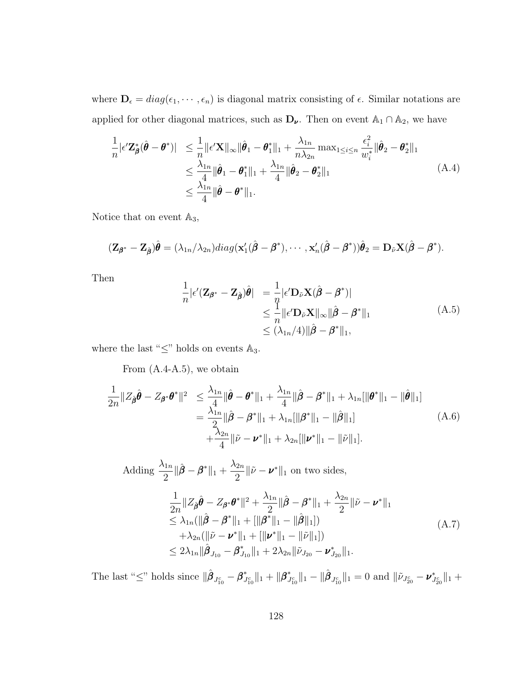where  $\mathbf{D}_{\epsilon} = diag(\epsilon_1, \cdots, \epsilon_n)$  is diagonal matrix consisting of  $\epsilon$ . Similar notations are applied for other diagonal matrices, such as  $D_{\nu}$ . Then on event  $\mathbb{A}_1 \cap \mathbb{A}_2$ , we have

<span id="page-136-0"></span>
$$
\frac{1}{n} |\epsilon' \mathbf{Z}_{\boldsymbol{\beta}}^* (\hat{\boldsymbol{\theta}} - \boldsymbol{\theta}^*)| \leq \frac{1}{n} ||\epsilon' \mathbf{X}||_{\infty} ||\hat{\boldsymbol{\theta}}_1 - \boldsymbol{\theta}_1^*||_1 + \frac{\lambda_{1n}}{n \lambda_{2n}} \max_{1 \leq i \leq n} \frac{\epsilon_i^2}{w_i^*} ||\hat{\boldsymbol{\theta}}_2 - \boldsymbol{\theta}_2^*||_1
$$
\n
$$
\leq \frac{\lambda_{1n}}{4} ||\hat{\boldsymbol{\theta}}_1 - \boldsymbol{\theta}_1^*||_1 + \frac{\lambda_{1n}}{4} ||\hat{\boldsymbol{\theta}}_2 - \boldsymbol{\theta}_2^*||_1
$$
\n
$$
\leq \frac{\lambda_{1n}}{4} ||\hat{\boldsymbol{\theta}} - \boldsymbol{\theta}^*||_1.
$$
\n(A.4)

Notice that on event  $\mathbb{A}_3$ ,

$$
(\mathbf{Z}_{\boldsymbol{\beta}^*}-\mathbf{Z}_{\hat{\boldsymbol{\beta}}})\hat{\boldsymbol{\theta}}=(\lambda_{1n}/\lambda_{2n})diag(\mathbf{x}_1'(\hat{\boldsymbol{\beta}}-\boldsymbol{\beta}^*),\cdots,\mathbf{x}_n'(\hat{\boldsymbol{\beta}}-\boldsymbol{\beta}^*))\hat{\boldsymbol{\theta}}_2=\mathbf{D}_{\tilde{\nu}}\mathbf{X}(\hat{\boldsymbol{\beta}}-\boldsymbol{\beta}^*).
$$

Then

<span id="page-136-1"></span>
$$
\frac{1}{n} |\epsilon' (\mathbf{Z}_{\boldsymbol{\beta}^*} - \mathbf{Z}_{\hat{\boldsymbol{\beta}}}) \hat{\boldsymbol{\theta}}| = \frac{1}{n} |\epsilon' \mathbf{D}_{\tilde{\nu}} \mathbf{X} (\hat{\boldsymbol{\beta}} - \boldsymbol{\beta}^*)| \n\leq \frac{1}{n} ||\epsilon' \mathbf{D}_{\tilde{\nu}} \mathbf{X}||_{\infty} ||\hat{\boldsymbol{\beta}} - \boldsymbol{\beta}^*||_1 \n\leq (\lambda_{1n}/4) ||\hat{\boldsymbol{\beta}} - \boldsymbol{\beta}^*||_1,
$$
\n(A.5)

where the last " $\leq$  " holds on events  $\mathbb{A}_3.$ 

From  $(A.4-A.5)$  $(A.4-A.5)$ , we obtain

$$
\frac{1}{2n}||Z_{\hat{\boldsymbol{\beta}}}\hat{\boldsymbol{\theta}} - Z_{\boldsymbol{\beta}^*}\boldsymbol{\theta}^*||^2 \leq \frac{\lambda_{1n}}{4}||\hat{\boldsymbol{\theta}} - \boldsymbol{\theta}^*||_1 + \frac{\lambda_{1n}}{4}||\hat{\boldsymbol{\beta}} - \boldsymbol{\beta}^*||_1 + \lambda_{1n}[\|\boldsymbol{\theta}^*||_1 - \|\hat{\boldsymbol{\theta}}\|_1] \n= \frac{\lambda_{1n}}{2}||\hat{\boldsymbol{\beta}} - \boldsymbol{\beta}^*||_1 + \lambda_{1n}[\|\boldsymbol{\beta}^*||_1 - \|\hat{\boldsymbol{\beta}}\|_1] \n+ \frac{\lambda_{2n}}{4}||\tilde{\nu} - \boldsymbol{\nu}^*||_1 + \lambda_{2n}[\|\boldsymbol{\nu}^*||_1 - \|\tilde{\nu}\|_1].
$$
\n(A.6)

Adding  $\frac{\lambda_{1n}}{2}$ 2  $\|\hat{\boldsymbol{\beta}}-\boldsymbol{\beta}^*\|_1+\frac{\lambda_{2n}}{2}$ 2  $\|\tilde{\nu} - \nu^*\|_1$  on two sides,

<span id="page-136-2"></span>
$$
\frac{1}{2n}||Z_{\hat{\beta}}\hat{\theta} - Z_{\beta^*}\theta^*||^2 + \frac{\lambda_{1n}}{2}||\hat{\beta} - \beta^*||_1 + \frac{\lambda_{2n}}{2}||\tilde{\nu} - \nu^*||_1 \n\leq \lambda_{1n}(||\hat{\beta} - \beta^*||_1 + ||\beta^*||_1 - ||\hat{\beta}||_1)\n+ \lambda_{2n}(||\tilde{\nu} - \nu^*||_1 + ||\nu^*||_1 - ||\tilde{\nu}||_1)\n\leq 2\lambda_{1n}||\hat{\beta}_{J_{10}} - \beta^*_{J_{10}}||_1 + 2\lambda_{2n}||\tilde{\nu}_{J_{20}} - \nu^*_{J_{20}}||_1.
$$
\n(A.7)

The last " $\leq$ " holds since  $\|\hat{\boldsymbol{\beta}}_{J_{10}^c} - \boldsymbol{\beta}_J^*$  $\mathcal{L}^*_{J^c_{10}}\|_1 + \|\boldsymbol{\beta}^*_{J^c_{10}}\|_2$  $J_{I_0}^*$  ||1 – || $\hat{\boldsymbol{\beta}}_{J_{10}^c}$ ||1 = 0 and || $\tilde{\nu}_{J_{20}^c}$  –  $\boldsymbol{\nu}_{J_{20}^c}^*$ ||1 +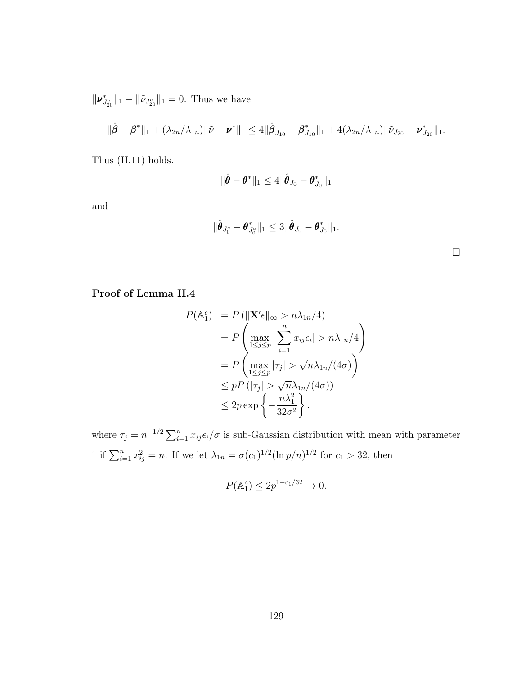$\|\nu_{J_{20}^c}^*\|_1 - \|\tilde{\nu}_{J_{20}^c}\|_1 = 0$ . Thus we have

$$
\|\hat{\boldsymbol{\beta}} - \boldsymbol{\beta}^*\|_1 + (\lambda_{2n}/\lambda_{1n})\|\tilde{\nu} - \boldsymbol{\nu}^*\|_1 \le 4 \|\hat{\boldsymbol{\beta}}_{J_{10}} - \boldsymbol{\beta}_{J_{10}}^*\|_1 + 4(\lambda_{2n}/\lambda_{1n})\|\tilde{\nu}_{J_{20}} - \boldsymbol{\nu}_{J_{20}}^*\|_1.
$$

Thus [\(II.11\)](#page-50-1) holds.

$$
\|\hat{\boldsymbol{\theta}} - \boldsymbol{\theta}^*\|_1 \leq 4 \|\hat{\boldsymbol{\theta}}_{J_0} - \boldsymbol{\theta}_{J_0}^*\|_1
$$

and

$$
\|\hat{\boldsymbol{\theta}}_{J_0^c}-\boldsymbol{\theta}_{J_0^c}^*\|_1\leq 3\|\hat{\boldsymbol{\theta}}_{J_0}-\boldsymbol{\theta}_{J_0}^*\|_1.
$$

# Proof of Lemma [II.4](#page-50-2)

$$
P(\mathbb{A}_{1}^{c}) = P(||\mathbf{X}'\epsilon||_{\infty} > n\lambda_{1n}/4)
$$
  
= 
$$
P\left(\max_{1 \leq j \leq p} |\sum_{i=1}^{n} x_{ij}\epsilon_{i}| > n\lambda_{1n}/4\right)
$$
  
= 
$$
P\left(\max_{1 \leq j \leq p} |\tau_{j}| > \sqrt{n}\lambda_{1n}/(4\sigma)\right)
$$
  

$$
\leq pP\left(|\tau_{j}| > \sqrt{n}\lambda_{1n}/(4\sigma)\right)
$$
  

$$
\leq 2p \exp\left\{-\frac{n\lambda_{1}^{2}}{32\sigma^{2}}\right\}.
$$

where  $\tau_j = n^{-1/2} \sum_{i=1}^n x_{ij} \epsilon_i/\sigma$  is sub-Gaussian distribution with mean with parameter 1 if  $\sum_{i=1}^{n} x_{ij}^2 = n$ . If we let  $\lambda_{1n} = \sigma(c_1)^{1/2} (\ln p/n)^{1/2}$  for  $c_1 > 32$ , then

$$
P(\mathbb{A}_1^c) \le 2p^{1-c_1/32} \to 0.
$$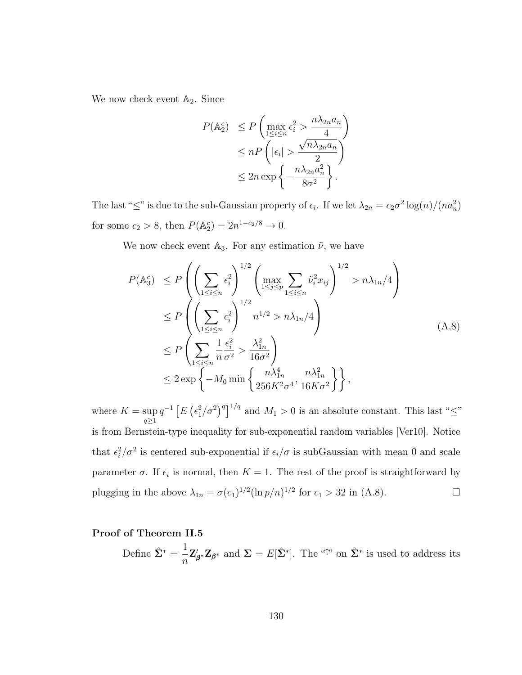We now check event  $\mathbb{A}_2$ . Since

$$
P(\mathbb{A}_{2}^{c}) \le P\left(\max_{1 \le i \le n} \epsilon_{i}^{2} > \frac{n\lambda_{2n}a_{n}}{4}\right)
$$
  
\n
$$
\le nP\left(|\epsilon_{i}| > \frac{\sqrt{n\lambda_{2n}a_{n}}}{2}\right)
$$
  
\n
$$
\le 2n \exp\left\{-\frac{n\lambda_{2n}a_{n}^{2}}{8\sigma^{2}}\right\}.
$$

The last " $\leq$ " is due to the sub-Gaussian property of  $\epsilon_i$ . If we let  $\lambda_{2n} = c_2 \sigma^2 \log(n)/(n a_n^2)$ for some  $c_2 > 8$ , then  $P(\mathbb{A}_2^c) = 2n^{1-c_2/8} \to 0$ .

We now check event  $\mathbb{A}_3$ . For any estimation  $\tilde{\nu}$ , we have

<span id="page-138-0"></span>
$$
P(\mathbb{A}_{3}^{c}) \leq P\left(\left(\sum_{1\leq i\leq n} \epsilon_{i}^{2}\right)^{1/2} \left(\max_{1\leq j\leq p} \sum_{1\leq i\leq n} \tilde{\nu}_{i}^{2} x_{ij}\right)^{1/2} > n\lambda_{1n}/4\right)
$$
  
\n
$$
\leq P\left(\left(\sum_{1\leq i\leq n} \epsilon_{i}^{2}\right)^{1/2} n^{1/2} > n\lambda_{1n}/4\right)
$$
  
\n
$$
\leq P\left(\sum_{1\leq i\leq n} \frac{1}{n} \frac{\epsilon_{i}^{2}}{\sigma^{2}} > \frac{\lambda_{1n}^{2}}{16\sigma^{2}}\right)
$$
  
\n
$$
\leq 2 \exp\left\{-M_{0} \min\left\{\frac{n\lambda_{1n}^{4}}{256K^{2}\sigma^{4}}, \frac{n\lambda_{1n}^{2}}{16K\sigma^{2}}\right\}\right\},
$$
\n(A.8)

where  $K = \sup$  $q\geq1$  $q^{-1}\left[E\left(\epsilon_1^2/\sigma^2\right)^q\right]^{1/q}$  and  $M_1>0$  is an absolute constant. This last " $\leq$ " is from Bernstein-type inequality for sub-exponential random variables [\[Ver10\]](#page-129-0). Notice that  $\epsilon_i^2/\sigma^2$  is centered sub-exponential if  $\epsilon_i/\sigma$  is subGaussian with mean 0 and scale parameter  $\sigma$ . If  $\epsilon_i$  is normal, then  $K = 1$ . The rest of the proof is straightforward by plugging in the above  $\lambda_{1n} = \sigma(c_1)^{1/2} (\ln p/n)^{1/2}$  for  $c_1 > 32$  in [\(A.8\)](#page-138-0).

# Proof of Theorem [II.5](#page-51-0)

Define  $\hat{\Sigma}^* = \frac{1}{\sqrt{2\pi}}$ n  $\mathbf{Z}'_t$  $'_{\beta^*}\mathbf{Z}_{\beta^*}$  and  $\Sigma = E[\hat{\Sigma}^*]$ . The "?" on  $\hat{\Sigma}^*$  is used to address its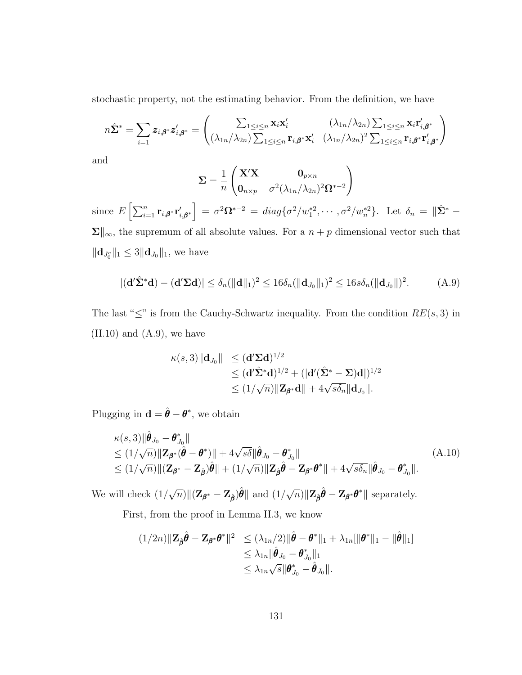stochastic property, not the estimating behavior. From the definition, we have

$$
n\hat{\Sigma}^* = \sum_{i=1} z_{i,\beta^*} z'_{i,\beta^*} = \begin{pmatrix} \sum_{1 \leq i \leq n} \mathbf{x}_i \mathbf{x}'_i & (\lambda_{1n}/\lambda_{2n}) \sum_{1 \leq i \leq n} \mathbf{x}_i \mathbf{r}'_{i,\beta^*} \\ (\lambda_{1n}/\lambda_{2n}) \sum_{1 \leq i \leq n} \mathbf{r}_{i,\beta^*} \mathbf{x}'_i & (\lambda_{1n}/\lambda_{2n})^2 \sum_{1 \leq i \leq n} \mathbf{r}_{i,\beta^*} \mathbf{r}'_{i,\beta^*} \end{pmatrix}
$$

and

$$
\mathbf{\Sigma} = \frac{1}{n} \begin{pmatrix} \mathbf{X}'\mathbf{X} & \mathbf{0}_{p \times n} \\ \mathbf{0}_{n \times p} & \sigma^2 (\lambda_{1n}/\lambda_{2n})^2 \mathbf{\Omega}^{*-2} \end{pmatrix}
$$

since  $E\left[\sum_{i=1}^n \mathbf{r}_{i,\boldsymbol{\beta}^*}\mathbf{r}'_{i,\boldsymbol{\beta}^*}\right] = \sigma^2 \boldsymbol{\Omega}^{*-2} = diag\{\sigma^2/w_1^{*2}, \cdots, \sigma^2/w_n^{*2}\}.$  Let  $\delta_n = \|\hat{\boldsymbol{\Sigma}}^* - \boldsymbol{\Omega}^*\|$  $\Sigma\|_{\infty}$ , the supremum of all absolute values. For a  $n + p$  dimensional vector such that  $\|\mathbf{d}_{J_0^c}\|_1 \leq 3 \|\mathbf{d}_{J_0}\|_1$ , we have

<span id="page-139-0"></span>
$$
|(\mathbf{d}'\hat{\mathbf{\Sigma}}^*\mathbf{d}) - (\mathbf{d}'\mathbf{\Sigma}\mathbf{d})| \le \delta_n(||\mathbf{d}||_1)^2 \le 16\delta_n(||\mathbf{d}_{J_0}||_1)^2 \le 16s\delta_n(||\mathbf{d}_{J_0}||)^2. \tag{A.9}
$$

The last " $\leq$ " is from the Cauchy-Schwartz inequality. From the condition  $RE(s, 3)$  in  $(II.10)$  and  $(A.9)$ , we have

$$
\kappa(s,3)\|\mathbf{d}_{J_0}\| \leq (\mathbf{d}'\Sigma \mathbf{d})^{1/2} \leq (\mathbf{d}'\hat{\Sigma}^*\mathbf{d})^{1/2} + (|\mathbf{d}'(\hat{\Sigma}^* - \Sigma)\mathbf{d}|)^{1/2} \leq (1/\sqrt{n})\|\mathbf{Z}_{\boldsymbol{\beta}^*}\mathbf{d}\| + 4\sqrt{s\delta_n}\|\mathbf{d}_{J_0}\|.
$$

Plugging in  $\mathbf{d} = \hat{\boldsymbol{\theta}} - \boldsymbol{\theta}^*$ , we obtain

<span id="page-139-1"></span>
$$
\kappa(s,3)\|\hat{\boldsymbol{\theta}}_{J_0} - \boldsymbol{\theta}_{J_0}^*\| \n\leq (1/\sqrt{n})\|\mathbf{Z}_{\boldsymbol{\beta}^*}(\hat{\boldsymbol{\theta}} - \boldsymbol{\theta}^*)\| + 4\sqrt{s\delta}\|\hat{\boldsymbol{\theta}}_{J_0} - \boldsymbol{\theta}_{J_0}^*\| \n\leq (1/\sqrt{n})\|(\mathbf{Z}_{\boldsymbol{\beta}^*} - \mathbf{Z}_{\hat{\boldsymbol{\beta}}})\hat{\boldsymbol{\theta}}\| + (1/\sqrt{n})\|\mathbf{Z}_{\hat{\boldsymbol{\beta}}}\hat{\boldsymbol{\theta}} - \mathbf{Z}_{\boldsymbol{\beta}^*}\boldsymbol{\theta}^*\| + 4\sqrt{s\delta_n}\|\hat{\boldsymbol{\theta}}_{J_0} - \boldsymbol{\theta}_{J_0}^*\|.
$$
\n(A.10)

We will check (1/ √  $\overline{n}$ )|| $(\mathbf{Z}_{\boldsymbol{\beta}^*} - \mathbf{Z}_{\hat{\boldsymbol{\beta}}})\hat{\boldsymbol{\theta}}$ || and  $(1/\sqrt{2})$  $\overline{n})$   $\|\mathbf{Z}_{\hat{\boldsymbol{\beta}}}\hat{\boldsymbol{\theta}} - \mathbf{Z}_{\boldsymbol{\beta}^*}\boldsymbol{\theta}^*\|$  separately.

First, from the proof in Lemma [II.3,](#page-50-0) we know

$$
(1/2n)\|\mathbf{Z}_{\hat{\boldsymbol{\beta}}}\hat{\boldsymbol{\theta}}-\mathbf{Z}_{\boldsymbol{\beta}^*}\boldsymbol{\theta}^*\|^2 \leq (\lambda_{1n}/2)\|\hat{\boldsymbol{\theta}}-\boldsymbol{\theta}^*\|_1 + \lambda_{1n}[\|\boldsymbol{\theta}^*\|_1 - \|\hat{\boldsymbol{\theta}}\|_1]
$$
  

$$
\leq \lambda_{1n}\|\hat{\boldsymbol{\theta}}_{J_0} - \boldsymbol{\theta}_{J_0}^*\|_1
$$
  

$$
\leq \lambda_{1n}\sqrt{s}\|\boldsymbol{\theta}_{J_0}^* - \hat{\boldsymbol{\theta}}_{J_0}\|.
$$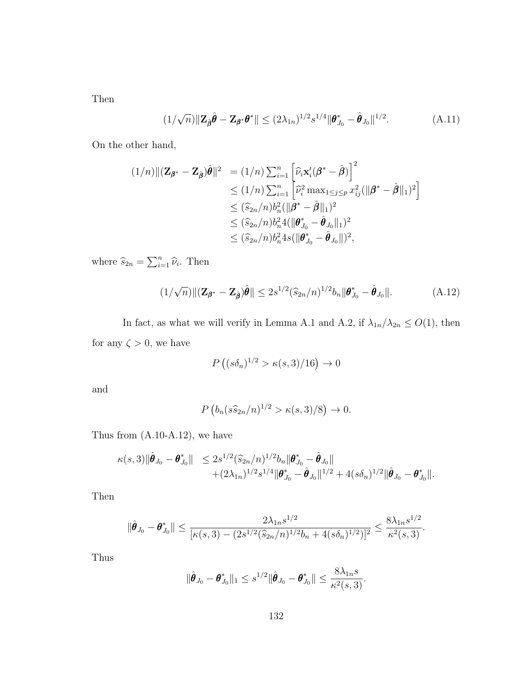Then

$$
(1/\sqrt{n})\|\mathbf{Z}_{\hat{\boldsymbol{\beta}}}\hat{\boldsymbol{\theta}} - \mathbf{Z}_{\boldsymbol{\beta}^*}\boldsymbol{\theta}^*\| \le (2\lambda_{1n})^{1/2} s^{1/4} \|\boldsymbol{\theta}_{J_0}^* - \hat{\boldsymbol{\theta}}_{J_0}\|^{1/2}.
$$
 (A.11)

On the other hand,

$$
(1/n) \| (\mathbf{Z}_{\boldsymbol{\beta}^*} - \mathbf{Z}_{\hat{\boldsymbol{\beta}}}) \hat{\boldsymbol{\theta}} \|^2 = (1/n) \sum_{i=1}^n \left[ \hat{\nu}_i \mathbf{x}_i' (\boldsymbol{\beta}^* - \hat{\boldsymbol{\beta}}) \right]^2
$$
  
\n
$$
\leq (1/n) \sum_{i=1}^n \left[ \hat{\nu}_i^2 \max_{1 \leq j \leq p} x_{ij}^2 (\|\boldsymbol{\beta}^* - \hat{\boldsymbol{\beta}}\|_1)^2 \right]
$$
  
\n
$$
\leq (\hat{s}_{2n}/n) b_n^2 (\|\boldsymbol{\beta}^* - \hat{\boldsymbol{\beta}}\|_1)^2
$$
  
\n
$$
\leq (\hat{s}_{2n}/n) b_n^2 4 (\|\boldsymbol{\theta}_{J_0}^* - \hat{\boldsymbol{\theta}}_{J_0}\|_1)^2
$$
  
\n
$$
\leq (\hat{s}_{2n}/n) b_n^2 4 s (\|\boldsymbol{\theta}_{J_0}^* - \hat{\boldsymbol{\theta}}_{J_0}\|)^2,
$$

where  $\widehat{s}_{2n} = \sum_{i=1}^{n} \widehat{\nu}_i$ . Then

<span id="page-140-0"></span>
$$
(1/\sqrt{n})\|(\mathbf{Z}_{\beta^*} - \mathbf{Z}_{\hat{\beta}})\hat{\theta}\| \le 2s^{1/2}(\widehat{s}_{2n}/n)^{1/2}b_n\|\theta_{J_0}^* - \hat{\theta}_{J_0}\|.
$$
 (A.12)

In fact, as what we will verify in Lemma [A.1](#page-141-0) and [A.2,](#page-142-0) if  $\lambda_{1n}/\lambda_{2n} \leq O(1)$ , then for any  $\zeta > 0$ , we have

$$
P\left((s\delta_n)^{1/2} > \kappa(s,3)/16\right) \to 0
$$

and

$$
P\left(b_n(s\widehat{s}_{2n}/n)^{1/2} > \kappa(s,3)/8\right) \to 0.
$$

Thus from [\(A.10-](#page-139-1)[A.12\)](#page-140-0), we have

$$
\kappa(s,3)\|\hat{\boldsymbol{\theta}}_{J_0}-\boldsymbol{\theta}_{J_0}^*\| \leq 2s^{1/2}(\widehat{s}_{2n}/n)^{1/2}b_n\|\boldsymbol{\theta}_{J_0}^*-\hat{\boldsymbol{\theta}}_{J_0}\| + (2\lambda_{1n})^{1/2}s^{1/4}\|\boldsymbol{\theta}_{J_0}^*-\hat{\boldsymbol{\theta}}_{J_0}\|^{1/2}+4(s\delta_n)^{1/2}\|\hat{\boldsymbol{\theta}}_{J_0}-\boldsymbol{\theta}_{J_0}^*\|.
$$

Then

$$
\|\hat{\boldsymbol{\theta}}_{J_0}-\boldsymbol{\theta}_{J_0}^*\| \leq \frac{2\lambda_{1n}s^{1/2}}{[\kappa(s,3)-(2s^{1/2}(\widehat{s}_{2n}/n)^{1/2}b_n+4(s\delta_n)^{1/2})]^2} \leq \frac{8\lambda_{1n}s^{1/2}}{\kappa^2(s,3)}.
$$

Thus

$$
\|\hat{\boldsymbol{\theta}}_{J_0}-\boldsymbol{\theta}_{J_0}^*\|_1\leq s^{1/2}\|\hat{\boldsymbol{\theta}}_{J_0}-\boldsymbol{\theta}_{J_0}^*\|\leq \frac{8\lambda_{1n}s}{\kappa^2(s,3)}.
$$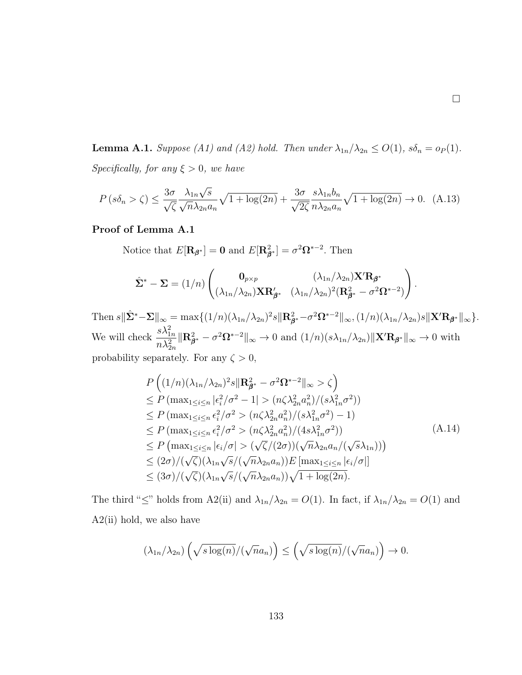<span id="page-141-0"></span>**Lemma A.1.** Suppose (A1) and (A2) hold. Then under  $\lambda_{1n}/\lambda_{2n} \le O(1)$ ,  $s\delta_n = o_P(1)$ . Specifically, for any  $\xi > 0$ , we have

$$
P\left(s\delta_n > \zeta\right) \le \frac{3\sigma}{\sqrt{\zeta}} \frac{\lambda_{1n}\sqrt{s}}{\sqrt{n}\lambda_{2n}a_n} \sqrt{1 + \log(2n)} + \frac{3\sigma}{\sqrt{2\zeta}} \frac{s\lambda_{1n}b_n}{n\lambda_{2n}a_n} \sqrt{1 + \log(2n)} \to 0. \tag{A.13}
$$

## Proof of Lemma [A.1](#page-141-0)

Notice that  $E[\mathbf{R}_{\boldsymbol{\beta}^*}] = \mathbf{0}$  and  $E[\mathbf{R}_{\boldsymbol{\beta}^*}^2] = \sigma^2 \Omega^{*-2}$ . Then

$$
\hat{\Sigma}^* - \Sigma = (1/n) \begin{pmatrix} \mathbf{0}_{p \times p} & (\lambda_{1n}/\lambda_{2n}) \mathbf{X}' \mathbf{R}_{\beta^*} \\ (\lambda_{1n}/\lambda_{2n}) \mathbf{X} \mathbf{R}_{\beta^*}' & (\lambda_{1n}/\lambda_{2n})^2 (\mathbf{R}_{\beta^*}^2 - \sigma^2 \Omega^{*-2}) \end{pmatrix}.
$$

Then  $s\|\hat{\Sigma}^*-\Sigma\|_{\infty} = \max\{(1/n)(\lambda_{1n}/\lambda_{2n})^2 s\|\mathbf{R}_{\beta^*}^2 - \sigma^2 \Omega^{*-2}\|_{\infty}, (1/n)(\lambda_{1n}/\lambda_{2n}) s\|\mathbf{X}'\mathbf{R}_{\beta^*}\|_{\infty}\}.$ We will check  $\frac{s\lambda_{1n}^2}{\lambda_{1n}^2}$  $n \lambda_{2n}^2$  $\|\mathbf{R}_{\beta^*}^2 - \sigma^2 \Omega^{*-2}\|_{\infty} \to 0$  and  $(1/n)(s\lambda_{1n}/\lambda_{2n})\|\mathbf{X}'\mathbf{R}_{\beta^*}\|_{\infty} \to 0$  with probability separately. For any  $\zeta > 0$ ,

<span id="page-141-1"></span>
$$
P\left((1/n)(\lambda_{1n}/\lambda_{2n})^{2} s \|\mathbf{R}_{\beta^{*}}^{2} - \sigma^{2} \Omega^{*-2}\|_{\infty} > \zeta\right)
$$
  
\n
$$
\leq P\left(\max_{1 \leq i \leq n} |\epsilon_{i}^{2}/\sigma^{2} - 1| > (n\zeta \lambda_{2n}^{2} a_{n}^{2})/(s\lambda_{1n}^{2}\sigma^{2})\right)
$$
  
\n
$$
\leq P\left(\max_{1 \leq i \leq n} \epsilon_{i}^{2}/\sigma^{2} > (n\zeta \lambda_{2n}^{2} a_{n}^{2})/(s\lambda_{1n}^{2}\sigma^{2}) - 1\right)
$$
  
\n
$$
\leq P\left(\max_{1 \leq i \leq n} \epsilon_{i}^{2}/\sigma^{2} > (n\zeta \lambda_{2n}^{2} a_{n}^{2})/(4s\lambda_{1n}^{2}\sigma^{2})\right)
$$
  
\n
$$
\leq P\left(\max_{1 \leq i \leq n} |\epsilon_{i}/\sigma| > (\sqrt{\zeta}/(2\sigma))(\sqrt{n}\lambda_{2n} a_{n}/(\sqrt{s}\lambda_{1n}))\right)
$$
  
\n
$$
\leq (2\sigma)/(\sqrt{\zeta})(\lambda_{1n}\sqrt{s}/(\sqrt{n}\lambda_{2n} a_{n}))E\left[\max_{1 \leq i \leq n} |\epsilon_{i}/\sigma|\right]
$$
  
\n
$$
\leq (3\sigma)/(\sqrt{\zeta})(\lambda_{1n}\sqrt{s}/(\sqrt{n}\lambda_{2n} a_{n}))\sqrt{1 + \log(2n)}.
$$

The third " $\leq$ " holds from A2(ii) and  $\lambda_{1n}/\lambda_{2n} = O(1)$ . In fact, if  $\lambda_{1n}/\lambda_{2n} = O(1)$  and  $A2(i)$  hold, we also have

$$
(\lambda_{1n}/\lambda_{2n})\left(\sqrt{s\log(n)}/(\sqrt{n}a_n)\right) \leq \left(\sqrt{s\log(n)}/(\sqrt{n}a_n)\right) \to 0.
$$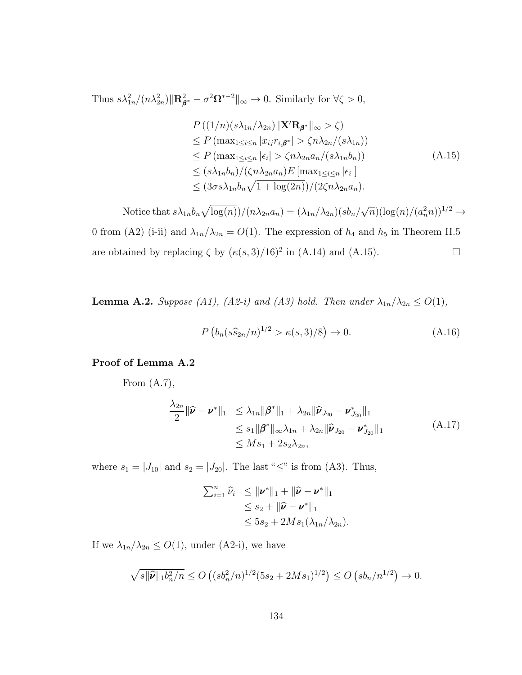Thus  $s\lambda_{1n}^2/(n\lambda_{2n}^2)\|\mathbf{R}_{\beta^*}^2 - \sigma^2\Omega^{*-2}\|_{\infty} \to 0$ . Similarly for  $\forall \zeta > 0$ ,

<span id="page-142-1"></span>
$$
P((1/n)(s\lambda_{1n}/\lambda_{2n})||\mathbf{X}'\mathbf{R}_{\boldsymbol{\beta}^*}||_{\infty} > \zeta)
$$
  
\n
$$
\leq P(\max_{1 \leq i \leq n} |x_{ij}r_{i,\boldsymbol{\beta}^*}| > \zeta n \lambda_{2n}/(s\lambda_{1n}))
$$
  
\n
$$
\leq P(\max_{1 \leq i \leq n} |\epsilon_i| > \zeta n \lambda_{2n} a_n/(s\lambda_{1n} b_n))
$$
  
\n
$$
\leq (s\lambda_{1n} b_n)/(\zeta n \lambda_{2n} a_n) E[\max_{1 \leq i \leq n} |\epsilon_i|]
$$
  
\n
$$
\leq (3\sigma s\lambda_{1n} b_n \sqrt{1 + \log(2n)})/(2\zeta n \lambda_{2n} a_n).
$$
 (A.15)

Notice that  $s\lambda_{1n}b_n\sqrt{\log(n)})/(n\lambda_{2n}a_n) = (\lambda_{1n}/\lambda_{2n})(sb_n/$ √  $\overline{n})(\log(n)/(a_n^2 n))^{1/2} \rightarrow$ 0 from (A2) (i-ii) and  $\lambda_{1n}/\lambda_{2n} = O(1)$ . The expression of  $h_4$  and  $h_5$  in Theorem [II.5](#page-51-0) are obtained by replacing  $\zeta$  by  $(\kappa(s, 3)/16)^2$  in [\(A.14\)](#page-141-1) and [\(A.15\)](#page-142-1).

<span id="page-142-0"></span>**Lemma A.2.** Suppose (A1), (A2-i) and (A3) hold. Then under  $\lambda_{1n}/\lambda_{2n} \leq O(1)$ ,

$$
P\left(b_n(s\hat{s}_{2n}/n)^{1/2} > \kappa(s,3)/8\right) \to 0. \tag{A.16}
$$

### Proof of Lemma [A.2](#page-142-0)

From  $(A.7)$ ,

$$
\frac{\lambda_{2n}}{2} \|\hat{\mathbf{\nu}} - \mathbf{\nu}^*\|_1 \leq \lambda_{1n} \|\boldsymbol{\beta}^*\|_1 + \lambda_{2n} \|\hat{\mathbf{\nu}}_{J_{20}} - \mathbf{\nu}_{J_{20}}^*\|_1 \n\leq s_1 \|\boldsymbol{\beta}^*\|_{\infty} \lambda_{1n} + \lambda_{2n} \|\hat{\mathbf{\nu}}_{J_{20}} - \mathbf{\nu}_{J_{20}}^*\|_1 \n\leq M s_1 + 2s_2 \lambda_{2n},
$$
\n(A.17)

where  $s_1 = |J_{10}|$  and  $s_2 = |J_{20}|$ . The last " $\leq$ " is from (A3). Thus,

$$
\sum_{i=1}^{n} \widehat{\nu}_i \leq \|\boldsymbol{\nu}^*\|_1 + \|\widehat{\boldsymbol{\nu}} - \boldsymbol{\nu}^*\|_1
$$
  
\n
$$
\leq s_2 + \|\widehat{\boldsymbol{\nu}} - \boldsymbol{\nu}^*\|_1
$$
  
\n
$$
\leq 5s_2 + 2Ms_1(\lambda_{1n}/\lambda_{2n}).
$$

If we  $\lambda_{1n}/\lambda_{2n} \leq O(1)$ , under (A2-i), we have

$$
\sqrt{s||\widehat{\nu}||_1b_n^2/n} \le O\left((sb_n^2/n)^{1/2}(5s_2+2Ms_1)^{1/2}\right) \le O\left(sh_n/n^{1/2}\right) \to 0.
$$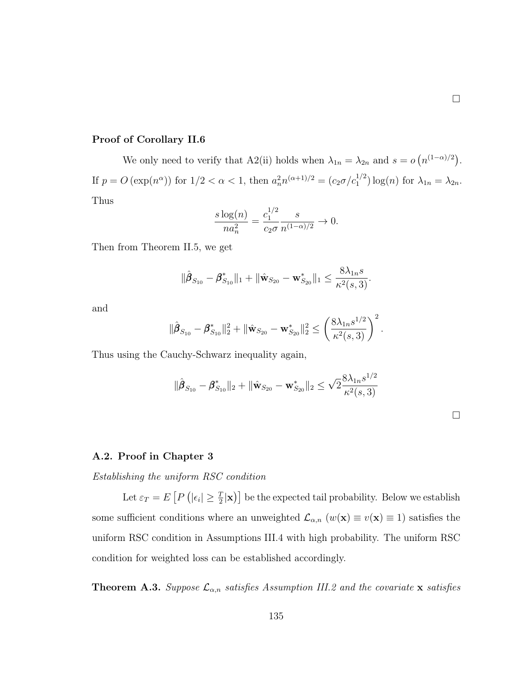# Proof of Corollary [II.6](#page-52-0)

We only need to verify that A2(ii) holds when  $\lambda_{1n} = \lambda_{2n}$  and  $s = o(n^{(1-\alpha)/2})$ . If  $p = O\left(\exp(n^{\alpha})\right)$  for  $1/2 < \alpha < 1$ , then  $a_n^2 n^{(\alpha+1)/2} = (c_2 \sigma/c_1^{1/2}) \log(n)$  for  $\lambda_{1n} = \lambda_{2n}$ . Thus

$$
\frac{s \log(n)}{n a_n^2} = \frac{c_1^{1/2}}{c_2 \sigma} \frac{s}{n^{(1-\alpha)/2}} \to 0.
$$

Then from Theorem [II.5,](#page-51-0) we get

$$
\|\hat{\boldsymbol{\beta}}_{S_{10}} - \boldsymbol{\beta}_{S_{10}}^*\|_1 + \|\hat{\mathbf{w}}_{S_{20}} - \mathbf{w}_{S_{20}}^*\|_1 \leq \frac{8\lambda_{1n}s}{\kappa^2(s,3)}.
$$

and

$$
\|\hat{\boldsymbol{\beta}}_{S_{10}} - \boldsymbol{\beta}_{S_{10}}^*\|_2^2 + \|\hat{\mathbf{w}}_{S_{20}} - \mathbf{w}_{S_{20}}^*\|_2^2 \le \left(\frac{8\lambda_{1n}s^{1/2}}{\kappa^2(s,3)}\right)^2.
$$

Thus using the Cauchy-Schwarz inequality again,

$$
\|\hat{\boldsymbol{\beta}}_{S_{10}} - \boldsymbol{\beta}_{S_{10}}^*\|_2 + \|\hat{\mathbf{w}}_{S_{20}} - \mathbf{w}_{S_{20}}^*\|_2 \leq \sqrt{2} \frac{8\lambda_{1n} s^{1/2}}{\kappa^2(s, 3)}
$$

#### A.2. Proof in Chapter 3

Establishing the uniform RSC condition

Let  $\varepsilon_T = E\left[P\left(|\epsilon_i| \geq \frac{T}{2}|\mathbf{x}\right)\right]$  be the expected tail probability. Below we establish some sufficient conditions where an unweighted  $\mathcal{L}_{\alpha,n}$   $(w(\mathbf{x}) \equiv v(\mathbf{x}) \equiv 1)$  satisfies the uniform RSC condition in Assumptions [III.4](#page-75-0) with high probability. The uniform RSC condition for weighted loss can be established accordingly.

**Theorem A.3.** Suppose  $\mathcal{L}_{\alpha,n}$  satisfies Assumption [III.2](#page-72-0) and the covariate **x** satisfies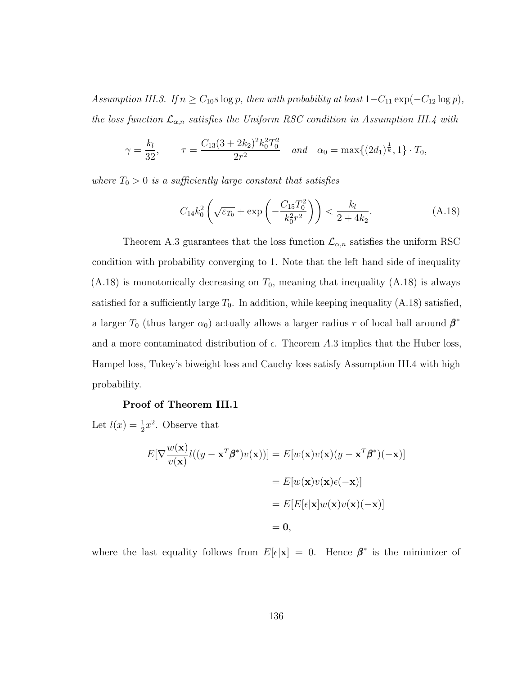Assumption [III.3.](#page-74-0) If  $n \geq C_{10} s \log p$ , then with probability at least  $1-C_{11} \exp(-C_{12} \log p)$ , the loss function  $\mathcal{L}_{\alpha,n}$  satisfies the Uniform RSC condition in Assumption [III.4](#page-75-0) with

$$
\gamma = \frac{k_l}{32}, \qquad \tau = \frac{C_{13}(3 + 2k_2)^2 k_0^2 T_0^2}{2r^2} \quad \text{and} \quad \alpha_0 = \max\{(2d_1)^{\frac{1}{k}}, 1\} \cdot T_0,
$$

where  $T_0 > 0$  is a sufficiently large constant that satisfies

<span id="page-144-0"></span>
$$
C_{14}k_0^2\left(\sqrt{\varepsilon_{T_0}} + \exp\left(-\frac{C_{15}T_0^2}{k_0^2r^2}\right)\right) < \frac{k_l}{2 + 4k_2}.\tag{A.18}
$$

Theorem [A.3](#page-143-0) guarantees that the loss function  $\mathcal{L}_{\alpha,n}$  satisfies the uniform RSC condition with probability converging to 1. Note that the left hand side of inequality  $(A.18)$  is monotonically decreasing on  $T_0$ , meaning that inequality  $(A.18)$  is always satisfied for a sufficiently large  $T_0$ . In addition, while keeping inequality [\(A.18\)](#page-144-0) satisfied, a larger  $T_0$  (thus larger  $\alpha_0$ ) actually allows a larger radius r of local ball around  $\beta^*$ and a more contaminated distribution of  $\epsilon$ . Theorem [A.](#page-143-0)3 implies that the Huber loss, Hampel loss, Tukey's biweight loss and Cauchy loss satisfy Assumption [III.4](#page-75-0) with high probability.

#### Proof of Theorem [III.1](#page-75-1)

Let  $l(x) = \frac{1}{2}x^2$ . Observe that

$$
E[\nabla \frac{w(\mathbf{x})}{v(\mathbf{x})}l((y - \mathbf{x}^T \boldsymbol{\beta}^*)v(\mathbf{x}))] = E[w(\mathbf{x})v(\mathbf{x})(y - \mathbf{x}^T \boldsymbol{\beta}^*)(-\mathbf{x})]
$$
  
\n
$$
= E[w(\mathbf{x})v(\mathbf{x})\epsilon(-\mathbf{x})]
$$
  
\n
$$
= E[E[\epsilon|\mathbf{x}]w(\mathbf{x})v(\mathbf{x})(-\mathbf{x})]
$$
  
\n
$$
= 0,
$$

where the last equality follows from  $E[\epsilon|\mathbf{x}] = 0$ . Hence  $\beta^*$  is the minimizer of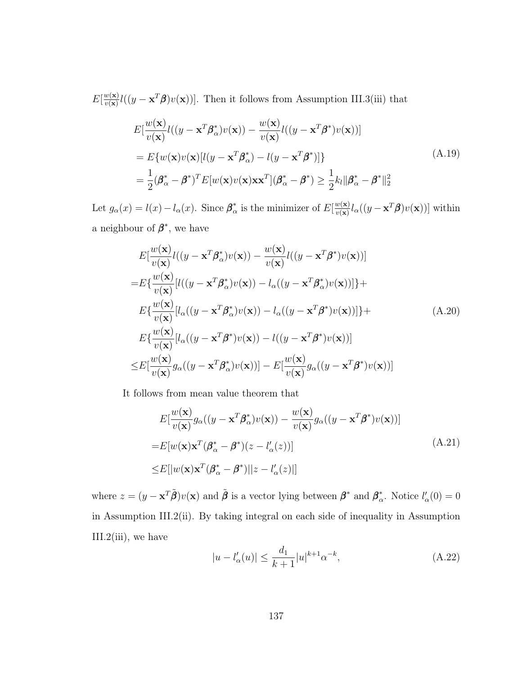$E[\frac{w(\mathbf{x})}{w(\mathbf{x})}]$  $\frac{w(\mathbf{x})}{w(\mathbf{x})}l((y-\mathbf{x}^T\boldsymbol{\beta})v(\mathbf{x}))$ . Then it follows from Assumption [III.3\(](#page-74-0)iii) that

<span id="page-145-3"></span>
$$
E\left[\frac{w(\mathbf{x})}{v(\mathbf{x})}l((y - \mathbf{x}^T \boldsymbol{\beta}_{\alpha}^*)v(\mathbf{x})) - \frac{w(\mathbf{x})}{v(\mathbf{x})}l((y - \mathbf{x}^T \boldsymbol{\beta}^*)v(\mathbf{x}))\right]
$$
  
\n
$$
= E\{w(\mathbf{x})v(\mathbf{x})[l(y - \mathbf{x}^T \boldsymbol{\beta}_{\alpha}^*) - l(y - \mathbf{x}^T \boldsymbol{\beta}^*)]\}
$$
  
\n
$$
= \frac{1}{2}(\boldsymbol{\beta}_{\alpha}^* - \boldsymbol{\beta}^*)^T E[w(\mathbf{x})v(\mathbf{x})\mathbf{x}\mathbf{x}^T](\boldsymbol{\beta}_{\alpha}^* - \boldsymbol{\beta}^*) \ge \frac{1}{2}k_l \|\boldsymbol{\beta}_{\alpha}^* - \boldsymbol{\beta}^*\|_2^2
$$
\n(A.19)

Let  $g_{\alpha}(x) = l(x) - l_{\alpha}(x)$ . Since  $\beta_{\alpha}^*$  $\frac{\partial}{\partial \alpha}$  is the minimizer of  $E[\frac{w(\mathbf{x})}{v(\mathbf{x})}]$  $\frac{w(\mathbf{x})}{w(\mathbf{x})}l_{\alpha}((y-\mathbf{x}^{T}\boldsymbol{\beta})v(\mathbf{x}))]$  within a neighbour of  $\beta^*$ , we have

<span id="page-145-1"></span>
$$
E\left[\frac{w(\mathbf{x})}{v(\mathbf{x})}l((y - \mathbf{x}^T \boldsymbol{\beta}_{\alpha}^*)v(\mathbf{x})) - \frac{w(\mathbf{x})}{v(\mathbf{x})}l((y - \mathbf{x}^T \boldsymbol{\beta}^*)v(\mathbf{x}))\right]
$$
  
\n
$$
= E\left\{\frac{w(\mathbf{x})}{v(\mathbf{x})}[l((y - \mathbf{x}^T \boldsymbol{\beta}_{\alpha}^*)v(\mathbf{x})) - l_{\alpha}((y - \mathbf{x}^T \boldsymbol{\beta}_{\alpha}^*)v(\mathbf{x}))]\right\} +
$$
  
\n
$$
E\left\{\frac{w(\mathbf{x})}{v(\mathbf{x})}[l_{\alpha}((y - \mathbf{x}^T \boldsymbol{\beta}_{\alpha}^*)v(\mathbf{x})) - l_{\alpha}((y - \mathbf{x}^T \boldsymbol{\beta}^*)v(\mathbf{x}))]\right\} +
$$
  
\n
$$
E\left\{\frac{w(\mathbf{x})}{v(\mathbf{x})}[l_{\alpha}((y - \mathbf{x}^T \boldsymbol{\beta}^*)v(\mathbf{x})) - l((y - \mathbf{x}^T \boldsymbol{\beta}^*)v(\mathbf{x}))]
$$
  
\n
$$
\leq E\left[\frac{w(\mathbf{x})}{v(\mathbf{x})}g_{\alpha}((y - \mathbf{x}^T \boldsymbol{\beta}_{\alpha}^*)v(\mathbf{x}))\right] - E\left[\frac{w(\mathbf{x})}{v(\mathbf{x})}g_{\alpha}((y - \mathbf{x}^T \boldsymbol{\beta}^*)v(\mathbf{x}))\right]
$$

<span id="page-145-2"></span>It follows from mean value theorem that

$$
E\left[\frac{w(\mathbf{x})}{v(\mathbf{x})}g_{\alpha}((y - \mathbf{x}^{T}\boldsymbol{\beta}_{\alpha}^{*})v(\mathbf{x})) - \frac{w(\mathbf{x})}{v(\mathbf{x})}g_{\alpha}((y - \mathbf{x}^{T}\boldsymbol{\beta}^{*})v(\mathbf{x}))\right]
$$
  
\n
$$
= E[w(\mathbf{x})\mathbf{x}^{T}(\boldsymbol{\beta}_{\alpha}^{*} - \boldsymbol{\beta}^{*})(z - l_{\alpha}'(z))]
$$
  
\n
$$
\leq E[|w(\mathbf{x})\mathbf{x}^{T}(\boldsymbol{\beta}_{\alpha}^{*} - \boldsymbol{\beta}^{*})||z - l_{\alpha}'(z)|]
$$
\n(A.21)

where  $z = (y - \mathbf{x}^T \tilde{\boldsymbol{\beta}}) v(\mathbf{x})$  and  $\tilde{\boldsymbol{\beta}}$  is a vector lying between  $\boldsymbol{\beta}^*$  and  $\boldsymbol{\beta}_o^*$ \*. Notice  $l'_{\alpha}(0) = 0$ in Assumption [III.2\(](#page-72-0)ii). By taking integral on each side of inequality in Assumption [III.2\(](#page-72-0)iii), we have

<span id="page-145-0"></span>
$$
|u - l'_{\alpha}(u)| \le \frac{d_1}{k+1} |u|^{k+1} \alpha^{-k},\tag{A.22}
$$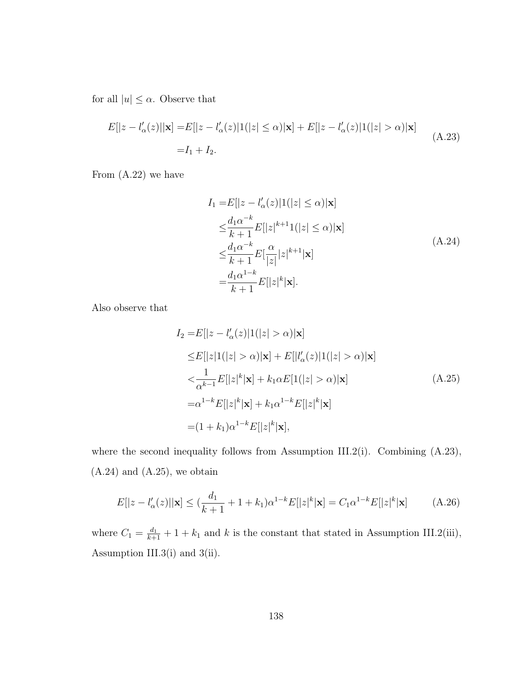for all  $|u| \leq \alpha.$  Observe that

<span id="page-146-0"></span>
$$
E[|z - l'_{\alpha}(z)||\mathbf{x}] = E[|z - l'_{\alpha}(z)|1(|z| \le \alpha)|\mathbf{x}] + E[|z - l'_{\alpha}(z)|1(|z| > \alpha)|\mathbf{x}]
$$
  
= I<sub>1</sub> + I<sub>2</sub>. (A.23)

<span id="page-146-1"></span>From [\(A.22\)](#page-145-0) we have

$$
I_1 = E[|z - l'_{\alpha}(z)|1(|z| \le \alpha)|\mathbf{x}]
$$
  
\n
$$
\le \frac{d_1 \alpha^{-k}}{k+1} E[|z|^{k+1}1(|z| \le \alpha)|\mathbf{x}]
$$
  
\n
$$
\le \frac{d_1 \alpha^{-k}}{k+1} E[\frac{\alpha}{|z|}|z|^{k+1}|\mathbf{x}]
$$
  
\n
$$
= \frac{d_1 \alpha^{1-k}}{k+1} E[|z|^k|\mathbf{x}].
$$
\n(A.24)

<span id="page-146-2"></span>Also observe that

$$
I_2 = E[|z - l'_{\alpha}(z)|1(|z| > \alpha)|\mathbf{x}]
$$
  
\n
$$
\leq E[|z|1(|z| > \alpha)|\mathbf{x}] + E[|l'_{\alpha}(z)|1(|z| > \alpha)|\mathbf{x}]
$$
  
\n
$$
< \frac{1}{\alpha^{k-1}} E[|z|^k|\mathbf{x}] + k_1 \alpha E[1(|z| > \alpha)|\mathbf{x}]
$$
  
\n
$$
= \alpha^{1-k} E[|z|^k|\mathbf{x}] + k_1 \alpha^{1-k} E[|z|^k|\mathbf{x}]
$$
  
\n
$$
= (1 + k_1) \alpha^{1-k} E[|z|^k|\mathbf{x}],
$$
\n(A.25)

where the second inequality follows from Assumption [III.2\(](#page-72-0)i). Combining  $(A.23)$ ,  $(A.24)$  and  $(A.25)$ , we obtain

<span id="page-146-3"></span>
$$
E[|z - l'_{\alpha}(z)||\mathbf{x}] \le (\frac{d_1}{k+1} + 1 + k_1)\alpha^{1-k}E[|z|^k|\mathbf{x}] = C_1\alpha^{1-k}E[|z|^k|\mathbf{x}] \tag{A.26}
$$

where  $C_1 = \frac{d_1}{k+1} + 1 + k_1$  and k is the constant that stated in Assumption [III.2\(](#page-72-0)iii), Assumption [III.3\(](#page-74-0)i) and 3(ii).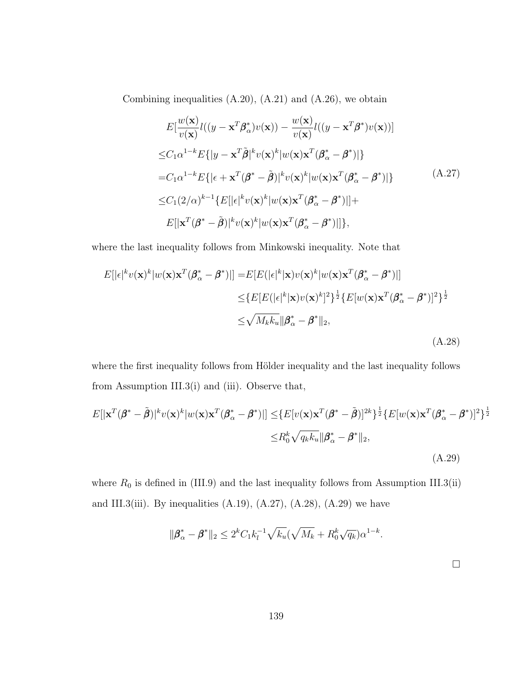<span id="page-147-0"></span>Combining inequalities  $(A.20)$ ,  $(A.21)$  and  $(A.26)$ , we obtain

$$
E\left[\frac{w(\mathbf{x})}{v(\mathbf{x})}l((y - \mathbf{x}^T \boldsymbol{\beta}_{\alpha}^*)v(\mathbf{x})) - \frac{w(\mathbf{x})}{v(\mathbf{x})}l((y - \mathbf{x}^T \boldsymbol{\beta}^*)v(\mathbf{x}))\right]
$$
  
\n
$$
\leq C_1 \alpha^{1-k} E\{|y - \mathbf{x}^T \tilde{\boldsymbol{\beta}}|^k v(\mathbf{x})^k |w(\mathbf{x}) \mathbf{x}^T (\boldsymbol{\beta}_{\alpha}^* - \boldsymbol{\beta}^*)|\}
$$
  
\n
$$
= C_1 \alpha^{1-k} E\{|\epsilon + \mathbf{x}^T (\boldsymbol{\beta}^* - \tilde{\boldsymbol{\beta}})|^k v(\mathbf{x})^k |w(\mathbf{x}) \mathbf{x}^T (\boldsymbol{\beta}_{\alpha}^* - \boldsymbol{\beta}^*)|\}
$$
  
\n
$$
\leq C_1 (2/\alpha)^{k-1} \{E[|\epsilon|^k v(\mathbf{x})^k |w(\mathbf{x}) \mathbf{x}^T (\boldsymbol{\beta}_{\alpha}^* - \boldsymbol{\beta}^*)|]+\
$$
  
\n
$$
E[|\mathbf{x}^T (\boldsymbol{\beta}^* - \tilde{\boldsymbol{\beta}})|^k v(\mathbf{x})^k |w(\mathbf{x}) \mathbf{x}^T (\boldsymbol{\beta}_{\alpha}^* - \boldsymbol{\beta}^*)|]\},
$$
\n(A.27)

where the last inequality follows from Minkowski inequality. Note that

<span id="page-147-1"></span>
$$
E[|\epsilon|^k v(\mathbf{x})^k |w(\mathbf{x}) \mathbf{x}^T (\boldsymbol{\beta}_{\alpha}^* - \boldsymbol{\beta}^*)|] = E[E(|\epsilon|^k | \mathbf{x}) v(\mathbf{x})^k |w(\mathbf{x}) \mathbf{x}^T (\boldsymbol{\beta}_{\alpha}^* - \boldsymbol{\beta}^*)|]
$$
  
\n
$$
\leq \{E[E(|\epsilon|^k | \mathbf{x}) v(\mathbf{x})^k]^2\}^{\frac{1}{2}} \{E[w(\mathbf{x}) \mathbf{x}^T (\boldsymbol{\beta}_{\alpha}^* - \boldsymbol{\beta}^*)]^2\}^{\frac{1}{2}}
$$
  
\n
$$
\leq \sqrt{M_k k_u} ||\boldsymbol{\beta}_{\alpha}^* - \boldsymbol{\beta}^*||_2,
$$
\n(A.28)

where the first inequality follows from Hölder inequality and the last inequality follows from Assumption [III.3\(](#page-74-0)i) and (iii). Observe that,

<span id="page-147-2"></span>
$$
E[|\mathbf{x}^T(\boldsymbol{\beta}^* - \tilde{\boldsymbol{\beta}})|^k v(\mathbf{x})^k |w(\mathbf{x}) \mathbf{x}^T(\boldsymbol{\beta}^*_{\alpha} - \boldsymbol{\beta}^*)|] \leq \{E[v(\mathbf{x}) \mathbf{x}^T(\boldsymbol{\beta}^* - \tilde{\boldsymbol{\beta}})]^{2k}\}^{\frac{1}{2}} \{E[w(\mathbf{x}) \mathbf{x}^T(\boldsymbol{\beta}^*_{\alpha} - \boldsymbol{\beta}^*)]^2\}^{\frac{1}{2}}
$$

$$
\leq R_0^k \sqrt{q_k k_u} \|\boldsymbol{\beta}^*_{\alpha} - \boldsymbol{\beta}^*\|_2,
$$
(A.29)

where  $R_0$  is defined in [\(III.9\)](#page-74-1) and the last inequality follows from Assumption [III.3\(](#page-74-0)ii) and [III.3\(](#page-74-0)iii). By inequalities  $(A.19)$ ,  $(A.27)$ ,  $(A.28)$ ,  $(A.29)$  we have

$$
\|\beta_{\alpha}^* - \beta^*\|_2 \le 2^k C_1 k_l^{-1} \sqrt{k_u} (\sqrt{M_k} + R_0^k \sqrt{q_k}) \alpha^{1-k}.
$$

139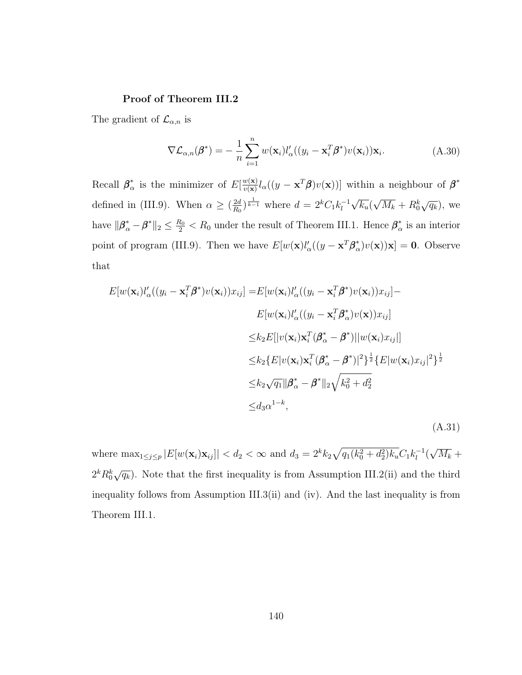### Proof of Theorem [III.2](#page-76-0)

The gradient of  $\mathcal{L}_{\alpha,n}$  is

$$
\nabla \mathcal{L}_{\alpha,n}(\boldsymbol{\beta}^*) = -\frac{1}{n} \sum_{i=1}^n w(\mathbf{x}_i) l'_{\alpha}((y_i - \mathbf{x}_i^T \boldsymbol{\beta}^*) v(\mathbf{x}_i)) \mathbf{x}_i.
$$
 (A.30)

Recall  $\beta_{\alpha}^*$  $\frac{\partial}{\partial \alpha}$  is the minimizer of  $E[\frac{w(\mathbf{x})}{v(\mathbf{x})}]$  $\frac{w(\mathbf{x})}{w(\mathbf{x})} l_{\alpha}((y - \mathbf{x}^{T} \boldsymbol{\beta}) v(\mathbf{x}))]$  within a neighbour of  $\boldsymbol{\beta}^*$ defined in [\(III.9\)](#page-74-1). When  $\alpha \geq \left(\frac{2d}{R_0}\right)$  $\frac{2d}{R_0}\big)^{\frac{1}{k-1}}$  where  $d = 2^k C_1 k_l^{-1}$ l √  $\overline{k_u} ($ √  $\overline{M_k} + R_0^k \sqrt{q_k}$ , we have  $\|\beta^*_{\alpha} - \beta^*\|_2 \leq \frac{R_0}{2} < R_0$  under the result of Theorem [III.1.](#page-75-1) Hence  $\beta^*_{\alpha}$  $\frac{k}{\alpha}$  is an interior point of program [\(III.9\)](#page-74-1). Then we have  $E[w(\mathbf{x})l'_{\alpha}((y-\mathbf{x}^T)\boldsymbol{\beta}_{\alpha}^*)]$  $(\alpha^*)v(\mathbf{x})\mathbf{x}]=\mathbf{0}$ . Observe that

<span id="page-148-0"></span>
$$
E[w(\mathbf{x}_i)l'_{\alpha}((y_i - \mathbf{x}_i^T \boldsymbol{\beta}^*)v(\mathbf{x}_i))x_{ij}] = E[w(\mathbf{x}_i)l'_{\alpha}((y_i - \mathbf{x}_i^T \boldsymbol{\beta}^*)v(\mathbf{x}_i))x_{ij}] -
$$
  
\n
$$
E[w(\mathbf{x}_i)l'_{\alpha}((y_i - \mathbf{x}_i^T \boldsymbol{\beta}^*_{\alpha})v(\mathbf{x}))x_{ij}]
$$
  
\n
$$
\leq k_2 E[|v(\mathbf{x}_i)\mathbf{x}_i^T(\boldsymbol{\beta}^*_{\alpha} - \boldsymbol{\beta}^*)||w(\mathbf{x}_i)x_{ij}]]
$$
  
\n
$$
\leq k_2 \{E[v(\mathbf{x}_i)\mathbf{x}_i^T(\boldsymbol{\beta}^*_{\alpha} - \boldsymbol{\beta}^*)]^2\}^{\frac{1}{2}} \{E[w(\mathbf{x}_i)x_{ij}]^2\}^{\frac{1}{2}}
$$
  
\n
$$
\leq k_2 \sqrt{q_1} ||\boldsymbol{\beta}^*_{\alpha} - \boldsymbol{\beta}^*||_2 \sqrt{k_0^2 + d_2^2}
$$
  
\n
$$
\leq d_3 \alpha^{1-k},
$$
\n(A.31)

where  $\max_{1 \leq j \leq p} |E[w(\mathbf{x}_i)\mathbf{x}_{ij}]| < d_2 < \infty$  and  $d_3 = 2^k k_2 \sqrt{q_1(k_0^2 + d_2^2)k_u} C_1 k_1^{-1}$  $\frac{1}{l}$ √  $\overline{M_k}$  +  $2^k R_0^k \sqrt{q_k}$ ). Note that the first inequality is from Assumption [III.2\(](#page-72-0)ii) and the third inequality follows from Assumption [III.3\(](#page-74-0)ii) and (iv). And the last inequality is from Theorem [III.1.](#page-75-1)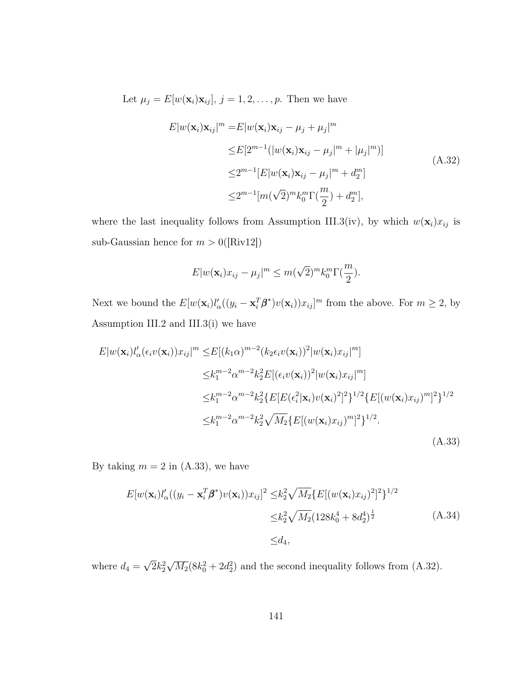<span id="page-149-1"></span>Let  $\mu_j = E[w(\mathbf{x}_i)\mathbf{x}_{ij}], j = 1, 2, \ldots, p$ . Then we have

$$
E|w(\mathbf{x}_i)\mathbf{x}_{ij}|^m = E|w(\mathbf{x}_i)\mathbf{x}_{ij} - \mu_j + \mu_j|^m
$$
  
\n
$$
\leq E[2^{m-1}(|w(\mathbf{x}_i)\mathbf{x}_{ij} - \mu_j|^m + |\mu_j|^m)]
$$
  
\n
$$
\leq 2^{m-1}[E|w(\mathbf{x}_i)\mathbf{x}_{ij} - \mu_j|^m + d_2^m]
$$
  
\n
$$
\leq 2^{m-1}[m(\sqrt{2})^m k_0^m \Gamma(\frac{m}{2}) + d_2^m],
$$
\n(A.32)

where the last inequality follows from Assumption [III.3\(](#page-74-0)iv), by which  $w(\mathbf{x}_i)x_{ij}$  is sub-Gaussian hence for  $m > 0$ ([\[Riv12\]](#page-128-0))

$$
E|w(\mathbf{x}_i)x_{ij} - \mu_j|^m \le m(\sqrt{2})^m k_0^m \Gamma(\frac{m}{2}).
$$

Next we bound the  $E[w(\mathbf{x}_i)l'_\n\alpha((y_i - \mathbf{x}_i^T \boldsymbol{\beta}^*)v(\mathbf{x}_i))x_{ij}]^m$  from the above. For  $m \geq 2$ , by Assumption [III.2](#page-72-0) and [III.3\(](#page-74-0)i) we have

<span id="page-149-0"></span>
$$
E|w(\mathbf{x}_{i})l'_{\alpha}(\epsilon_{i}v(\mathbf{x}_{i}))x_{ij}|^{m} \leq E[(k_{1}\alpha)^{m-2}(k_{2}\epsilon_{i}v(\mathbf{x}_{i}))^{2}|w(\mathbf{x}_{i})x_{ij}|^{m}]
$$
  
\n
$$
\leq k_{1}^{m-2}\alpha^{m-2}k_{2}^{2}E[(\epsilon_{i}v(\mathbf{x}_{i}))^{2}|w(\mathbf{x}_{i})x_{ij}|^{m}]
$$
  
\n
$$
\leq k_{1}^{m-2}\alpha^{m-2}k_{2}^{2}\{E[E(\epsilon_{i}^{2}|\mathbf{x}_{i})v(\mathbf{x}_{i})^{2}]^{2}\}^{1/2}\{E[(w(\mathbf{x}_{i})x_{ij})^{m}]^{2}\}^{1/2}
$$
  
\n
$$
\leq k_{1}^{m-2}\alpha^{m-2}k_{2}^{2}\sqrt{M_{2}}\{E[(w(\mathbf{x}_{i})x_{ij})^{m}]^{2}\}^{1/2}.
$$
\n(A.33)

By taking  $m = 2$  in [\(A.33\)](#page-149-0), we have

<span id="page-149-2"></span>
$$
E[w(\mathbf{x}_i)l'_{\alpha}((y_i - \mathbf{x}_i^T \boldsymbol{\beta}^*)v(\mathbf{x}_i))x_{ij}]^2 \leq k_2^2 \sqrt{M_2} \{E[(w(\mathbf{x}_i)x_{ij})^2]^2\}^{1/2}
$$
  

$$
\leq k_2^2 \sqrt{M_2} (128k_0^4 + 8d_2^4)^{\frac{1}{2}}
$$
(A.34)  

$$
\leq d_4,
$$

where  $d_4 =$ √  $\overline{2}k_2^2$ √  $\overline{M_2}(8k_0^2+2d_2^2)$  and the second inequality follows from  $(A.32)$ .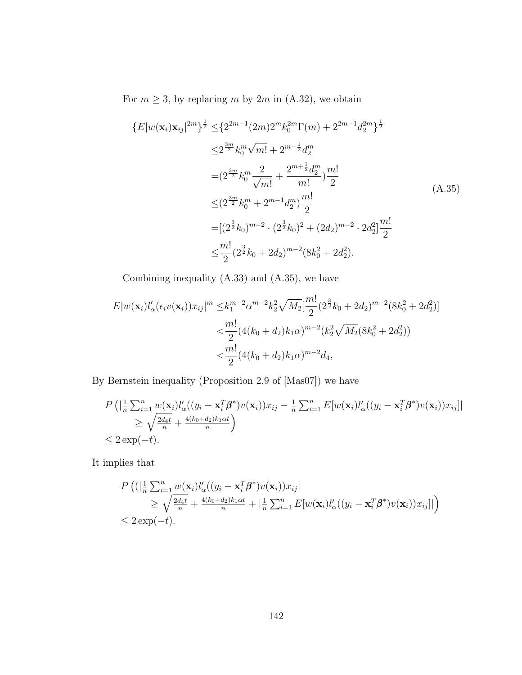For  $m \geq 3$ , by replacing m by  $2m$  in  $(A.32)$ , we obtain

<span id="page-150-0"></span>
$$
\{E|w(\mathbf{x}_{i})\mathbf{x}_{ij}|^{2m}\}^{\frac{1}{2}} \leq \{2^{2m-1}(2m)2^{m}k_{0}^{2m}\Gamma(m) + 2^{2m-1}d_{2}^{2m}\}^{\frac{1}{2}}
$$
  
\n
$$
\leq 2^{\frac{3m}{2}}k_{0}^{m}\sqrt{m!} + 2^{m-\frac{1}{2}}d_{2}^{m}
$$
  
\n
$$
= (2^{\frac{3m}{2}}k_{0}^{m}\frac{2}{\sqrt{m!}} + \frac{2^{m+\frac{1}{2}}d_{2}^{m}}{m!})\frac{m!}{2}
$$
  
\n
$$
\leq (2^{\frac{3m}{2}}k_{0}^{m} + 2^{m-1}d_{2}^{m})\frac{m!}{2}
$$
  
\n
$$
= [(2^{\frac{3}{2}}k_{0})^{m-2} \cdot (2^{\frac{3}{2}}k_{0})^{2} + (2d_{2})^{m-2} \cdot 2d_{2}^{2}] \frac{m!}{2}
$$
  
\n
$$
\leq \frac{m!}{2}(2^{\frac{3}{2}}k_{0} + 2d_{2})^{m-2}(8k_{0}^{2} + 2d_{2}^{2}).
$$
  
\n(A.35)

Combining inequality [\(A.33\)](#page-149-0) and [\(A.35\)](#page-150-0), we have

$$
E|w(\mathbf{x}_{i})l_{\alpha}'(\epsilon_{i}v(\mathbf{x}_{i}))x_{ij}|^{m} \leq k_{1}^{m-2}\alpha^{m-2}k_{2}^{2}\sqrt{M_{2}}\left[\frac{m!}{2}(2^{\frac{3}{2}}k_{0}+2d_{2})^{m-2}(8k_{0}^{2}+2d_{2}^{2})\right]
$$

$$
<\frac{m!}{2}(4(k_{0}+d_{2})k_{1}\alpha)^{m-2}(k_{2}^{2}\sqrt{M_{2}}(8k_{0}^{2}+2d_{2}^{2}))
$$

$$
<\frac{m!}{2}(4(k_{0}+d_{2})k_{1}\alpha)^{m-2}d_{4},
$$

By Bernstein inequality (Proposition 2.9 of [\[Mas07\]](#page-127-0)) we have

$$
P\left(|\frac{1}{n}\sum_{i=1}^{n}w(\mathbf{x}_i)l'_{\alpha}((y_i - \mathbf{x}_i^T\boldsymbol{\beta}^*)v(\mathbf{x}_i))x_{ij} - \frac{1}{n}\sum_{i=1}^{n}E[w(\mathbf{x}_i)l'_{\alpha}((y_i - \mathbf{x}_i^T\boldsymbol{\beta}^*)v(\mathbf{x}_i))x_{ij}]|
$$
  
\n
$$
\geq \sqrt{\frac{2d_4t}{n}} + \frac{4(k_0 + d_2)k_1\alpha t}{n}\right)
$$
  
\n
$$
\leq 2\exp(-t).
$$

It implies that

$$
P\left((\left|\frac{1}{n}\sum_{i=1}^{n}w(\mathbf{x}_i)l'_{\alpha}((y_i-\mathbf{x}_i^T\boldsymbol{\beta}^*)v(\mathbf{x}_i))x_{ij}\right|\right) \geq \sqrt{\frac{2d_4t}{n}} + \frac{4(k_0+d_2)k_1\alpha t}{n} + \left|\frac{1}{n}\sum_{i=1}^{n}E[w(\mathbf{x}_i)l'_{\alpha}((y_i-\mathbf{x}_i^T\boldsymbol{\beta}^*)v(\mathbf{x}_i))x_{ij}]\right|
$$
  
\n $\leq 2\exp(-t).$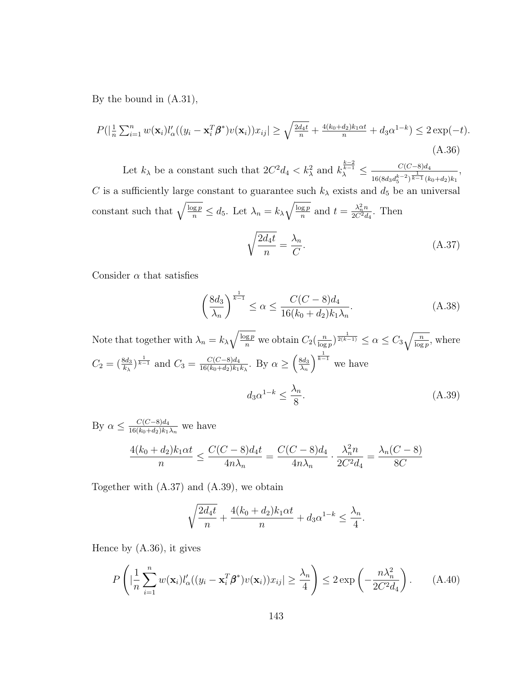By the bound in [\(A.31\)](#page-148-0),

<span id="page-151-2"></span>
$$
P(|\frac{1}{n}\sum_{i=1}^{n}w(\mathbf{x}_i)l'_{\alpha}((y_i-\mathbf{x}_i^T\boldsymbol{\beta}^*)v(\mathbf{x}_i))x_{ij}| \ge \sqrt{\frac{2d_4t}{n}} + \frac{4(k_0+d_2)k_1\alpha t}{n} + d_3\alpha^{1-k}) \le 2\exp(-t).
$$
\n(A.36)

Let  $k_\lambda$  be a constant such that  $2C^2d_4 < k_\lambda^2$  and  $k_\lambda^{\frac{k-2}{k-1}} \leq \frac{C(C-8)d_4}{\lambda^{\frac{k-2}{k-1}}(k_\lambda^2)^{\frac{1}{k-1}}(k_\lambda^2)}$  $\frac{1}{16(8d_3d_5^{k-2})^{\frac{1}{k-1}}(k_0+d_2)k_1}$ , C is a sufficiently large constant to guarantee such  $k_{\lambda}$  exists and  $d_5$  be an universal constant such that  $\sqrt{\frac{\log p}{n}} \leq d_5$ . Let  $\lambda_n = k_{\lambda} \sqrt{\frac{\log p}{n}}$  $\frac{\log p}{n}$  and  $t = \frac{\lambda_n^2 n}{2C^2 d}$  $\frac{\lambda_n^2 n}{2C^2 d_4}$ . Then

<span id="page-151-0"></span>
$$
\sqrt{\frac{2d_4t}{n}} = \frac{\lambda_n}{C}.\tag{A.37}
$$

Consider  $\alpha$  that satisfies

<span id="page-151-3"></span><span id="page-151-1"></span>
$$
\left(\frac{8d_3}{\lambda_n}\right)^{\frac{1}{k-1}} \le \alpha \le \frac{C(C-8)d_4}{16(k_0+d_2)k_1\lambda_n}.\tag{A.38}
$$

Note that together with  $\lambda_n = k_{\lambda} \sqrt{\frac{\log p}{n}}$  we obtain  $C_2(\frac{n}{\log p})$  $\frac{n}{\log p}$ )  $\frac{1}{2(k-1)} \leq \alpha \leq C_3 \sqrt{\frac{n}{\log p}}$ , where  $C_2 = \left(\frac{8d_3}{k_\lambda}\right)^{\frac{1}{k-1}}$  and  $C_3 = \frac{C(C-8)d_4}{16(k_0+d_2)k_1}$  $\frac{C(C-8)d_4}{16(k_0+d_2)k_1k_\lambda}$ . By  $\alpha \geq \left(\frac{8d_3}{\lambda_n}\right)$  $\lambda_n$  $\int^{\frac{1}{k-1}}$  we have  $d_3\alpha^{1-k} \leq \frac{\lambda_n}{\infty}$ 8  $(A.39)$ 

By  $\alpha \leq \frac{C(C-8)d_4}{16(k_0+d_0)k_1}$  $\frac{C(C-8)a_4}{16(k_0+d_2)k_1\lambda_n}$  we have

$$
\frac{4(k_0 + d_2)k_1\alpha t}{n} \le \frac{C(C - 8)d_4t}{4n\lambda_n} = \frac{C(C - 8)d_4}{4n\lambda_n} \cdot \frac{\lambda_n^2 n}{2C^2d_4} = \frac{\lambda_n(C - 8)}{8C}
$$

Together with [\(A.37\)](#page-151-0) and [\(A.39\)](#page-151-1), we obtain

$$
\sqrt{\frac{2d_4t}{n}} + \frac{4(k_0 + d_2)k_1\alpha t}{n} + d_3\alpha^{1-k} \le \frac{\lambda_n}{4}.
$$

Hence by [\(A.36\)](#page-151-2), it gives

<span id="page-151-4"></span>
$$
P\left(|\frac{1}{n}\sum_{i=1}^{n}w(\mathbf{x}_{i})l_{\alpha}'((y_{i}-\mathbf{x}_{i}^{T}\boldsymbol{\beta}^{*})v(\mathbf{x}_{i}))x_{ij}| \geq \frac{\lambda_{n}}{4}\right) \leq 2\exp\left(-\frac{n\lambda_{n}^{2}}{2C^{2}d_{4}}\right).
$$
 (A.40)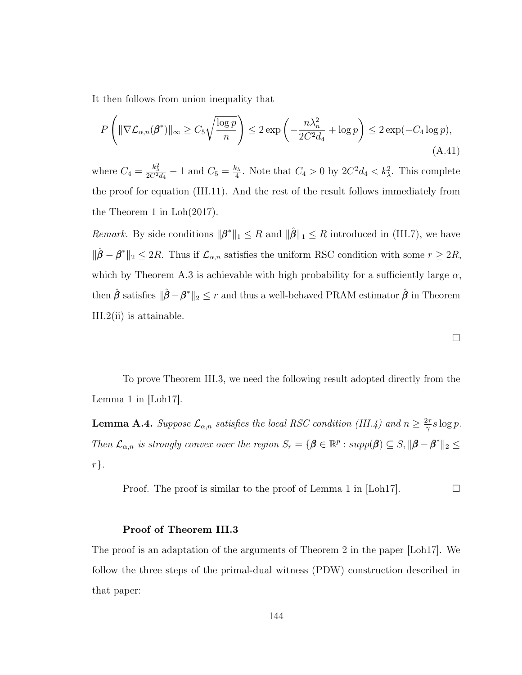It then follows from union inequality that

<span id="page-152-0"></span>
$$
P\left(\|\nabla \mathcal{L}_{\alpha,n}(\boldsymbol{\beta}^*)\|_{\infty} \ge C_5 \sqrt{\frac{\log p}{n}}\right) \le 2 \exp\left(-\frac{n\lambda_n^2}{2C^2 d_4} + \log p\right) \le 2 \exp(-C_4 \log p),\tag{A.41}
$$

where  $C_4 = \frac{k_{\lambda}^2}{2C^2 d_4} - 1$  and  $C_5 = \frac{k_{\lambda}}{4}$  $\frac{c_{\lambda}}{4}$ . Note that  $C_4 > 0$  by  $2C^2d_4 < k_{\lambda}^2$ . This complete the proof for equation [\(III.11\)](#page-76-1). And the rest of the result follows immediately from the Theorem 1 in Loh(2017).

*Remark*. By side conditions  $\|\boldsymbol{\beta}^*\|_1 \leq R$  and  $\|\hat{\boldsymbol{\beta}}\|_1 \leq R$  introduced in [\(III.7\)](#page-71-0), we have  $\|\hat{\boldsymbol{\beta}} - \boldsymbol{\beta}^*\|_2 \leq 2R$ . Thus if  $\mathcal{L}_{\alpha,n}$  satisfies the uniform RSC condition with some  $r \geq 2R$ , which by Theorem [A.3](#page-143-0) is achievable with high probability for a sufficiently large  $\alpha$ , then  $\hat{\beta}$  satisfies  $\|\hat{\beta}-\beta^*\|_2 \leq r$  and thus a well-behaved PRAM estimator  $\hat{\beta}$  in Theorem [III.2\(](#page-76-0)ii) is attainable.

$$
\Box
$$

To prove Theorem [III.3,](#page-78-0) we need the following result adopted directly from the Lemma 1 in [\[Loh17\]](#page-126-0).

**Lemma A.4.** Suppose  $\mathcal{L}_{\alpha,n}$  satisfies the local RSC condition [\(III.4\)](#page-75-0) and  $n \geq \frac{2\tau}{\gamma}$  $rac{2\tau}{\gamma} s \log p.$ Then  $\mathcal{L}_{\alpha,n}$  is strongly convex over the region  $S_r = {\mathbf{\beta} \in \mathbb{R}^p : supp(\mathbf{\beta}) \subseteq S, ||\mathbf{\beta} - \mathbf{\beta}^*||_2 \leq \mathbf{\beta}$  $r$ .

Proof. The proof is similar to the proof of Lemma 1 in [\[Loh17\]](#page-126-0).  $\Box$ 

### Proof of Theorem [III.3](#page-78-0)

The proof is an adaptation of the arguments of Theorem 2 in the paper [\[Loh17\]](#page-126-0). We follow the three steps of the primal-dual witness (PDW) construction described in that paper: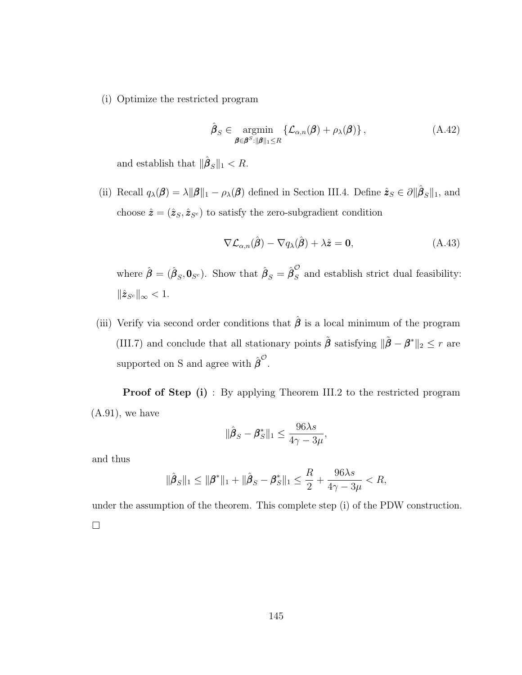(i) Optimize the restricted program

$$
\hat{\boldsymbol{\beta}}_{S} \in \underset{\boldsymbol{\beta} \in \boldsymbol{\beta}^{S}: \|\boldsymbol{\beta}\|_{1} \leq R}{\operatorname{argmin}} \left\{ \mathcal{L}_{\alpha,n}(\boldsymbol{\beta}) + \rho_{\lambda}(\boldsymbol{\beta}) \right\},\tag{A.42}
$$

and establish that  $\|\hat{\boldsymbol{\beta}}_S\|_1 < R$ .

(ii) Recall  $q_{\lambda}(\boldsymbol{\beta}) = \lambda ||\boldsymbol{\beta}||_1 - \rho_{\lambda}(\boldsymbol{\beta})$  defined in Section [III.4.](#page-80-0) Define  $\hat{\boldsymbol{z}}_{S} \in \partial ||\hat{\boldsymbol{\beta}}_{S}||_1$ , and choose  $\hat{\pmb{z}} = (\hat{\pmb{z}}_S, \hat{\pmb{z}}_{S^c})$  to satisfy the zero-subgradient condition

$$
\nabla \mathcal{L}_{\alpha,n}(\hat{\boldsymbol{\beta}}) - \nabla q_{\lambda}(\hat{\boldsymbol{\beta}}) + \lambda \hat{\boldsymbol{z}} = \mathbf{0}, \qquad (A.43)
$$

where  $\hat{\boldsymbol{\beta}} = (\hat{\boldsymbol{\beta}}_S, \mathbf{0}_{S^c})$ . Show that  $\hat{\boldsymbol{\beta}}_S = \hat{\boldsymbol{\beta}}_S^{\mathcal{O}}$  $\sum_{S}$  and establish strict dual feasibility:  $\|\hat{\boldsymbol{z}}_{S^c}\|_{\infty} < 1.$ 

(iii) Verify via second order conditions that  $\hat{\beta}$  is a local minimum of the program [\(III.7\)](#page-71-0) and conclude that all stationary points  $\tilde{\beta}$  satisfying  $\|\tilde{\beta} - \beta^*\|_2 \leq r$  are supported on S and agree with  $\hat{\boldsymbol{\beta}}^{\mathcal{O}}$ .

Proof of Step (i) : By applying Theorem [III.2](#page-76-0) to the restricted program  $(A.91)$ , we have

$$
\|\hat{\boldsymbol{\beta}}_S - \boldsymbol{\beta}_S^*\|_1 \le \frac{96\lambda s}{4\gamma - 3\mu},
$$

and thus

$$
\|\hat{\boldsymbol{\beta}}_S\|_1 \le \|\boldsymbol{\beta}^*\|_1 + \|\hat{\boldsymbol{\beta}}_S - \boldsymbol{\beta}_S^*\|_1 \le \frac{R}{2} + \frac{96\lambda s}{4\gamma - 3\mu} < R,
$$

under the assumption of the theorem. This complete step (i) of the PDW construction.  $\Box$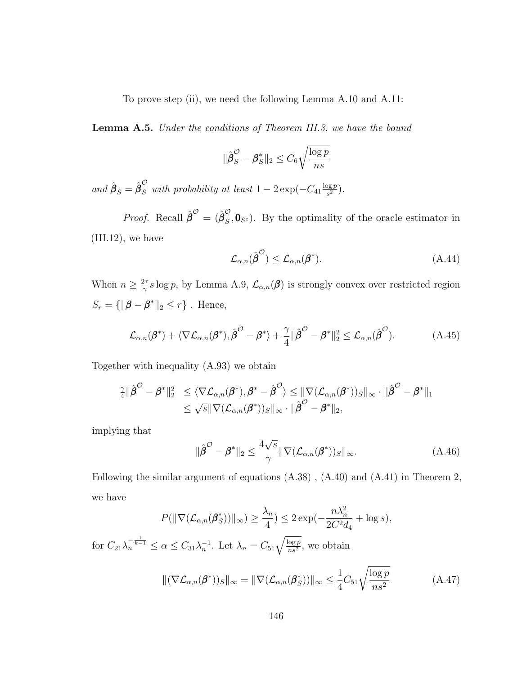To prove step (ii), we need the following Lemma [A.10](#page-172-0) and [A.11:](#page-174-0)

**Lemma A.5.** Under the conditions of Theorem [III.3,](#page-78-0) we have the bound

$$
\|\hat{\pmb{\beta}}_S^{\mathcal{O}} - \pmb{\beta}_S^*\|_2 \le C_6 \sqrt{\frac{\log p}{ns}}
$$

and  $\hat{\boldsymbol{\beta}}_S = \hat{\boldsymbol{\beta}}_S^{\mathcal{O}}$  with probability at least  $1 - 2 \exp(-C_{41} \frac{\log p}{s^2})$  $\frac{\log p}{s^2}$ .

*Proof.* Recall  $\hat{\boldsymbol{\beta}}^{\mathcal{O}} = (\hat{\boldsymbol{\beta}}_S^{\mathcal{O}})$  $S_{\mathcal{S}}$ ,  $\mathbf{0}_{S^c}$ ). By the optimality of the oracle estimator in  $(III.12)$ , we have

$$
\mathcal{L}_{\alpha,n}(\hat{\boldsymbol{\beta}}^{\mathcal{O}}) \leq \mathcal{L}_{\alpha,n}(\boldsymbol{\beta}^*). \tag{A.44}
$$

When  $n \geq \frac{2\tau}{\gamma}$  $\frac{2\pi}{\gamma}s\log p$ , by Lemma [A.9,](#page-171-1)  $\mathcal{L}_{\alpha,n}(\beta)$  is strongly convex over restricted region  $S_r = \{ ||\boldsymbol{\beta} - \boldsymbol{\beta}^*||_2 \leq r \}$ . Hence,

$$
\mathcal{L}_{\alpha,n}(\beta^*) + \langle \nabla \mathcal{L}_{\alpha,n}(\beta^*), \hat{\beta}^{\circ} - \beta^* \rangle + \frac{\gamma}{4} \|\hat{\beta}^{\circ} - \beta^*\|_2^2 \leq \mathcal{L}_{\alpha,n}(\hat{\beta}^{\circ}). \tag{A.45}
$$

Together with inequality [\(A.93\)](#page-172-1) we obtain

$$
\frac{\gamma}{4} \|\hat{\boldsymbol{\beta}}^{\mathcal{O}} - \boldsymbol{\beta}^*\|_2^2 \leq \langle \nabla \mathcal{L}_{\alpha,n}(\boldsymbol{\beta}^*), \boldsymbol{\beta}^* - \hat{\boldsymbol{\beta}}^{\mathcal{O}} \rangle \leq \|\nabla (\mathcal{L}_{\alpha,n}(\boldsymbol{\beta}^*))_{S}\|_{\infty} \cdot \|\hat{\boldsymbol{\beta}}^{\mathcal{O}} - \boldsymbol{\beta}^*\|_1 \leq \sqrt{s} \|\nabla (\mathcal{L}_{\alpha,n}(\boldsymbol{\beta}^*))_{S}\|_{\infty} \cdot \|\hat{\boldsymbol{\beta}}^{\mathcal{O}} - \boldsymbol{\beta}^*\|_2,
$$

implying that

$$
\|\hat{\boldsymbol{\beta}}^{\mathcal{O}} - \boldsymbol{\beta}^*\|_2 \le \frac{4\sqrt{s}}{\gamma} \|\nabla (\mathcal{L}_{\alpha,n}(\boldsymbol{\beta}^*))_S\|_{\infty}.
$$
\n(A.46)

Following the similar argument of equations [\(A.38\)](#page-151-3) , [\(A.40\)](#page-151-4) and [\(A.41\)](#page-152-0) in Theorem 2, we have

$$
P(\|\nabla(\mathcal{L}_{\alpha,n}(\beta_S^*))\|_{\infty}) \ge \frac{\lambda_n}{4}) \le 2 \exp(-\frac{n\lambda_n^2}{2C^2d_4} + \log s),
$$
  
for  $C_{21}\lambda_n^{-\frac{1}{k-1}} \le \alpha \le C_{31}\lambda_n^{-1}$ . Let  $\lambda_n = C_{51}\sqrt{\frac{\log p}{ns^2}}$ , we obtain

$$
\|(\nabla \mathcal{L}_{\alpha,n}(\boldsymbol{\beta}^*))_{S}\|_{\infty} = \|\nabla (\mathcal{L}_{\alpha,n}(\boldsymbol{\beta}_S^*))\|_{\infty} \le \frac{1}{4} C_{51} \sqrt{\frac{\log p}{n s^2}}
$$
(A.47)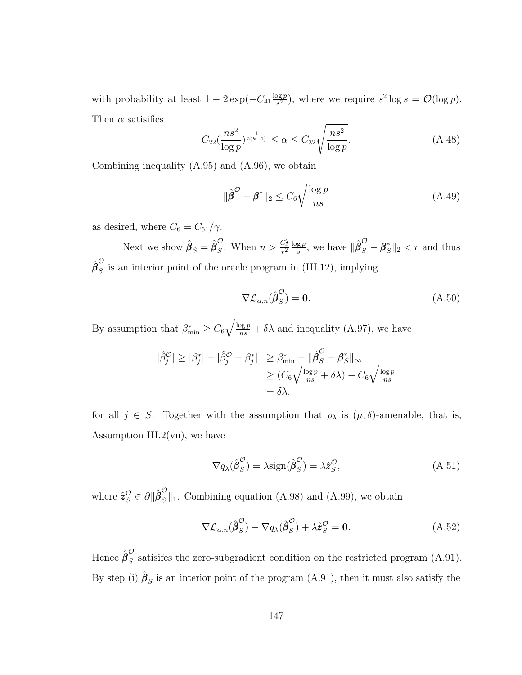with probability at least  $1 - 2 \exp(-C_{41} \frac{\log p}{s^2})$  $\frac{\log p}{s^2}$ ), where we require  $s^2 \log s = \mathcal{O}(\log p)$ . Then  $\alpha$  satisifies

<span id="page-155-0"></span>
$$
C_{22}\left(\frac{ns^2}{\log p}\right)^{\frac{1}{2(k-1)}} \le \alpha \le C_{32}\sqrt{\frac{ns^2}{\log p}}.\tag{A.48}
$$

Combining inequality [\(A.95\)](#page-173-0) and [\(A.96\)](#page-173-1), we obtain

$$
\|\hat{\boldsymbol{\beta}}^{\mathcal{O}} - \boldsymbol{\beta}^*\|_2 \le C_6 \sqrt{\frac{\log p}{ns}} \tag{A.49}
$$

as desired, where  $C_6 = C_{51}/\gamma$ .

Next we show  $\hat{\boldsymbol{\beta}}_S = \hat{\boldsymbol{\beta}}_S^{\mathcal{O}}$  $\frac{C_6}{S}$ . When  $n > \frac{C_6^2}{r^2} \frac{\log p}{s}$  $\frac{g p}{s}$ , we have  $\|\hat{\boldsymbol{\beta}}_S^{\mathcal{O}} - \boldsymbol{\beta}_S^*\|_2 < r$  and thus  $\hat{{\boldsymbol \beta}}_S^{\mathcal O}$  $\tilde{S}$  is an interior point of the oracle program in [\(III.12\)](#page-77-0), implying

$$
\nabla \mathcal{L}_{\alpha,n}(\hat{\beta}_S^{\mathcal{O}}) = \mathbf{0}.\tag{A.50}
$$

By assumption that  $\beta_{\min}^* \geq C_6 \sqrt{\frac{\log p}{ns}} + \delta \lambda$  and inequality [\(A.97\)](#page-173-2), we have

$$
|\hat{\beta}_j^{\mathcal{O}}| \geq |\beta_j^*| - |\hat{\beta}_j^{\mathcal{O}} - \beta_j^*| \geq \beta_{\min}^* - ||\hat{\beta}_S^{\mathcal{O}} - \beta_S^*||_{\infty}
$$
  
\n
$$
\geq (C_6 \sqrt{\frac{\log p}{ns}} + \delta \lambda) - C_6 \sqrt{\frac{\log p}{ns}}
$$
  
\n
$$
= \delta \lambda.
$$

for all  $j \in S$ . Together with the assumption that  $\rho_{\lambda}$  is  $(\mu, \delta)$ -amenable, that is, Assumption [III.2\(](#page-72-0)vii), we have

$$
\nabla q_{\lambda}(\hat{\boldsymbol{\beta}}_{S}^{\mathcal{O}}) = \lambda \text{sign}(\hat{\boldsymbol{\beta}}_{S}^{\mathcal{O}}) = \lambda \hat{\boldsymbol{z}}_{S}^{\mathcal{O}},
$$
\n(A.51)

where  $\hat{\mathbf{z}}_S^{\mathcal{O}} \in \partial \|\hat{\boldsymbol{\beta}}_S^{\mathcal{O}}\|_1$ . Combining equation [\(A.98\)](#page-173-3) and [\(A.99\)](#page-173-4), we obtain

$$
\nabla \mathcal{L}_{\alpha,n}(\hat{\boldsymbol{\beta}}_S^{\mathcal{O}}) - \nabla q_\lambda(\hat{\boldsymbol{\beta}}_S^{\mathcal{O}}) + \lambda \hat{z}_S^{\mathcal{O}} = \mathbf{0}.\tag{A.52}
$$

Hence  $\hat{{\boldsymbol \beta}}_S^{\cal O}$  $\tilde{S}$  satisifes the zero-subgradient condition on the restricted program [\(A.91\)](#page-171-0). By step (i)  $\hat{\beta}_S$  is an interior point of the program [\(A.91\)](#page-171-0), then it must also satisfy the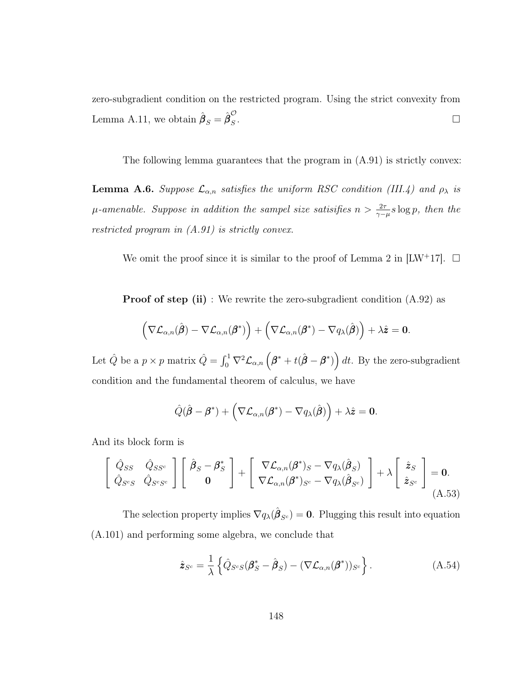zero-subgradient condition on the restricted program. Using the strict convexity from Lemma [A.11,](#page-174-0) we obtain  $\hat{\boldsymbol{\beta}}_S = \hat{\boldsymbol{\beta}}_S^{\mathcal{O}}$ S .

The following lemma guarantees that the program in [\(A.91\)](#page-171-0) is strictly convex:

**Lemma A.6.** Suppose  $\mathcal{L}_{\alpha,n}$  satisfies the uniform RSC condition [\(III.4\)](#page-75-0) and  $\rho_{\lambda}$  is  $\mu$ -amenable. Suppose in addition the sampel size satisifies  $n > \frac{2\tau}{\gamma - \mu} s \log p$ , then the restricted program in [\(A.91\)](#page-171-0) is strictly convex.

We omit the proof since it is similar to the proof of Lemma 2 in  $[{\rm LW}^+17]$ .  $\square$ 

Proof of step (ii) : We rewrite the zero-subgradient condition  $(A.92)$  as

$$
\left(\nabla \mathcal{L}_{\alpha,n}(\hat{\boldsymbol{\beta}}) - \nabla \mathcal{L}_{\alpha,n}(\boldsymbol{\beta}^*)\right) + \left(\nabla \mathcal{L}_{\alpha,n}(\boldsymbol{\beta}^*) - \nabla q_\lambda(\hat{\boldsymbol{\beta}})\right) + \lambda \hat{\boldsymbol{z}} = \mathbf{0}.
$$

Let  $\hat{Q}$  be a  $p \times p$  matrix  $\hat{Q} = \int_0^1 \nabla^2 \mathcal{L}_{\alpha,n} \left( \boldsymbol{\beta}^* + t(\hat{\boldsymbol{\beta}} - \boldsymbol{\beta}^*) \right) dt$ . By the zero-subgradient condition and the fundamental theorem of calculus, we have

$$
\hat{Q}(\hat{\boldsymbol{\beta}} - \boldsymbol{\beta}^*) + (\nabla \mathcal{L}_{\alpha,n}(\boldsymbol{\beta}^*) - \nabla q_{\lambda}(\hat{\boldsymbol{\beta}})) + \lambda \hat{z} = 0.
$$

And its block form is

$$
\begin{bmatrix}\n\hat{Q}_{SS} & \hat{Q}_{SS^c} \\
\hat{Q}_{S^cS} & \hat{Q}_{S^cS^c}\n\end{bmatrix}\n\begin{bmatrix}\n\hat{\beta}_S - \beta_S^* \\
0\n\end{bmatrix} +\n\begin{bmatrix}\n\nabla \mathcal{L}_{\alpha,n}(\beta^*)_S - \nabla q_\lambda(\hat{\beta}_S) \\
\nabla \mathcal{L}_{\alpha,n}(\beta^*)_{S^c} - \nabla q_\lambda(\hat{\beta}_{S^c})\n\end{bmatrix} + \lambda\n\begin{bmatrix}\n\hat{z}_S \\
\hat{z}_{S^c}\n\end{bmatrix} = 0.
$$
\n(A.53)

The selection property implies  $\nabla q_{\lambda}(\hat{\boldsymbol{\beta}}_{S^c}) = \mathbf{0}$ . Plugging this result into equation [\(A.101\)](#page-175-0) and performing some algebra, we conclude that

$$
\hat{\mathbf{z}}_{S^c} = \frac{1}{\lambda} \left\{ \hat{Q}_{S^c S} (\boldsymbol{\beta}_S^* - \hat{\boldsymbol{\beta}}_S) - (\nabla \mathcal{L}_{\alpha, n}(\boldsymbol{\beta}^*))_{S^c} \right\}.
$$
\n(A.54)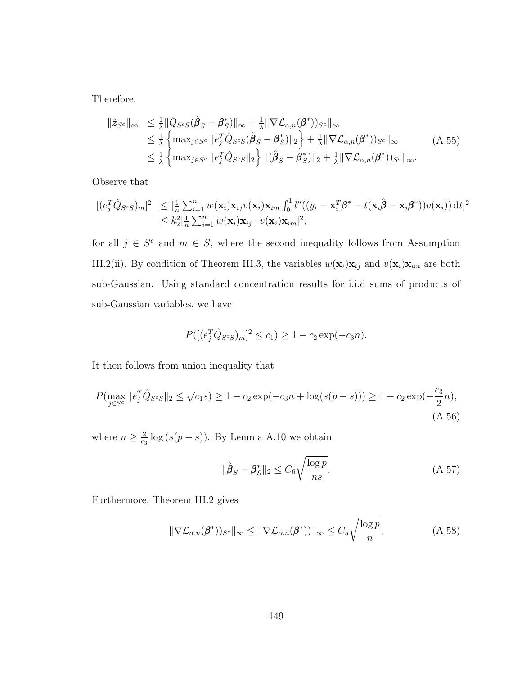Therefore,

$$
\|\hat{\mathbf{z}}_{S^c}\|_{\infty} \leq \frac{1}{\lambda} \|\hat{Q}_{S^cS}(\hat{\boldsymbol{\beta}}_S - \boldsymbol{\beta}_S^*)\|_{\infty} + \frac{1}{\lambda} \|\nabla \mathcal{L}_{\alpha,n}(\boldsymbol{\beta}^*))_{S^c}\|_{\infty} \leq \frac{1}{\lambda} \left\{ \max_{j \in S^c} \|e_j^T \hat{Q}_{S^cS}(\hat{\boldsymbol{\beta}}_S - \boldsymbol{\beta}_S^*)\|_2 \right\} + \frac{1}{\lambda} \|\nabla \mathcal{L}_{\alpha,n}(\boldsymbol{\beta}^*))_{S^c}\|_{\infty} \leq \frac{1}{\lambda} \left\{ \max_{j \in S^c} \|e_j^T \hat{Q}_{S^cS}\|_2 \right\} \|(\hat{\boldsymbol{\beta}}_S - \boldsymbol{\beta}_S^*)\|_2 + \frac{1}{\lambda} \|\nabla \mathcal{L}_{\alpha,n}(\boldsymbol{\beta}^*))_{S^c}\|_{\infty}.
$$
\n(A.55)

Observe that

$$
\begin{array}{ll}\n[(e_j^T \hat{Q}_{S^cS})_m]^2 & \leq \left[\frac{1}{n} \sum_{i=1}^n w(\mathbf{x}_i) \mathbf{x}_{ij} v(\mathbf{x}_i) \mathbf{x}_{im} \int_0^1 l''((y_i - \mathbf{x}_i^T \boldsymbol{\beta}^* - t(\mathbf{x}_i \hat{\boldsymbol{\beta}} - \mathbf{x}_i \boldsymbol{\beta}^*)) v(\mathbf{x}_i)) \, \mathrm{d}t\right]^2 \\
& \leq k_2^2 \left[\frac{1}{n} \sum_{i=1}^n w(\mathbf{x}_i) \mathbf{x}_{ij} \cdot v(\mathbf{x}_i) \mathbf{x}_{im}\right]^2,\n\end{array}
$$

for all  $j \in S^c$  and  $m \in S$ , where the second inequality follows from Assumption [III.2\(](#page-72-0)ii). By condition of Theorem [III.3,](#page-78-0) the variables  $w(\mathbf{x}_i)\mathbf{x}_{ij}$  and  $v(\mathbf{x}_i)\mathbf{x}_{im}$  are both sub-Gaussian. Using standard concentration results for i.i.d sums of products of sub-Gaussian variables, we have

$$
P([(e_j^T\hat{Q}_{S^cS})_m]^2 \le c_1) \ge 1 - c_2 \exp(-c_3n).
$$

It then follows from union inequality that

$$
P(\max_{j \in S^c} ||e_j^T \hat{Q}_{S^c S}||_2 \le \sqrt{c_1 s}) \ge 1 - c_2 \exp(-c_3 n + \log(s(p-s))) \ge 1 - c_2 \exp(-\frac{c_3}{2}n),
$$
\n(A.56)

where  $n \geq \frac{2}{c}$  $\frac{2}{c_3}$  log  $(s(p-s))$ . By Lemma [A.10](#page-172-0) we obtain

$$
\|\hat{\boldsymbol{\beta}}_S - \boldsymbol{\beta}_S^*\|_2 \le C_6 \sqrt{\frac{\log p}{ns}}.\tag{A.57}
$$

Furthermore, Theorem [III.2](#page-76-0) gives

$$
\|\nabla \mathcal{L}_{\alpha,n}(\boldsymbol{\beta}^*))_{S^c}\|_{\infty} \le \|\nabla \mathcal{L}_{\alpha,n}(\boldsymbol{\beta}^*))\|_{\infty} \le C_5 \sqrt{\frac{\log p}{n}},\tag{A.58}
$$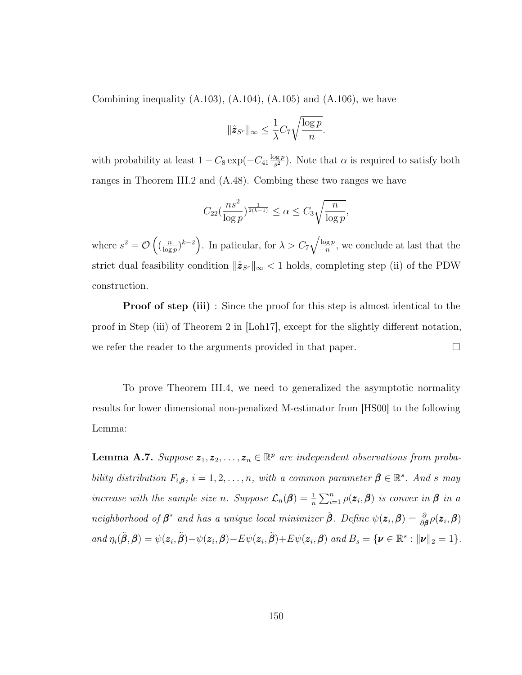Combining inequality  $(A.103)$ ,  $(A.104)$ ,  $(A.105)$  and  $(A.106)$ , we have

$$
\|\hat{\mathbf{z}}_{S^c}\|_{\infty} \leq \frac{1}{\lambda}C_7\sqrt{\frac{\log p}{n}}.
$$

with probability at least  $1 - C_8 \exp(-C_{41} \frac{\log p}{s^2})$  $\frac{\log p}{s^2}$ ). Note that  $\alpha$  is required to satisfy both ranges in Theorem [III.2](#page-76-0) and [\(A.48\)](#page-155-0). Combing these two ranges we have

$$
C_{22}(\frac{ns^2}{\log p})^{\frac{1}{2(k-1)}} \le \alpha \le C_3 \sqrt{\frac{n}{\log p}},
$$

where  $s^2 = \mathcal{O}\left(\left(\frac{n}{\log n}\right)\right)$  $\frac{n}{\log p}$ ,  $k-2$ ). In paticular, for  $\lambda > C_7 \sqrt{\frac{\log p}{n}}$  $\frac{qg p}{n}$ , we conclude at last that the strict dual feasibility condition  $\|\hat{z}_{S^c}\|_{\infty}$  < 1 holds, completing step (ii) of the PDW construction.

**Proof of step (iii)**: Since the proof for this step is almost identical to the proof in Step (iii) of Theorem 2 in [\[Loh17\]](#page-126-0), except for the slightly different notation, we refer the reader to the arguments provided in that paper.  $\Box$ 

To prove Theorem [III.4,](#page-79-0) we need to generalized the asymptotic normality results for lower dimensional non-penalized M-estimator from [\[HS00\]](#page-125-0) to the following Lemma:

<span id="page-158-0"></span>**Lemma A.7.** Suppose  $z_1, z_2, \ldots, z_n \in \mathbb{R}^p$  are independent observations from probability distribution  $F_{i,\beta}$ ,  $i = 1, 2, ..., n$ , with a common parameter  $\beta \in \mathbb{R}^s$ . And s may increase with the sample size n. Suppose  $\mathcal{L}_n(\beta) = \frac{1}{n} \sum_{i=1}^n \rho(z_i, \beta)$  is convex in  $\beta$  in a neighborhood of  $\beta^*$  and has a unique local minimizer  $\hat{\beta}$ . Define  $\psi(z_i, \beta) = \frac{\partial}{\partial \beta} \rho(z_i, \beta)$ and  $\eta_i(\tilde{\boldsymbol{\beta}}, \boldsymbol{\beta}) = \psi(z_i, \tilde{\boldsymbol{\beta}}) - \psi(z_i, \boldsymbol{\beta}) - E\psi(z_i, \tilde{\boldsymbol{\beta}}) + E\psi(z_i, \boldsymbol{\beta})$  and  $B_s = \{ \boldsymbol{\nu} \in \mathbb{R}^s : ||\boldsymbol{\nu}||_2 = 1 \}.$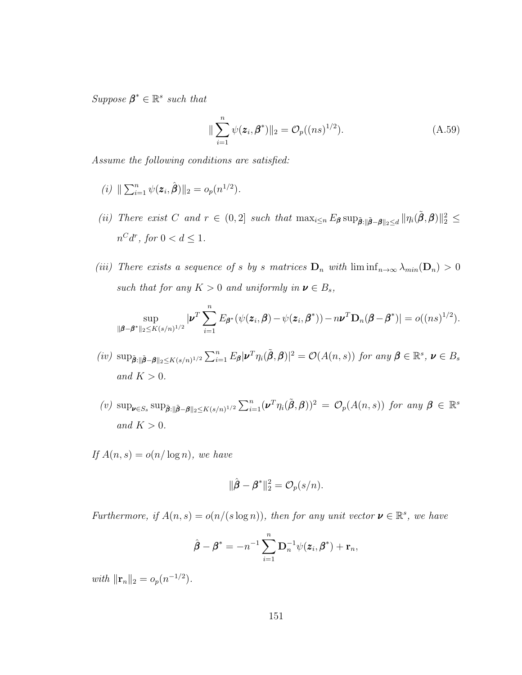Suppose  $\beta^* \in \mathbb{R}^s$  such that

<span id="page-159-0"></span>
$$
\|\sum_{i=1}^{n} \psi(\mathbf{z}_i, \boldsymbol{\beta}^*)\|_2 = O_p((ns)^{1/2}).
$$
\n(A.59)

Assume the following conditions are satisfied:

- (*i*)  $\|\sum_{i=1}^n \psi(\mathbf{z}_i, \hat{\boldsymbol{\beta}})\|_2 = o_p(n^{1/2}).$
- (ii) There exist C and  $r \in (0,2]$  such that  $\max_{i \leq n} E_{\boldsymbol{\beta}} \sup_{\tilde{\boldsymbol{\beta}} \in \tilde{\boldsymbol{\beta}} \boldsymbol{\beta} \|\geq \leq d} ||\eta_i(\tilde{\boldsymbol{\beta}}, \boldsymbol{\beta})||_2^2 \leq$  $n^C d^r$ , for  $0 < d \leq 1$ .
- (iii) There exists a sequence of s by s matrices  $D_n$  with  $\liminf_{n\to\infty} \lambda_{min}(D_n) > 0$ such that for any  $K > 0$  and uniformly in  $\mathbf{v} \in B_s$ ,

$$
\sup_{\|\boldsymbol{\beta}-\boldsymbol{\beta}^*\|_2\leq K(s/n)^{1/2}}|\boldsymbol{\nu}^T\sum_{i=1}^nE_{\boldsymbol{\beta}^*}(\psi(\boldsymbol{z}_i,\boldsymbol{\beta})-\psi(\boldsymbol{z}_i,\boldsymbol{\beta}^*))-n\boldsymbol{\nu}^T\mathbf{D}_n(\boldsymbol{\beta}-\boldsymbol{\beta}^*)|=o((ns)^{1/2}).
$$

- (iv)  $\sup_{\tilde{\boldsymbol{\beta}}:\|\tilde{\boldsymbol{\beta}}-\boldsymbol{\beta}\|_2\leq K(s/n)^{1/2}} \sum_{i=1}^n E_{\boldsymbol{\beta}} |\boldsymbol{\nu}^T \eta_i(\tilde{\boldsymbol{\beta}}, \boldsymbol{\beta})|^2 = \mathcal{O}(A(n, s))$  for any  $\boldsymbol{\beta} \in \mathbb{R}^s$ ,  $\boldsymbol{\nu} \in B_s$ and  $K > 0$ .
- (v)  $\sup_{\boldsymbol{\nu} \in S_s} \sup_{\tilde{\boldsymbol{\beta}} : \|\tilde{\boldsymbol{\beta}} \boldsymbol{\beta}\|_2 \le K(s/n)^{1/2}} \sum_{i=1}^n (\boldsymbol{\nu}^T \eta_i(\tilde{\boldsymbol{\beta}}, \boldsymbol{\beta}))^2 = \mathcal{O}_p(A(n, s))$  for any  $\boldsymbol{\beta} \in \mathbb{R}^s$ and  $K > 0$ .
- If  $A(n, s) = o(n/\log n)$ , we have

$$
\|\hat{\pmb{\beta}}-\pmb{\beta}^*\|_2^2=\mathcal{O}_p(s/n).
$$

Furthermore, if  $A(n,s) = o(n/(s \log n))$ , then for any unit vector  $\mathbf{v} \in \mathbb{R}^s$ , we have

$$
\hat{\boldsymbol{\beta}} - \boldsymbol{\beta}^* = -n^{-1} \sum_{i=1}^n \mathbf{D}_n^{-1} \psi(\boldsymbol{z}_i, \boldsymbol{\beta}^*) + \mathbf{r}_n,
$$

with  $\|\mathbf{r}_n\|_2 = o_p(n^{-1/2})$ .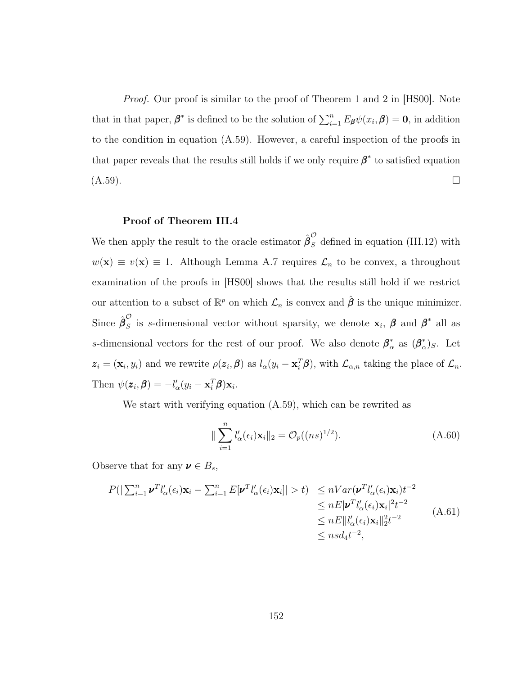*Proof.* Our proof is similar to the proof of Theorem 1 and 2 in [\[HS00\]](#page-125-0). Note that in that paper,  $\beta^*$  is defined to be the solution of  $\sum_{i=1}^n E_{\beta}\psi(x_i,\beta) = 0$ , in addition to the condition in equation [\(A.59\)](#page-159-0). However, a careful inspection of the proofs in that paper reveals that the results still holds if we only require  $\beta^*$  to satisfied equation  $(A.59)$ .

### Proof of Theorem [III.4](#page-79-0)

We then apply the result to the oracle estimator  $\hat{\beta}_S^{\mathcal{O}}$  defined in equation [\(III.12\)](#page-77-0) with  $w(\mathbf{x}) \equiv v(\mathbf{x}) \equiv 1$ . Although Lemma [A.7](#page-158-0) requires  $\mathcal{L}_n$  to be convex, a throughout examination of the proofs in [\[HS00\]](#page-125-0) shows that the results still hold if we restrict our attention to a subset of  $\mathbb{R}^p$  on which  $\mathcal{L}_n$  is convex and  $\hat{\beta}$  is the unique minimizer. Since  $\hat{\boldsymbol{\beta}}_S^{\mathcal{O}}$ s is s-dimensional vector without sparsity, we denote  $\mathbf{x}_i$ ,  $\boldsymbol{\beta}$  and  $\boldsymbol{\beta}^*$  all as s-dimensional vectors for the rest of our proof. We also denote  $\beta_{\alpha}^*$  $_{\alpha}^{*}$  as  $(\beta_{\alpha}^{*}% )_{\alpha}$  $(\alpha)^{*}_{S}$ . Let  $z_i = (\mathbf{x}_i, y_i)$  and we rewrite  $\rho(z_i, \boldsymbol{\beta})$  as  $l_{\alpha}(y_i - \mathbf{x}_i^T \boldsymbol{\beta})$ , with  $\mathcal{L}_{\alpha,n}$  taking the place of  $\mathcal{L}_n$ . Then  $\psi(z_i, \beta) = -l'_{\alpha}(y_i - \mathbf{x}_i^T \beta)\mathbf{x}_i$ .

We start with verifying equation [\(A.59\)](#page-159-0), which can be rewrited as

<span id="page-160-0"></span>
$$
\|\sum_{i=1}^{n} l'_{\alpha}(\epsilon_i) \mathbf{x}_i\|_2 = O_p((ns)^{1/2}).
$$
\n(A.60)

Observe that for any  $\boldsymbol{\nu} \in B_s$ ,

$$
P(|\sum_{i=1}^{n} \boldsymbol{\nu}^{T} l_{\alpha}^{\prime}(\epsilon_{i}) \mathbf{x}_{i} - \sum_{i=1}^{n} E[\boldsymbol{\nu}^{T} l_{\alpha}^{\prime}(\epsilon_{i}) \mathbf{x}_{i}]| > t) \leq nVar(\boldsymbol{\nu}^{T} l_{\alpha}^{\prime}(\epsilon_{i}) \mathbf{x}_{i})t^{-2} \leq nE|\boldsymbol{\nu}^{T} l_{\alpha}^{\prime}(\epsilon_{i}) \mathbf{x}_{i}|^{2}t^{-2} \leq nE||l_{\alpha}^{\prime}(\epsilon_{i}) \mathbf{x}_{i}||_{2}^{2}t^{-2} \leq nE||l_{\alpha}^{\prime}(\epsilon_{i}) \mathbf{x}_{i}||_{2}^{2}t^{-2}
$$
\n(A.61)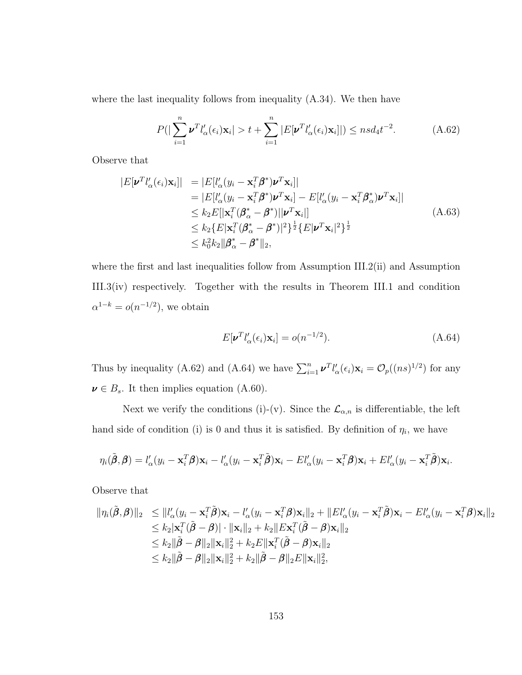where the last inequality follows from inequality [\(A.34\)](#page-149-2). We then have

<span id="page-161-0"></span>
$$
P(|\sum_{i=1}^{n} \boldsymbol{\nu}^T l_{\alpha}'(\epsilon_i) \mathbf{x}_i| > t + \sum_{i=1}^{n} |E[\boldsymbol{\nu}^T l_{\alpha}'(\epsilon_i) \mathbf{x}_i]|) \leq n s d_4 t^{-2}.
$$
 (A.62)

Observe that

$$
|E[\boldsymbol{\nu}^T l'_{\alpha}(\epsilon_i) \mathbf{x}_i]| = |E[l'_{\alpha}(y_i - \mathbf{x}_i^T \boldsymbol{\beta}^*) \boldsymbol{\nu}^T \mathbf{x}_i]|
$$
  
\n
$$
= |E[l'_{\alpha}(y_i - \mathbf{x}_i^T \boldsymbol{\beta}^*) \boldsymbol{\nu}^T \mathbf{x}_i] - E[l'_{\alpha}(y_i - \mathbf{x}_i^T \boldsymbol{\beta}^*_{\alpha}) \boldsymbol{\nu}^T \mathbf{x}_i]|
$$
  
\n
$$
\leq k_2 E[|\mathbf{x}_i^T (\boldsymbol{\beta}^*_{\alpha} - \boldsymbol{\beta}^*)||\boldsymbol{\nu}^T \mathbf{x}_i]|
$$
  
\n
$$
\leq k_2 \{E|\mathbf{x}_i^T (\boldsymbol{\beta}^*_{\alpha} - \boldsymbol{\beta}^*)|^2\}^{\frac{1}{2}} \{E|\boldsymbol{\nu}^T \mathbf{x}_i|^2\}^{\frac{1}{2}}
$$
  
\n
$$
\leq k_0^2 k_2 ||\boldsymbol{\beta}^*_{\alpha} - \boldsymbol{\beta}^*||_2,
$$
\n(A.63)

where the first and last inequalities follow from Assumption [III.2\(](#page-72-0)ii) and Assumption [III.3\(](#page-74-0)iv) respectively. Together with the results in Theorem [III.1](#page-75-1) and condition  $\alpha^{1-k} = o(n^{-1/2})$ , we obtain

<span id="page-161-1"></span>
$$
E[\mathbf{v}^T l'_{\alpha}(\epsilon_i) \mathbf{x}_i] = o(n^{-1/2}).
$$
\n(A.64)

Thus by inequality [\(A.62\)](#page-161-0) and [\(A.64\)](#page-161-1) we have  $\sum_{i=1}^{n} \nu^{T} l'_{\alpha}(\epsilon_{i}) \mathbf{x}_{i} = \mathcal{O}_{p}((ns)^{1/2})$  for any  $\boldsymbol{\nu} \in B_s$ . It then implies equation [\(A.60\)](#page-160-0).

Next we verify the conditions (i)-(v). Since the  $\mathcal{L}_{\alpha,n}$  is differentiable, the left hand side of condition (i) is 0 and thus it is satisfied. By definition of  $\eta_i$ , we have

$$
\eta_i(\tilde{\boldsymbol{\beta}},\boldsymbol{\beta})=l'_{\alpha}(y_i-\mathbf{x}_i^T\boldsymbol{\beta})\mathbf{x}_i-l'_{\alpha}(y_i-\mathbf{x}_i^T\tilde{\boldsymbol{\beta}})\mathbf{x}_i-El'_{\alpha}(y_i-\mathbf{x}_i^T\boldsymbol{\beta})\mathbf{x}_i+El'_{\alpha}(y_i-\mathbf{x}_i^T\tilde{\boldsymbol{\beta}})\mathbf{x}_i.
$$

Observe that

$$
\begin{aligned}\n\|\eta_i(\tilde{\boldsymbol{\beta}},\boldsymbol{\beta})\|_2 &\leq \|l'_{\alpha}(y_i - \mathbf{x}_i^T\tilde{\boldsymbol{\beta}})\mathbf{x}_i - l'_{\alpha}(y_i - \mathbf{x}_i^T\boldsymbol{\beta})\mathbf{x}_i\|_2 + \|El'_{\alpha}(y_i - \mathbf{x}_i^T\tilde{\boldsymbol{\beta}})\mathbf{x}_i - El'_{\alpha}(y_i - \mathbf{x}_i^T\boldsymbol{\beta})\mathbf{x}_i\|_2 \\
&\leq k_2 \|\mathbf{x}_i^T(\tilde{\boldsymbol{\beta}} - \boldsymbol{\beta})\| \cdot \|\mathbf{x}_i\|_2 + k_2 \|Ex_i^T(\tilde{\boldsymbol{\beta}} - \boldsymbol{\beta})\mathbf{x}_i\|_2 \\
&\leq k_2 \|\tilde{\boldsymbol{\beta}} - \boldsymbol{\beta}\|_2 \|\mathbf{x}_i\|_2^2 + k_2 E \|\mathbf{x}_i^T(\tilde{\boldsymbol{\beta}} - \boldsymbol{\beta})\mathbf{x}_i\|_2 \\
&\leq k_2 \|\tilde{\boldsymbol{\beta}} - \boldsymbol{\beta}\|_2 \|\mathbf{x}_i\|_2^2 + k_2 \|\tilde{\boldsymbol{\beta}} - \boldsymbol{\beta}\|_2 E \|\mathbf{x}_i\|_2^2,\n\end{aligned}
$$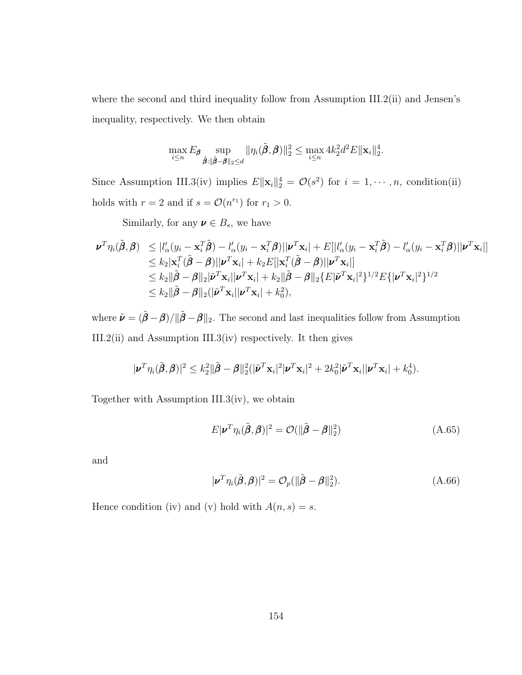where the second and third inequality follow from Assumption [III.2\(](#page-72-0)ii) and Jensen's inequality, respectively. We then obtain

$$
\max_{i\leq n} E_{\pmb{\beta}} \sup_{\tilde{\pmb{\beta}}:\|\tilde{\pmb{\beta}}-\pmb{\beta}\|_2\leq d} \|\eta_i(\tilde{\pmb{\beta}},\pmb{\beta})\|_2^2 \leq \max_{i\leq n} 4k_2^2 d^2 E \|\mathbf{x}_i\|_2^4.
$$

Since Assumption [III.3\(](#page-74-0)iv) implies  $E\|\mathbf{x}_i\|_2^4 = \mathcal{O}(s^2)$  for  $i = 1, \dots, n$ , condition(ii) holds with  $r = 2$  and if  $s = \mathcal{O}(n^{r_1})$  for  $r_1 > 0$ .

Similarly, for any  $\boldsymbol{\nu} \in B_s,$  we have

$$
\begin{split} \boldsymbol{\nu}^{T}\eta_{i}(\tilde{\boldsymbol{\beta}},\boldsymbol{\beta}) &\leq |l'_{\alpha}(y_{i}-\mathbf{x}_{i}^{T}\tilde{\boldsymbol{\beta}})-l'_{\alpha}(y_{i}-\mathbf{x}_{i}^{T}\boldsymbol{\beta})||\boldsymbol{\nu}^{T}\mathbf{x}_{i}|+E[|l'_{\alpha}(y_{i}-\mathbf{x}_{i}^{T}\tilde{\boldsymbol{\beta}})-l'_{\alpha}(y_{i}-\mathbf{x}_{i}^{T}\boldsymbol{\beta})||\boldsymbol{\nu}^{T}\mathbf{x}_{i}|] \\ &\leq k_{2}|\mathbf{x}_{i}^{T}(\tilde{\boldsymbol{\beta}}-\boldsymbol{\beta})||\boldsymbol{\nu}^{T}\mathbf{x}_{i}|+k_{2}E[|\mathbf{x}_{i}^{T}(\tilde{\boldsymbol{\beta}}-\boldsymbol{\beta})||\boldsymbol{\nu}^{T}\mathbf{x}_{i}|] \\ &\leq k_{2}||\tilde{\boldsymbol{\beta}}-\boldsymbol{\beta}||_{2}|\tilde{\boldsymbol{\nu}}^{T}\mathbf{x}_{i}||\boldsymbol{\nu}^{T}\mathbf{x}_{i}|+k_{2}||\tilde{\boldsymbol{\beta}}-\boldsymbol{\beta}||_{2}\{E|\tilde{\boldsymbol{\nu}}^{T}\mathbf{x}_{i}|^{2}\}^{1/2}E\{|\boldsymbol{\nu}^{T}\mathbf{x}_{i}|^{2}\}^{1/2} \\ &\leq k_{2}||\tilde{\boldsymbol{\beta}}-\boldsymbol{\beta}||_{2}(|\tilde{\boldsymbol{\nu}}^{T}\mathbf{x}_{i}||\boldsymbol{\nu}^{T}\mathbf{x}_{i}|+k_{0}^{2}), \end{split}
$$

where  $\tilde{\nu} = (\tilde{\beta} - \beta)/\|\tilde{\beta} - \beta\|_2$ . The second and last inequalities follow from Assumption [III.2\(](#page-72-0)ii) and Assumption [III.3\(](#page-74-0)iv) respectively. It then gives

$$
|\boldsymbol{\nu}^T\eta_i(\tilde{\boldsymbol{\beta}},\boldsymbol{\beta})|^2 \leq k_2^2 ||\tilde{\boldsymbol{\beta}} - \boldsymbol{\beta}||_2^2(|\tilde{\boldsymbol{\nu}}^T\mathbf{x}_i|^2|\boldsymbol{\nu}^T\mathbf{x}_i|^2 + 2k_0^2|\tilde{\boldsymbol{\nu}}^T\mathbf{x}_i||\boldsymbol{\nu}^T\mathbf{x}_i| + k_0^4).
$$

Together with Assumption [III.3\(](#page-74-0)iv), we obtain

$$
E|\boldsymbol{\nu}^T\eta_i(\tilde{\boldsymbol{\beta}},\boldsymbol{\beta})|^2 = \mathcal{O}(\|\tilde{\boldsymbol{\beta}} - \boldsymbol{\beta}\|_2^2)
$$
\n(A.65)

and

$$
|\boldsymbol{\nu}^T \eta_i(\tilde{\boldsymbol{\beta}}, \boldsymbol{\beta})|^2 = \mathcal{O}_p(||\tilde{\boldsymbol{\beta}} - \boldsymbol{\beta}||_2^2). \tag{A.66}
$$

Hence condition (iv) and (v) hold with  $A(n, s) = s$ .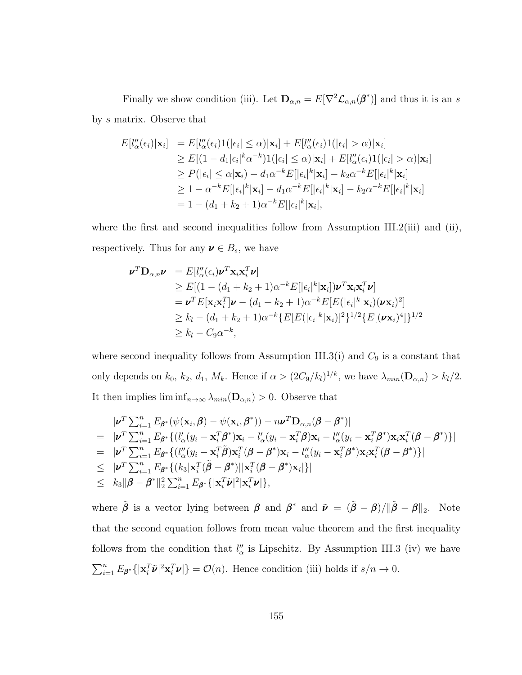Finally we show condition (iii). Let  $\mathbf{D}_{\alpha,n} = E[\nabla^2 \mathcal{L}_{\alpha,n}(\beta^*)]$  and thus it is an s by s matrix. Observe that

$$
E[l''_{\alpha}(\epsilon_{i})|\mathbf{x}_{i}] = E[l''_{\alpha}(\epsilon_{i})1(|\epsilon_{i}| \leq \alpha)|\mathbf{x}_{i}] + E[l''_{\alpha}(\epsilon_{i})1(|\epsilon_{i}| > \alpha)|\mathbf{x}_{i}]
$$
  
\n
$$
\geq E[(1-d_{1}|\epsilon_{i}|^{k}\alpha^{-k})1(|\epsilon_{i}| \leq \alpha)|\mathbf{x}_{i}] + E[l''_{\alpha}(\epsilon_{i})1(|\epsilon_{i}| > \alpha)|\mathbf{x}_{i}]
$$
  
\n
$$
\geq P(|\epsilon_{i}| \leq \alpha|\mathbf{x}_{i}) - d_{1}\alpha^{-k}E[|\epsilon_{i}|^{k}|\mathbf{x}_{i}] - k_{2}\alpha^{-k}E[|\epsilon_{i}|^{k}|\mathbf{x}_{i}]
$$
  
\n
$$
\geq 1 - \alpha^{-k}E[|\epsilon_{i}|^{k}|\mathbf{x}_{i}] - d_{1}\alpha^{-k}E[|\epsilon_{i}|^{k}|\mathbf{x}_{i}] - k_{2}\alpha^{-k}E[|\epsilon_{i}|^{k}|\mathbf{x}_{i}]
$$
  
\n
$$
= 1 - (d_{1} + k_{2} + 1)\alpha^{-k}E[|\epsilon_{i}|^{k}|\mathbf{x}_{i}],
$$

where the first and second inequalities follow from Assumption [III.2\(](#page-72-0)iii) and (ii), respectively. Thus for any  $\boldsymbol{\nu} \in B_s$ , we have

$$
\mathbf{\nu}^T \mathbf{D}_{\alpha,n} \mathbf{\nu} = E[l''_{\alpha}(\epsilon_i) \mathbf{\nu}^T \mathbf{x}_i \mathbf{x}_i^T \mathbf{\nu}]
$$
  
\n
$$
\geq E[(1 - (d_1 + k_2 + 1)\alpha^{-k} E[|\epsilon_i|^k | \mathbf{x}_i]) \mathbf{\nu}^T \mathbf{x}_i \mathbf{x}_i^T \mathbf{\nu}]
$$
  
\n
$$
= \mathbf{\nu}^T E[\mathbf{x}_i \mathbf{x}_i^T] \mathbf{\nu} - (d_1 + k_2 + 1)\alpha^{-k} E[E(|\epsilon_i|^k | \mathbf{x}_i) (\mathbf{\nu} \mathbf{x}_i)^2]
$$
  
\n
$$
\geq k_l - (d_1 + k_2 + 1)\alpha^{-k} \{E[E(|\epsilon_i|^k | \mathbf{x}_i)]^2\}^{1/2} \{E[(\mathbf{\nu} \mathbf{x}_i)^4]\}^{1/2}
$$
  
\n
$$
\geq k_l - C_9 \alpha^{-k},
$$

where second inequality follows from Assumption [III.3\(](#page-74-0)i) and  $C_9$  is a constant that only depends on  $k_0$ ,  $k_2$ ,  $d_1$ ,  $M_k$ . Hence if  $\alpha > (2C_9/k_l)^{1/k}$ , we have  $\lambda_{min}(\mathbf{D}_{\alpha,n}) > k_l/2$ . It then implies  $\liminf_{n\to\infty} \lambda_{min}(\mathbf{D}_{\alpha,n}) > 0$ . Observe that

$$
\begin{split}\n&|\boldsymbol{\nu}^T \sum_{i=1}^n E_{\boldsymbol{\beta}^*} (\psi(\mathbf{x}_i, \boldsymbol{\beta}) - \psi(\mathbf{x}_i, \boldsymbol{\beta}^*)) - n \boldsymbol{\nu}^T \mathbf{D}_{\alpha,n} (\boldsymbol{\beta} - \boldsymbol{\beta}^*)| \\
&= |\boldsymbol{\nu}^T \sum_{i=1}^n E_{\boldsymbol{\beta}^*} \{ (l'_{\alpha} (y_i - \mathbf{x}_i^T \boldsymbol{\beta}^*) \mathbf{x}_i - l'_{\alpha} (y_i - \mathbf{x}_i^T \boldsymbol{\beta}) \mathbf{x}_i - l''_{\alpha} (y_i - \mathbf{x}_i^T \boldsymbol{\beta}^*) \mathbf{x}_i \mathbf{x}_i^T (\boldsymbol{\beta} - \boldsymbol{\beta}^*) \} | \\
&= |\boldsymbol{\nu}^T \sum_{i=1}^n E_{\boldsymbol{\beta}^*} \{ (l''_{\alpha} (y_i - \mathbf{x}_i^T \boldsymbol{\beta}) \mathbf{x}_i^T (\boldsymbol{\beta} - \boldsymbol{\beta}^*) \mathbf{x}_i - l''_{\alpha} (y_i - \mathbf{x}_i^T \boldsymbol{\beta}^*) \mathbf{x}_i \mathbf{x}_i^T (\boldsymbol{\beta} - \boldsymbol{\beta}^*) \} | \\
&\leq |\boldsymbol{\nu}^T \sum_{i=1}^n E_{\boldsymbol{\beta}^*} \{ (k_3 | \mathbf{x}_i^T (\boldsymbol{\tilde{\beta}} - \boldsymbol{\beta}^*) || \mathbf{x}_i^T (\boldsymbol{\beta} - \boldsymbol{\beta}^*) \mathbf{x}_i | \} | \\
&\leq k_3 ||\boldsymbol{\beta} - \boldsymbol{\beta}^*||_2^2 \sum_{i=1}^n E_{\boldsymbol{\beta}^*} \{ |\mathbf{x}_i^T \boldsymbol{\tilde{\nu}}|^2 |\mathbf{x}_i^T \boldsymbol{\nu}| \},\n\end{split}
$$

where  $\tilde{\beta}$  is a vector lying between  $\beta$  and  $\beta^*$  and  $\tilde{\nu} = (\tilde{\beta} - \beta)/\|\tilde{\beta} - \beta\|_2$ . Note that the second equation follows from mean value theorem and the first inequality follows from the condition that  $l''_{\alpha}$  is Lipschitz. By Assumption [III.3](#page-74-0) (iv) we have  $\sum_{i=1}^n E_{\beta^*}\{|\mathbf{x}_i^T\tilde{\boldsymbol{\nu}}|^2\mathbf{x}_i^T\boldsymbol{\nu}|\} = \mathcal{O}(n)$ . Hence condition (iii) holds if  $s/n \to 0$ .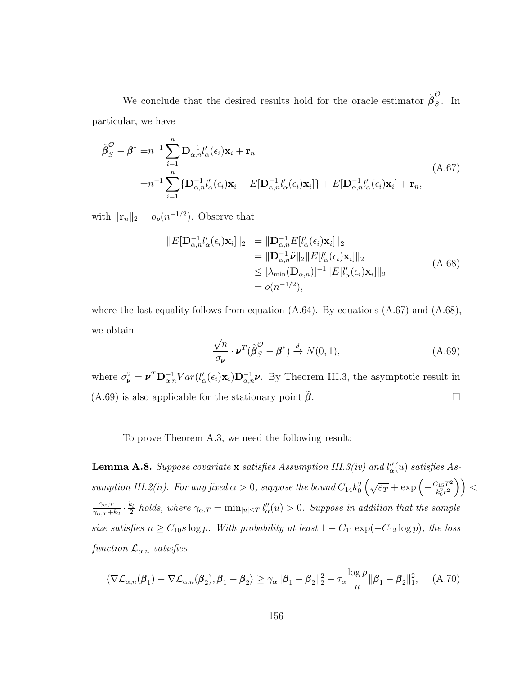We conclude that the desired results hold for the oracle estimator  $\hat{\beta}_s^{\mathcal{O}}$  $\int_{S}$ . In particular, we have

<span id="page-164-0"></span>
$$
\hat{\boldsymbol{\beta}}_S^{\mathcal{O}} - \boldsymbol{\beta}^* = n^{-1} \sum_{i=1}^n \mathbf{D}_{\alpha,n}^{-1} l_{\alpha}'(\epsilon_i) \mathbf{x}_i + \mathbf{r}_n
$$
\n
$$
= n^{-1} \sum_{i=1}^n \{ \mathbf{D}_{\alpha,n}^{-1} l_{\alpha}'(\epsilon_i) \mathbf{x}_i - E[\mathbf{D}_{\alpha,n}^{-1} l_{\alpha}'(\epsilon_i) \mathbf{x}_i] \} + E[\mathbf{D}_{\alpha,n}^{-1} l_{\alpha}'(\epsilon_i) \mathbf{x}_i] + \mathbf{r}_n,
$$
\n(A.67)

with  $\|\mathbf{r}_n\|_2 = o_p(n^{-1/2})$ . Observe that

<span id="page-164-1"></span>
$$
||E[\mathbf{D}_{\alpha,n}^{-1}l'_{\alpha}(\epsilon_i)\mathbf{x}_i]||_2 = ||\mathbf{D}_{\alpha,n}^{-1}E[l'_{\alpha}(\epsilon_i)\mathbf{x}_i]||_2
$$
  
\n
$$
= ||\mathbf{D}_{\alpha,n}^{-1}\tilde{\mathbf{\nu}}||_2||E[l'_{\alpha}(\epsilon_i)\mathbf{x}_i]||_2
$$
  
\n
$$
\leq [\lambda_{\min}(\mathbf{D}_{\alpha,n})]^{-1}||E[l'_{\alpha}(\epsilon_i)\mathbf{x}_i]||_2
$$
  
\n
$$
= o(n^{-1/2}), \qquad (A.68)
$$

where the last equality follows from equation  $(A.64)$ . By equations  $(A.67)$  and  $(A.68)$ , we obtain

<span id="page-164-2"></span>
$$
\frac{\sqrt{n}}{\sigma_{\nu}} \cdot \nu^{T} (\hat{\beta}_{S}^{\mathcal{O}} - \beta^{*}) \xrightarrow{d} N(0, 1), \tag{A.69}
$$

where  $\sigma_{\nu}^2 = \nu^T \mathbf{D}_{\alpha,n}^{-1} Var(l'_{\alpha}(\epsilon_i) \mathbf{x}_i) \mathbf{D}_{\alpha,n}^{-1} \nu$ . By Theorem [III.3,](#page-78-0) the asymptotic result in  $(A.69)$  is also applicable for the stationary point  $\beta$ .

To prove Theorem [A.3,](#page-143-0) we need the following result:

<span id="page-164-3"></span>**Lemma A.8.** Suppose covariate **x** satisfies Assumption [III.3\(](#page-74-0)iv) and  $l''_{\alpha}(u)$  satisfies As-sumption [III.2\(](#page-72-0)ii). For any fixed  $\alpha > 0$ , suppose the bound  $C_{14}k_0^2\left(\sqrt{\varepsilon_T} + \exp\left(-\frac{C_{15}T^2}{k_0^2r^2}\right)\right)$  $\left(\frac{C_{15}T^2}{k_0^2r^2}\right)\Big) < 0$  $\gamma_{\alpha,T}$  $\frac{\gamma_{\alpha,T}}{\gamma_{\alpha,T}+k_2}\cdot\frac{k_l}{2}$  $\frac{k_l}{2}$  holds, where  $\gamma_{\alpha,T} = \min_{|u| \leq T} l''_{\alpha}(u) > 0$ . Suppose in addition that the sample size satisfies  $n \ge C_{10} s \log p$ . With probability at least  $1 - C_{11} \exp(-C_{12} \log p)$ , the loss function  $\mathcal{L}_{\alpha,n}$  satisfies

$$
\langle \nabla \mathcal{L}_{\alpha,n}(\boldsymbol{\beta}_1) - \nabla \mathcal{L}_{\alpha,n}(\boldsymbol{\beta}_2), \boldsymbol{\beta}_1 - \boldsymbol{\beta}_2 \rangle \ge \gamma_\alpha \|\boldsymbol{\beta}_1 - \boldsymbol{\beta}_2\|_2^2 - \tau_\alpha \frac{\log p}{n} \|\boldsymbol{\beta}_1 - \boldsymbol{\beta}_2\|_1^2, \quad (A.70)
$$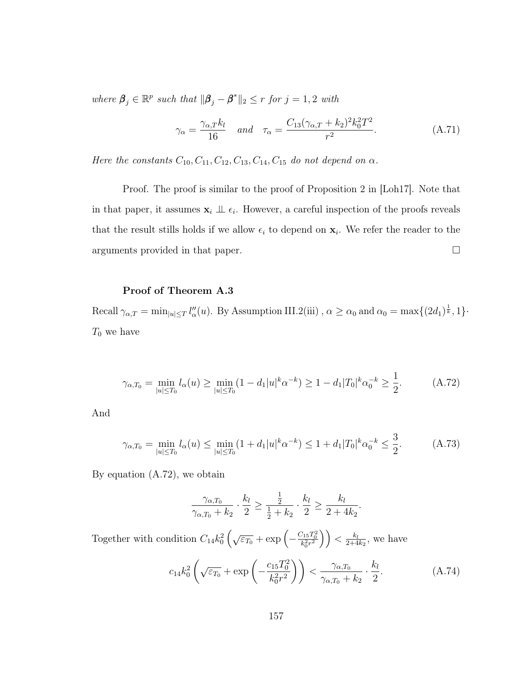where  $\beta_j \in \mathbb{R}^p$  such that  $\|\beta_j - \beta^*\|_2 \leq r$  for  $j = 1, 2$  with

$$
\gamma_{\alpha} = \frac{\gamma_{\alpha,T} k_l}{16} \quad \text{and} \quad \tau_{\alpha} = \frac{C_{13}(\gamma_{\alpha,T} + k_2)^2 k_0^2 T^2}{r^2}.
$$
 (A.71)

Here the constants  $C_{10}$ ,  $C_{11}$ ,  $C_{12}$ ,  $C_{13}$ ,  $C_{14}$ ,  $C_{15}$  do not depend on  $\alpha$ .

Proof. The proof is similar to the proof of Proposition 2 in [\[Loh17\]](#page-126-0). Note that in that paper, it assumes  $\mathbf{x}_i \perp \!\!\! \perp \epsilon_i$ . However, a careful inspection of the proofs reveals that the result stills holds if we allow  $\epsilon_i$  to depend on  $\mathbf{x}_i$ . We refer the reader to the arguments provided in that paper.

# Proof of Theorem [A.3](#page-143-0)

Recall  $\gamma_{\alpha,T} = \min_{|u| \leq T} l''_{\alpha}(u)$ . By Assumption [III.2\(](#page-72-0)iii),  $\alpha \geq \alpha_0$  and  $\alpha_0 = \max\{(2d_1)^{\frac{1}{k}}, 1\}$ .  $T_0$  we have

<span id="page-165-0"></span>
$$
\gamma_{\alpha,T_0} = \min_{|u| \le T_0} l_\alpha(u) \ge \min_{|u| \le T_0} (1 - d_1 |u|^k \alpha^{-k}) \ge 1 - d_1 |T_0|^k \alpha_0^{-k} \ge \frac{1}{2}.
$$
 (A.72)

And

<span id="page-165-1"></span>
$$
\gamma_{\alpha,T_0} = \min_{|u| \le T_0} l_\alpha(u) \le \min_{|u| \le T_0} (1 + d_1 |u|^k \alpha^{-k}) \le 1 + d_1 |T_0|^k \alpha_0^{-k} \le \frac{3}{2}.
$$
 (A.73)

By equation [\(A.72\)](#page-165-0), we obtain

$$
\frac{\gamma_{\alpha, T_0}}{\gamma_{\alpha, T_0} + k_2} \cdot \frac{k_l}{2} \ge \frac{\frac{1}{2}}{\frac{1}{2} + k_2} \cdot \frac{k_l}{2} \ge \frac{k_l}{2 + 4k_2}
$$

Together with condition  $C_{14}k_0^2\left(\sqrt{\varepsilon_{T_0}} + \exp\left(-\frac{C_{15}T_0^2}{k_0^2 r^2}\right)\right) < \frac{k_l}{2+4}$  $\frac{k_l}{2+4k_2}$ , we have

<span id="page-165-2"></span>
$$
c_{14}k_0^2\left(\sqrt{\varepsilon_{T_0}} + \exp\left(-\frac{c_{15}T_0^2}{k_0^2r^2}\right)\right) < \frac{\gamma_{\alpha,T_0}}{\gamma_{\alpha,T_0} + k_2} \cdot \frac{k_l}{2}.\tag{A.74}
$$

.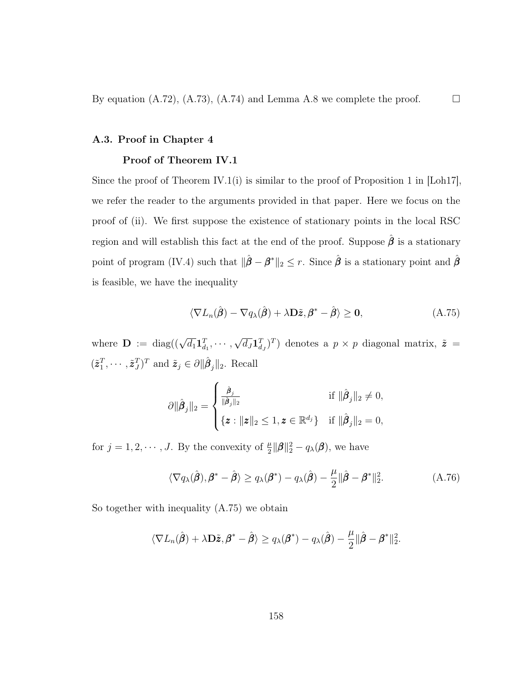By equation  $(A.72)$ ,  $(A.73)$ ,  $(A.74)$  and Lemma [A.8](#page-164-3) we complete the proof.

### A.3. Proof in Chapter 4

# Proof of Theorem [IV.1](#page-100-0)

Since the proof of Theorem [IV.1\(](#page-100-0)i) is similar to the proof of Proposition 1 in [\[Loh17\]](#page-126-0), we refer the reader to the arguments provided in that paper. Here we focus on the proof of (ii). We first suppose the existence of stationary points in the local RSC region and will establish this fact at the end of the proof. Suppose  $\hat{\beta}$  is a stationary point of program [\(IV.4\)](#page-95-0) such that  $\|\hat{\boldsymbol{\beta}} - \boldsymbol{\beta}^*\|_2 \leq r$ . Since  $\hat{\boldsymbol{\beta}}$  is a stationary point and  $\hat{\boldsymbol{\beta}}$ is feasible, we have the inequality

<span id="page-166-0"></span>
$$
\langle \nabla L_n(\hat{\boldsymbol{\beta}}) - \nabla q_\lambda(\hat{\boldsymbol{\beta}}) + \lambda \mathbf{D}\tilde{\mathbf{z}}, \boldsymbol{\beta}^* - \hat{\boldsymbol{\beta}} \rangle \ge \mathbf{0},\tag{A.75}
$$

where  $\mathbf{D} := \text{diag}((\sqrt{d_1}\mathbf{1}_{d_1}^T, \cdots,$ √  $\overline{d_J} \mathbf{1}_{d_J}^T$  $)^T$ ) denotes a  $p \times p$  diagonal matrix,  $\tilde{\mathbf{z}} =$  $(\tilde{\bm{z}}_1^T$  $_{1}^{T},\cdots ,\tilde{\pmb{z}}_{J}^{T}$  $_{J}^{T})^{T}$  and  $\tilde{\boldsymbol{z}}_{j} \in \partial \|\hat{\boldsymbol{\beta}}_{j}\|_{2}$ . Recall

$$
\partial \|\hat{\boldsymbol{\beta}}_j\|_2 = \begin{cases} \frac{\hat{\boldsymbol{\beta}}_j}{\|\hat{\boldsymbol{\beta}}_j\|_2} & \text{if } \|\hat{\boldsymbol{\beta}}_j\|_2 \neq 0, \\ \{z : \|z\|_2 \leq 1, z \in \mathbb{R}^{d_j}\} & \text{if } \|\hat{\boldsymbol{\beta}}_j\|_2 = 0, \end{cases}
$$

for  $j = 1, 2, \dots, J$ . By the convexity of  $\frac{\mu}{2} ||\boldsymbol{\beta}||_2^2 - q_{\lambda}(\boldsymbol{\beta})$ , we have

$$
\langle \nabla q_{\lambda}(\hat{\boldsymbol{\beta}}), \boldsymbol{\beta}^* - \hat{\boldsymbol{\beta}} \rangle \ge q_{\lambda}(\boldsymbol{\beta}^*) - q_{\lambda}(\hat{\boldsymbol{\beta}}) - \frac{\mu}{2} ||\hat{\boldsymbol{\beta}} - \boldsymbol{\beta}^*||_2^2.
$$
 (A.76)

So together with inequality [\(A.75\)](#page-166-0) we obtain

$$
\langle \nabla L_n(\hat{\boldsymbol{\beta}}) + \lambda \mathbf{D}\tilde{\mathbf{z}}, \boldsymbol{\beta}^* - \hat{\boldsymbol{\beta}} \rangle \ge q_\lambda(\boldsymbol{\beta}^*) - q_\lambda(\hat{\boldsymbol{\beta}}) - \frac{\mu}{2} \|\hat{\boldsymbol{\beta}} - \boldsymbol{\beta}^*\|_2^2.
$$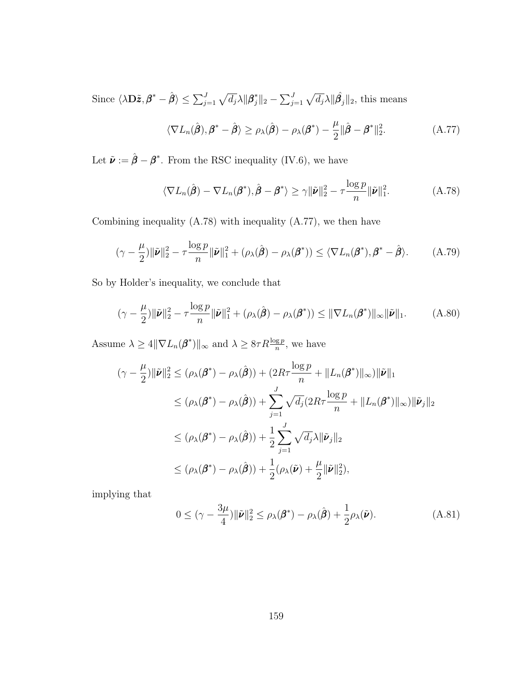Since  $\langle \lambda \mathbf{D} \tilde{\boldsymbol{z}}, \boldsymbol{\beta}^* - \hat{\boldsymbol{\beta}} \rangle \leq \sum_{j=1}^J \sqrt{d_j} \lambda \| \boldsymbol{\beta}^*_j \|_2 - \sum_{j=1}^J \sqrt{d_j} \lambda \| \hat{\boldsymbol{\beta}}_j \|_2$ , this means

<span id="page-167-1"></span>
$$
\langle \nabla L_n(\hat{\boldsymbol{\beta}}), \boldsymbol{\beta}^* - \hat{\boldsymbol{\beta}} \rangle \ge \rho_\lambda(\hat{\boldsymbol{\beta}}) - \rho_\lambda(\boldsymbol{\beta}^*) - \frac{\mu}{2} \|\hat{\boldsymbol{\beta}} - \boldsymbol{\beta}^*\|_2^2.
$$
 (A.77)

Let  $\tilde{\nu} := \hat{\beta} - \beta^*$ . From the RSC inequality [\(IV.6\)](#page-99-0), we have

<span id="page-167-0"></span>
$$
\langle \nabla L_n(\hat{\boldsymbol{\beta}}) - \nabla L_n(\boldsymbol{\beta}^*), \hat{\boldsymbol{\beta}} - \boldsymbol{\beta}^* \rangle \ge \gamma \|\tilde{\boldsymbol{\nu}}\|_2^2 - \tau \frac{\log p}{n} \|\tilde{\boldsymbol{\nu}}\|_1^2. \tag{A.78}
$$

Combining inequality [\(A.78\)](#page-167-0) with inequality [\(A.77\)](#page-167-1), we then have

$$
(\gamma - \frac{\mu}{2}) \|\tilde{\boldsymbol{\nu}}\|_2^2 - \tau \frac{\log p}{n} \|\tilde{\boldsymbol{\nu}}\|_1^2 + (\rho_\lambda(\hat{\boldsymbol{\beta}}) - \rho_\lambda(\boldsymbol{\beta}^*)) \le \langle \nabla L_n(\boldsymbol{\beta}^*), \boldsymbol{\beta}^* - \hat{\boldsymbol{\beta}} \rangle. \tag{A.79}
$$

So by Holder's inequality, we conclude that

$$
(\gamma - \frac{\mu}{2}) \|\tilde{\boldsymbol{\nu}}\|_2^2 - \tau \frac{\log p}{n} \|\tilde{\boldsymbol{\nu}}\|_1^2 + (\rho_\lambda(\hat{\boldsymbol{\beta}}) - \rho_\lambda(\boldsymbol{\beta}^*)) \le \|\nabla L_n(\boldsymbol{\beta}^*)\|_\infty \|\tilde{\boldsymbol{\nu}}\|_1. \tag{A.80}
$$

Assume  $\lambda \geq 4\|\nabla L_n(\boldsymbol{\beta}^*)\|_{\infty}$  and  $\lambda \geq 8\tau R \frac{\log p}{n}$ , we have

$$
(\gamma - \frac{\mu}{2}) \|\tilde{\nu}\|_2^2 \leq (\rho_\lambda(\boldsymbol{\beta}^*) - \rho_\lambda(\hat{\boldsymbol{\beta}})) + (2R\tau \frac{\log p}{n} + \|L_n(\boldsymbol{\beta}^*)\|_\infty) \|\tilde{\nu}\|_1
$$
  
\n
$$
\leq (\rho_\lambda(\boldsymbol{\beta}^*) - \rho_\lambda(\hat{\boldsymbol{\beta}})) + \sum_{j=1}^J \sqrt{d_j} (2R\tau \frac{\log p}{n} + \|L_n(\boldsymbol{\beta}^*)\|_\infty) \|\tilde{\nu}_j\|_2
$$
  
\n
$$
\leq (\rho_\lambda(\boldsymbol{\beta}^*) - \rho_\lambda(\hat{\boldsymbol{\beta}})) + \frac{1}{2} \sum_{j=1}^J \sqrt{d_j} \lambda \|\tilde{\nu}_j\|_2
$$
  
\n
$$
\leq (\rho_\lambda(\boldsymbol{\beta}^*) - \rho_\lambda(\hat{\boldsymbol{\beta}})) + \frac{1}{2} (\rho_\lambda(\tilde{\nu}) + \frac{\mu}{2} \|\tilde{\nu}\|_2^2),
$$

implying that

<span id="page-167-2"></span>
$$
0 \leq (\gamma - \frac{3\mu}{4}) \|\tilde{\boldsymbol{\nu}}\|_2^2 \leq \rho_\lambda(\boldsymbol{\beta}^*) - \rho_\lambda(\hat{\boldsymbol{\beta}}) + \frac{1}{2}\rho_\lambda(\tilde{\boldsymbol{\nu}}). \tag{A.81}
$$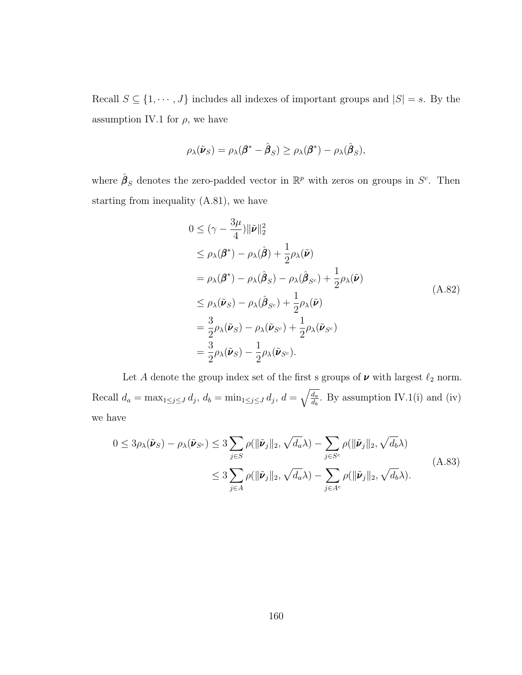Recall  $S \subseteq \{1, \dots, J\}$  includes all indexes of important groups and  $|S| = s$ . By the assumption [IV.1](#page-95-1) for  $\rho$ , we have

$$
\rho_{\lambda}(\tilde{\boldsymbol{\nu}}_S) = \rho_{\lambda}(\boldsymbol{\beta}^* - \hat{\boldsymbol{\beta}}_S) \ge \rho_{\lambda}(\boldsymbol{\beta}^*) - \rho_{\lambda}(\hat{\boldsymbol{\beta}}_S),
$$

where  $\hat{\boldsymbol{\beta}}_S$  denotes the zero-padded vector in  $\mathbb{R}^p$  with zeros on groups in  $S^c$ . Then starting from inequality [\(A.81\)](#page-167-2), we have

$$
0 \leq (\gamma - \frac{3\mu}{4}) \|\tilde{\nu}\|_2^2
$$
  
\n
$$
\leq \rho_{\lambda}(\beta^*) - \rho_{\lambda}(\hat{\beta}) + \frac{1}{2}\rho_{\lambda}(\tilde{\nu})
$$
  
\n
$$
= \rho_{\lambda}(\beta^*) - \rho_{\lambda}(\hat{\beta}_S) - \rho_{\lambda}(\hat{\beta}_{S^c}) + \frac{1}{2}\rho_{\lambda}(\tilde{\nu})
$$
  
\n
$$
\leq \rho_{\lambda}(\tilde{\nu}_S) - \rho_{\lambda}(\hat{\beta}_{S^c}) + \frac{1}{2}\rho_{\lambda}(\tilde{\nu})
$$
  
\n
$$
= \frac{3}{2}\rho_{\lambda}(\tilde{\nu}_S) - \rho_{\lambda}(\tilde{\nu}_{S^c}) + \frac{1}{2}\rho_{\lambda}(\tilde{\nu}_{S^c})
$$
  
\n
$$
= \frac{3}{2}\rho_{\lambda}(\tilde{\nu}_S) - \frac{1}{2}\rho_{\lambda}(\tilde{\nu}_{S^c}).
$$
  
\n(A.82)

<span id="page-168-1"></span>Let  $A$  denote the group index set of the first s groups of  $\pmb{\nu}$  with largest  $\ell_2$  norm. Recall  $d_a = \max_{1 \leq j \leq J} d_j, d_b = \min_{1 \leq j \leq J} d_j, d = \sqrt{\frac{d_a}{d_b}}$  $\frac{d_a}{d_b}$ . By assumption [IV.1\(](#page-95-1)i) and (iv) we have

<span id="page-168-0"></span>
$$
0 \leq 3\rho_{\lambda}(\tilde{\nu}_{S}) - \rho_{\lambda}(\tilde{\nu}_{S^{c}}) \leq 3 \sum_{j \in S} \rho(\|\tilde{\nu}_{j}\|_{2}, \sqrt{d_{a}}\lambda) - \sum_{j \in S^{c}} \rho(\|\tilde{\nu}_{j}\|_{2}, \sqrt{d_{b}}\lambda)
$$
  

$$
\leq 3 \sum_{j \in A} \rho(\|\tilde{\nu}_{j}\|_{2}, \sqrt{d_{a}}\lambda) - \sum_{j \in A^{c}} \rho(\|\tilde{\nu}_{j}\|_{2}, \sqrt{d_{b}}\lambda).
$$
 (A.83)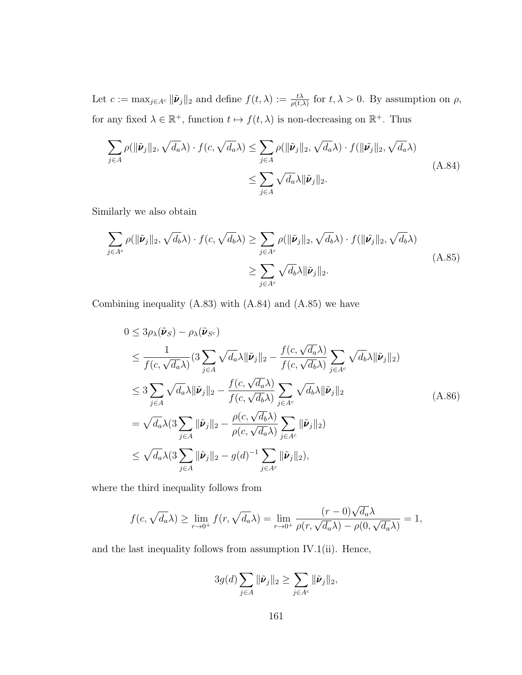Let  $c := \max_{j \in A^c} ||\tilde{\nu}_j||_2$  and define  $f(t, \lambda) := \frac{t\lambda}{\rho(t, \lambda)}$  for  $t, \lambda > 0$ . By assumption on  $\rho$ , for any fixed  $\lambda \in \mathbb{R}^+$ , function  $t \mapsto f(t, \lambda)$  is non-decreasing on  $\mathbb{R}^+$ . Thus

<span id="page-169-0"></span>
$$
\sum_{j \in A} \rho(\|\tilde{\nu}_j\|_2, \sqrt{d_a}\lambda) \cdot f(c, \sqrt{d_a}\lambda) \le \sum_{j \in A} \rho(\|\tilde{\nu}_j\|_2, \sqrt{d_a}\lambda) \cdot f(\|\tilde{\nu}_j\|_2, \sqrt{d_a}\lambda)
$$
\n
$$
\le \sum_{j \in A} \sqrt{d_a}\lambda \|\tilde{\nu}_j\|_2.
$$
\n(A.84)

Similarly we also obtain

<span id="page-169-1"></span>
$$
\sum_{j \in A^c} \rho(\|\tilde{\nu}_j\|_2, \sqrt{d_b}\lambda) \cdot f(c, \sqrt{d_b}\lambda) \ge \sum_{j \in A^c} \rho(\|\tilde{\nu}_j\|_2, \sqrt{d_b}\lambda) \cdot f(\|\tilde{\nu}_j\|_2, \sqrt{d_b}\lambda)
$$
\n
$$
\ge \sum_{j \in A^c} \sqrt{d_b}\lambda \|\tilde{\nu}_j\|_2.
$$
\n(A.85)

Combining inequality [\(A.83\)](#page-168-0) with [\(A.84\)](#page-169-0) and [\(A.85\)](#page-169-1) we have

<span id="page-169-2"></span>
$$
0 \leq 3\rho_{\lambda}(\tilde{\nu}_{S}) - \rho_{\lambda}(\tilde{\nu}_{S^{c}})
$$
  
\n
$$
\leq \frac{1}{f(c, \sqrt{d_{a}}\lambda)} (3 \sum_{j \in A} \sqrt{d_{a}}\lambda \|\tilde{\nu}_{j}\|_{2} - \frac{f(c, \sqrt{d_{a}}\lambda)}{f(c, \sqrt{d_{b}}\lambda)} \sum_{j \in A^{c}} \sqrt{d_{b}}\lambda \|\tilde{\nu}_{j}\|_{2})
$$
  
\n
$$
\leq 3 \sum_{j \in A} \sqrt{d_{a}}\lambda \|\tilde{\nu}_{j}\|_{2} - \frac{f(c, \sqrt{d_{a}}\lambda)}{f(c, \sqrt{d_{b}}\lambda)} \sum_{j \in A^{c}} \sqrt{d_{b}}\lambda \|\tilde{\nu}_{j}\|_{2}
$$
  
\n
$$
= \sqrt{d_{a}}\lambda (3 \sum_{j \in A} \|\tilde{\nu}_{j}\|_{2} - \frac{\rho(c, \sqrt{d_{b}}\lambda)}{\rho(c, \sqrt{d_{a}}\lambda)} \sum_{j \in A^{c}} \|\tilde{\nu}_{j}\|_{2})
$$
  
\n
$$
\leq \sqrt{d_{a}}\lambda (3 \sum_{j \in A} \|\tilde{\nu}_{j}\|_{2} - g(d)^{-1} \sum_{j \in A^{c}} \|\tilde{\nu}_{j}\|_{2}),
$$
\n(A.86)

where the third inequality follows from

$$
f(c, \sqrt{d_a}\lambda) \ge \lim_{r \to 0^+} f(r, \sqrt{d_a}\lambda) = \lim_{r \to 0^+} \frac{(r-0)\sqrt{d_a}\lambda}{\rho(r, \sqrt{d_a}\lambda) - \rho(0, \sqrt{d_a}\lambda)} = 1,
$$

and the last inequality follows from assumption [IV.1\(](#page-95-1)ii). Hence,

$$
3g(d)\sum_{j\in A} \|\tilde{\boldsymbol{\nu}}_j\|_2 \geq \sum_{j\in A^c} \|\tilde{\boldsymbol{\nu}}_j\|_2,
$$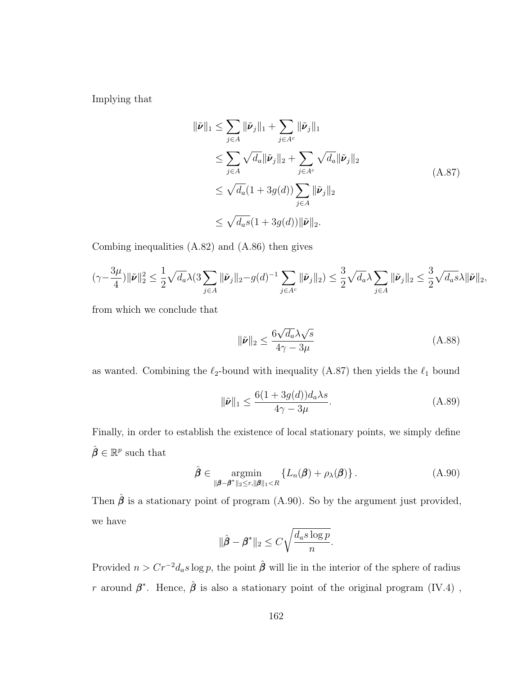<span id="page-170-0"></span>Implying that

$$
\begin{aligned}\n\|\tilde{\nu}\|_{1} &\leq \sum_{j\in A} \|\tilde{\nu}_{j}\|_{1} + \sum_{j\in A^{c}} \|\tilde{\nu}_{j}\|_{1} \\
&\leq \sum_{j\in A} \sqrt{d_{a}} \|\tilde{\nu}_{j}\|_{2} + \sum_{j\in A^{c}} \sqrt{d_{a}} \|\tilde{\nu}_{j}\|_{2} \\
&\leq \sqrt{d_{a}} (1 + 3g(d)) \sum_{j\in A} \|\tilde{\nu}_{j}\|_{2} \\
&\leq \sqrt{d_{a}} s (1 + 3g(d)) \|\tilde{\nu}\|_{2}.\n\end{aligned} \tag{A.87}
$$

Combing inequalities [\(A.82\)](#page-168-1) and [\(A.86\)](#page-169-2) then gives

$$
(\gamma - \frac{3\mu}{4})\|\tilde{\boldsymbol{\nu}}\|_2^2 \leq \frac{1}{2}\sqrt{d_a}\lambda (3\sum_{j\in A}\|\tilde{\boldsymbol{\nu}}_j\|_2 - g(d)^{-1}\sum_{j\in A^c}\|\tilde{\boldsymbol{\nu}}_j\|_2) \leq \frac{3}{2}\sqrt{d_a}\lambda \sum_{j\in A}\|\tilde{\boldsymbol{\nu}}_j\|_2 \leq \frac{3}{2}\sqrt{d_a s}\lambda \|\tilde{\boldsymbol{\nu}}\|_2,
$$

from which we conclude that

$$
\|\tilde{\nu}\|_2 \le \frac{6\sqrt{d_a}\lambda\sqrt{s}}{4\gamma - 3\mu} \tag{A.88}
$$

as wanted. Combining the  $\ell_2$ -bound with inequality [\(A.87\)](#page-170-0) then yields the  $\ell_1$  bound

$$
\|\tilde{\nu}\|_1 \le \frac{6(1+3g(d))d_a\lambda s}{4\gamma - 3\mu}.\tag{A.89}
$$

Finally, in order to establish the existence of local stationary points, we simply define  $\hat{\boldsymbol{\beta}} \in \mathbb{R}^p$  such that

<span id="page-170-1"></span>
$$
\hat{\boldsymbol{\beta}} \in \underset{\|\boldsymbol{\beta} - \boldsymbol{\beta}^*\|_2 \le r, \|\boldsymbol{\beta}\|_1 < R}{\operatorname{argmin}} \left\{ L_n(\boldsymbol{\beta}) + \rho_{\lambda}(\boldsymbol{\beta}) \right\}.
$$
\n(A.90)

Then  $\hat{\boldsymbol{\beta}}$  is a stationary point of program [\(A.90\)](#page-170-1). So by the argument just provided, we have

$$
\|\hat{\boldsymbol{\beta}} - \boldsymbol{\beta}^*\|_2 \le C\sqrt{\frac{d_a s \log p}{n}}.
$$

Provided  $n > Cr^{-2}d_a s \log p$ , the point  $\hat{\beta}$  will lie in the interior of the sphere of radius r around  $\beta^*$ . Hence,  $\hat{\beta}$  is also a stationary point of the original program [\(IV.4\)](#page-95-0),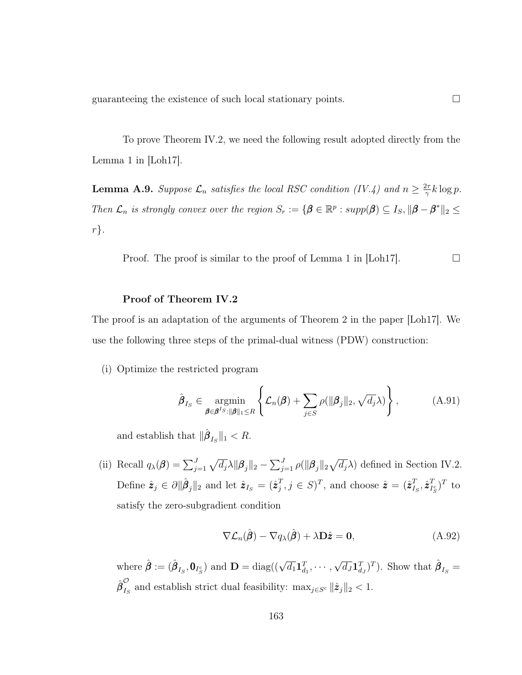guaranteeing the existence of such local stationary points.  $\Box$ 

To prove Theorem [IV.2,](#page-101-0) we need the following result adopted directly from the Lemma 1 in [\[Loh17\]](#page-126-0).

<span id="page-171-1"></span>**Lemma A.9.** Suppose  $\mathcal{L}_n$  satisfies the local RSC condition [\(IV.4\)](#page-99-1) and  $n \geq \frac{2\tau}{\gamma}$  $\frac{2\tau}{\gamma}k\log p$ . Then  $\mathcal{L}_n$  is strongly convex over the region  $S_r := \{ \beta \in \mathbb{R}^p : supp(\beta) \subseteq I_S, ||\beta - \beta^*||_2 \leq \beta \}$  $r$ .

Proof. The proof is similar to the proof of Lemma 1 in  $\lfloor \text{Loh17} \rfloor$ .

#### Proof of Theorem [IV.2](#page-101-0)

The proof is an adaptation of the arguments of Theorem 2 in the paper [\[Loh17\]](#page-126-0). We use the following three steps of the primal-dual witness (PDW) construction:

(i) Optimize the restricted program

<span id="page-171-0"></span>
$$
\hat{\boldsymbol{\beta}}_{I_S} \in \underset{\boldsymbol{\beta} \in \boldsymbol{\beta}^{I_S}: \|\boldsymbol{\beta}\|_1 \leq R}{\operatorname{argmin}} \left\{ \mathcal{L}_n(\boldsymbol{\beta}) + \sum_{j \in S} \rho(\|\boldsymbol{\beta}_j\|_2, \sqrt{d_j} \lambda) \right\},\tag{A.91}
$$

and establish that  $\|\hat{\boldsymbol{\beta}}_{I_S}\|_1 < R$ .

(ii) Recall  $q_{\lambda}(\boldsymbol{\beta}) = \sum_{j=1}^{J} \sqrt{d_j} \lambda ||\boldsymbol{\beta}_j||_2 - \sum_{j=1}^{J} \rho(||\boldsymbol{\beta}_j||_2 \sqrt{d_j} \lambda)$  defined in Section [IV.2.](#page-92-0) Define  $\hat{z}_j \in \partial \|\hat{\beta}_j\|_2$  and let  $\hat{z}_{I_S} = (\hat{z}_j^T)$  $_j^T, j \in S$ <sup>T</sup>, and choose  $\hat{\boldsymbol{z}} = (\hat{\boldsymbol{z}}_{I_j}^T)$  $_{I_S}^T, \hat{\pmb{z}}_{I_1}^T$  $_{I_S^c}^T)^T$  to satisfy the zero-subgradient condition

<span id="page-171-2"></span>
$$
\nabla \mathcal{L}_n(\hat{\boldsymbol{\beta}}) - \nabla q_\lambda(\hat{\boldsymbol{\beta}}) + \lambda \mathbf{D}\hat{\mathbf{z}} = \mathbf{0},\tag{A.92}
$$

where  $\hat{\boldsymbol{\beta}} := (\hat{\boldsymbol{\beta}}_{I_S}, \mathbf{0}_{I_S^c})$  and  $\mathbf{D} = \text{diag}((\sqrt{d_1} \mathbf{1}_{d_1}^T, \cdots,$ √  $\overline{d_J}\mathbf{1}_{d_J}^T)^T$ ). Show that  $\hat{\boldsymbol{\beta}}_{I_S} =$  ${\hat{\bm{\beta}}}^{\mathcal{O}}_{I}$  $\sum_{I_S}$  and establish strict dual feasibility:  $\max_{j \in S^c} ||\hat{z}_j||_2 < 1$ .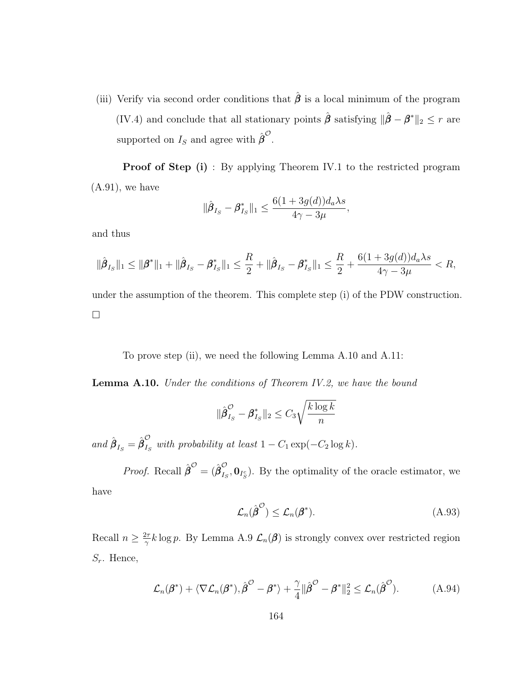(iii) Verify via second order conditions that  $\hat{\beta}$  is a local minimum of the program [\(IV.4\)](#page-95-0) and conclude that all stationary points  $\hat{\boldsymbol{\beta}}$  satisfying  $\|\hat{\boldsymbol{\beta}} - \boldsymbol{\beta}^*\|_2 \leq r$  are supported on  $I_S$  and agree with  $\hat{\boldsymbol{\beta}}^{\mathcal{O}}$ .

**Proof of Step (i)**: By applying Theorem [IV.1](#page-100-0) to the restricted program  $(A.91)$ , we have

$$
\|\hat{\boldsymbol{\beta}}_{I_S} - \boldsymbol{\beta}_{I_S}^*\|_1 \le \frac{6(1+3g(d))d_a\lambda s}{4\gamma - 3\mu},
$$

and thus

$$
\|\hat{\beta}_{I_S}\|_1 \le \|\beta^*\|_1 + \|\hat{\beta}_{I_S} - \beta^*_{I_S}\|_1 \le \frac{R}{2} + \|\hat{\beta}_{I_S} - \beta^*_{I_S}\|_1 \le \frac{R}{2} + \frac{6(1+3g(d))d_a\lambda s}{4\gamma - 3\mu} < R,
$$

under the assumption of the theorem. This complete step (i) of the PDW construction.  $\Box$ 

To prove step (ii), we need the following Lemma [A.10](#page-172-0) and [A.11:](#page-174-0)

<span id="page-172-0"></span>**Lemma A.10.** Under the conditions of Theorem [IV.2,](#page-101-0) we have the bound

$$
\|\hat{\pmb{\beta}}_{I_S}^{\mathcal{O}} - \pmb{\beta}_{I_S}^*\|_2 \leq C_3 \sqrt{\frac{k \log k}{n}}
$$

and  $\hat{\boldsymbol{\beta}}_{I_S} = \hat{\boldsymbol{\beta}}_{I_S}^{\mathcal{O}}$  $\sum_{I_S}$  with probability at least  $1 - C_1 \exp(-C_2 \log k)$ .

*Proof.* Recall  $\hat{\boldsymbol{\beta}}^{\mathcal{O}} = (\hat{\boldsymbol{\beta}}_{I_s}^{\mathcal{O}})$  $\mathcal{L}_{I_S}, \mathbf{0}_{I_S^c}$ ). By the optimality of the oracle estimator, we have

<span id="page-172-1"></span>
$$
\mathcal{L}_n(\hat{\boldsymbol{\beta}}^{\mathcal{O}}) \le \mathcal{L}_n(\boldsymbol{\beta}^*). \tag{A.93}
$$

Recall  $n \geq \frac{2\tau}{\alpha}$  $\frac{2\pi}{\gamma}k\log p$ . By Lemma [A.9](#page-171-1)  $\mathcal{L}_n(\beta)$  is strongly convex over restricted region  $S_r$ . Hence,

$$
\mathcal{L}_n(\boldsymbol{\beta}^*) + \langle \nabla \mathcal{L}_n(\boldsymbol{\beta}^*), \hat{\boldsymbol{\beta}}^{\circlearrowleft} - \boldsymbol{\beta}^* \rangle + \frac{\gamma}{4} || \hat{\boldsymbol{\beta}}^{\circlearrowleft} - \boldsymbol{\beta}^* ||_2^2 \leq \mathcal{L}_n(\hat{\boldsymbol{\beta}}^{\circlearrowleft}). \tag{A.94}
$$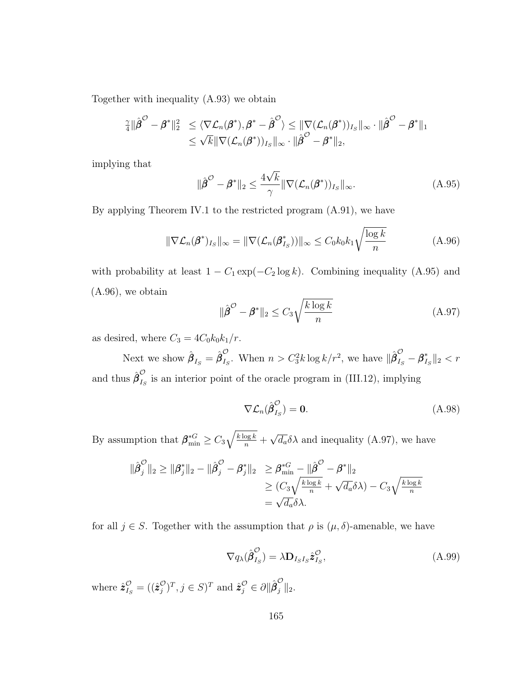Together with inequality [\(A.93\)](#page-172-1) we obtain

$$
\frac{\gamma}{4} \|\hat{\boldsymbol{\beta}}^{\mathcal{O}} - \boldsymbol{\beta}^*\|_2^2 \leq \langle \nabla \mathcal{L}_n(\boldsymbol{\beta}^*), \boldsymbol{\beta}^* - \hat{\boldsymbol{\beta}}^{\mathcal{O}} \rangle \leq \|\nabla (\mathcal{L}_n(\boldsymbol{\beta}^*))_{I_S}\|_{\infty} \cdot \|\hat{\boldsymbol{\beta}}^{\mathcal{O}} - \boldsymbol{\beta}^*\|_1 \leq \sqrt{k} \|\nabla (\mathcal{L}_n(\boldsymbol{\beta}^*))_{I_S}\|_{\infty} \cdot \|\hat{\boldsymbol{\beta}}^{\mathcal{O}} - \boldsymbol{\beta}^*\|_2,
$$

implying that

<span id="page-173-0"></span>
$$
\|\hat{\boldsymbol{\beta}}^{\mathcal{O}} - \boldsymbol{\beta}^*\|_2 \le \frac{4\sqrt{k}}{\gamma} \|\nabla (\mathcal{L}_n(\boldsymbol{\beta}^*))_{I_S}\|_{\infty}.
$$
\n(A.95)

By applying Theorem [IV.1](#page-100-0) to the restricted program [\(A.91\)](#page-171-0), we have

<span id="page-173-1"></span>
$$
\|\nabla \mathcal{L}_n(\pmb{\beta}^*)_{I_S}\|_{\infty} = \|\nabla (\mathcal{L}_n(\pmb{\beta}_{I_S}^*))\|_{\infty} \le C_0 k_0 k_1 \sqrt{\frac{\log k}{n}} \tag{A.96}
$$

with probability at least  $1 - C_1 \exp(-C_2 \log k)$ . Combining inequality [\(A.95\)](#page-173-0) and [\(A.96\)](#page-173-1), we obtain

<span id="page-173-2"></span>
$$
\|\hat{\boldsymbol{\beta}}^{\mathcal{O}} - \boldsymbol{\beta}^*\|_2 \le C_3 \sqrt{\frac{k \log k}{n}} \tag{A.97}
$$

as desired, where  $C_3 = 4C_0k_0k_1/r$ .

Next we show  $\hat{\boldsymbol{\beta}}_{I_S} = \hat{\boldsymbol{\beta}}_{I_S}^{\mathcal{O}}$  $\int_{I_S}^{\mathcal{O}}$ . When  $n > C_3^2 k \log k / r^2$ , we have  $\|\hat{\beta}_{I_S}^{\mathcal{O}} - \beta_I^*$  $\int_{I_S}^*$ ||2 < r and thus  $\hat{\boldsymbol{\beta}}_I^{\mathcal{O}}$  $\sum_{I_S}$  is an interior point of the oracle program in [\(III.12\)](#page-77-0), implying

<span id="page-173-3"></span>
$$
\nabla \mathcal{L}_n(\hat{\boldsymbol{\beta}}_{I_S}^{\mathcal{O}}) = \mathbf{0}.\tag{A.98}
$$

By assumption that  $\beta_{\min}^{*G} \geq C_3 \sqrt{\frac{k \log k}{n}} +$ √  $\overline{d_a} \delta \lambda$  and inequality [\(A.97\)](#page-173-2), we have

$$
\|\hat{\beta}_j^{\mathcal{O}}\|_2 \ge \|\beta_j^*\|_2 - \|\hat{\beta}_j^{\mathcal{O}} - \beta_j^*\|_2 \ge \beta_{\min}^{*G} - \|\hat{\beta}^{\mathcal{O}} - \beta^*\|_2
$$
  
\n
$$
\ge (C_3 \sqrt{\frac{k \log k}{n}} + \sqrt{d_a} \delta \lambda) - C_3 \sqrt{\frac{k \log k}{n}}
$$
  
\n
$$
= \sqrt{d_a} \delta \lambda.
$$

for all  $j \in S$ . Together with the assumption that  $\rho$  is  $(\mu, \delta)$ -amenable, we have

<span id="page-173-4"></span>
$$
\nabla q_{\lambda}(\hat{\boldsymbol{\beta}}_{I_{S}}^{O}) = \lambda \mathbf{D}_{I_{S}I_{S}} \hat{\boldsymbol{z}}_{I_{S}}^{O}, \qquad (A.99)
$$

where  $\hat{\pmb{z}}^{\mathcal{O}}_{I_S} = ((\hat{\pmb{z}}^{\mathcal{O}}_j$  $(\mathcal{C})^T, j \in S^T \text{ and } \hat{\mathbf{z}}_j^{\mathcal{O}} \in \partial \|\hat{\boldsymbol{\beta}}_j^{\mathcal{O}}\|_2.$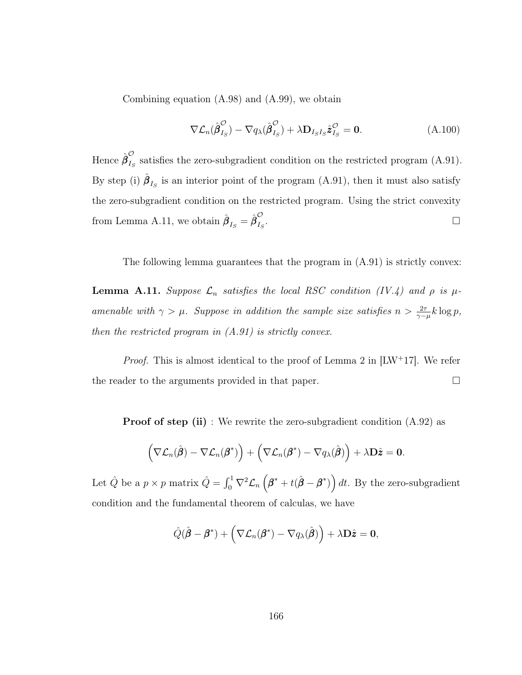Combining equation [\(A.98\)](#page-173-3) and [\(A.99\)](#page-173-4), we obtain

$$
\nabla \mathcal{L}_n(\hat{\boldsymbol{\beta}}_{I_S}^{\mathcal{O}}) - \nabla q_\lambda(\hat{\boldsymbol{\beta}}_{I_S}^{\mathcal{O}}) + \lambda \mathbf{D}_{I_S I_S} \hat{\boldsymbol{z}}_{I_S}^{\mathcal{O}} = \mathbf{0}.
$$
 (A.100)

Hence  $\hat{{\boldsymbol \beta}}^{\mathcal O}_{I_s}$  $I<sub>S</sub>$  satisfies the zero-subgradient condition on the restricted program [\(A.91\)](#page-171-0). By step (i)  $\hat{\beta}_{I_S}$  is an interior point of the program [\(A.91\)](#page-171-0), then it must also satisfy the zero-subgradient condition on the restricted program. Using the strict convexity from Lemma [A.11,](#page-174-0) we obtain  $\hat{\beta}_{I_S} = \hat{\beta}_{I_S}^{\mathcal{O}}$  $I_S$ .

The following lemma guarantees that the program in [\(A.91\)](#page-171-0) is strictly convex:

<span id="page-174-0"></span>**Lemma A.11.** Suppose  $\mathcal{L}_n$  satisfies the local RSC condition [\(IV.4\)](#page-99-1) and  $\rho$  is  $\mu$ amenable with  $\gamma > \mu$ . Suppose in addition the sample size satisfies  $n > \frac{2\tau}{\gamma - \mu} k \log p$ , then the restricted program in  $(A.91)$  is strictly convex.

*Proof.* This is almost identical to the proof of Lemma 2 in  $[*LW*+17]$ . We refer the reader to the arguments provided in that paper.

**Proof of step (ii)**: We rewrite the zero-subgradient condition  $(A.92)$  as

$$
\left(\nabla \mathcal{L}_n(\hat{\boldsymbol{\beta}}) - \nabla \mathcal{L}_n(\boldsymbol{\beta}^*)\right) + \left(\nabla \mathcal{L}_n(\boldsymbol{\beta}^*) - \nabla q_\lambda(\hat{\boldsymbol{\beta}})\right) + \lambda \mathbf{D}\hat{\boldsymbol{z}} = \mathbf{0}.
$$

Let  $\hat{Q}$  be a  $p \times p$  matrix  $\hat{Q} = \int_0^1 \nabla^2 \mathcal{L}_n \left( \boldsymbol{\beta}^* + t(\hat{\boldsymbol{\beta}} - \boldsymbol{\beta}^*) \right) dt$ . By the zero-subgradient condition and the fundamental theorem of calculas, we have

$$
\hat{Q}(\hat{\boldsymbol{\beta}} - \boldsymbol{\beta}^*) + (\nabla \mathcal{L}_n(\boldsymbol{\beta}^*) - \nabla q_{\lambda}(\hat{\boldsymbol{\beta}})) + \lambda \mathbf{D}\hat{\mathbf{z}} = \mathbf{0},
$$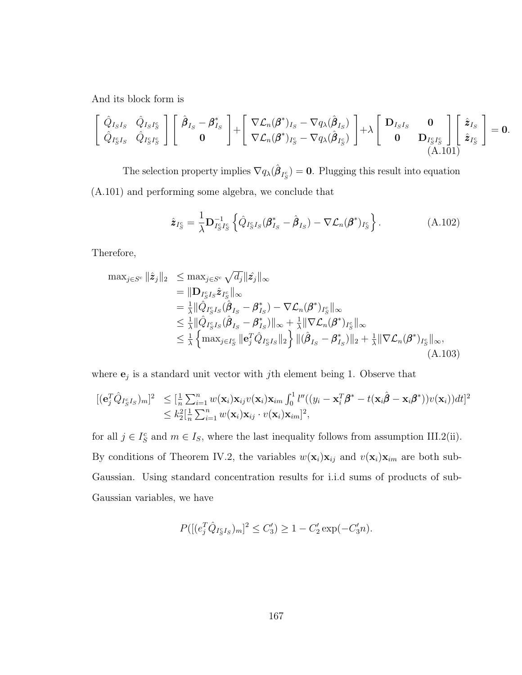And its block form is

<span id="page-175-0"></span>
$$
\begin{bmatrix}\n\hat{Q}_{I_S I_S} & \hat{Q}_{I_S I_S^c} \\
\hat{Q}_{I_S^c I_S} & \hat{Q}_{I_S^c I_S^c}\n\end{bmatrix}\n\begin{bmatrix}\n\hat{\beta}_{I_S} - \beta_{I_S}^* \\
0\n\end{bmatrix} +\n\begin{bmatrix}\n\nabla \mathcal{L}_n(\beta^*)_{I_S} - \nabla q_\lambda(\hat{\beta}_{I_S}) \\
\nabla \mathcal{L}_n(\beta^*)_{I_S^c} - \nabla q_\lambda(\hat{\beta}_{I_S^c})\n\end{bmatrix} + \lambda\n\begin{bmatrix}\nD_{I_S I_S} & \mathbf{0} \\
\mathbf{0} & D_{I_S^c I_S^c} \\
0 & D_{I_S^c I_S^c}\n\end{bmatrix}\n\begin{bmatrix}\n\hat{\mathbf{z}}_{I_S} \\
\hat{\mathbf{z}}_{I_S^c}\n\end{bmatrix} = \mathbf{0}.
$$

The selection property implies  $\nabla q_{\lambda}(\hat{\boldsymbol{\beta}}_{I_{S}^{c}})=\mathbf{0}$ . Plugging this result into equation [\(A.101\)](#page-175-0) and performing some algebra, we conclude that

$$
\hat{\mathbf{z}}_{I_S^c} = \frac{1}{\lambda} \mathbf{D}_{I_S^c I_S^c}^{-1} \left\{ \hat{Q}_{I_S^c I_S} (\boldsymbol{\beta}_{I_S}^* - \hat{\boldsymbol{\beta}}_{I_S}) - \nabla \mathcal{L}_n (\boldsymbol{\beta}^*)_{I_S^c} \right\}.
$$
 (A.102)

Therefore,

<span id="page-175-1"></span>
$$
\max_{j \in S^c} \|\hat{\mathbf{z}}_j\|_2 \leq \max_{j \in S^c} \sqrt{d_j} \|\hat{\mathbf{z}}_j\|_{\infty} \n= \|\mathbf{D}_{I_S^c I_S} \hat{\mathbf{z}}_{I_S^c}\|_{\infty} \n= \frac{1}{\lambda} \|\hat{Q}_{I_S^c I_S}(\hat{\boldsymbol{\beta}}_{I_S} - \boldsymbol{\beta}^*_{I_S}) - \nabla \mathcal{L}_n(\boldsymbol{\beta}^*)_{I_S^c}\|_{\infty} \n\leq \frac{1}{\lambda} \|\hat{Q}_{I_S^c I_S}(\hat{\boldsymbol{\beta}}_{I_S} - \boldsymbol{\beta}^*_{I_S})\|_{\infty} + \frac{1}{\lambda} \|\nabla \mathcal{L}_n(\boldsymbol{\beta}^*)_{I_S^c}\|_{\infty} \n\leq \frac{1}{\lambda} \left\{\max_{j \in I_S^c} \|e_j^T \hat{Q}_{I_S^c I_S}\|_2 \right\} \|(\hat{\boldsymbol{\beta}}_{I_S} - \boldsymbol{\beta}^*_{I_S})\|_2 + \frac{1}{\lambda} \|\nabla \mathcal{L}_n(\boldsymbol{\beta}^*)_{I_S^c}\|_{\infty},
$$
\n(A.103)

where  $\mathbf{e}_j$  is a standard unit vector with jth element being 1. Observe that

$$
\begin{array}{ll}\n[(\mathbf{e}_j^T \hat{Q}_{I_S^c I_S})_m]^2 & \leq \left[\frac{1}{n} \sum_{i=1}^n w(\mathbf{x}_i) \mathbf{x}_{ij} v(\mathbf{x}_i) \mathbf{x}_{im} \int_0^1 l''((y_i - \mathbf{x}_i^T \boldsymbol{\beta}^* - t(\mathbf{x}_i \hat{\boldsymbol{\beta}} - \mathbf{x}_i \boldsymbol{\beta}^*)) v(\mathbf{x}_i)) dt\right]^2 \\
& \leq k_2^2 \left[\frac{1}{n} \sum_{i=1}^n w(\mathbf{x}_i) \mathbf{x}_{ij} \cdot v(\mathbf{x}_i) \mathbf{x}_{im}\right]^2,\n\end{array}
$$

for all  $j \in I_S^c$  and  $m \in I_S$ , where the last inequality follows from assumption [III.2\(](#page-72-0)ii). By conditions of Theorem [IV.2,](#page-101-0) the variables  $w(\mathbf{x}_i)\mathbf{x}_{ij}$  and  $v(\mathbf{x}_i)\mathbf{x}_{im}$  are both sub-Gaussian. Using standard concentration results for i.i.d sums of products of sub-Gaussian variables, we have

$$
P([ (e_j^T \hat{Q}_{I_S^c I_S})_m]^2 \le C_3') \ge 1 - C_2' \exp(-C_3' n).
$$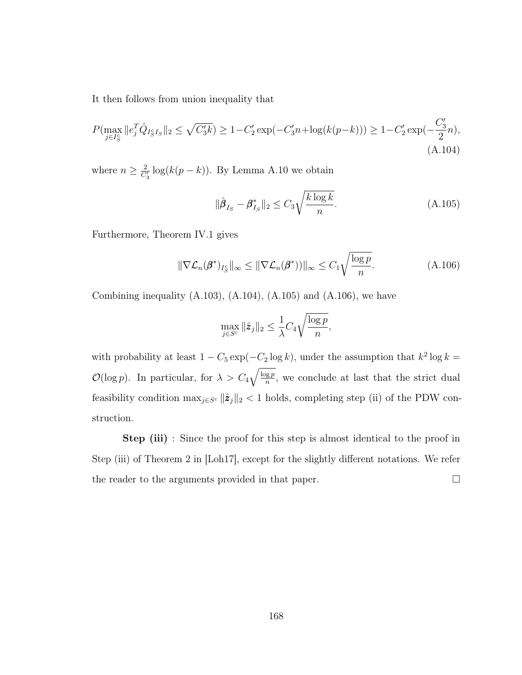It then follows from union inequality that

<span id="page-176-0"></span>
$$
P(\max_{j \in I_S^c} ||e_j^T \hat{Q}_{I_S^c I_S}||_2 \le \sqrt{C_3' k}) \ge 1 - C_2' \exp(-C_3' n + \log(k(p-k))) \ge 1 - C_2' \exp(-\frac{C_3'}{2}n),
$$
\n(A.104)

where  $n \geq \frac{2}{C_3} \log(k(p-k))$ . By Lemma [A.10](#page-172-0) we obtain

<span id="page-176-1"></span>
$$
\|\hat{\beta}_{I_S} - \beta_{I_S}^*\|_2 \le C_3 \sqrt{\frac{k \log k}{n}}.\tag{A.105}
$$

Furthermore, Theorem [IV.1](#page-100-0) gives

<span id="page-176-2"></span>
$$
\|\nabla \mathcal{L}_n(\pmb{\beta}^*)_{I_S^c}\|_{\infty} \le \|\nabla \mathcal{L}_n(\pmb{\beta}^*))\|_{\infty} \le C_1 \sqrt{\frac{\log p}{n}}.
$$
\n(A.106)

Combining inequality  $(A.103)$ ,  $(A.104)$ ,  $(A.105)$  and  $(A.106)$ , we have

$$
\max_{j \in S^c} \|\hat{\mathbf{z}}_j\|_2 \le \frac{1}{\lambda} C_4 \sqrt{\frac{\log p}{n}},
$$

with probability at least  $1 - C_5 \exp(-C_2 \log k)$ , under the assumption that  $k^2 \log k =$  $\mathcal{O}(\log p)$ . In particular, for  $\lambda > C_4 \sqrt{\frac{\log p}{n}}$  $\frac{gp}{n}$ , we conclude at last that the strict dual feasibility condition  $\max_{j \in S^c} ||\hat{z}_j||_2 < 1$  holds, completing step (ii) of the PDW construction.

Step (iii) : Since the proof for this step is almost identical to the proof in Step (iii) of Theorem 2 in [\[Loh17\]](#page-126-0), except for the slightly different notations. We refer the reader to the arguments provided in that paper.